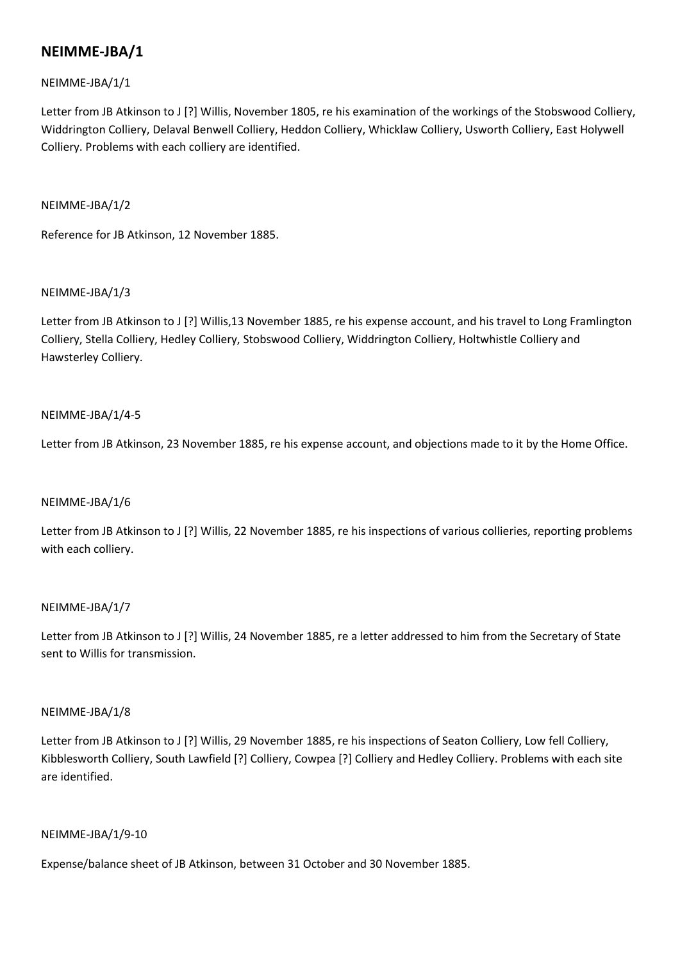## NEIMME-JBA/1/1

Letter from JB Atkinson to J [?] Willis, November 1805, re his examination of the workings of the Stobswood Colliery, Widdrington Colliery, Delaval Benwell Colliery, Heddon Colliery, Whicklaw Colliery, Usworth Colliery, East Holywell Colliery. Problems with each colliery are identified.

## NEIMME-JBA/1/2

Reference for JB Atkinson, 12 November 1885.

## NEIMME-JBA/1/3

Letter from JB Atkinson to J [?] Willis,13 November 1885, re his expense account, and his travel to Long Framlington Colliery, Stella Colliery, Hedley Colliery, Stobswood Colliery, Widdrington Colliery, Holtwhistle Colliery and Hawsterley Colliery.

## NEIMME-JBA/1/4-5

Letter from JB Atkinson, 23 November 1885, re his expense account, and objections made to it by the Home Office.

## NEIMME-JBA/1/6

Letter from JB Atkinson to J [?] Willis, 22 November 1885, re his inspections of various collieries, reporting problems with each colliery.

## NEIMME-JBA/1/7

Letter from JB Atkinson to J [?] Willis, 24 November 1885, re a letter addressed to him from the Secretary of State sent to Willis for transmission.

## NEIMME-JBA/1/8

Letter from JB Atkinson to J [?] Willis, 29 November 1885, re his inspections of Seaton Colliery, Low fell Colliery, Kibblesworth Colliery, South Lawfield [?] Colliery, Cowpea [?] Colliery and Hedley Colliery. Problems with each site are identified.

## NEIMME-JBA/1/9-10

Expense/balance sheet of JB Atkinson, between 31 October and 30 November 1885.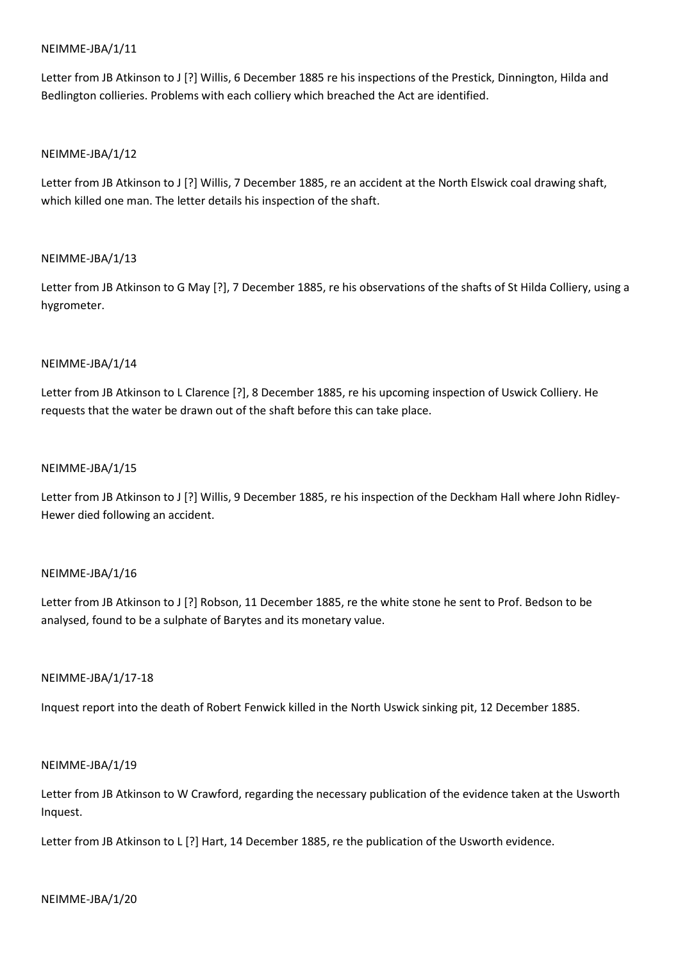Letter from JB Atkinson to J [?] Willis, 6 December 1885 re his inspections of the Prestick, Dinnington, Hilda and Bedlington collieries. Problems with each colliery which breached the Act are identified.

### NEIMME-JBA/1/12

Letter from JB Atkinson to J [?] Willis, 7 December 1885, re an accident at the North Elswick coal drawing shaft, which killed one man. The letter details his inspection of the shaft.

### NEIMME-JBA/1/13

Letter from JB Atkinson to G May [?], 7 December 1885, re his observations of the shafts of St Hilda Colliery, using a hygrometer.

### NEIMME-JBA/1/14

Letter from JB Atkinson to L Clarence [?], 8 December 1885, re his upcoming inspection of Uswick Colliery. He requests that the water be drawn out of the shaft before this can take place.

### NEIMME-JBA/1/15

Letter from JB Atkinson to J [?] Willis, 9 December 1885, re his inspection of the Deckham Hall where John Ridley-Hewer died following an accident.

#### NEIMME-JBA/1/16

Letter from JB Atkinson to J [?] Robson, 11 December 1885, re the white stone he sent to Prof. Bedson to be analysed, found to be a sulphate of Barytes and its monetary value.

#### NEIMME-JBA/1/17-18

Inquest report into the death of Robert Fenwick killed in the North Uswick sinking pit, 12 December 1885.

#### NEIMME-JBA/1/19

Letter from JB Atkinson to W Crawford, regarding the necessary publication of the evidence taken at the Usworth Inquest.

Letter from JB Atkinson to L [?] Hart, 14 December 1885, re the publication of the Usworth evidence.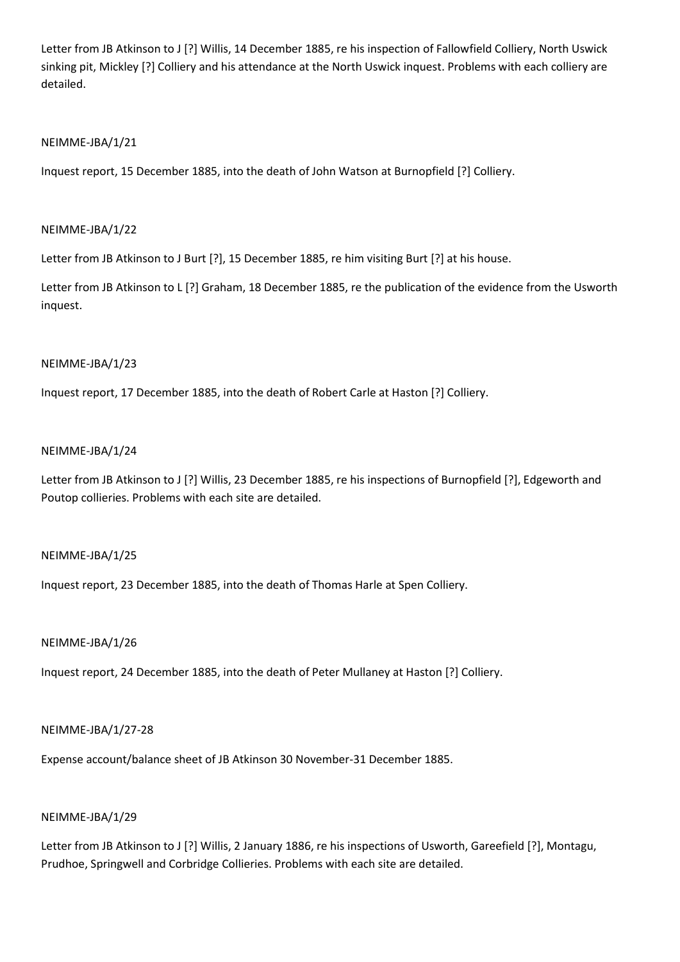Letter from JB Atkinson to J [?] Willis, 14 December 1885, re his inspection of Fallowfield Colliery, North Uswick sinking pit, Mickley [?] Colliery and his attendance at the North Uswick inquest. Problems with each colliery are detailed.

## NEIMME-JBA/1/21

Inquest report, 15 December 1885, into the death of John Watson at Burnopfield [?] Colliery.

## NEIMME-JBA/1/22

Letter from JB Atkinson to J Burt [?], 15 December 1885, re him visiting Burt [?] at his house.

Letter from JB Atkinson to L [?] Graham, 18 December 1885, re the publication of the evidence from the Usworth inquest.

### NEIMME-JBA/1/23

Inquest report, 17 December 1885, into the death of Robert Carle at Haston [?] Colliery.

### NEIMME-JBA/1/24

Letter from JB Atkinson to J [?] Willis, 23 December 1885, re his inspections of Burnopfield [?], Edgeworth and Poutop collieries. Problems with each site are detailed.

## NEIMME-JBA/1/25

Inquest report, 23 December 1885, into the death of Thomas Harle at Spen Colliery.

### NEIMME-JBA/1/26

Inquest report, 24 December 1885, into the death of Peter Mullaney at Haston [?] Colliery.

## NEIMME-JBA/1/27-28

Expense account/balance sheet of JB Atkinson 30 November-31 December 1885.

## NEIMME-JBA/1/29

Letter from JB Atkinson to J [?] Willis, 2 January 1886, re his inspections of Usworth, Gareefield [?], Montagu, Prudhoe, Springwell and Corbridge Collieries. Problems with each site are detailed.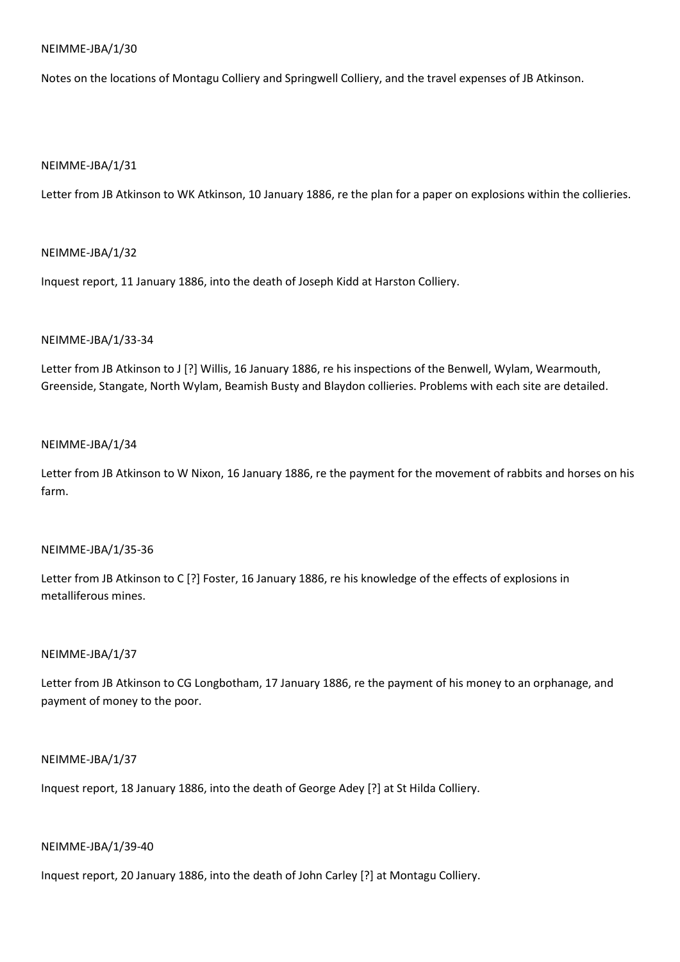Notes on the locations of Montagu Colliery and Springwell Colliery, and the travel expenses of JB Atkinson.

## NEIMME-JBA/1/31

Letter from JB Atkinson to WK Atkinson, 10 January 1886, re the plan for a paper on explosions within the collieries.

### NEIMME-JBA/1/32

Inquest report, 11 January 1886, into the death of Joseph Kidd at Harston Colliery.

### NEIMME-JBA/1/33-34

Letter from JB Atkinson to J [?] Willis, 16 January 1886, re his inspections of the Benwell, Wylam, Wearmouth, Greenside, Stangate, North Wylam, Beamish Busty and Blaydon collieries. Problems with each site are detailed.

#### NEIMME-JBA/1/34

Letter from JB Atkinson to W Nixon, 16 January 1886, re the payment for the movement of rabbits and horses on his farm.

## NEIMME-JBA/1/35-36

Letter from JB Atkinson to C [?] Foster, 16 January 1886, re his knowledge of the effects of explosions in metalliferous mines.

## NEIMME-JBA/1/37

Letter from JB Atkinson to CG Longbotham, 17 January 1886, re the payment of his money to an orphanage, and payment of money to the poor.

### NEIMME-JBA/1/37

Inquest report, 18 January 1886, into the death of George Adey [?] at St Hilda Colliery.

## NEIMME-JBA/1/39-40

Inquest report, 20 January 1886, into the death of John Carley [?] at Montagu Colliery.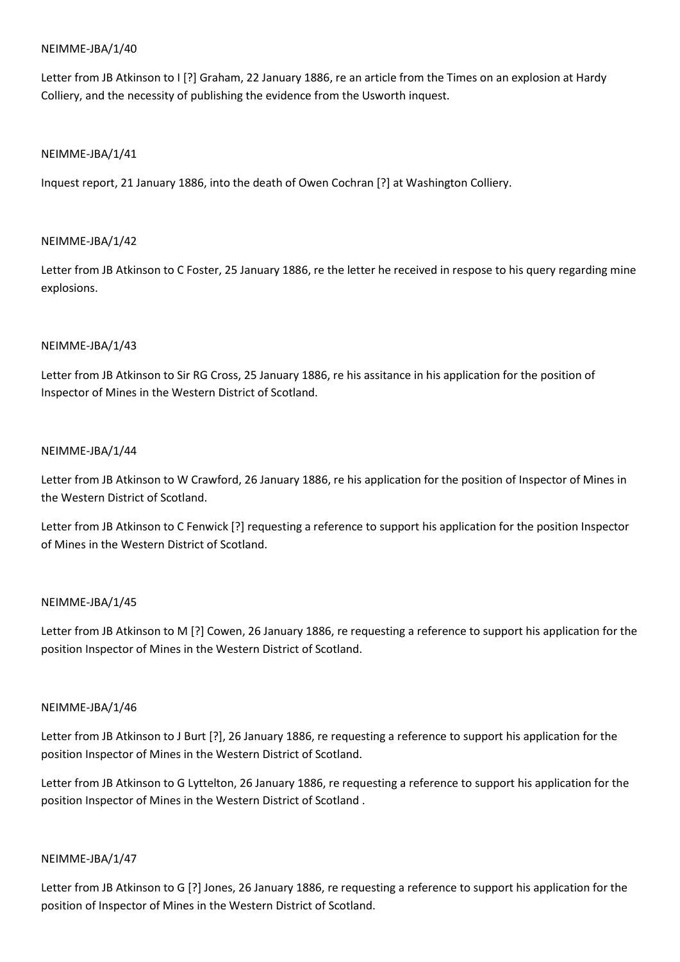Letter from JB Atkinson to I [?] Graham, 22 January 1886, re an article from the Times on an explosion at Hardy Colliery, and the necessity of publishing the evidence from the Usworth inquest.

## NEIMME-JBA/1/41

Inquest report, 21 January 1886, into the death of Owen Cochran [?] at Washington Colliery.

## NEIMME-JBA/1/42

Letter from JB Atkinson to C Foster, 25 January 1886, re the letter he received in respose to his query regarding mine explosions.

## NEIMME-JBA/1/43

Letter from JB Atkinson to Sir RG Cross, 25 January 1886, re his assitance in his application for the position of Inspector of Mines in the Western District of Scotland.

## NEIMME-JBA/1/44

Letter from JB Atkinson to W Crawford, 26 January 1886, re his application for the position of Inspector of Mines in the Western District of Scotland.

Letter from JB Atkinson to C Fenwick [?] requesting a reference to support his application for the position Inspector of Mines in the Western District of Scotland.

## NEIMME-JBA/1/45

Letter from JB Atkinson to M [?] Cowen, 26 January 1886, re requesting a reference to support his application for the position Inspector of Mines in the Western District of Scotland.

## NEIMME-JBA/1/46

Letter from JB Atkinson to J Burt [?], 26 January 1886, re requesting a reference to support his application for the position Inspector of Mines in the Western District of Scotland.

Letter from JB Atkinson to G Lyttelton, 26 January 1886, re requesting a reference to support his application for the position Inspector of Mines in the Western District of Scotland .

## NEIMME-JBA/1/47

Letter from JB Atkinson to G [?] Jones, 26 January 1886, re requesting a reference to support his application for the position of Inspector of Mines in the Western District of Scotland.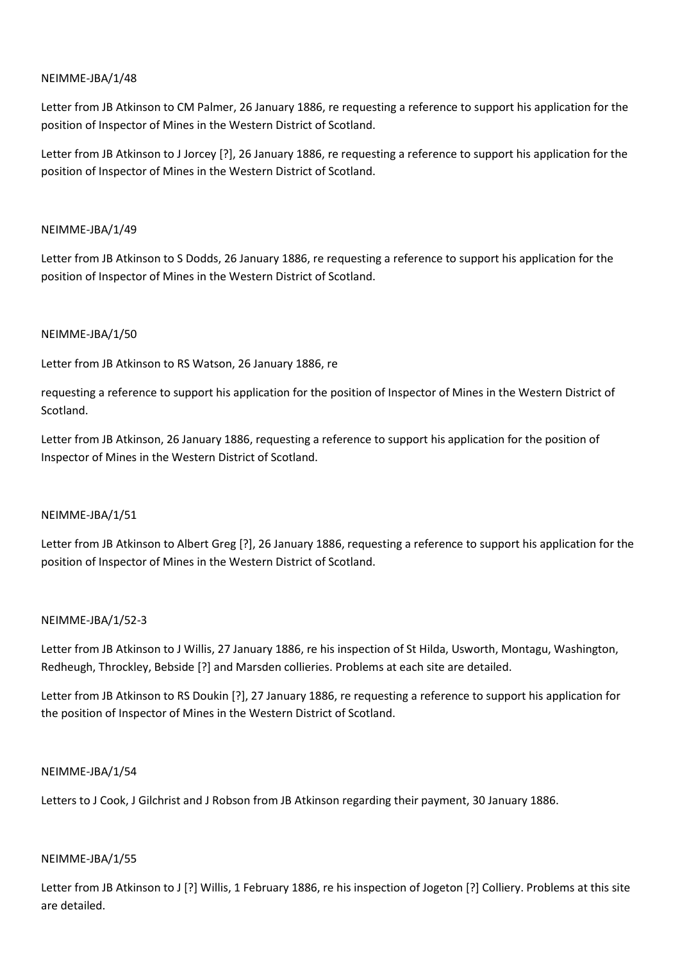Letter from JB Atkinson to CM Palmer, 26 January 1886, re requesting a reference to support his application for the position of Inspector of Mines in the Western District of Scotland.

Letter from JB Atkinson to J Jorcey [?], 26 January 1886, re requesting a reference to support his application for the position of Inspector of Mines in the Western District of Scotland.

## NEIMME-JBA/1/49

Letter from JB Atkinson to S Dodds, 26 January 1886, re requesting a reference to support his application for the position of Inspector of Mines in the Western District of Scotland.

## NEIMME-JBA/1/50

Letter from JB Atkinson to RS Watson, 26 January 1886, re

requesting a reference to support his application for the position of Inspector of Mines in the Western District of Scotland.

Letter from JB Atkinson, 26 January 1886, requesting a reference to support his application for the position of Inspector of Mines in the Western District of Scotland.

## NEIMME-JBA/1/51

Letter from JB Atkinson to Albert Greg [?], 26 January 1886, requesting a reference to support his application for the position of Inspector of Mines in the Western District of Scotland.

## NEIMME-JBA/1/52-3

Letter from JB Atkinson to J Willis, 27 January 1886, re his inspection of St Hilda, Usworth, Montagu, Washington, Redheugh, Throckley, Bebside [?] and Marsden collieries. Problems at each site are detailed.

Letter from JB Atkinson to RS Doukin [?], 27 January 1886, re requesting a reference to support his application for the position of Inspector of Mines in the Western District of Scotland.

## NEIMME-JBA/1/54

Letters to J Cook, J Gilchrist and J Robson from JB Atkinson regarding their payment, 30 January 1886.

## NEIMME-JBA/1/55

Letter from JB Atkinson to J [?] Willis, 1 February 1886, re his inspection of Jogeton [?] Colliery. Problems at this site are detailed.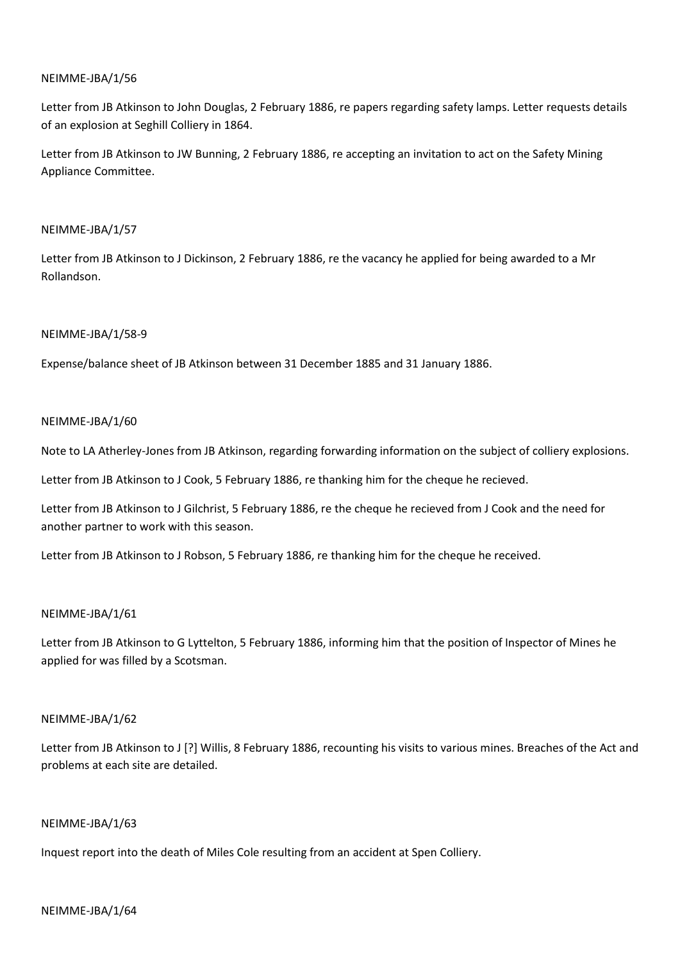Letter from JB Atkinson to John Douglas, 2 February 1886, re papers regarding safety lamps. Letter requests details of an explosion at Seghill Colliery in 1864.

Letter from JB Atkinson to JW Bunning, 2 February 1886, re accepting an invitation to act on the Safety Mining Appliance Committee.

## NEIMME-JBA/1/57

Letter from JB Atkinson to J Dickinson, 2 February 1886, re the vacancy he applied for being awarded to a Mr Rollandson.

## NEIMME-JBA/1/58-9

Expense/balance sheet of JB Atkinson between 31 December 1885 and 31 January 1886.

## NEIMME-JBA/1/60

Note to LA Atherley-Jones from JB Atkinson, regarding forwarding information on the subject of colliery explosions.

Letter from JB Atkinson to J Cook, 5 February 1886, re thanking him for the cheque he recieved.

Letter from JB Atkinson to J Gilchrist, 5 February 1886, re the cheque he recieved from J Cook and the need for another partner to work with this season.

Letter from JB Atkinson to J Robson, 5 February 1886, re thanking him for the cheque he received.

## NEIMME-JBA/1/61

Letter from JB Atkinson to G Lyttelton, 5 February 1886, informing him that the position of Inspector of Mines he applied for was filled by a Scotsman.

## NEIMME-JBA/1/62

Letter from JB Atkinson to J [?] Willis, 8 February 1886, recounting his visits to various mines. Breaches of the Act and problems at each site are detailed.

## NEIMME-JBA/1/63

Inquest report into the death of Miles Cole resulting from an accident at Spen Colliery.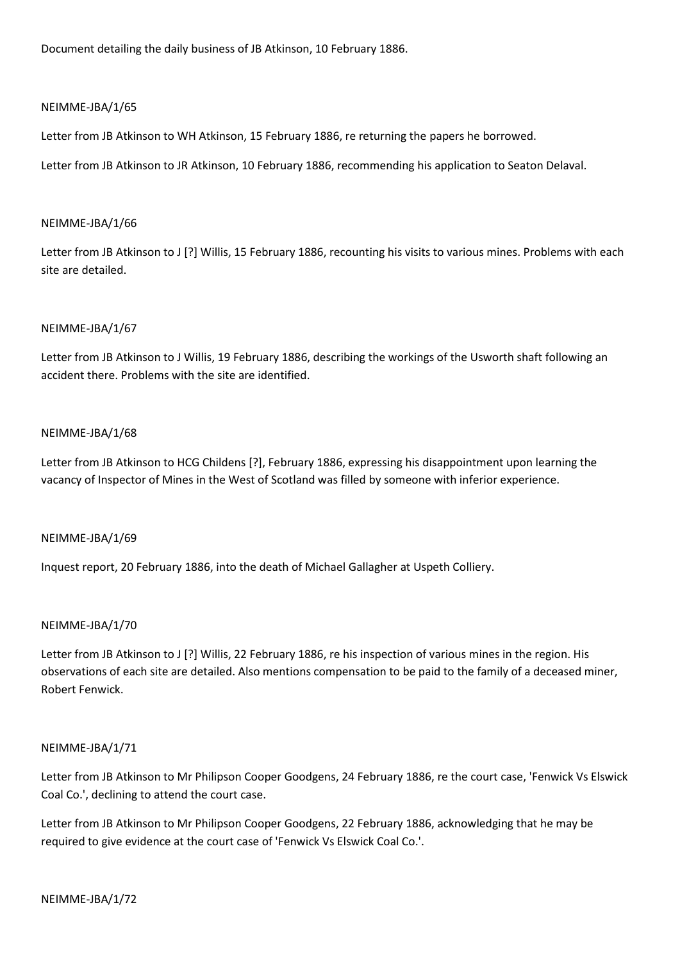Document detailing the daily business of JB Atkinson, 10 February 1886.

## NEIMME-JBA/1/65

Letter from JB Atkinson to WH Atkinson, 15 February 1886, re returning the papers he borrowed.

Letter from JB Atkinson to JR Atkinson, 10 February 1886, recommending his application to Seaton Delaval.

#### NEIMME-JBA/1/66

Letter from JB Atkinson to J [?] Willis, 15 February 1886, recounting his visits to various mines. Problems with each site are detailed.

### NEIMME-JBA/1/67

Letter from JB Atkinson to J Willis, 19 February 1886, describing the workings of the Usworth shaft following an accident there. Problems with the site are identified.

### NEIMME-JBA/1/68

Letter from JB Atkinson to HCG Childens [?], February 1886, expressing his disappointment upon learning the vacancy of Inspector of Mines in the West of Scotland was filled by someone with inferior experience.

#### NEIMME-JBA/1/69

Inquest report, 20 February 1886, into the death of Michael Gallagher at Uspeth Colliery.

### NEIMME-JBA/1/70

Letter from JB Atkinson to J [?] Willis, 22 February 1886, re his inspection of various mines in the region. His observations of each site are detailed. Also mentions compensation to be paid to the family of a deceased miner, Robert Fenwick.

#### NEIMME-JBA/1/71

Letter from JB Atkinson to Mr Philipson Cooper Goodgens, 24 February 1886, re the court case, 'Fenwick Vs Elswick Coal Co.', declining to attend the court case.

Letter from JB Atkinson to Mr Philipson Cooper Goodgens, 22 February 1886, acknowledging that he may be required to give evidence at the court case of 'Fenwick Vs Elswick Coal Co.'.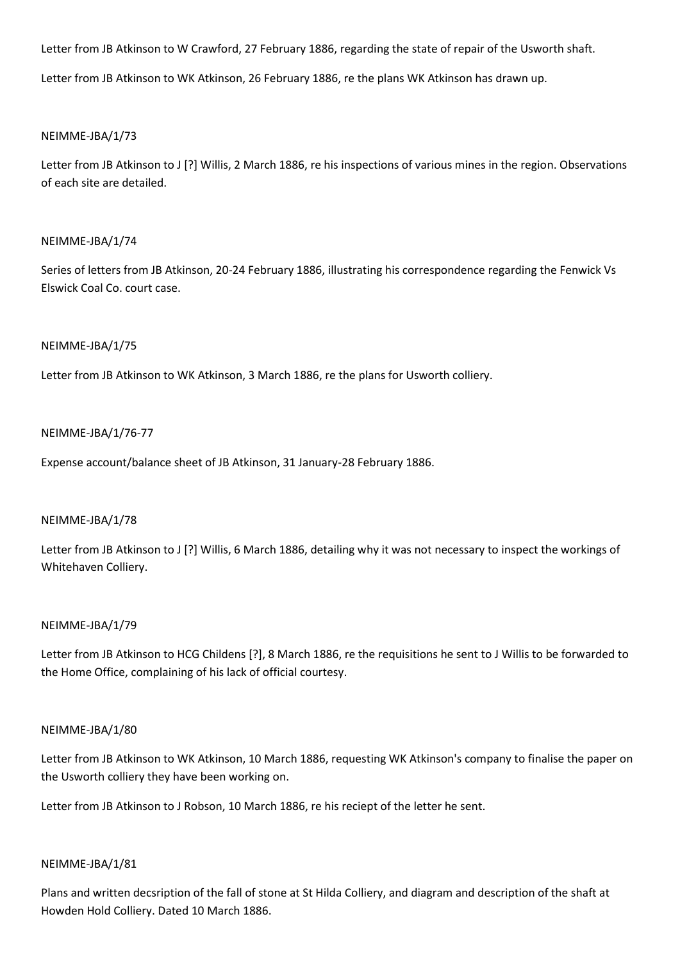Letter from JB Atkinson to W Crawford, 27 February 1886, regarding the state of repair of the Usworth shaft.

Letter from JB Atkinson to WK Atkinson, 26 February 1886, re the plans WK Atkinson has drawn up.

## NEIMME-JBA/1/73

Letter from JB Atkinson to J [?] Willis, 2 March 1886, re his inspections of various mines in the region. Observations of each site are detailed.

### NEIMME-JBA/1/74

Series of letters from JB Atkinson, 20-24 February 1886, illustrating his correspondence regarding the Fenwick Vs Elswick Coal Co. court case.

### NEIMME-JBA/1/75

Letter from JB Atkinson to WK Atkinson, 3 March 1886, re the plans for Usworth colliery.

### NEIMME-JBA/1/76-77

Expense account/balance sheet of JB Atkinson, 31 January-28 February 1886.

#### NEIMME-JBA/1/78

Letter from JB Atkinson to J [?] Willis, 6 March 1886, detailing why it was not necessary to inspect the workings of Whitehaven Colliery.

### NEIMME-JBA/1/79

Letter from JB Atkinson to HCG Childens [?], 8 March 1886, re the requisitions he sent to J Willis to be forwarded to the Home Office, complaining of his lack of official courtesy.

#### NEIMME-JBA/1/80

Letter from JB Atkinson to WK Atkinson, 10 March 1886, requesting WK Atkinson's company to finalise the paper on the Usworth colliery they have been working on.

Letter from JB Atkinson to J Robson, 10 March 1886, re his reciept of the letter he sent.

#### NEIMME-JBA/1/81

Plans and written decsription of the fall of stone at St Hilda Colliery, and diagram and description of the shaft at Howden Hold Colliery. Dated 10 March 1886.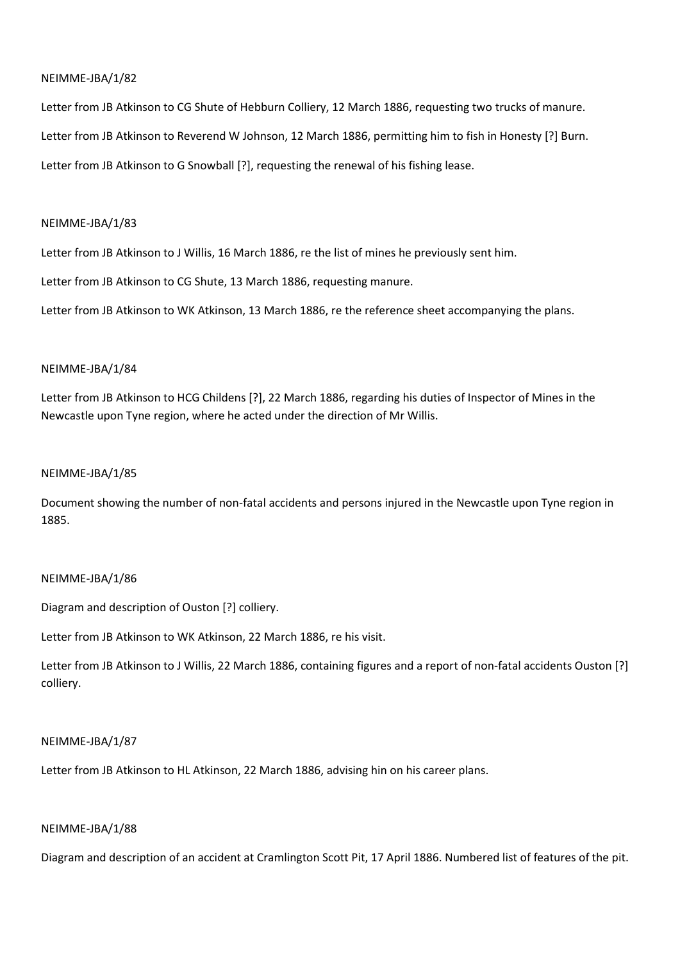Letter from JB Atkinson to CG Shute of Hebburn Colliery, 12 March 1886, requesting two trucks of manure. Letter from JB Atkinson to Reverend W Johnson, 12 March 1886, permitting him to fish in Honesty [?] Burn. Letter from JB Atkinson to G Snowball [?], requesting the renewal of his fishing lease.

### NEIMME-JBA/1/83

Letter from JB Atkinson to J Willis, 16 March 1886, re the list of mines he previously sent him.

Letter from JB Atkinson to CG Shute, 13 March 1886, requesting manure.

Letter from JB Atkinson to WK Atkinson, 13 March 1886, re the reference sheet accompanying the plans.

## NEIMME-JBA/1/84

Letter from JB Atkinson to HCG Childens [?], 22 March 1886, regarding his duties of Inspector of Mines in the Newcastle upon Tyne region, where he acted under the direction of Mr Willis.

### NEIMME-JBA/1/85

Document showing the number of non-fatal accidents and persons injured in the Newcastle upon Tyne region in 1885.

## NEIMME-JBA/1/86

Diagram and description of Ouston [?] colliery.

Letter from JB Atkinson to WK Atkinson, 22 March 1886, re his visit.

Letter from JB Atkinson to J Willis, 22 March 1886, containing figures and a report of non-fatal accidents Ouston [?] colliery.

## NEIMME-JBA/1/87

Letter from JB Atkinson to HL Atkinson, 22 March 1886, advising hin on his career plans.

### NEIMME-JBA/1/88

Diagram and description of an accident at Cramlington Scott Pit, 17 April 1886. Numbered list of features of the pit.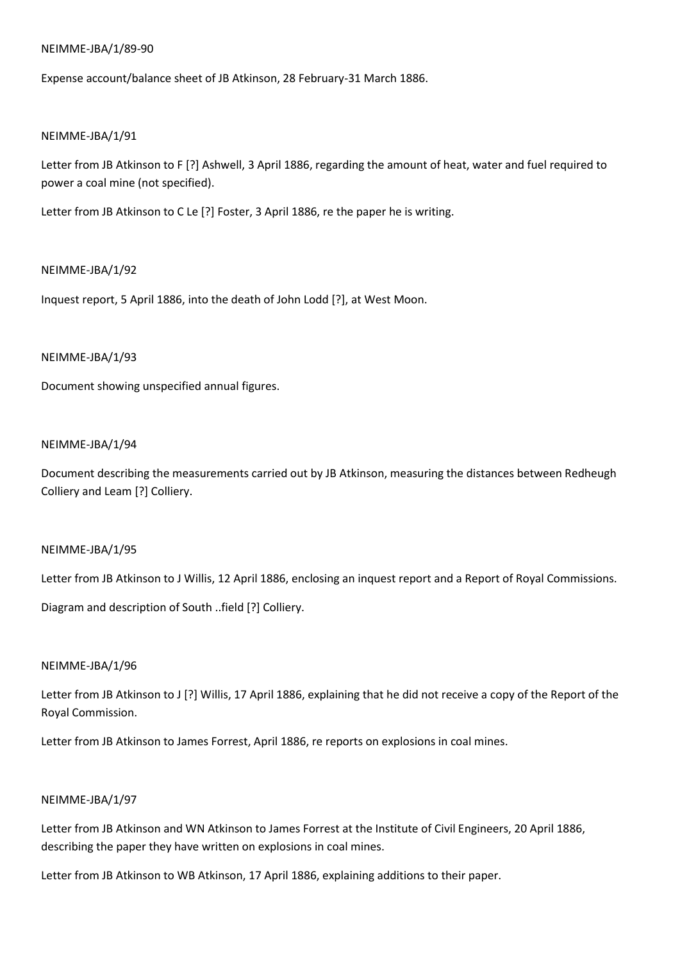### NEIMME-JBA/1/89-90

Expense account/balance sheet of JB Atkinson, 28 February-31 March 1886.

### NEIMME-JBA/1/91

Letter from JB Atkinson to F [?] Ashwell, 3 April 1886, regarding the amount of heat, water and fuel required to power a coal mine (not specified).

Letter from JB Atkinson to C Le [?] Foster, 3 April 1886, re the paper he is writing.

### NEIMME-JBA/1/92

Inquest report, 5 April 1886, into the death of John Lodd [?], at West Moon.

### NEIMME-JBA/1/93

Document showing unspecified annual figures.

#### NEIMME-JBA/1/94

Document describing the measurements carried out by JB Atkinson, measuring the distances between Redheugh Colliery and Leam [?] Colliery.

#### NEIMME-JBA/1/95

Letter from JB Atkinson to J Willis, 12 April 1886, enclosing an inquest report and a Report of Royal Commissions.

Diagram and description of South ..field [?] Colliery.

#### NEIMME-JBA/1/96

Letter from JB Atkinson to J [?] Willis, 17 April 1886, explaining that he did not receive a copy of the Report of the Royal Commission.

Letter from JB Atkinson to James Forrest, April 1886, re reports on explosions in coal mines.

### NEIMME-JBA/1/97

Letter from JB Atkinson and WN Atkinson to James Forrest at the Institute of Civil Engineers, 20 April 1886, describing the paper they have written on explosions in coal mines.

Letter from JB Atkinson to WB Atkinson, 17 April 1886, explaining additions to their paper.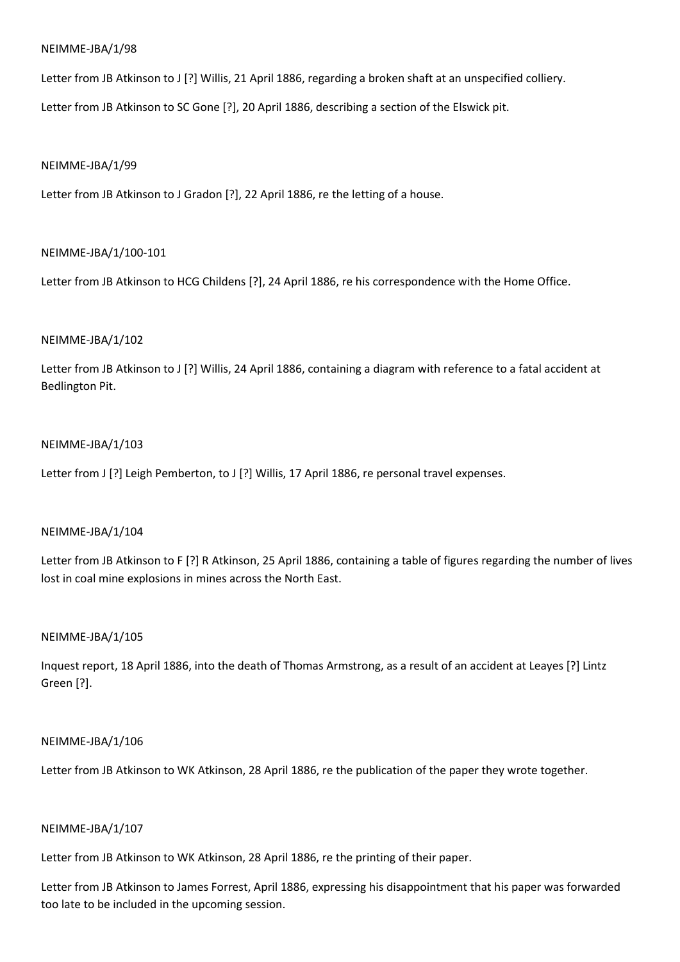Letter from JB Atkinson to J [?] Willis, 21 April 1886, regarding a broken shaft at an unspecified colliery.

Letter from JB Atkinson to SC Gone [?], 20 April 1886, describing a section of the Elswick pit.

### NEIMME-JBA/1/99

Letter from JB Atkinson to J Gradon [?], 22 April 1886, re the letting of a house.

## NEIMME-JBA/1/100-101

Letter from JB Atkinson to HCG Childens [?], 24 April 1886, re his correspondence with the Home Office.

### NEIMME-JBA/1/102

Letter from JB Atkinson to J [?] Willis, 24 April 1886, containing a diagram with reference to a fatal accident at Bedlington Pit.

### NEIMME-JBA/1/103

Letter from J [?] Leigh Pemberton, to J [?] Willis, 17 April 1886, re personal travel expenses.

## NEIMME-JBA/1/104

Letter from JB Atkinson to F [?] R Atkinson, 25 April 1886, containing a table of figures regarding the number of lives lost in coal mine explosions in mines across the North East.

## NEIMME-JBA/1/105

Inquest report, 18 April 1886, into the death of Thomas Armstrong, as a result of an accident at Leayes [?] Lintz Green [?].

### NEIMME-JBA/1/106

Letter from JB Atkinson to WK Atkinson, 28 April 1886, re the publication of the paper they wrote together.

### NEIMME-JBA/1/107

Letter from JB Atkinson to WK Atkinson, 28 April 1886, re the printing of their paper.

Letter from JB Atkinson to James Forrest, April 1886, expressing his disappointment that his paper was forwarded too late to be included in the upcoming session.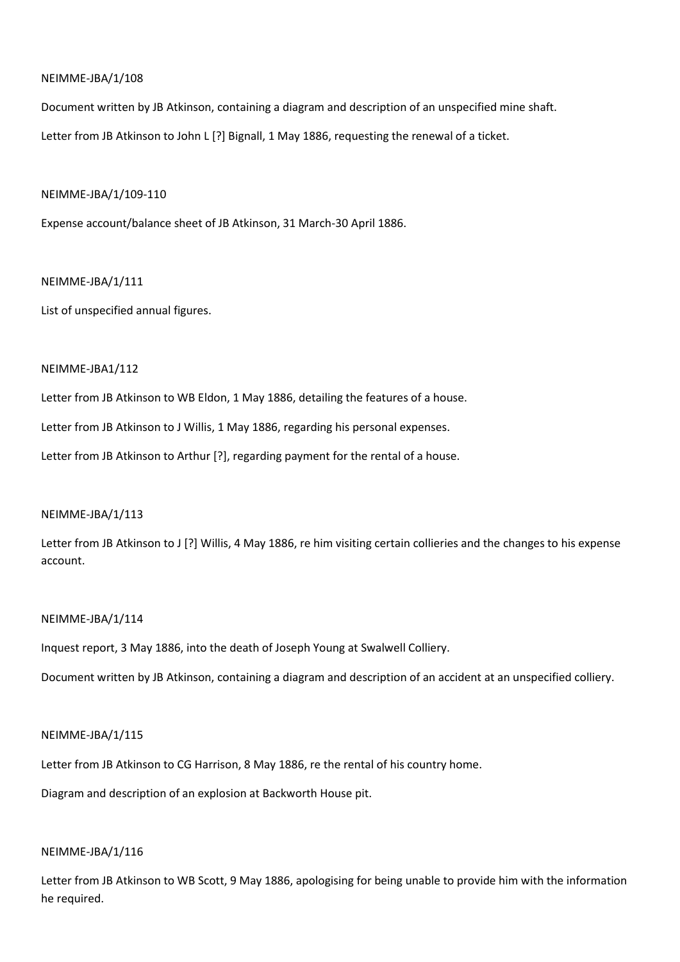Document written by JB Atkinson, containing a diagram and description of an unspecified mine shaft. Letter from JB Atkinson to John L [?] Bignall, 1 May 1886, requesting the renewal of a ticket.

### NEIMME-JBA/1/109-110

Expense account/balance sheet of JB Atkinson, 31 March-30 April 1886.

### NEIMME-JBA/1/111

List of unspecified annual figures.

## NEIMME-JBA1/112

Letter from JB Atkinson to WB Eldon, 1 May 1886, detailing the features of a house. Letter from JB Atkinson to J Willis, 1 May 1886, regarding his personal expenses. Letter from JB Atkinson to Arthur [?], regarding payment for the rental of a house.

## NEIMME-JBA/1/113

Letter from JB Atkinson to J [?] Willis, 4 May 1886, re him visiting certain collieries and the changes to his expense account.

## NEIMME-JBA/1/114

Inquest report, 3 May 1886, into the death of Joseph Young at Swalwell Colliery.

Document written by JB Atkinson, containing a diagram and description of an accident at an unspecified colliery.

## NEIMME-JBA/1/115

Letter from JB Atkinson to CG Harrison, 8 May 1886, re the rental of his country home.

Diagram and description of an explosion at Backworth House pit.

## NEIMME-JBA/1/116

Letter from JB Atkinson to WB Scott, 9 May 1886, apologising for being unable to provide him with the information he required.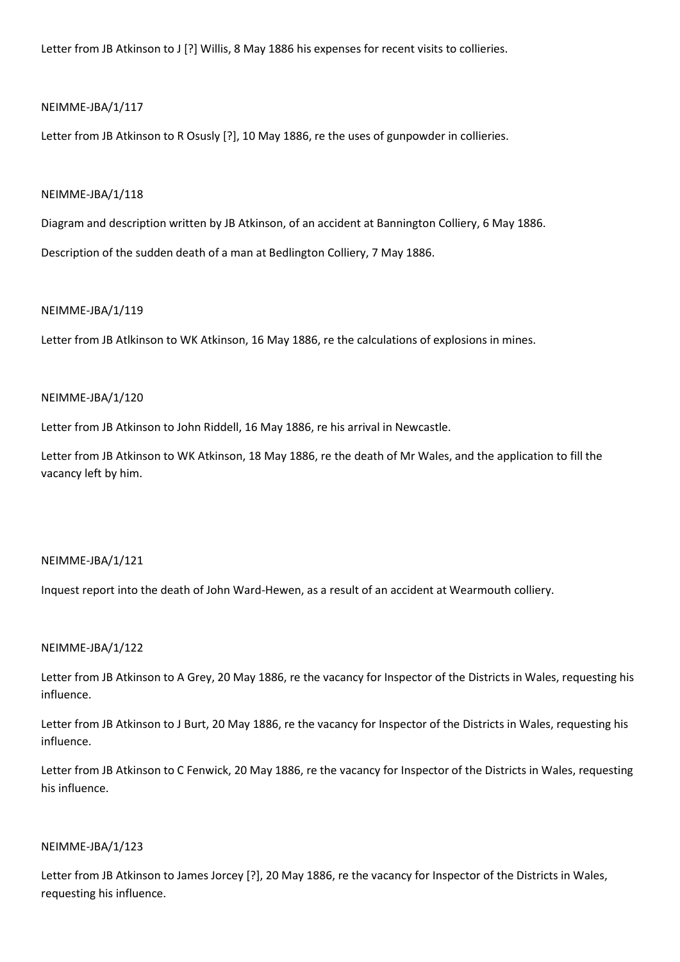Letter from JB Atkinson to J [?] Willis, 8 May 1886 his expenses for recent visits to collieries.

### NEIMME-JBA/1/117

Letter from JB Atkinson to R Osusly [?], 10 May 1886, re the uses of gunpowder in collieries.

### NEIMME-JBA/1/118

Diagram and description written by JB Atkinson, of an accident at Bannington Colliery, 6 May 1886. Description of the sudden death of a man at Bedlington Colliery, 7 May 1886.

### NEIMME-JBA/1/119

Letter from JB Atlkinson to WK Atkinson, 16 May 1886, re the calculations of explosions in mines.

### NEIMME-JBA/1/120

Letter from JB Atkinson to John Riddell, 16 May 1886, re his arrival in Newcastle.

Letter from JB Atkinson to WK Atkinson, 18 May 1886, re the death of Mr Wales, and the application to fill the vacancy left by him.

#### NEIMME-JBA/1/121

Inquest report into the death of John Ward-Hewen, as a result of an accident at Wearmouth colliery.

## NEIMME-JBA/1/122

Letter from JB Atkinson to A Grey, 20 May 1886, re the vacancy for Inspector of the Districts in Wales, requesting his influence.

Letter from JB Atkinson to J Burt, 20 May 1886, re the vacancy for Inspector of the Districts in Wales, requesting his influence.

Letter from JB Atkinson to C Fenwick, 20 May 1886, re the vacancy for Inspector of the Districts in Wales, requesting his influence.

#### NEIMME-JBA/1/123

Letter from JB Atkinson to James Jorcey [?], 20 May 1886, re the vacancy for Inspector of the Districts in Wales, requesting his influence.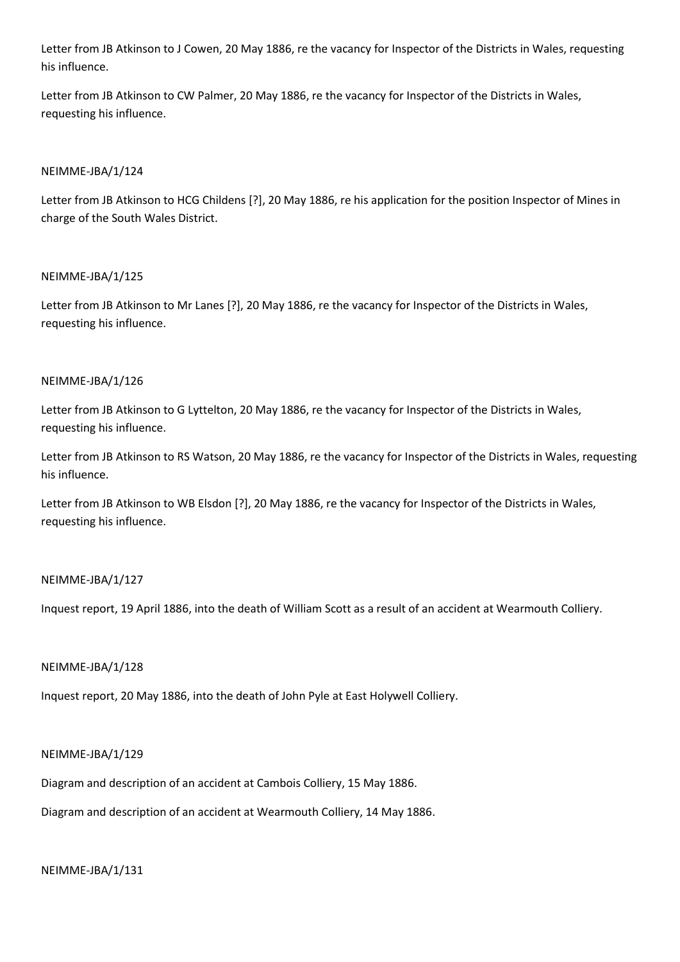Letter from JB Atkinson to J Cowen, 20 May 1886, re the vacancy for Inspector of the Districts in Wales, requesting his influence.

Letter from JB Atkinson to CW Palmer, 20 May 1886, re the vacancy for Inspector of the Districts in Wales, requesting his influence.

## NEIMME-JBA/1/124

Letter from JB Atkinson to HCG Childens [?], 20 May 1886, re his application for the position Inspector of Mines in charge of the South Wales District.

## NEIMME-JBA/1/125

Letter from JB Atkinson to Mr Lanes [?], 20 May 1886, re the vacancy for Inspector of the Districts in Wales, requesting his influence.

## NEIMME-JBA/1/126

Letter from JB Atkinson to G Lyttelton, 20 May 1886, re the vacancy for Inspector of the Districts in Wales, requesting his influence.

Letter from JB Atkinson to RS Watson, 20 May 1886, re the vacancy for Inspector of the Districts in Wales, requesting his influence.

Letter from JB Atkinson to WB Elsdon [?], 20 May 1886, re the vacancy for Inspector of the Districts in Wales, requesting his influence.

## NEIMME-JBA/1/127

Inquest report, 19 April 1886, into the death of William Scott as a result of an accident at Wearmouth Colliery.

## NEIMME-JBA/1/128

Inquest report, 20 May 1886, into the death of John Pyle at East Holywell Colliery.

## NEIMME-JBA/1/129

Diagram and description of an accident at Cambois Colliery, 15 May 1886.

Diagram and description of an accident at Wearmouth Colliery, 14 May 1886.

## NEIMME-JBA/1/131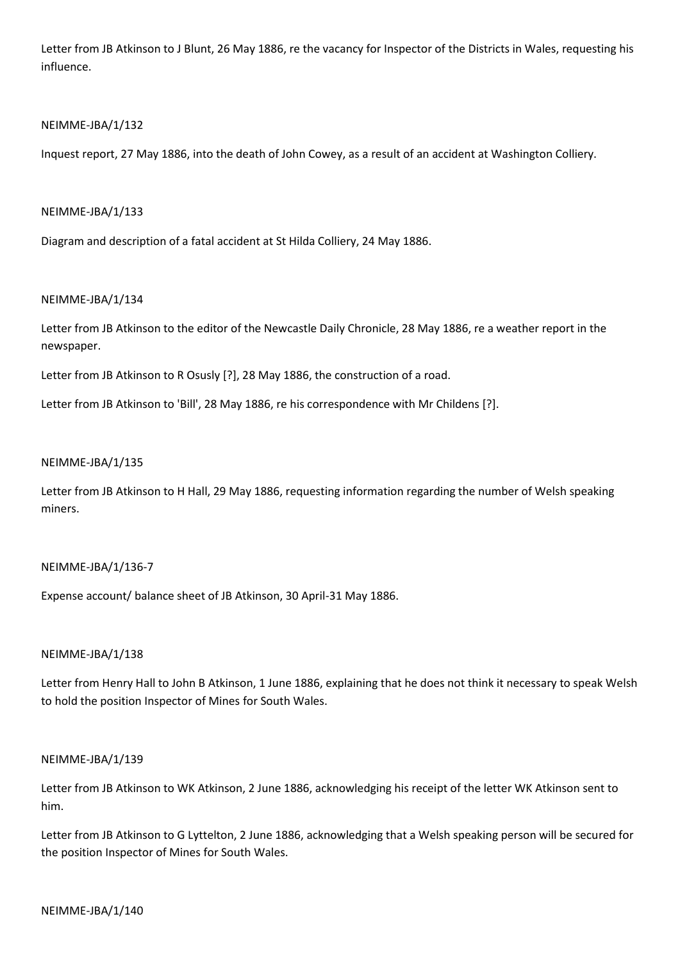Letter from JB Atkinson to J Blunt, 26 May 1886, re the vacancy for Inspector of the Districts in Wales, requesting his influence.

## NEIMME-JBA/1/132

Inquest report, 27 May 1886, into the death of John Cowey, as a result of an accident at Washington Colliery.

## NEIMME-JBA/1/133

Diagram and description of a fatal accident at St Hilda Colliery, 24 May 1886.

## NEIMME-JBA/1/134

Letter from JB Atkinson to the editor of the Newcastle Daily Chronicle, 28 May 1886, re a weather report in the newspaper.

Letter from JB Atkinson to R Osusly [?], 28 May 1886, the construction of a road.

Letter from JB Atkinson to 'Bill', 28 May 1886, re his correspondence with Mr Childens [?].

## NEIMME-JBA/1/135

Letter from JB Atkinson to H Hall, 29 May 1886, requesting information regarding the number of Welsh speaking miners.

## NEIMME-JBA/1/136-7

Expense account/ balance sheet of JB Atkinson, 30 April-31 May 1886.

## NEIMME-JBA/1/138

Letter from Henry Hall to John B Atkinson, 1 June 1886, explaining that he does not think it necessary to speak Welsh to hold the position Inspector of Mines for South Wales.

## NEIMME-JBA/1/139

Letter from JB Atkinson to WK Atkinson, 2 June 1886, acknowledging his receipt of the letter WK Atkinson sent to him.

Letter from JB Atkinson to G Lyttelton, 2 June 1886, acknowledging that a Welsh speaking person will be secured for the position Inspector of Mines for South Wales.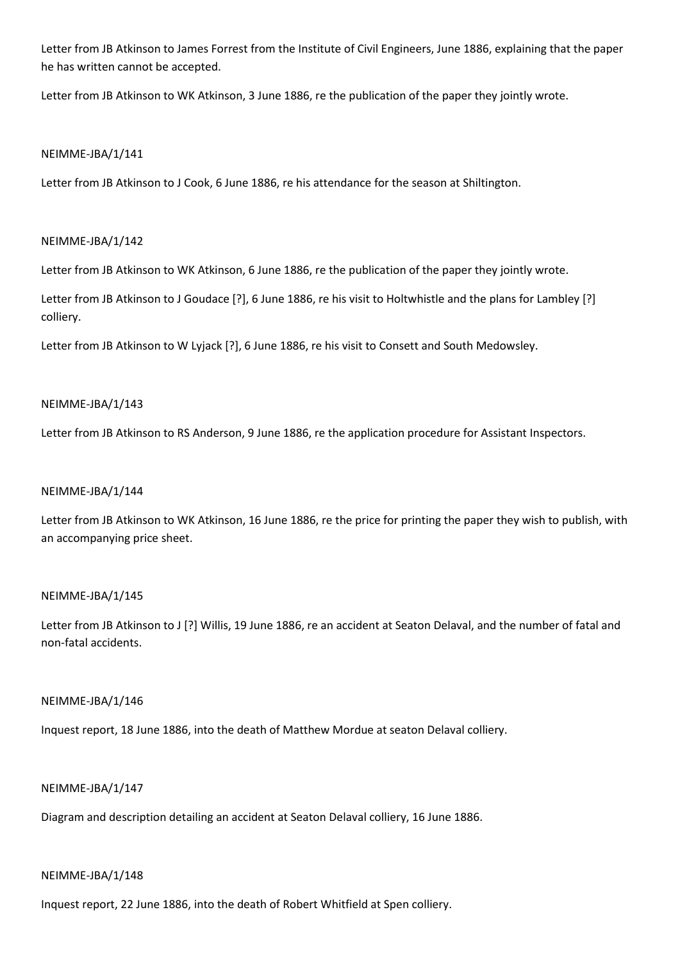Letter from JB Atkinson to James Forrest from the Institute of Civil Engineers, June 1886, explaining that the paper he has written cannot be accepted.

Letter from JB Atkinson to WK Atkinson, 3 June 1886, re the publication of the paper they jointly wrote.

### NEIMME-JBA/1/141

Letter from JB Atkinson to J Cook, 6 June 1886, re his attendance for the season at Shiltington.

### NEIMME-JBA/1/142

Letter from JB Atkinson to WK Atkinson, 6 June 1886, re the publication of the paper they jointly wrote.

Letter from JB Atkinson to J Goudace [?], 6 June 1886, re his visit to Holtwhistle and the plans for Lambley [?] colliery.

Letter from JB Atkinson to W Lyjack [?], 6 June 1886, re his visit to Consett and South Medowsley.

### NEIMME-JBA/1/143

Letter from JB Atkinson to RS Anderson, 9 June 1886, re the application procedure for Assistant Inspectors.

## NEIMME-JBA/1/144

Letter from JB Atkinson to WK Atkinson, 16 June 1886, re the price for printing the paper they wish to publish, with an accompanying price sheet.

## NEIMME-JBA/1/145

Letter from JB Atkinson to J [?] Willis, 19 June 1886, re an accident at Seaton Delaval, and the number of fatal and non-fatal accidents.

#### NEIMME-JBA/1/146

Inquest report, 18 June 1886, into the death of Matthew Mordue at seaton Delaval colliery.

#### NEIMME-JBA/1/147

Diagram and description detailing an accident at Seaton Delaval colliery, 16 June 1886.

#### NEIMME-JBA/1/148

Inquest report, 22 June 1886, into the death of Robert Whitfield at Spen colliery.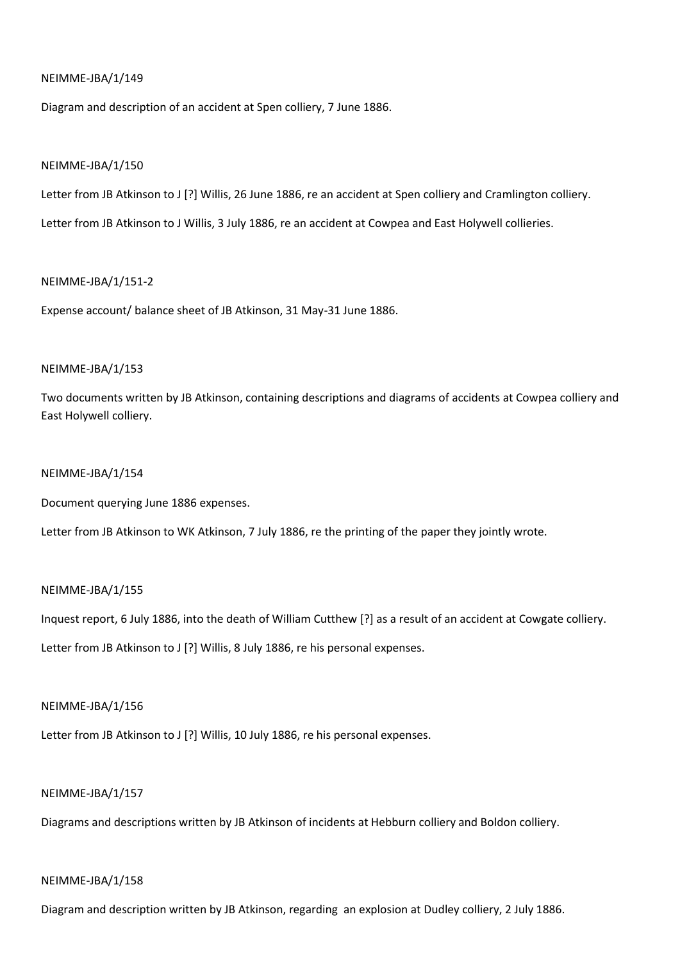Diagram and description of an accident at Spen colliery, 7 June 1886.

#### NEIMME-JBA/1/150

Letter from JB Atkinson to J [?] Willis, 26 June 1886, re an accident at Spen colliery and Cramlington colliery.

Letter from JB Atkinson to J Willis, 3 July 1886, re an accident at Cowpea and East Holywell collieries.

#### NEIMME-JBA/1/151-2

Expense account/ balance sheet of JB Atkinson, 31 May-31 June 1886.

## NEIMME-JBA/1/153

Two documents written by JB Atkinson, containing descriptions and diagrams of accidents at Cowpea colliery and East Holywell colliery.

### NEIMME-JBA/1/154

Document querying June 1886 expenses.

Letter from JB Atkinson to WK Atkinson, 7 July 1886, re the printing of the paper they jointly wrote.

## NEIMME-JBA/1/155

Inquest report, 6 July 1886, into the death of William Cutthew [?] as a result of an accident at Cowgate colliery.

Letter from JB Atkinson to J [?] Willis, 8 July 1886, re his personal expenses.

#### NEIMME-JBA/1/156

Letter from JB Atkinson to J [?] Willis, 10 July 1886, re his personal expenses.

#### NEIMME-JBA/1/157

Diagrams and descriptions written by JB Atkinson of incidents at Hebburn colliery and Boldon colliery.

#### NEIMME-JBA/1/158

Diagram and description written by JB Atkinson, regarding an explosion at Dudley colliery, 2 July 1886.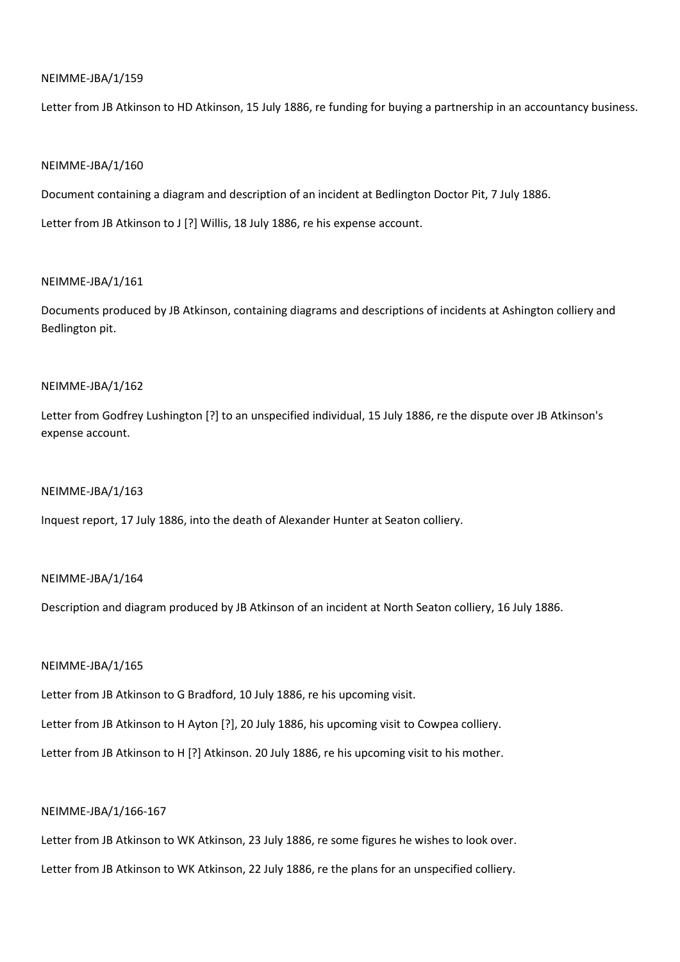Letter from JB Atkinson to HD Atkinson, 15 July 1886, re funding for buying a partnership in an accountancy business.

### NEIMME-JBA/1/160

Document containing a diagram and description of an incident at Bedlington Doctor Pit, 7 July 1886.

Letter from JB Atkinson to J [?] Willis, 18 July 1886, re his expense account.

#### NEIMME-JBA/1/161

Documents produced by JB Atkinson, containing diagrams and descriptions of incidents at Ashington colliery and Bedlington pit.

### NEIMME-JBA/1/162

Letter from Godfrey Lushington [?] to an unspecified individual, 15 July 1886, re the dispute over JB Atkinson's expense account.

#### NEIMME-JBA/1/163

Inquest report, 17 July 1886, into the death of Alexander Hunter at Seaton colliery.

## NEIMME-JBA/1/164

Description and diagram produced by JB Atkinson of an incident at North Seaton colliery, 16 July 1886.

#### NEIMME-JBA/1/165

Letter from JB Atkinson to G Bradford, 10 July 1886, re his upcoming visit.

Letter from JB Atkinson to H Ayton [?], 20 July 1886, his upcoming visit to Cowpea colliery.

Letter from JB Atkinson to H [?] Atkinson. 20 July 1886, re his upcoming visit to his mother.

### NEIMME-JBA/1/166-167

Letter from JB Atkinson to WK Atkinson, 23 July 1886, re some figures he wishes to look over.

Letter from JB Atkinson to WK Atkinson, 22 July 1886, re the plans for an unspecified colliery.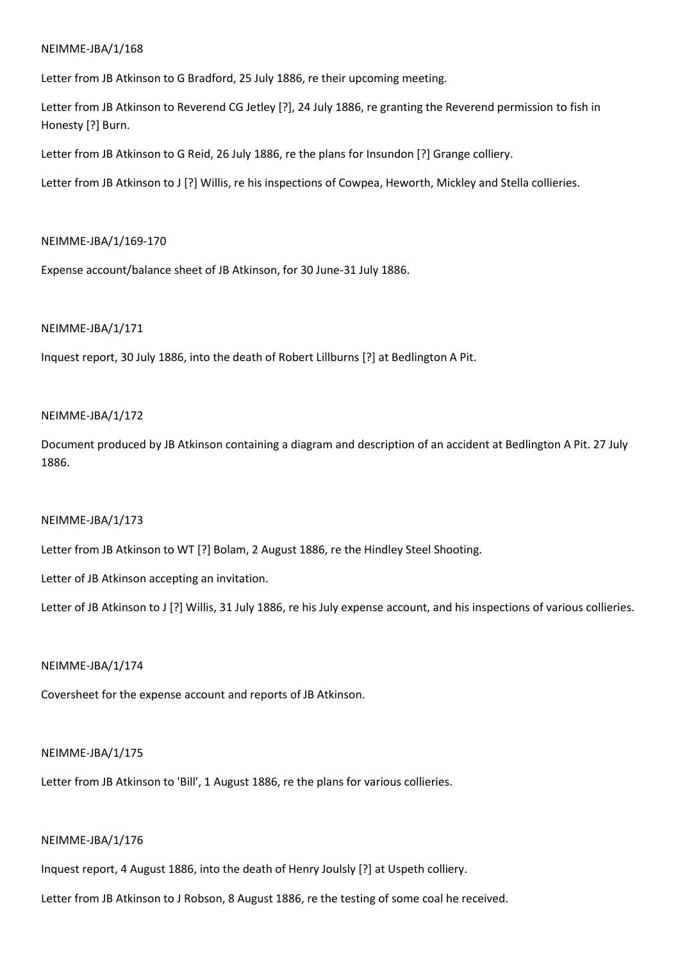Letter from JB Atkinson to G Bradford, 25 July 1886, re their upcoming meeting.

Letter from JB Atkinson to Reverend CG Jetley [?], 24 July 1886, re granting the Reverend permission to fish in Honesty [?] Burn.

Letter from JB Atkinson to G Reid, 26 July 1886, re the plans for Insundon [?] Grange colliery.

Letter from JB Atkinson to J [?] Willis, re his inspections of Cowpea, Heworth, Mickley and Stella collieries.

### NEIMME-JBA/1/169-170

Expense account/balance sheet of JB Atkinson, for 30 June-31 July 1886.

### NEIMME-JBA/1/171

Inquest report, 30 July 1886, into the death of Robert Lillburns [?] at Bedlington A Pit.

### NEIMME-JBA/1/172

Document produced by JB Atkinson containing a diagram and description of an accident at Bedlington A Pit. 27 July 1886.

## NEIMME-JBA/1/173

Letter from JB Atkinson to WT [?] Bolam, 2 August 1886, re the Hindley Steel Shooting.

Letter of JB Atkinson accepting an invitation.

Letter of JB Atkinson to J [?] Willis, 31 July 1886, re his July expense account, and his inspections of various collieries.

#### NEIMME-JBA/1/174

Coversheet for the expense account and reports of JB Atkinson.

## NEIMME-JBA/1/175

Letter from JB Atkinson to 'Bill', 1 August 1886, re the plans for various collieries.

### NEIMME-JBA/1/176

Inquest report, 4 August 1886, into the death of Henry Joulsly [?] at Uspeth colliery.

Letter from JB Atkinson to J Robson, 8 August 1886, re the testing of some coal he received.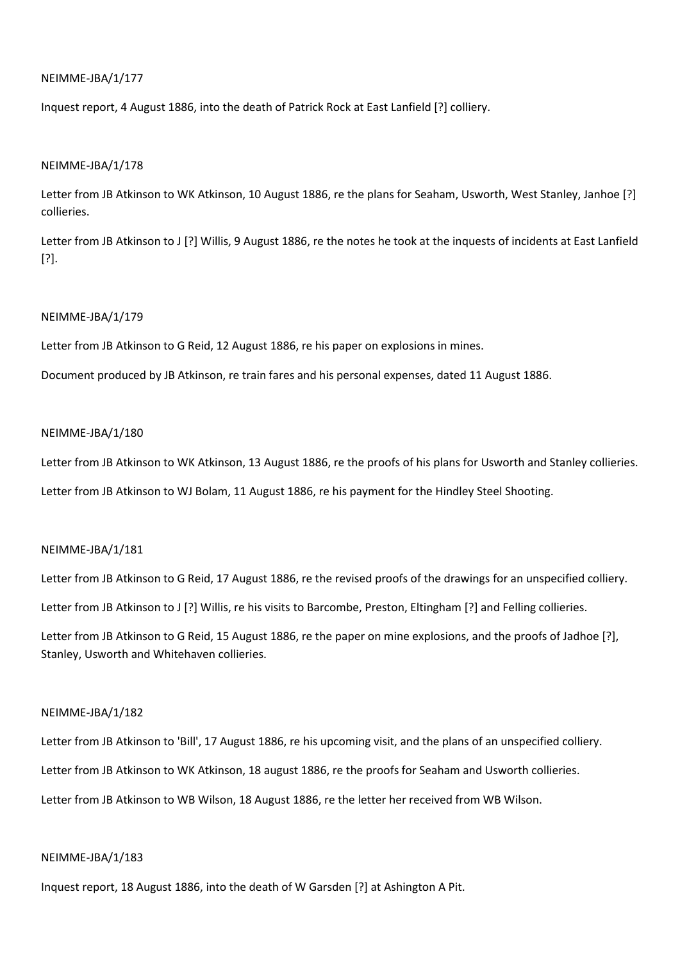Inquest report, 4 August 1886, into the death of Patrick Rock at East Lanfield [?] colliery.

#### NEIMME-JBA/1/178

Letter from JB Atkinson to WK Atkinson, 10 August 1886, re the plans for Seaham, Usworth, West Stanley, Janhoe [?] collieries.

Letter from JB Atkinson to J [?] Willis, 9 August 1886, re the notes he took at the inquests of incidents at East Lanfield [?].

### NEIMME-JBA/1/179

Letter from JB Atkinson to G Reid, 12 August 1886, re his paper on explosions in mines.

Document produced by JB Atkinson, re train fares and his personal expenses, dated 11 August 1886.

#### NEIMME-JBA/1/180

Letter from JB Atkinson to WK Atkinson, 13 August 1886, re the proofs of his plans for Usworth and Stanley collieries. Letter from JB Atkinson to WJ Bolam, 11 August 1886, re his payment for the Hindley Steel Shooting.

### NEIMME-JBA/1/181

Letter from JB Atkinson to G Reid, 17 August 1886, re the revised proofs of the drawings for an unspecified colliery.

Letter from JB Atkinson to J [?] Willis, re his visits to Barcombe, Preston, Eltingham [?] and Felling collieries.

Letter from JB Atkinson to G Reid, 15 August 1886, re the paper on mine explosions, and the proofs of Jadhoe [?], Stanley, Usworth and Whitehaven collieries.

#### NEIMME-JBA/1/182

Letter from JB Atkinson to 'Bill', 17 August 1886, re his upcoming visit, and the plans of an unspecified colliery. Letter from JB Atkinson to WK Atkinson, 18 august 1886, re the proofs for Seaham and Usworth collieries. Letter from JB Atkinson to WB Wilson, 18 August 1886, re the letter her received from WB Wilson.

### NEIMME-JBA/1/183

Inquest report, 18 August 1886, into the death of W Garsden [?] at Ashington A Pit.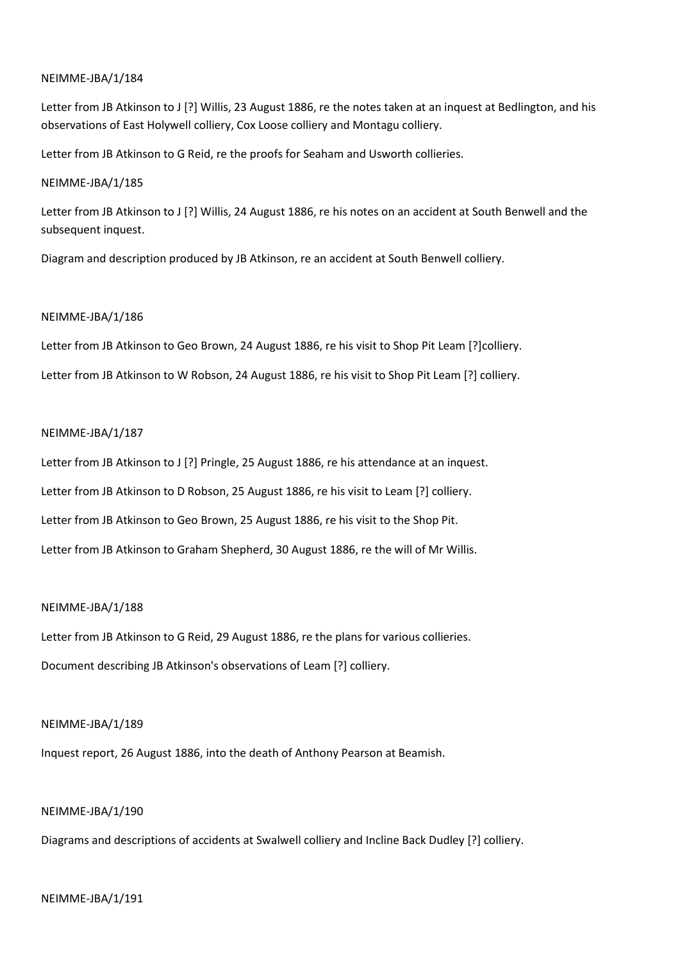Letter from JB Atkinson to J [?] Willis, 23 August 1886, re the notes taken at an inquest at Bedlington, and his observations of East Holywell colliery, Cox Loose colliery and Montagu colliery.

Letter from JB Atkinson to G Reid, re the proofs for Seaham and Usworth collieries.

### NEIMME-JBA/1/185

Letter from JB Atkinson to J [?] Willis, 24 August 1886, re his notes on an accident at South Benwell and the subsequent inquest.

Diagram and description produced by JB Atkinson, re an accident at South Benwell colliery.

### NEIMME-JBA/1/186

Letter from JB Atkinson to Geo Brown, 24 August 1886, re his visit to Shop Pit Leam [?]colliery.

Letter from JB Atkinson to W Robson, 24 August 1886, re his visit to Shop Pit Leam [?] colliery.

### NEIMME-JBA/1/187

Letter from JB Atkinson to J [?] Pringle, 25 August 1886, re his attendance at an inquest.

Letter from JB Atkinson to D Robson, 25 August 1886, re his visit to Leam [?] colliery.

Letter from JB Atkinson to Geo Brown, 25 August 1886, re his visit to the Shop Pit.

Letter from JB Atkinson to Graham Shepherd, 30 August 1886, re the will of Mr Willis.

## NEIMME-JBA/1/188

Letter from JB Atkinson to G Reid, 29 August 1886, re the plans for various collieries. Document describing JB Atkinson's observations of Leam [?] colliery.

## NEIMME-JBA/1/189

Inquest report, 26 August 1886, into the death of Anthony Pearson at Beamish.

## NEIMME-JBA/1/190

Diagrams and descriptions of accidents at Swalwell colliery and Incline Back Dudley [?] colliery.

## NEIMME-JBA/1/191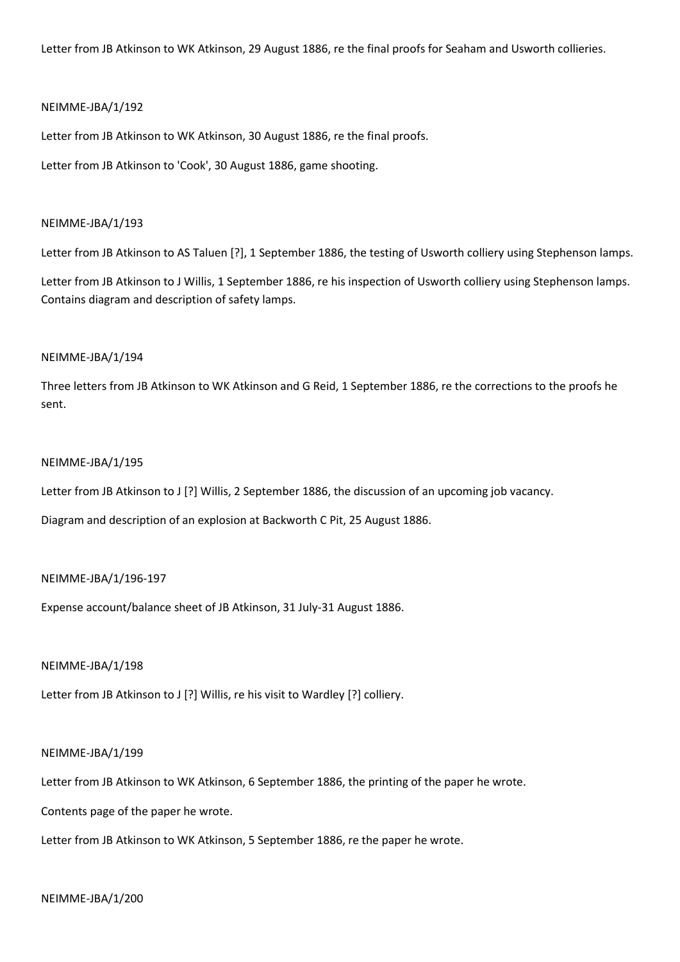Letter from JB Atkinson to WK Atkinson, 29 August 1886, re the final proofs for Seaham and Usworth collieries.

### NEIMME-JBA/1/192

Letter from JB Atkinson to WK Atkinson, 30 August 1886, re the final proofs.

Letter from JB Atkinson to 'Cook', 30 August 1886, game shooting.

#### NEIMME-JBA/1/193

Letter from JB Atkinson to AS Taluen [?], 1 September 1886, the testing of Usworth colliery using Stephenson lamps.

Letter from JB Atkinson to J Willis, 1 September 1886, re his inspection of Usworth colliery using Stephenson lamps. Contains diagram and description of safety lamps.

### NEIMME-JBA/1/194

Three letters from JB Atkinson to WK Atkinson and G Reid, 1 September 1886, re the corrections to the proofs he sent.

#### NEIMME-JBA/1/195

Letter from JB Atkinson to J [?] Willis, 2 September 1886, the discussion of an upcoming job vacancy.

Diagram and description of an explosion at Backworth C Pit, 25 August 1886.

### NEIMME-JBA/1/196-197

Expense account/balance sheet of JB Atkinson, 31 July-31 August 1886.

#### NEIMME-JBA/1/198

Letter from JB Atkinson to J [?] Willis, re his visit to Wardley [?] colliery.

#### NEIMME-JBA/1/199

Letter from JB Atkinson to WK Atkinson, 6 September 1886, the printing of the paper he wrote.

Contents page of the paper he wrote.

Letter from JB Atkinson to WK Atkinson, 5 September 1886, re the paper he wrote.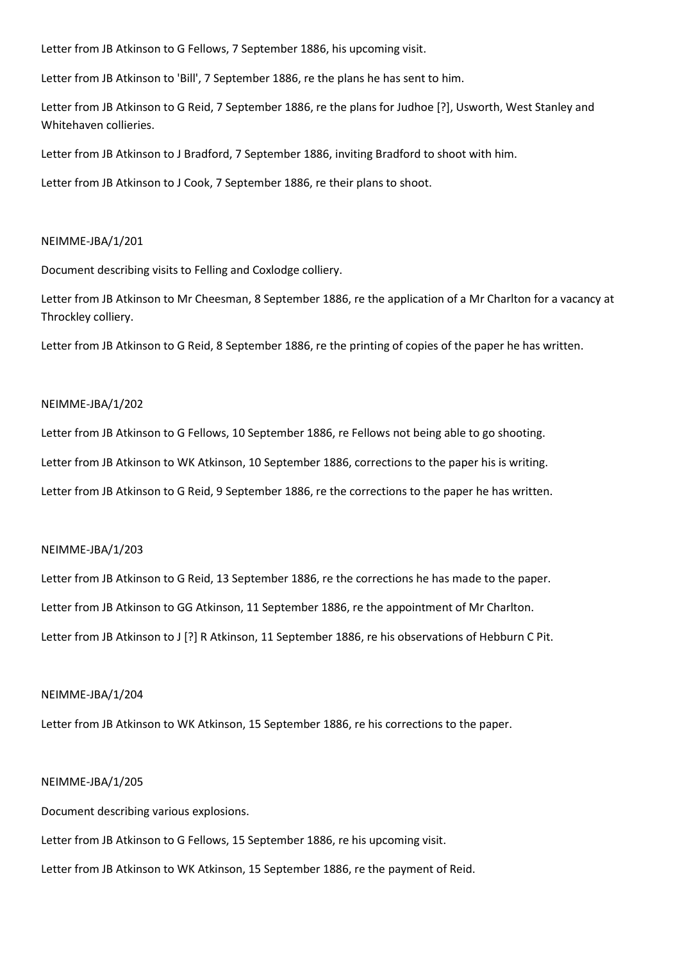Letter from JB Atkinson to G Fellows, 7 September 1886, his upcoming visit.

Letter from JB Atkinson to 'Bill', 7 September 1886, re the plans he has sent to him.

Letter from JB Atkinson to G Reid, 7 September 1886, re the plans for Judhoe [?], Usworth, West Stanley and Whitehaven collieries.

Letter from JB Atkinson to J Bradford, 7 September 1886, inviting Bradford to shoot with him.

Letter from JB Atkinson to J Cook, 7 September 1886, re their plans to shoot.

#### NEIMME-JBA/1/201

Document describing visits to Felling and Coxlodge colliery.

Letter from JB Atkinson to Mr Cheesman, 8 September 1886, re the application of a Mr Charlton for a vacancy at Throckley colliery.

Letter from JB Atkinson to G Reid, 8 September 1886, re the printing of copies of the paper he has written.

#### NEIMME-JBA/1/202

Letter from JB Atkinson to G Fellows, 10 September 1886, re Fellows not being able to go shooting. Letter from JB Atkinson to WK Atkinson, 10 September 1886, corrections to the paper his is writing. Letter from JB Atkinson to G Reid, 9 September 1886, re the corrections to the paper he has written.

#### NEIMME-JBA/1/203

Letter from JB Atkinson to G Reid, 13 September 1886, re the corrections he has made to the paper. Letter from JB Atkinson to GG Atkinson, 11 September 1886, re the appointment of Mr Charlton. Letter from JB Atkinson to J [?] R Atkinson, 11 September 1886, re his observations of Hebburn C Pit.

#### NEIMME-JBA/1/204

Letter from JB Atkinson to WK Atkinson, 15 September 1886, re his corrections to the paper.

#### NEIMME-JBA/1/205

Document describing various explosions.

Letter from JB Atkinson to G Fellows, 15 September 1886, re his upcoming visit.

Letter from JB Atkinson to WK Atkinson, 15 September 1886, re the payment of Reid.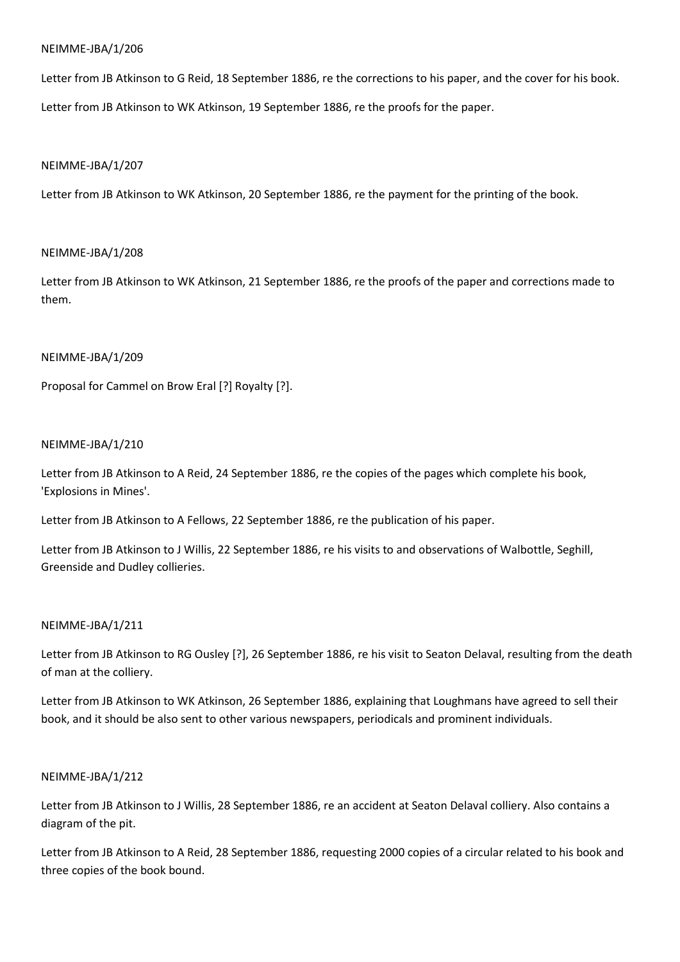Letter from JB Atkinson to G Reid, 18 September 1886, re the corrections to his paper, and the cover for his book.

Letter from JB Atkinson to WK Atkinson, 19 September 1886, re the proofs for the paper.

## NEIMME-JBA/1/207

Letter from JB Atkinson to WK Atkinson, 20 September 1886, re the payment for the printing of the book.

## NEIMME-JBA/1/208

Letter from JB Atkinson to WK Atkinson, 21 September 1886, re the proofs of the paper and corrections made to them.

## NEIMME-JBA/1/209

Proposal for Cammel on Brow Eral [?] Royalty [?].

### NEIMME-JBA/1/210

Letter from JB Atkinson to A Reid, 24 September 1886, re the copies of the pages which complete his book, 'Explosions in Mines'.

Letter from JB Atkinson to A Fellows, 22 September 1886, re the publication of his paper.

Letter from JB Atkinson to J Willis, 22 September 1886, re his visits to and observations of Walbottle, Seghill, Greenside and Dudley collieries.

## NEIMME-JBA/1/211

Letter from JB Atkinson to RG Ousley [?], 26 September 1886, re his visit to Seaton Delaval, resulting from the death of man at the colliery.

Letter from JB Atkinson to WK Atkinson, 26 September 1886, explaining that Loughmans have agreed to sell their book, and it should be also sent to other various newspapers, periodicals and prominent individuals.

## NEIMME-JBA/1/212

Letter from JB Atkinson to J Willis, 28 September 1886, re an accident at Seaton Delaval colliery. Also contains a diagram of the pit.

Letter from JB Atkinson to A Reid, 28 September 1886, requesting 2000 copies of a circular related to his book and three copies of the book bound.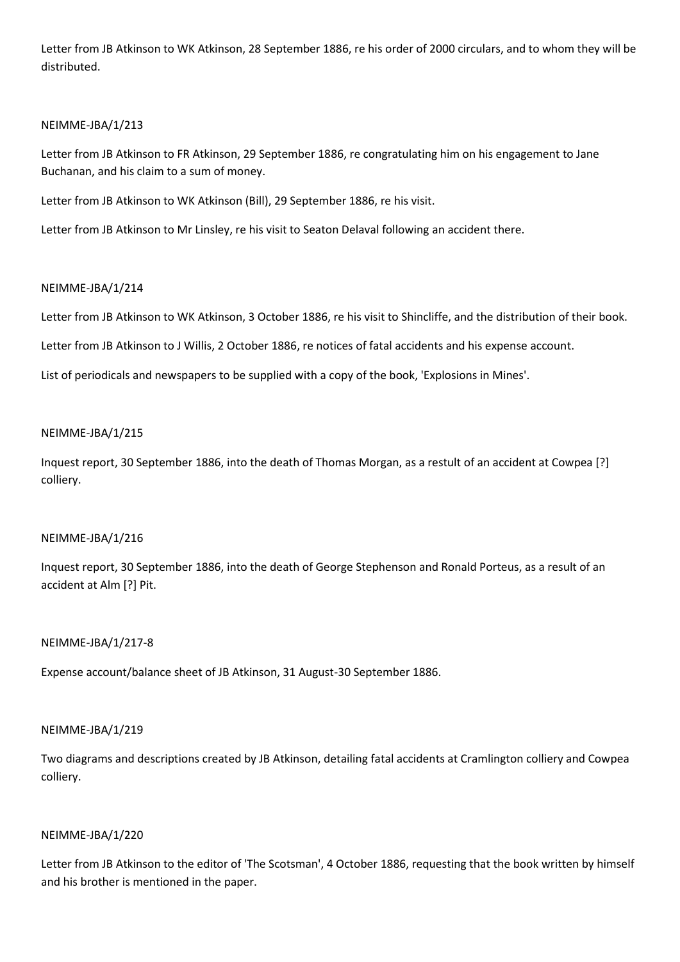Letter from JB Atkinson to WK Atkinson, 28 September 1886, re his order of 2000 circulars, and to whom they will be distributed.

## NEIMME-JBA/1/213

Letter from JB Atkinson to FR Atkinson, 29 September 1886, re congratulating him on his engagement to Jane Buchanan, and his claim to a sum of money.

Letter from JB Atkinson to WK Atkinson (Bill), 29 September 1886, re his visit.

Letter from JB Atkinson to Mr Linsley, re his visit to Seaton Delaval following an accident there.

### NEIMME-JBA/1/214

Letter from JB Atkinson to WK Atkinson, 3 October 1886, re his visit to Shincliffe, and the distribution of their book.

Letter from JB Atkinson to J Willis, 2 October 1886, re notices of fatal accidents and his expense account.

List of periodicals and newspapers to be supplied with a copy of the book, 'Explosions in Mines'.

### NEIMME-JBA/1/215

Inquest report, 30 September 1886, into the death of Thomas Morgan, as a restult of an accident at Cowpea [?] colliery.

## NEIMME-JBA/1/216

Inquest report, 30 September 1886, into the death of George Stephenson and Ronald Porteus, as a result of an accident at Alm [?] Pit.

#### NEIMME-JBA/1/217-8

Expense account/balance sheet of JB Atkinson, 31 August-30 September 1886.

#### NEIMME-JBA/1/219

Two diagrams and descriptions created by JB Atkinson, detailing fatal accidents at Cramlington colliery and Cowpea colliery.

#### NEIMME-JBA/1/220

Letter from JB Atkinson to the editor of 'The Scotsman', 4 October 1886, requesting that the book written by himself and his brother is mentioned in the paper.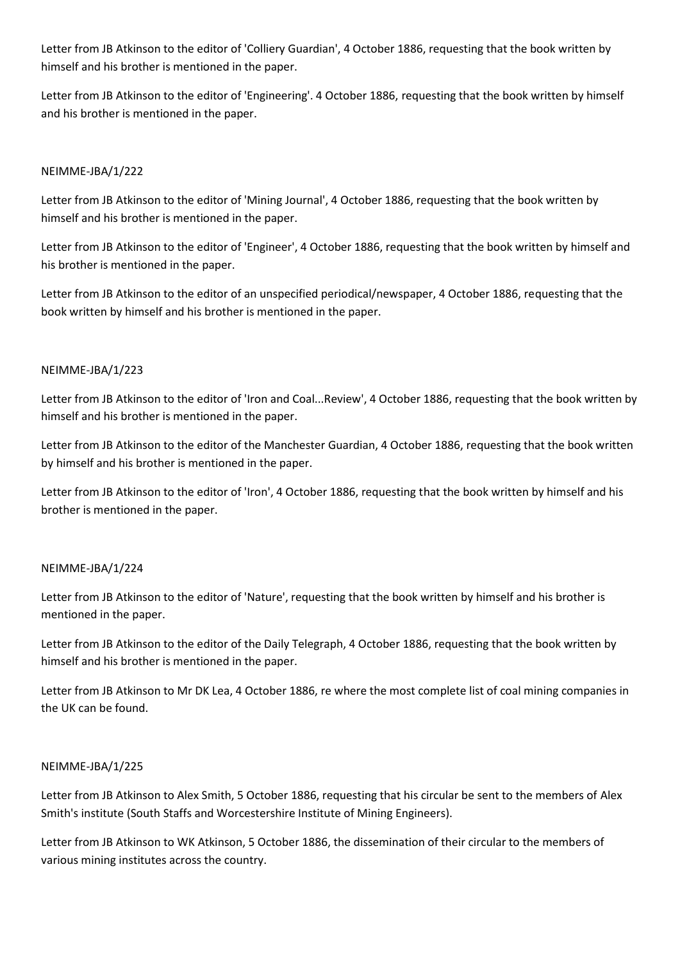Letter from JB Atkinson to the editor of 'Colliery Guardian', 4 October 1886, requesting that the book written by himself and his brother is mentioned in the paper.

Letter from JB Atkinson to the editor of 'Engineering'. 4 October 1886, requesting that the book written by himself and his brother is mentioned in the paper.

## NEIMME-JBA/1/222

Letter from JB Atkinson to the editor of 'Mining Journal', 4 October 1886, requesting that the book written by himself and his brother is mentioned in the paper.

Letter from JB Atkinson to the editor of 'Engineer', 4 October 1886, requesting that the book written by himself and his brother is mentioned in the paper.

Letter from JB Atkinson to the editor of an unspecified periodical/newspaper, 4 October 1886, requesting that the book written by himself and his brother is mentioned in the paper.

## NEIMME-JBA/1/223

Letter from JB Atkinson to the editor of 'Iron and Coal...Review', 4 October 1886, requesting that the book written by himself and his brother is mentioned in the paper.

Letter from JB Atkinson to the editor of the Manchester Guardian, 4 October 1886, requesting that the book written by himself and his brother is mentioned in the paper.

Letter from JB Atkinson to the editor of 'Iron', 4 October 1886, requesting that the book written by himself and his brother is mentioned in the paper.

## NEIMME-JBA/1/224

Letter from JB Atkinson to the editor of 'Nature', requesting that the book written by himself and his brother is mentioned in the paper.

Letter from JB Atkinson to the editor of the Daily Telegraph, 4 October 1886, requesting that the book written by himself and his brother is mentioned in the paper.

Letter from JB Atkinson to Mr DK Lea, 4 October 1886, re where the most complete list of coal mining companies in the UK can be found.

## NEIMME-JBA/1/225

Letter from JB Atkinson to Alex Smith, 5 October 1886, requesting that his circular be sent to the members of Alex Smith's institute (South Staffs and Worcestershire Institute of Mining Engineers).

Letter from JB Atkinson to WK Atkinson, 5 October 1886, the dissemination of their circular to the members of various mining institutes across the country.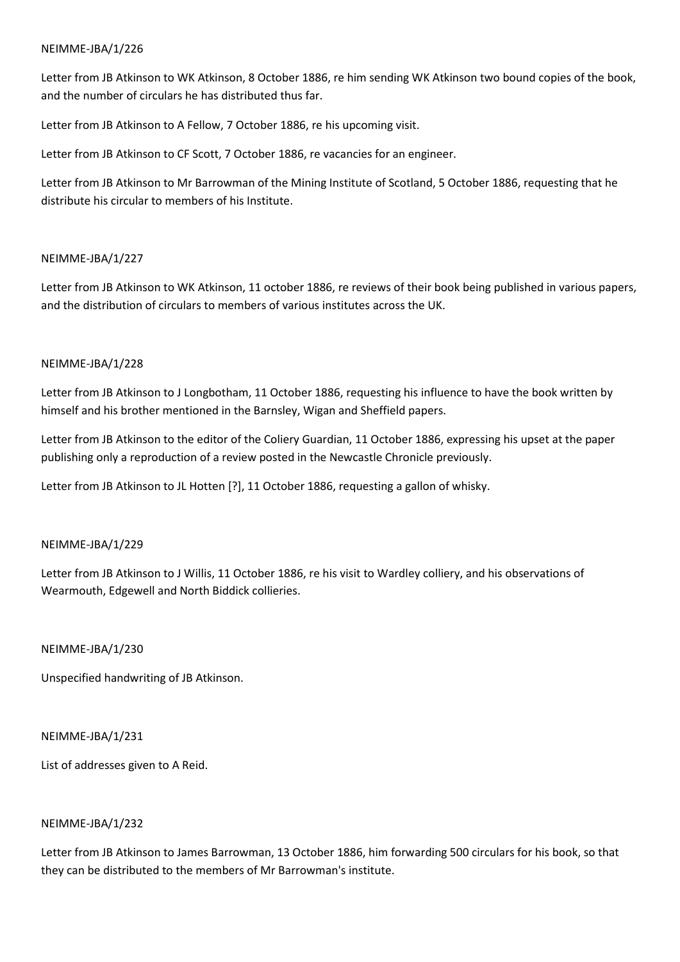Letter from JB Atkinson to WK Atkinson, 8 October 1886, re him sending WK Atkinson two bound copies of the book, and the number of circulars he has distributed thus far.

Letter from JB Atkinson to A Fellow, 7 October 1886, re his upcoming visit.

Letter from JB Atkinson to CF Scott, 7 October 1886, re vacancies for an engineer.

Letter from JB Atkinson to Mr Barrowman of the Mining Institute of Scotland, 5 October 1886, requesting that he distribute his circular to members of his Institute.

## NEIMME-JBA/1/227

Letter from JB Atkinson to WK Atkinson, 11 october 1886, re reviews of their book being published in various papers, and the distribution of circulars to members of various institutes across the UK.

## NEIMME-JBA/1/228

Letter from JB Atkinson to J Longbotham, 11 October 1886, requesting his influence to have the book written by himself and his brother mentioned in the Barnsley, Wigan and Sheffield papers.

Letter from JB Atkinson to the editor of the Coliery Guardian, 11 October 1886, expressing his upset at the paper publishing only a reproduction of a review posted in the Newcastle Chronicle previously.

Letter from JB Atkinson to JL Hotten [?], 11 October 1886, requesting a gallon of whisky.

## NEIMME-JBA/1/229

Letter from JB Atkinson to J Willis, 11 October 1886, re his visit to Wardley colliery, and his observations of Wearmouth, Edgewell and North Biddick collieries.

NEIMME-JBA/1/230

Unspecified handwriting of JB Atkinson.

## NEIMME-JBA/1/231

List of addresses given to A Reid.

## NEIMME-JBA/1/232

Letter from JB Atkinson to James Barrowman, 13 October 1886, him forwarding 500 circulars for his book, so that they can be distributed to the members of Mr Barrowman's institute.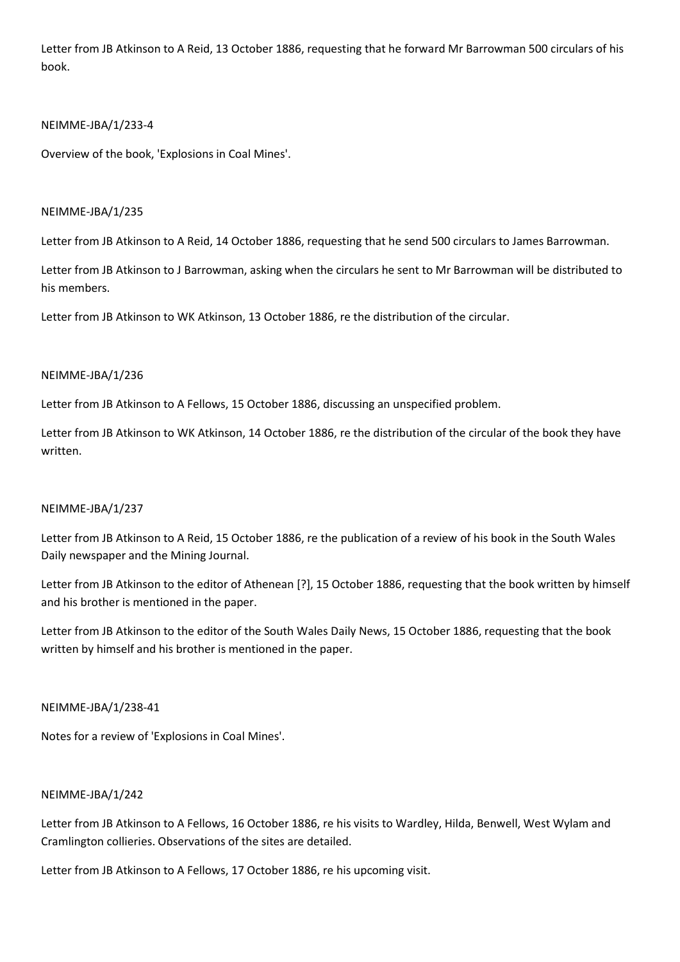Letter from JB Atkinson to A Reid, 13 October 1886, requesting that he forward Mr Barrowman 500 circulars of his book.

## NEIMME-JBA/1/233-4

Overview of the book, 'Explosions in Coal Mines'.

## NEIMME-JBA/1/235

Letter from JB Atkinson to A Reid, 14 October 1886, requesting that he send 500 circulars to James Barrowman.

Letter from JB Atkinson to J Barrowman, asking when the circulars he sent to Mr Barrowman will be distributed to his members.

Letter from JB Atkinson to WK Atkinson, 13 October 1886, re the distribution of the circular.

## NEIMME-JBA/1/236

Letter from JB Atkinson to A Fellows, 15 October 1886, discussing an unspecified problem.

Letter from JB Atkinson to WK Atkinson, 14 October 1886, re the distribution of the circular of the book they have written.

## NEIMME-JBA/1/237

Letter from JB Atkinson to A Reid, 15 October 1886, re the publication of a review of his book in the South Wales Daily newspaper and the Mining Journal.

Letter from JB Atkinson to the editor of Athenean [?], 15 October 1886, requesting that the book written by himself and his brother is mentioned in the paper.

Letter from JB Atkinson to the editor of the South Wales Daily News, 15 October 1886, requesting that the book written by himself and his brother is mentioned in the paper.

NEIMME-JBA/1/238-41

Notes for a review of 'Explosions in Coal Mines'.

## NEIMME-JBA/1/242

Letter from JB Atkinson to A Fellows, 16 October 1886, re his visits to Wardley, Hilda, Benwell, West Wylam and Cramlington collieries. Observations of the sites are detailed.

Letter from JB Atkinson to A Fellows, 17 October 1886, re his upcoming visit.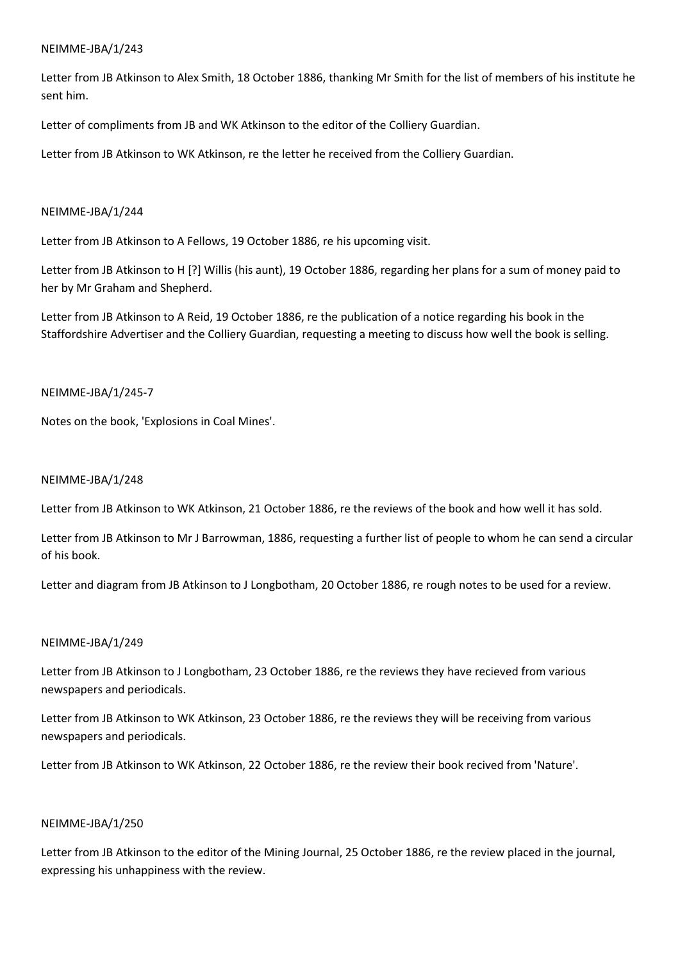Letter from JB Atkinson to Alex Smith, 18 October 1886, thanking Mr Smith for the list of members of his institute he sent him.

Letter of compliments from JB and WK Atkinson to the editor of the Colliery Guardian.

Letter from JB Atkinson to WK Atkinson, re the letter he received from the Colliery Guardian.

## NEIMME-JBA/1/244

Letter from JB Atkinson to A Fellows, 19 October 1886, re his upcoming visit.

Letter from JB Atkinson to H [?] Willis (his aunt), 19 October 1886, regarding her plans for a sum of money paid to her by Mr Graham and Shepherd.

Letter from JB Atkinson to A Reid, 19 October 1886, re the publication of a notice regarding his book in the Staffordshire Advertiser and the Colliery Guardian, requesting a meeting to discuss how well the book is selling.

### NEIMME-JBA/1/245-7

Notes on the book, 'Explosions in Coal Mines'.

### NEIMME-JBA/1/248

Letter from JB Atkinson to WK Atkinson, 21 October 1886, re the reviews of the book and how well it has sold.

Letter from JB Atkinson to Mr J Barrowman, 1886, requesting a further list of people to whom he can send a circular of his book.

Letter and diagram from JB Atkinson to J Longbotham, 20 October 1886, re rough notes to be used for a review.

## NEIMME-JBA/1/249

Letter from JB Atkinson to J Longbotham, 23 October 1886, re the reviews they have recieved from various newspapers and periodicals.

Letter from JB Atkinson to WK Atkinson, 23 October 1886, re the reviews they will be receiving from various newspapers and periodicals.

Letter from JB Atkinson to WK Atkinson, 22 October 1886, re the review their book recived from 'Nature'.

## NEIMME-JBA/1/250

Letter from JB Atkinson to the editor of the Mining Journal, 25 October 1886, re the review placed in the journal, expressing his unhappiness with the review.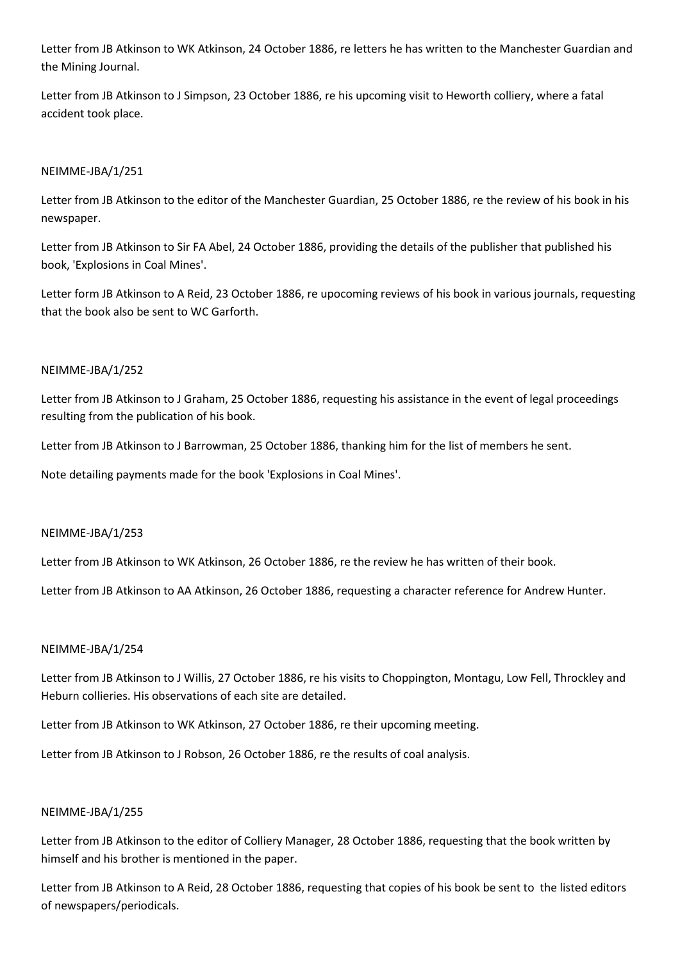Letter from JB Atkinson to WK Atkinson, 24 October 1886, re letters he has written to the Manchester Guardian and the Mining Journal.

Letter from JB Atkinson to J Simpson, 23 October 1886, re his upcoming visit to Heworth colliery, where a fatal accident took place.

## NEIMME-JBA/1/251

Letter from JB Atkinson to the editor of the Manchester Guardian, 25 October 1886, re the review of his book in his newspaper.

Letter from JB Atkinson to Sir FA Abel, 24 October 1886, providing the details of the publisher that published his book, 'Explosions in Coal Mines'.

Letter form JB Atkinson to A Reid, 23 October 1886, re upocoming reviews of his book in various journals, requesting that the book also be sent to WC Garforth.

## NEIMME-JBA/1/252

Letter from JB Atkinson to J Graham, 25 October 1886, requesting his assistance in the event of legal proceedings resulting from the publication of his book.

Letter from JB Atkinson to J Barrowman, 25 October 1886, thanking him for the list of members he sent.

Note detailing payments made for the book 'Explosions in Coal Mines'.

## NEIMME-JBA/1/253

Letter from JB Atkinson to WK Atkinson, 26 October 1886, re the review he has written of their book.

Letter from JB Atkinson to AA Atkinson, 26 October 1886, requesting a character reference for Andrew Hunter.

## NEIMME-JBA/1/254

Letter from JB Atkinson to J Willis, 27 October 1886, re his visits to Choppington, Montagu, Low Fell, Throckley and Heburn collieries. His observations of each site are detailed.

Letter from JB Atkinson to WK Atkinson, 27 October 1886, re their upcoming meeting.

Letter from JB Atkinson to J Robson, 26 October 1886, re the results of coal analysis.

## NEIMME-JBA/1/255

Letter from JB Atkinson to the editor of Colliery Manager, 28 October 1886, requesting that the book written by himself and his brother is mentioned in the paper.

Letter from JB Atkinson to A Reid, 28 October 1886, requesting that copies of his book be sent to the listed editors of newspapers/periodicals.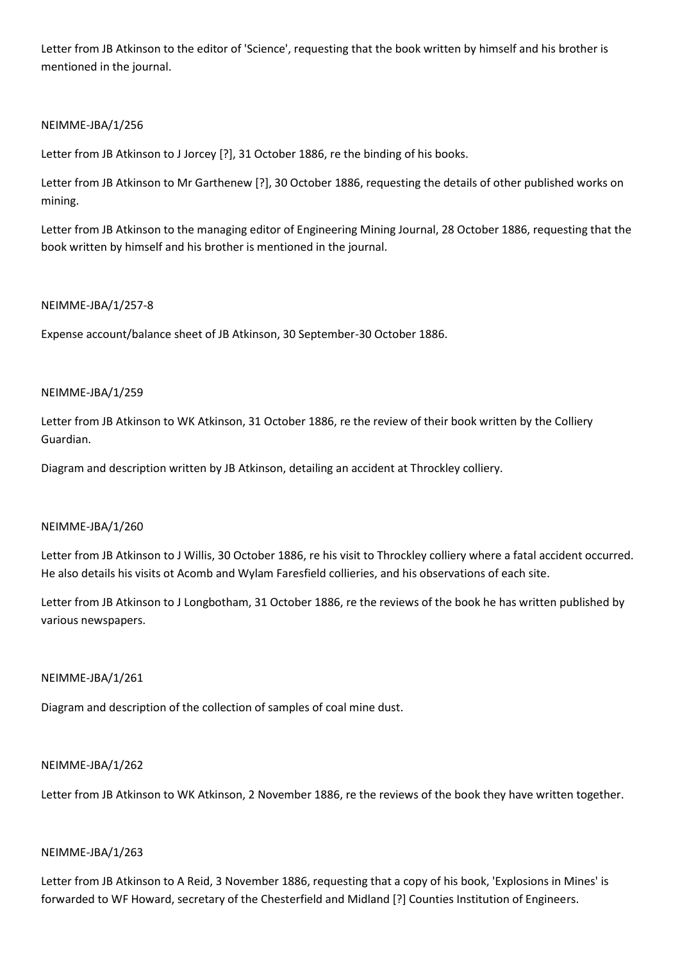Letter from JB Atkinson to the editor of 'Science', requesting that the book written by himself and his brother is mentioned in the journal.

## NEIMME-JBA/1/256

Letter from JB Atkinson to J Jorcey [?], 31 October 1886, re the binding of his books.

Letter from JB Atkinson to Mr Garthenew [?], 30 October 1886, requesting the details of other published works on mining.

Letter from JB Atkinson to the managing editor of Engineering Mining Journal, 28 October 1886, requesting that the book written by himself and his brother is mentioned in the journal.

## NEIMME-JBA/1/257-8

Expense account/balance sheet of JB Atkinson, 30 September-30 October 1886.

## NEIMME-JBA/1/259

Letter from JB Atkinson to WK Atkinson, 31 October 1886, re the review of their book written by the Colliery Guardian.

Diagram and description written by JB Atkinson, detailing an accident at Throckley colliery.

## NEIMME-JBA/1/260

Letter from JB Atkinson to J Willis, 30 October 1886, re his visit to Throckley colliery where a fatal accident occurred. He also details his visits ot Acomb and Wylam Faresfield collieries, and his observations of each site.

Letter from JB Atkinson to J Longbotham, 31 October 1886, re the reviews of the book he has written published by various newspapers.

## NEIMME-JBA/1/261

Diagram and description of the collection of samples of coal mine dust.

## NEIMME-JBA/1/262

Letter from JB Atkinson to WK Atkinson, 2 November 1886, re the reviews of the book they have written together.

## NEIMME-JBA/1/263

Letter from JB Atkinson to A Reid, 3 November 1886, requesting that a copy of his book, 'Explosions in Mines' is forwarded to WF Howard, secretary of the Chesterfield and Midland [?] Counties Institution of Engineers.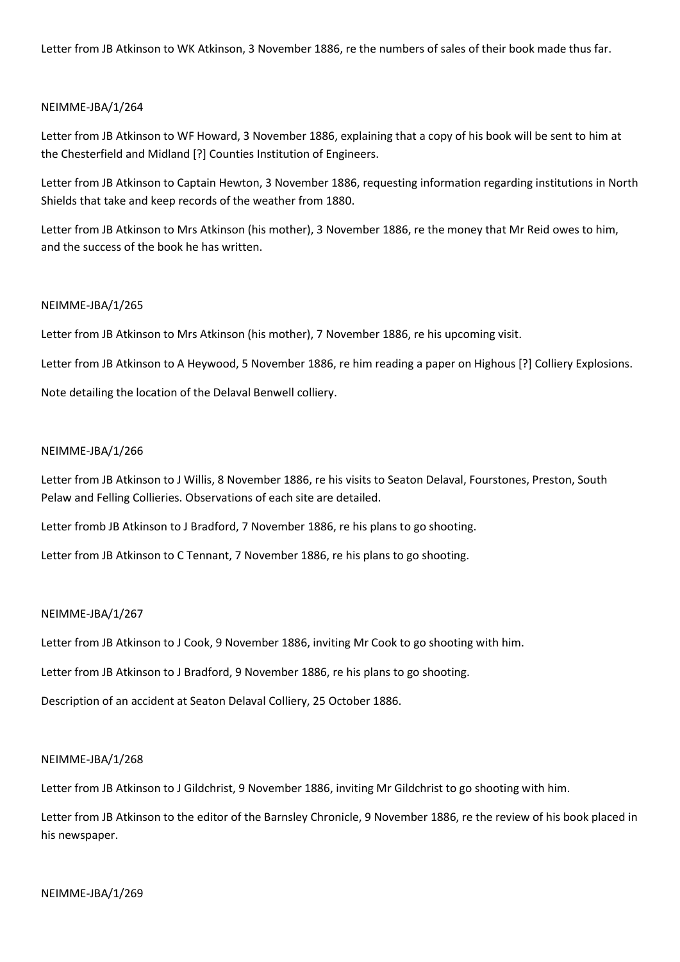Letter from JB Atkinson to WK Atkinson, 3 November 1886, re the numbers of sales of their book made thus far.

### NEIMME-JBA/1/264

Letter from JB Atkinson to WF Howard, 3 November 1886, explaining that a copy of his book will be sent to him at the Chesterfield and Midland [?] Counties Institution of Engineers.

Letter from JB Atkinson to Captain Hewton, 3 November 1886, requesting information regarding institutions in North Shields that take and keep records of the weather from 1880.

Letter from JB Atkinson to Mrs Atkinson (his mother), 3 November 1886, re the money that Mr Reid owes to him, and the success of the book he has written.

#### NEIMME-JBA/1/265

Letter from JB Atkinson to Mrs Atkinson (his mother), 7 November 1886, re his upcoming visit.

Letter from JB Atkinson to A Heywood, 5 November 1886, re him reading a paper on Highous [?] Colliery Explosions.

Note detailing the location of the Delaval Benwell colliery.

#### NEIMME-JBA/1/266

Letter from JB Atkinson to J Willis, 8 November 1886, re his visits to Seaton Delaval, Fourstones, Preston, South Pelaw and Felling Collieries. Observations of each site are detailed.

Letter fromb JB Atkinson to J Bradford, 7 November 1886, re his plans to go shooting.

Letter from JB Atkinson to C Tennant, 7 November 1886, re his plans to go shooting.

#### NEIMME-JBA/1/267

Letter from JB Atkinson to J Cook, 9 November 1886, inviting Mr Cook to go shooting with him.

Letter from JB Atkinson to J Bradford, 9 November 1886, re his plans to go shooting.

Description of an accident at Seaton Delaval Colliery, 25 October 1886.

### NEIMME-JBA/1/268

Letter from JB Atkinson to J Gildchrist, 9 November 1886, inviting Mr Gildchrist to go shooting with him.

Letter from JB Atkinson to the editor of the Barnsley Chronicle, 9 November 1886, re the review of his book placed in his newspaper.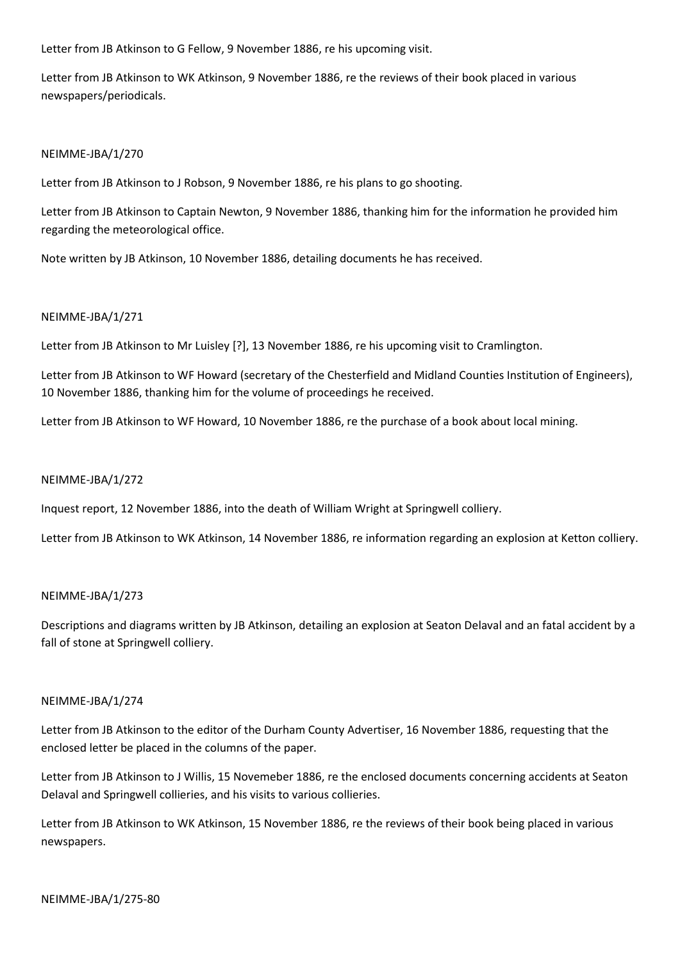Letter from JB Atkinson to G Fellow, 9 November 1886, re his upcoming visit.

Letter from JB Atkinson to WK Atkinson, 9 November 1886, re the reviews of their book placed in various newspapers/periodicals.

### NEIMME-JBA/1/270

Letter from JB Atkinson to J Robson, 9 November 1886, re his plans to go shooting.

Letter from JB Atkinson to Captain Newton, 9 November 1886, thanking him for the information he provided him regarding the meteorological office.

Note written by JB Atkinson, 10 November 1886, detailing documents he has received.

#### NEIMME-JBA/1/271

Letter from JB Atkinson to Mr Luisley [?], 13 November 1886, re his upcoming visit to Cramlington.

Letter from JB Atkinson to WF Howard (secretary of the Chesterfield and Midland Counties Institution of Engineers), 10 November 1886, thanking him for the volume of proceedings he received.

Letter from JB Atkinson to WF Howard, 10 November 1886, re the purchase of a book about local mining.

### NEIMME-JBA/1/272

Inquest report, 12 November 1886, into the death of William Wright at Springwell colliery.

Letter from JB Atkinson to WK Atkinson, 14 November 1886, re information regarding an explosion at Ketton colliery.

#### NEIMME-JBA/1/273

Descriptions and diagrams written by JB Atkinson, detailing an explosion at Seaton Delaval and an fatal accident by a fall of stone at Springwell colliery.

#### NEIMME-JBA/1/274

Letter from JB Atkinson to the editor of the Durham County Advertiser, 16 November 1886, requesting that the enclosed letter be placed in the columns of the paper.

Letter from JB Atkinson to J Willis, 15 Novemeber 1886, re the enclosed documents concerning accidents at Seaton Delaval and Springwell collieries, and his visits to various collieries.

Letter from JB Atkinson to WK Atkinson, 15 November 1886, re the reviews of their book being placed in various newspapers.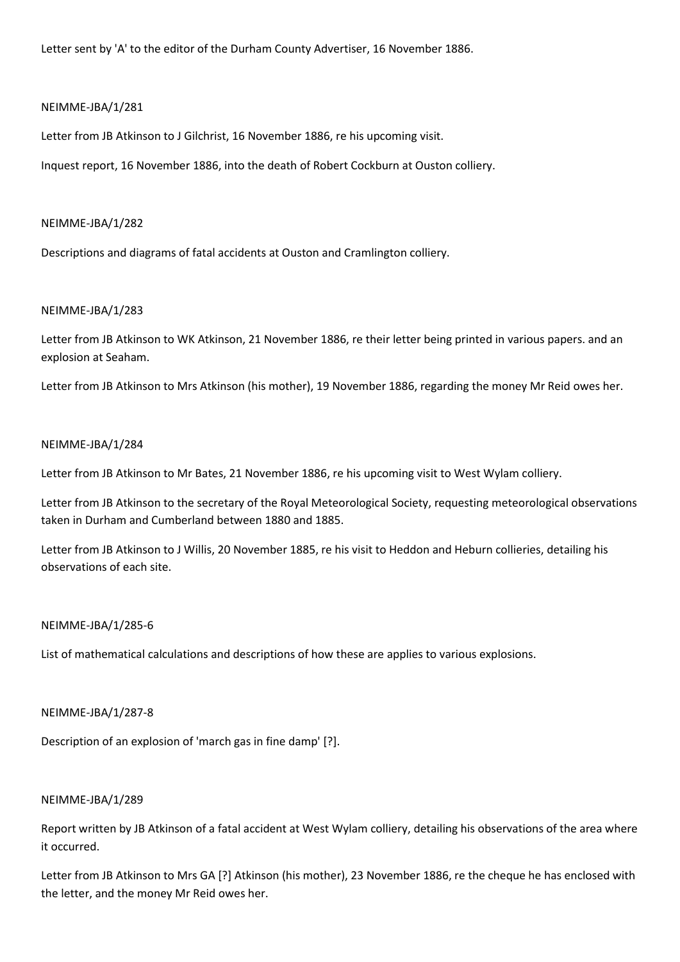Letter sent by 'A' to the editor of the Durham County Advertiser, 16 November 1886.

### NEIMME-JBA/1/281

Letter from JB Atkinson to J Gilchrist, 16 November 1886, re his upcoming visit.

Inquest report, 16 November 1886, into the death of Robert Cockburn at Ouston colliery.

#### NEIMME-JBA/1/282

Descriptions and diagrams of fatal accidents at Ouston and Cramlington colliery.

#### NEIMME-JBA/1/283

Letter from JB Atkinson to WK Atkinson, 21 November 1886, re their letter being printed in various papers. and an explosion at Seaham.

Letter from JB Atkinson to Mrs Atkinson (his mother), 19 November 1886, regarding the money Mr Reid owes her.

#### NEIMME-JBA/1/284

Letter from JB Atkinson to Mr Bates, 21 November 1886, re his upcoming visit to West Wylam colliery.

Letter from JB Atkinson to the secretary of the Royal Meteorological Society, requesting meteorological observations taken in Durham and Cumberland between 1880 and 1885.

Letter from JB Atkinson to J Willis, 20 November 1885, re his visit to Heddon and Heburn collieries, detailing his observations of each site.

## NEIMME-JBA/1/285-6

List of mathematical calculations and descriptions of how these are applies to various explosions.

#### NEIMME-JBA/1/287-8

Description of an explosion of 'march gas in fine damp' [?].

### NEIMME-JBA/1/289

Report written by JB Atkinson of a fatal accident at West Wylam colliery, detailing his observations of the area where it occurred.

Letter from JB Atkinson to Mrs GA [?] Atkinson (his mother), 23 November 1886, re the cheque he has enclosed with the letter, and the money Mr Reid owes her.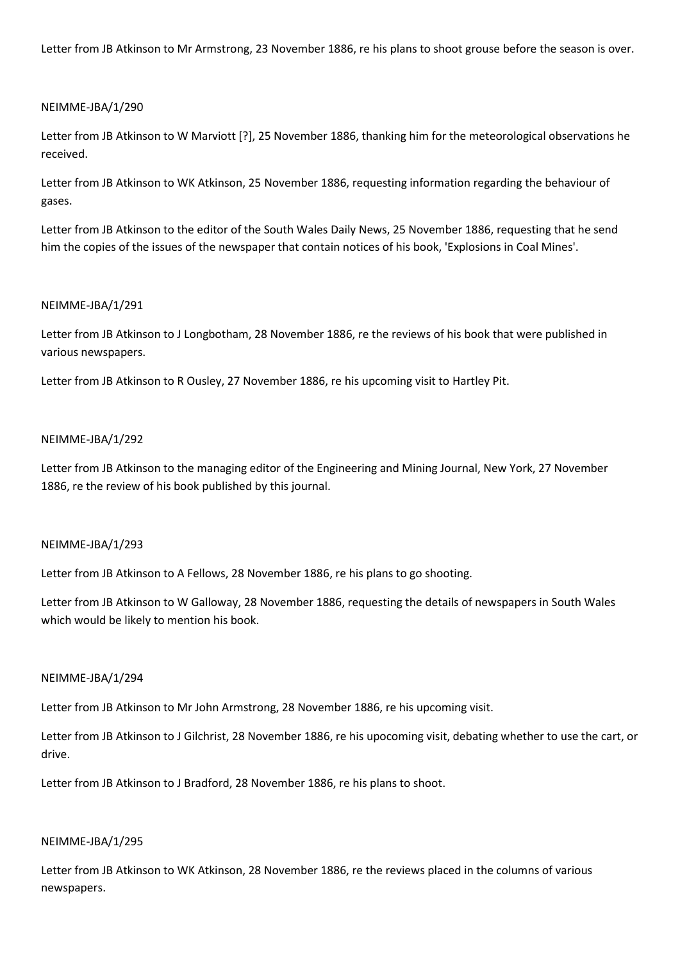Letter from JB Atkinson to Mr Armstrong, 23 November 1886, re his plans to shoot grouse before the season is over.

### NEIMME-JBA/1/290

Letter from JB Atkinson to W Marviott [?], 25 November 1886, thanking him for the meteorological observations he received.

Letter from JB Atkinson to WK Atkinson, 25 November 1886, requesting information regarding the behaviour of gases.

Letter from JB Atkinson to the editor of the South Wales Daily News, 25 November 1886, requesting that he send him the copies of the issues of the newspaper that contain notices of his book, 'Explosions in Coal Mines'.

### NEIMME-JBA/1/291

Letter from JB Atkinson to J Longbotham, 28 November 1886, re the reviews of his book that were published in various newspapers.

Letter from JB Atkinson to R Ousley, 27 November 1886, re his upcoming visit to Hartley Pit.

### NEIMME-JBA/1/292

Letter from JB Atkinson to the managing editor of the Engineering and Mining Journal, New York, 27 November 1886, re the review of his book published by this journal.

### NEIMME-JBA/1/293

Letter from JB Atkinson to A Fellows, 28 November 1886, re his plans to go shooting.

Letter from JB Atkinson to W Galloway, 28 November 1886, requesting the details of newspapers in South Wales which would be likely to mention his book.

#### NEIMME-JBA/1/294

Letter from JB Atkinson to Mr John Armstrong, 28 November 1886, re his upcoming visit.

Letter from JB Atkinson to J Gilchrist, 28 November 1886, re his upocoming visit, debating whether to use the cart, or drive.

Letter from JB Atkinson to J Bradford, 28 November 1886, re his plans to shoot.

#### NEIMME-JBA/1/295

Letter from JB Atkinson to WK Atkinson, 28 November 1886, re the reviews placed in the columns of various newspapers.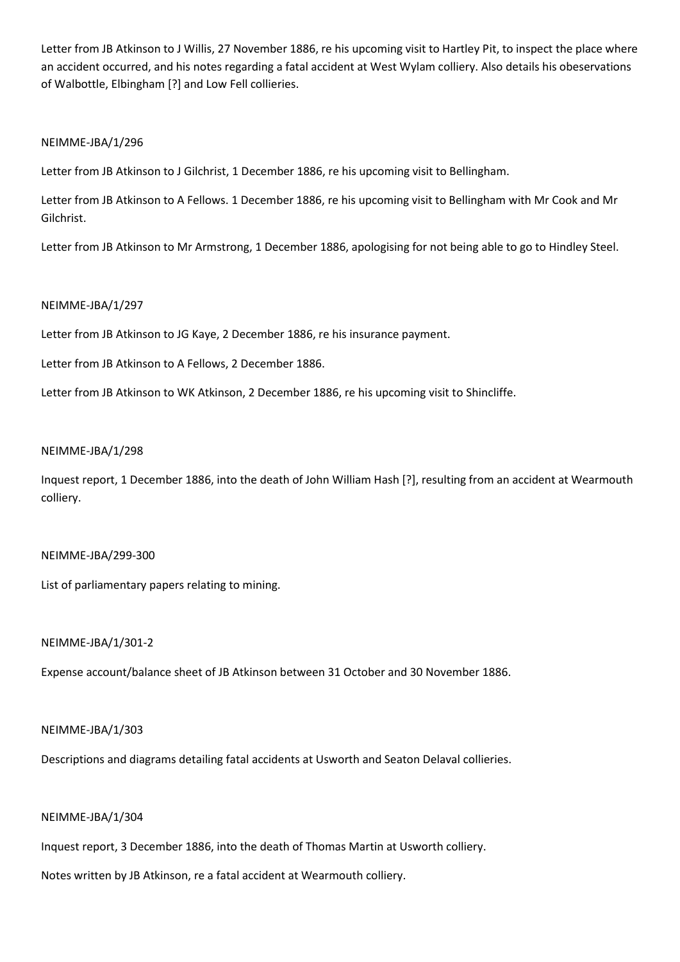Letter from JB Atkinson to J Willis, 27 November 1886, re his upcoming visit to Hartley Pit, to inspect the place where an accident occurred, and his notes regarding a fatal accident at West Wylam colliery. Also details his obeservations of Walbottle, Elbingham [?] and Low Fell collieries.

## NEIMME-JBA/1/296

Letter from JB Atkinson to J Gilchrist, 1 December 1886, re his upcoming visit to Bellingham.

Letter from JB Atkinson to A Fellows. 1 December 1886, re his upcoming visit to Bellingham with Mr Cook and Mr Gilchrist.

Letter from JB Atkinson to Mr Armstrong, 1 December 1886, apologising for not being able to go to Hindley Steel.

#### NEIMME-JBA/1/297

Letter from JB Atkinson to JG Kaye, 2 December 1886, re his insurance payment.

Letter from JB Atkinson to A Fellows, 2 December 1886.

Letter from JB Atkinson to WK Atkinson, 2 December 1886, re his upcoming visit to Shincliffe.

#### NEIMME-JBA/1/298

Inquest report, 1 December 1886, into the death of John William Hash [?], resulting from an accident at Wearmouth colliery.

## NEIMME-JBA/299-300

List of parliamentary papers relating to mining.

### NEIMME-JBA/1/301-2

Expense account/balance sheet of JB Atkinson between 31 October and 30 November 1886.

#### NEIMME-JBA/1/303

Descriptions and diagrams detailing fatal accidents at Usworth and Seaton Delaval collieries.

### NEIMME-JBA/1/304

Inquest report, 3 December 1886, into the death of Thomas Martin at Usworth colliery.

Notes written by JB Atkinson, re a fatal accident at Wearmouth colliery.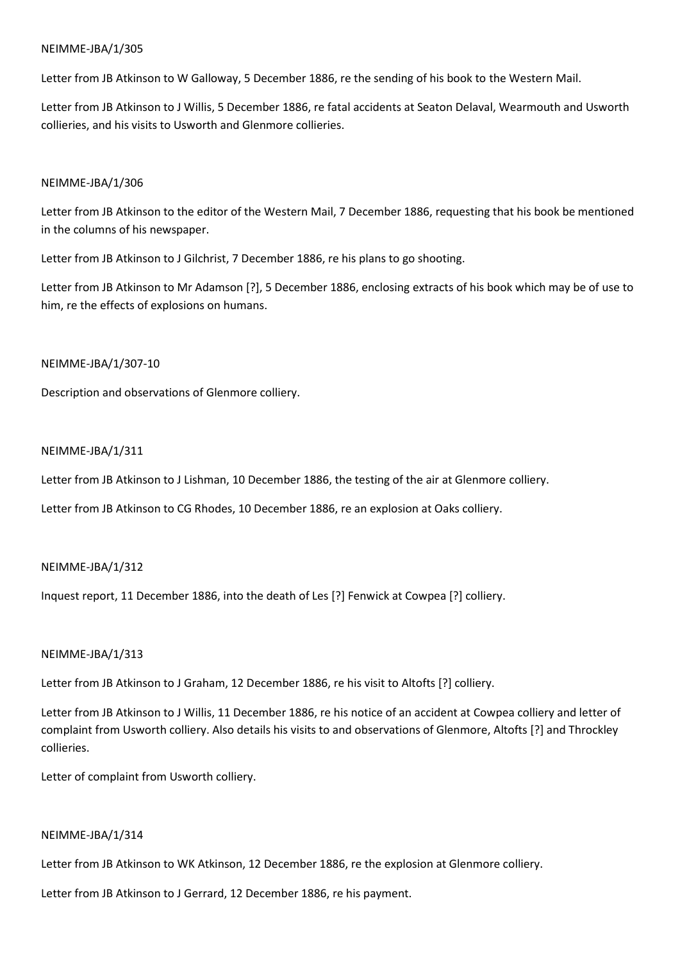Letter from JB Atkinson to W Galloway, 5 December 1886, re the sending of his book to the Western Mail.

Letter from JB Atkinson to J Willis, 5 December 1886, re fatal accidents at Seaton Delaval, Wearmouth and Usworth collieries, and his visits to Usworth and Glenmore collieries.

## NEIMME-JBA/1/306

Letter from JB Atkinson to the editor of the Western Mail, 7 December 1886, requesting that his book be mentioned in the columns of his newspaper.

Letter from JB Atkinson to J Gilchrist, 7 December 1886, re his plans to go shooting.

Letter from JB Atkinson to Mr Adamson [?], 5 December 1886, enclosing extracts of his book which may be of use to him, re the effects of explosions on humans.

## NEIMME-JBA/1/307-10

Description and observations of Glenmore colliery.

## NEIMME-JBA/1/311

Letter from JB Atkinson to J Lishman, 10 December 1886, the testing of the air at Glenmore colliery.

Letter from JB Atkinson to CG Rhodes, 10 December 1886, re an explosion at Oaks colliery.

## NEIMME-JBA/1/312

Inquest report, 11 December 1886, into the death of Les [?] Fenwick at Cowpea [?] colliery.

## NEIMME-JBA/1/313

Letter from JB Atkinson to J Graham, 12 December 1886, re his visit to Altofts [?] colliery.

Letter from JB Atkinson to J Willis, 11 December 1886, re his notice of an accident at Cowpea colliery and letter of complaint from Usworth colliery. Also details his visits to and observations of Glenmore, Altofts [?] and Throckley collieries.

Letter of complaint from Usworth colliery.

### NEIMME-JBA/1/314

Letter from JB Atkinson to WK Atkinson, 12 December 1886, re the explosion at Glenmore colliery.

Letter from JB Atkinson to J Gerrard, 12 December 1886, re his payment.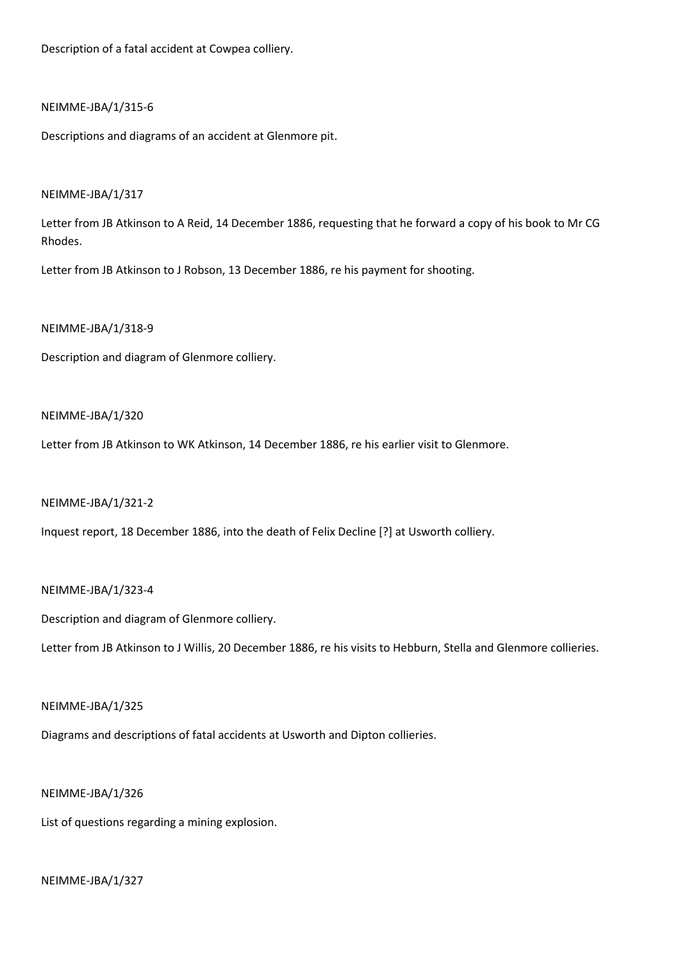Description of a fatal accident at Cowpea colliery.

### NEIMME-JBA/1/315-6

Descriptions and diagrams of an accident at Glenmore pit.

## NEIMME-JBA/1/317

Letter from JB Atkinson to A Reid, 14 December 1886, requesting that he forward a copy of his book to Mr CG Rhodes.

Letter from JB Atkinson to J Robson, 13 December 1886, re his payment for shooting.

## NEIMME-JBA/1/318-9

Description and diagram of Glenmore colliery.

## NEIMME-JBA/1/320

Letter from JB Atkinson to WK Atkinson, 14 December 1886, re his earlier visit to Glenmore.

### NEIMME-JBA/1/321-2

Inquest report, 18 December 1886, into the death of Felix Decline [?] at Usworth colliery.

### NEIMME-JBA/1/323-4

Description and diagram of Glenmore colliery.

Letter from JB Atkinson to J Willis, 20 December 1886, re his visits to Hebburn, Stella and Glenmore collieries.

### NEIMME-JBA/1/325

Diagrams and descriptions of fatal accidents at Usworth and Dipton collieries.

### NEIMME-JBA/1/326

List of questions regarding a mining explosion.

## NEIMME-JBA/1/327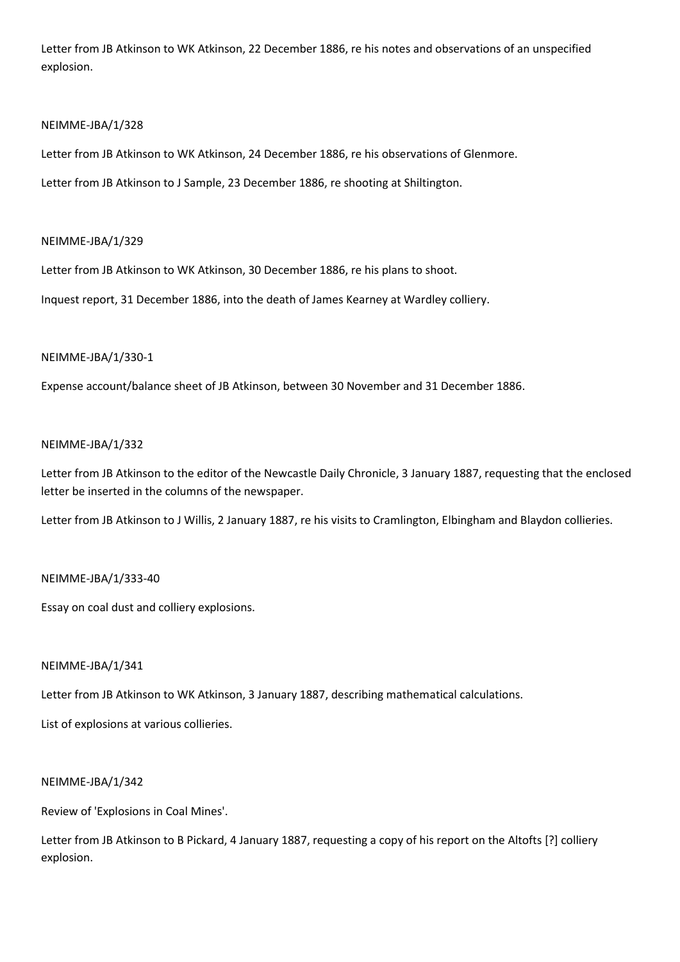Letter from JB Atkinson to WK Atkinson, 22 December 1886, re his notes and observations of an unspecified explosion.

## NEIMME-JBA/1/328

Letter from JB Atkinson to WK Atkinson, 24 December 1886, re his observations of Glenmore.

Letter from JB Atkinson to J Sample, 23 December 1886, re shooting at Shiltington.

## NEIMME-JBA/1/329

Letter from JB Atkinson to WK Atkinson, 30 December 1886, re his plans to shoot.

Inquest report, 31 December 1886, into the death of James Kearney at Wardley colliery.

## NEIMME-JBA/1/330-1

Expense account/balance sheet of JB Atkinson, between 30 November and 31 December 1886.

### NEIMME-JBA/1/332

Letter from JB Atkinson to the editor of the Newcastle Daily Chronicle, 3 January 1887, requesting that the enclosed letter be inserted in the columns of the newspaper.

Letter from JB Atkinson to J Willis, 2 January 1887, re his visits to Cramlington, Elbingham and Blaydon collieries.

## NEIMME-JBA/1/333-40

Essay on coal dust and colliery explosions.

### NEIMME-JBA/1/341

Letter from JB Atkinson to WK Atkinson, 3 January 1887, describing mathematical calculations.

List of explosions at various collieries.

### NEIMME-JBA/1/342

Review of 'Explosions in Coal Mines'.

Letter from JB Atkinson to B Pickard, 4 January 1887, requesting a copy of his report on the Altofts [?] colliery explosion.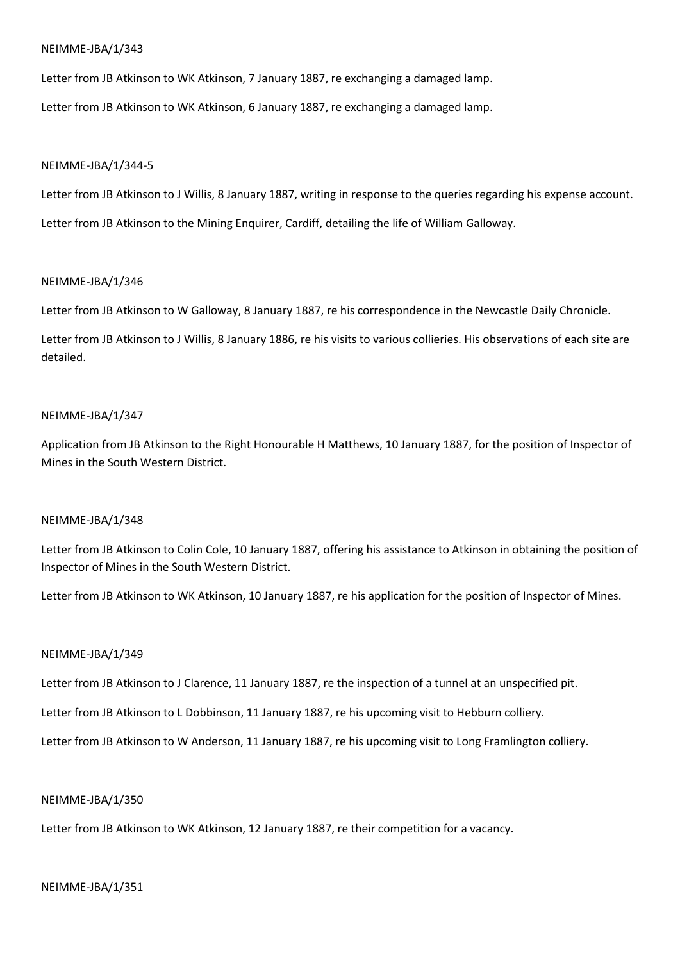Letter from JB Atkinson to WK Atkinson, 7 January 1887, re exchanging a damaged lamp.

Letter from JB Atkinson to WK Atkinson, 6 January 1887, re exchanging a damaged lamp.

## NEIMME-JBA/1/344-5

Letter from JB Atkinson to J Willis, 8 January 1887, writing in response to the queries regarding his expense account. Letter from JB Atkinson to the Mining Enquirer, Cardiff, detailing the life of William Galloway.

## NEIMME-JBA/1/346

Letter from JB Atkinson to W Galloway, 8 January 1887, re his correspondence in the Newcastle Daily Chronicle.

Letter from JB Atkinson to J Willis, 8 January 1886, re his visits to various collieries. His observations of each site are detailed.

## NEIMME-JBA/1/347

Application from JB Atkinson to the Right Honourable H Matthews, 10 January 1887, for the position of Inspector of Mines in the South Western District.

## NEIMME-JBA/1/348

Letter from JB Atkinson to Colin Cole, 10 January 1887, offering his assistance to Atkinson in obtaining the position of Inspector of Mines in the South Western District.

Letter from JB Atkinson to WK Atkinson, 10 January 1887, re his application for the position of Inspector of Mines.

## NEIMME-JBA/1/349

Letter from JB Atkinson to J Clarence, 11 January 1887, re the inspection of a tunnel at an unspecified pit.

Letter from JB Atkinson to L Dobbinson, 11 January 1887, re his upcoming visit to Hebburn colliery.

Letter from JB Atkinson to W Anderson, 11 January 1887, re his upcoming visit to Long Framlington colliery.

### NEIMME-JBA/1/350

Letter from JB Atkinson to WK Atkinson, 12 January 1887, re their competition for a vacancy.

### NEIMME-JBA/1/351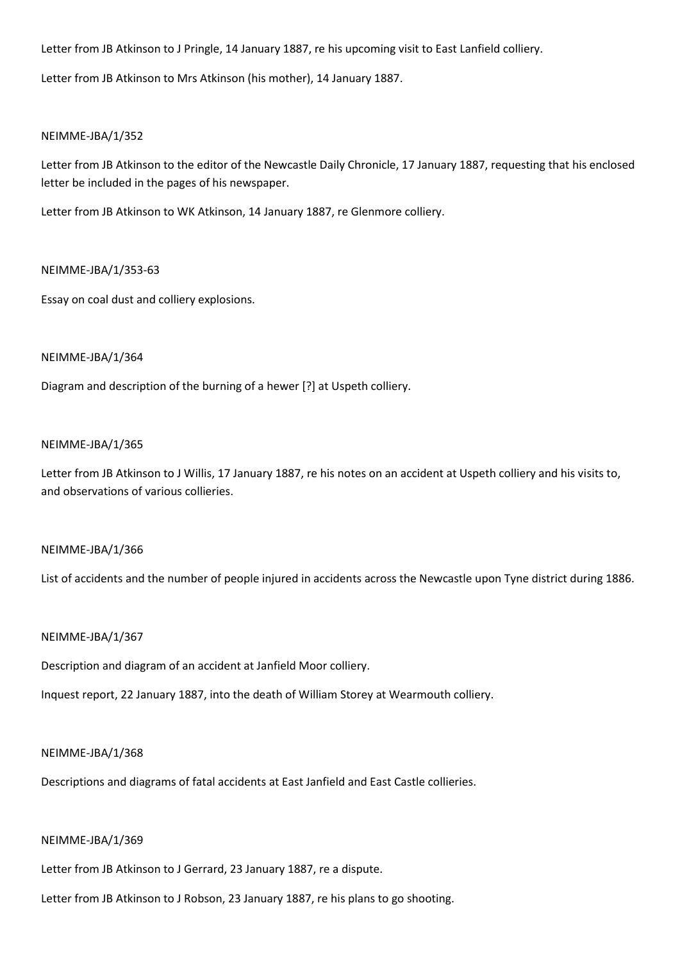Letter from JB Atkinson to J Pringle, 14 January 1887, re his upcoming visit to East Lanfield colliery.

Letter from JB Atkinson to Mrs Atkinson (his mother), 14 January 1887.

## NEIMME-JBA/1/352

Letter from JB Atkinson to the editor of the Newcastle Daily Chronicle, 17 January 1887, requesting that his enclosed letter be included in the pages of his newspaper.

Letter from JB Atkinson to WK Atkinson, 14 January 1887, re Glenmore colliery.

## NEIMME-JBA/1/353-63

Essay on coal dust and colliery explosions.

## NEIMME-JBA/1/364

Diagram and description of the burning of a hewer [?] at Uspeth colliery.

### NEIMME-JBA/1/365

Letter from JB Atkinson to J Willis, 17 January 1887, re his notes on an accident at Uspeth colliery and his visits to, and observations of various collieries.

### NEIMME-JBA/1/366

List of accidents and the number of people injured in accidents across the Newcastle upon Tyne district during 1886.

### NEIMME-JBA/1/367

Description and diagram of an accident at Janfield Moor colliery.

Inquest report, 22 January 1887, into the death of William Storey at Wearmouth colliery.

### NEIMME-JBA/1/368

Descriptions and diagrams of fatal accidents at East Janfield and East Castle collieries.

### NEIMME-JBA/1/369

Letter from JB Atkinson to J Gerrard, 23 January 1887, re a dispute.

Letter from JB Atkinson to J Robson, 23 January 1887, re his plans to go shooting.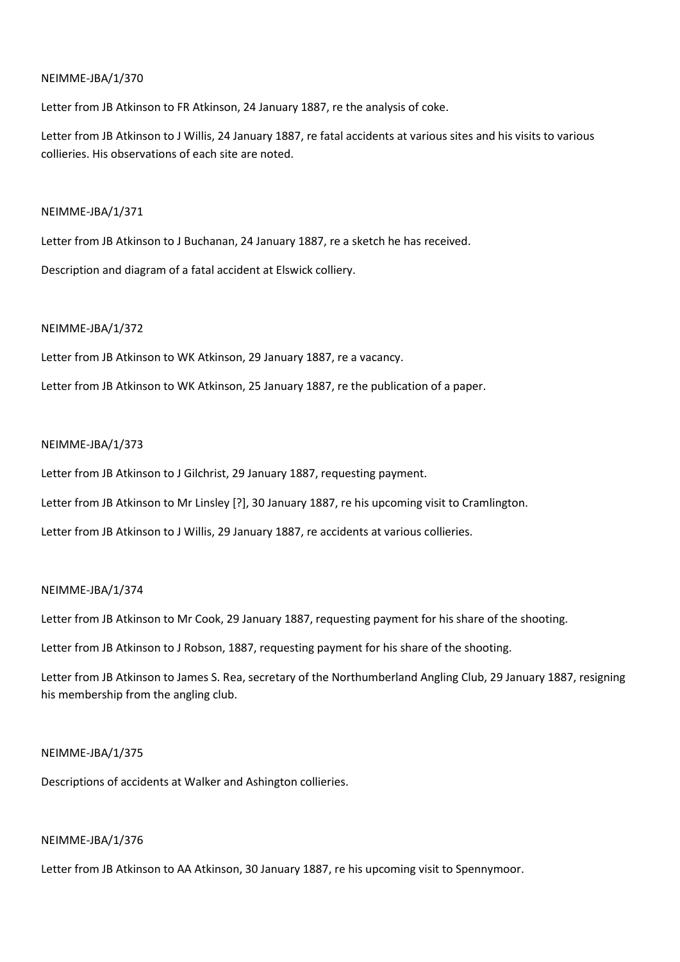Letter from JB Atkinson to FR Atkinson, 24 January 1887, re the analysis of coke.

Letter from JB Atkinson to J Willis, 24 January 1887, re fatal accidents at various sites and his visits to various collieries. His observations of each site are noted.

## NEIMME-JBA/1/371

Letter from JB Atkinson to J Buchanan, 24 January 1887, re a sketch he has received.

Description and diagram of a fatal accident at Elswick colliery.

## NEIMME-JBA/1/372

Letter from JB Atkinson to WK Atkinson, 29 January 1887, re a vacancy.

Letter from JB Atkinson to WK Atkinson, 25 January 1887, re the publication of a paper.

## NEIMME-JBA/1/373

Letter from JB Atkinson to J Gilchrist, 29 January 1887, requesting payment.

Letter from JB Atkinson to Mr Linsley [?], 30 January 1887, re his upcoming visit to Cramlington.

Letter from JB Atkinson to J Willis, 29 January 1887, re accidents at various collieries.

## NEIMME-JBA/1/374

Letter from JB Atkinson to Mr Cook, 29 January 1887, requesting payment for his share of the shooting.

Letter from JB Atkinson to J Robson, 1887, requesting payment for his share of the shooting.

Letter from JB Atkinson to James S. Rea, secretary of the Northumberland Angling Club, 29 January 1887, resigning his membership from the angling club.

## NEIMME-JBA/1/375

Descriptions of accidents at Walker and Ashington collieries.

### NEIMME-JBA/1/376

Letter from JB Atkinson to AA Atkinson, 30 January 1887, re his upcoming visit to Spennymoor.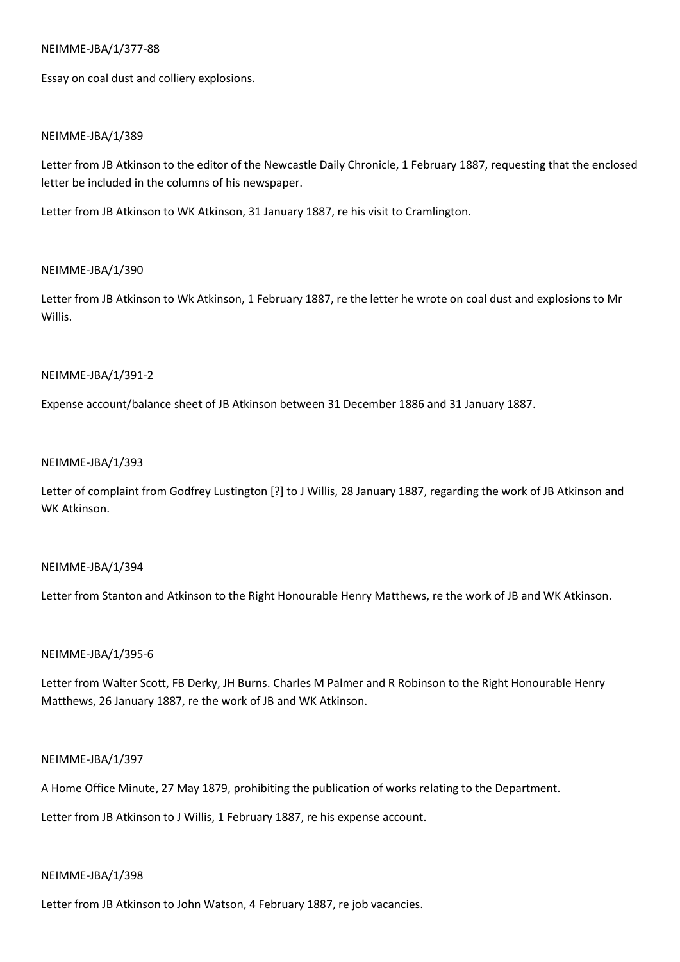## NEIMME-JBA/1/377-88

Essay on coal dust and colliery explosions.

## NEIMME-JBA/1/389

Letter from JB Atkinson to the editor of the Newcastle Daily Chronicle, 1 February 1887, requesting that the enclosed letter be included in the columns of his newspaper.

Letter from JB Atkinson to WK Atkinson, 31 January 1887, re his visit to Cramlington.

## NEIMME-JBA/1/390

Letter from JB Atkinson to Wk Atkinson, 1 February 1887, re the letter he wrote on coal dust and explosions to Mr Willis.

## NEIMME-JBA/1/391-2

Expense account/balance sheet of JB Atkinson between 31 December 1886 and 31 January 1887.

## NEIMME-JBA/1/393

Letter of complaint from Godfrey Lustington [?] to J Willis, 28 January 1887, regarding the work of JB Atkinson and WK Atkinson.

### NEIMME-JBA/1/394

Letter from Stanton and Atkinson to the Right Honourable Henry Matthews, re the work of JB and WK Atkinson.

### NEIMME-JBA/1/395-6

Letter from Walter Scott, FB Derky, JH Burns. Charles M Palmer and R Robinson to the Right Honourable Henry Matthews, 26 January 1887, re the work of JB and WK Atkinson.

## NEIMME-JBA/1/397

A Home Office Minute, 27 May 1879, prohibiting the publication of works relating to the Department.

Letter from JB Atkinson to J Willis, 1 February 1887, re his expense account.

### NEIMME-JBA/1/398

Letter from JB Atkinson to John Watson, 4 February 1887, re job vacancies.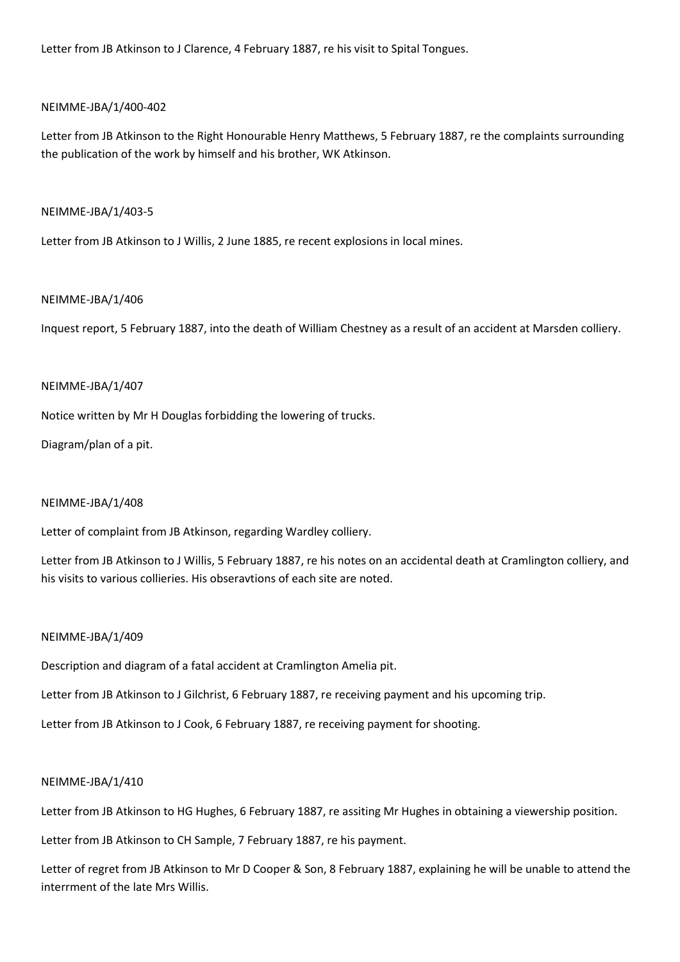Letter from JB Atkinson to J Clarence, 4 February 1887, re his visit to Spital Tongues.

## NEIMME-JBA/1/400-402

Letter from JB Atkinson to the Right Honourable Henry Matthews, 5 February 1887, re the complaints surrounding the publication of the work by himself and his brother, WK Atkinson.

## NEIMME-JBA/1/403-5

Letter from JB Atkinson to J Willis, 2 June 1885, re recent explosions in local mines.

## NEIMME-JBA/1/406

Inquest report, 5 February 1887, into the death of William Chestney as a result of an accident at Marsden colliery.

### NEIMME-JBA/1/407

Notice written by Mr H Douglas forbidding the lowering of trucks.

Diagram/plan of a pit.

### NEIMME-JBA/1/408

Letter of complaint from JB Atkinson, regarding Wardley colliery.

Letter from JB Atkinson to J Willis, 5 February 1887, re his notes on an accidental death at Cramlington colliery, and his visits to various collieries. His obseravtions of each site are noted.

### NEIMME-JBA/1/409

Description and diagram of a fatal accident at Cramlington Amelia pit.

Letter from JB Atkinson to J Gilchrist, 6 February 1887, re receiving payment and his upcoming trip.

Letter from JB Atkinson to J Cook, 6 February 1887, re receiving payment for shooting.

### NEIMME-JBA/1/410

Letter from JB Atkinson to HG Hughes, 6 February 1887, re assiting Mr Hughes in obtaining a viewership position.

Letter from JB Atkinson to CH Sample, 7 February 1887, re his payment.

Letter of regret from JB Atkinson to Mr D Cooper & Son, 8 February 1887, explaining he will be unable to attend the interrment of the late Mrs Willis.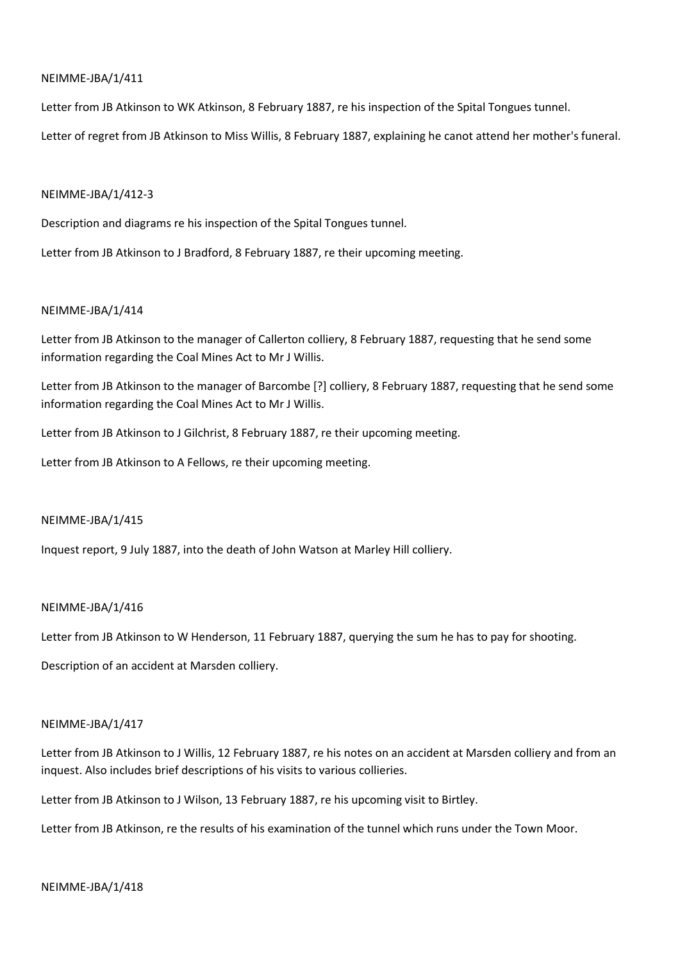Letter from JB Atkinson to WK Atkinson, 8 February 1887, re his inspection of the Spital Tongues tunnel.

Letter of regret from JB Atkinson to Miss Willis, 8 February 1887, explaining he canot attend her mother's funeral.

### NEIMME-JBA/1/412-3

Description and diagrams re his inspection of the Spital Tongues tunnel.

Letter from JB Atkinson to J Bradford, 8 February 1887, re their upcoming meeting.

## NEIMME-JBA/1/414

Letter from JB Atkinson to the manager of Callerton colliery, 8 February 1887, requesting that he send some information regarding the Coal Mines Act to Mr J Willis.

Letter from JB Atkinson to the manager of Barcombe [?] colliery, 8 February 1887, requesting that he send some information regarding the Coal Mines Act to Mr J Willis.

Letter from JB Atkinson to J Gilchrist, 8 February 1887, re their upcoming meeting.

Letter from JB Atkinson to A Fellows, re their upcoming meeting.

### NEIMME-JBA/1/415

Inquest report, 9 July 1887, into the death of John Watson at Marley Hill colliery.

### NEIMME-JBA/1/416

Letter from JB Atkinson to W Henderson, 11 February 1887, querying the sum he has to pay for shooting.

Description of an accident at Marsden colliery.

### NEIMME-JBA/1/417

Letter from JB Atkinson to J Willis, 12 February 1887, re his notes on an accident at Marsden colliery and from an inquest. Also includes brief descriptions of his visits to various collieries.

Letter from JB Atkinson to J Wilson, 13 February 1887, re his upcoming visit to Birtley.

Letter from JB Atkinson, re the results of his examination of the tunnel which runs under the Town Moor.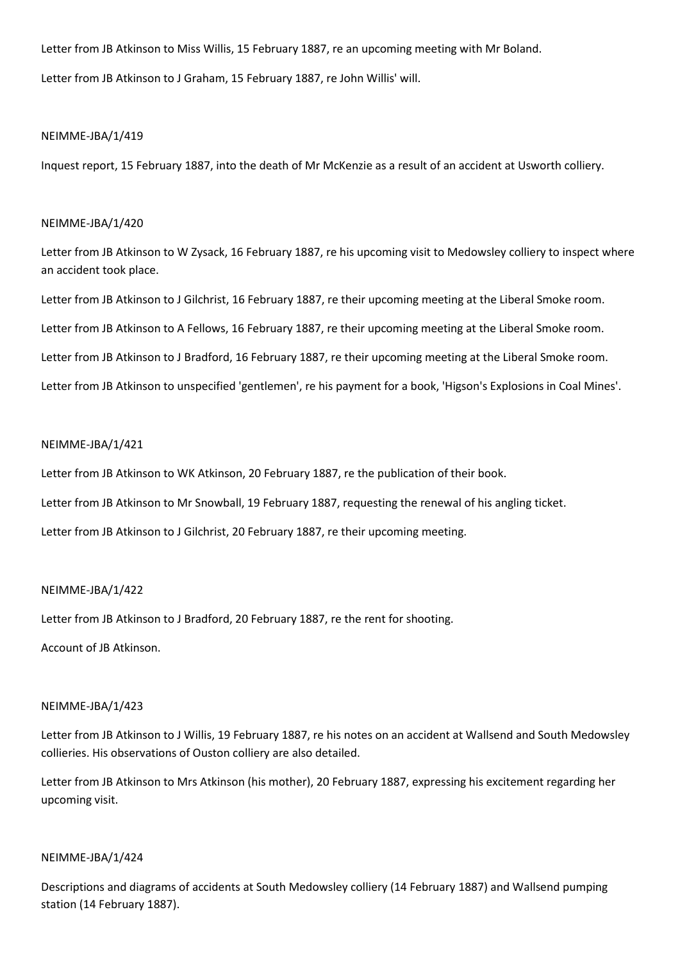Letter from JB Atkinson to Miss Willis, 15 February 1887, re an upcoming meeting with Mr Boland.

Letter from JB Atkinson to J Graham, 15 February 1887, re John Willis' will.

## NEIMME-JBA/1/419

Inquest report, 15 February 1887, into the death of Mr McKenzie as a result of an accident at Usworth colliery.

## NEIMME-JBA/1/420

Letter from JB Atkinson to W Zysack, 16 February 1887, re his upcoming visit to Medowsley colliery to inspect where an accident took place.

Letter from JB Atkinson to J Gilchrist, 16 February 1887, re their upcoming meeting at the Liberal Smoke room.

Letter from JB Atkinson to A Fellows, 16 February 1887, re their upcoming meeting at the Liberal Smoke room.

Letter from JB Atkinson to J Bradford, 16 February 1887, re their upcoming meeting at the Liberal Smoke room.

Letter from JB Atkinson to unspecified 'gentlemen', re his payment for a book, 'Higson's Explosions in Coal Mines'.

## NEIMME-JBA/1/421

Letter from JB Atkinson to WK Atkinson, 20 February 1887, re the publication of their book.

Letter from JB Atkinson to Mr Snowball, 19 February 1887, requesting the renewal of his angling ticket.

Letter from JB Atkinson to J Gilchrist, 20 February 1887, re their upcoming meeting.

## NEIMME-JBA/1/422

Letter from JB Atkinson to J Bradford, 20 February 1887, re the rent for shooting.

Account of JB Atkinson.

## NEIMME-JBA/1/423

Letter from JB Atkinson to J Willis, 19 February 1887, re his notes on an accident at Wallsend and South Medowsley collieries. His observations of Ouston colliery are also detailed.

Letter from JB Atkinson to Mrs Atkinson (his mother), 20 February 1887, expressing his excitement regarding her upcoming visit.

## NEIMME-JBA/1/424

Descriptions and diagrams of accidents at South Medowsley colliery (14 February 1887) and Wallsend pumping station (14 February 1887).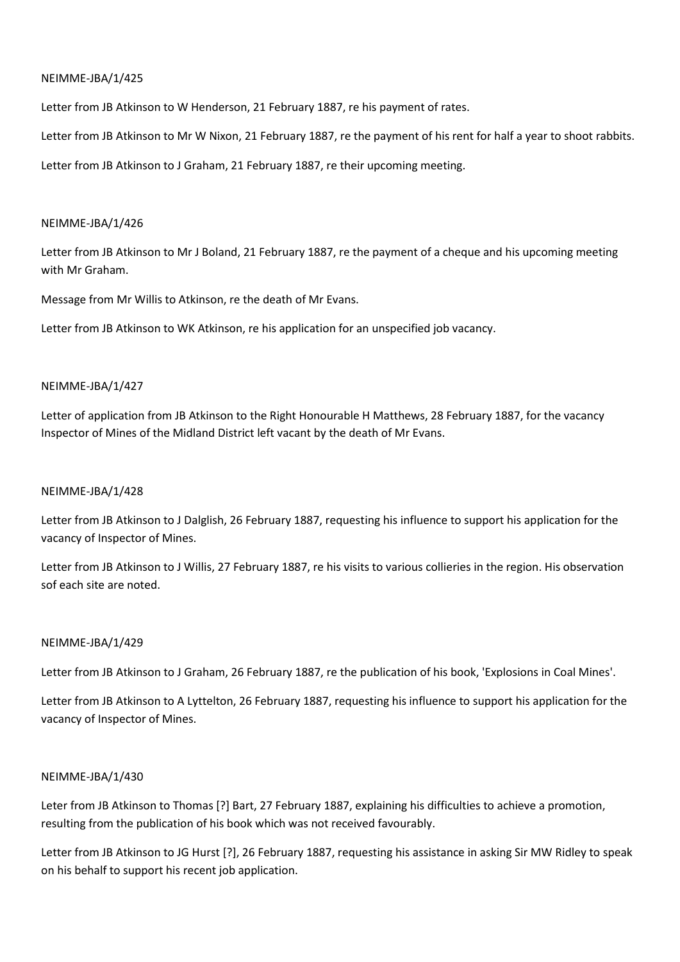Letter from JB Atkinson to W Henderson, 21 February 1887, re his payment of rates.

Letter from JB Atkinson to Mr W Nixon, 21 February 1887, re the payment of his rent for half a year to shoot rabbits.

Letter from JB Atkinson to J Graham, 21 February 1887, re their upcoming meeting.

## NEIMME-JBA/1/426

Letter from JB Atkinson to Mr J Boland, 21 February 1887, re the payment of a cheque and his upcoming meeting with Mr Graham.

Message from Mr Willis to Atkinson, re the death of Mr Evans.

Letter from JB Atkinson to WK Atkinson, re his application for an unspecified job vacancy.

## NEIMME-JBA/1/427

Letter of application from JB Atkinson to the Right Honourable H Matthews, 28 February 1887, for the vacancy Inspector of Mines of the Midland District left vacant by the death of Mr Evans.

## NEIMME-JBA/1/428

Letter from JB Atkinson to J Dalglish, 26 February 1887, requesting his influence to support his application for the vacancy of Inspector of Mines.

Letter from JB Atkinson to J Willis, 27 February 1887, re his visits to various collieries in the region. His observation sof each site are noted.

## NEIMME-JBA/1/429

Letter from JB Atkinson to J Graham, 26 February 1887, re the publication of his book, 'Explosions in Coal Mines'.

Letter from JB Atkinson to A Lyttelton, 26 February 1887, requesting his influence to support his application for the vacancy of Inspector of Mines.

## NEIMME-JBA/1/430

Leter from JB Atkinson to Thomas [?] Bart, 27 February 1887, explaining his difficulties to achieve a promotion, resulting from the publication of his book which was not received favourably.

Letter from JB Atkinson to JG Hurst [?], 26 February 1887, requesting his assistance in asking Sir MW Ridley to speak on his behalf to support his recent job application.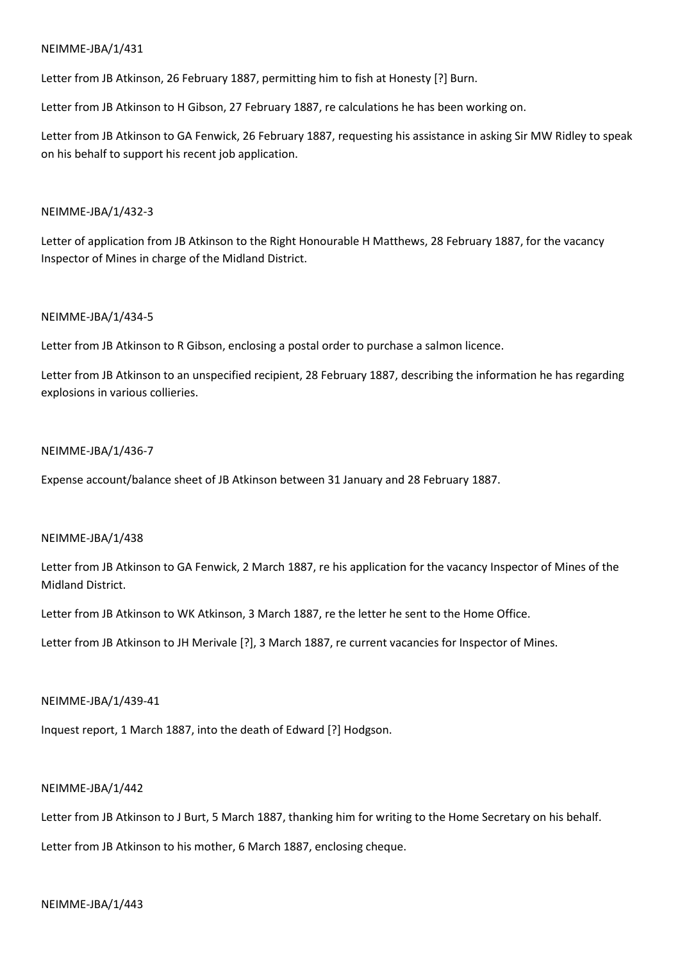Letter from JB Atkinson, 26 February 1887, permitting him to fish at Honesty [?] Burn.

Letter from JB Atkinson to H Gibson, 27 February 1887, re calculations he has been working on.

Letter from JB Atkinson to GA Fenwick, 26 February 1887, requesting his assistance in asking Sir MW Ridley to speak on his behalf to support his recent job application.

## NEIMME-JBA/1/432-3

Letter of application from JB Atkinson to the Right Honourable H Matthews, 28 February 1887, for the vacancy Inspector of Mines in charge of the Midland District.

## NEIMME-JBA/1/434-5

Letter from JB Atkinson to R Gibson, enclosing a postal order to purchase a salmon licence.

Letter from JB Atkinson to an unspecified recipient, 28 February 1887, describing the information he has regarding explosions in various collieries.

## NEIMME-JBA/1/436-7

Expense account/balance sheet of JB Atkinson between 31 January and 28 February 1887.

### NEIMME-JBA/1/438

Letter from JB Atkinson to GA Fenwick, 2 March 1887, re his application for the vacancy Inspector of Mines of the Midland District.

Letter from JB Atkinson to WK Atkinson, 3 March 1887, re the letter he sent to the Home Office.

Letter from JB Atkinson to JH Merivale [?], 3 March 1887, re current vacancies for Inspector of Mines.

### NEIMME-JBA/1/439-41

Inquest report, 1 March 1887, into the death of Edward [?] Hodgson.

## NEIMME-JBA/1/442

Letter from JB Atkinson to J Burt, 5 March 1887, thanking him for writing to the Home Secretary on his behalf.

Letter from JB Atkinson to his mother, 6 March 1887, enclosing cheque.

### NEIMME-JBA/1/443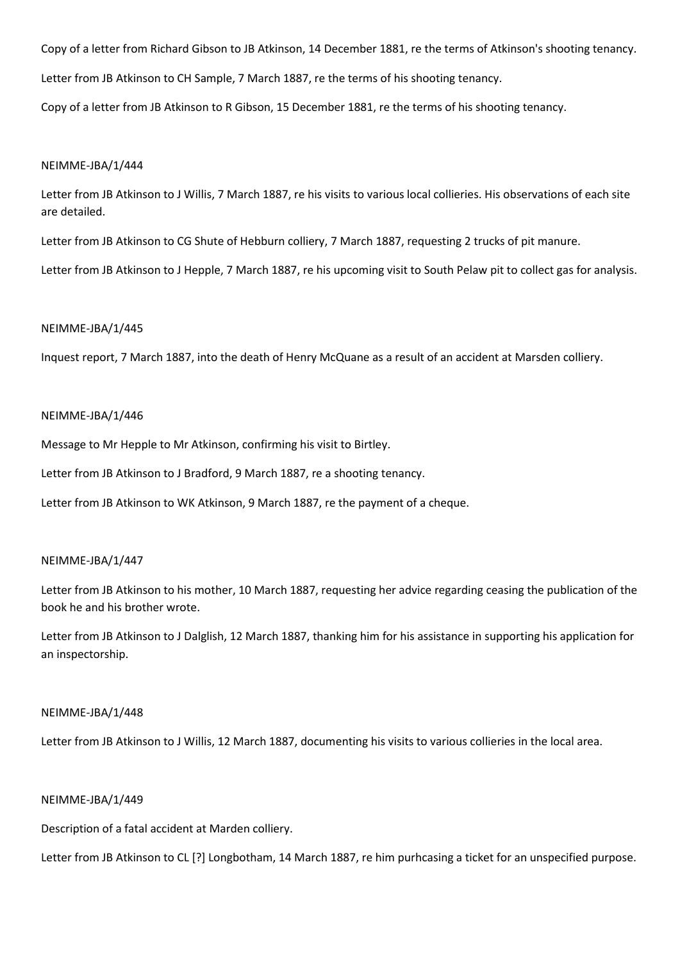Copy of a letter from Richard Gibson to JB Atkinson, 14 December 1881, re the terms of Atkinson's shooting tenancy.

Letter from JB Atkinson to CH Sample, 7 March 1887, re the terms of his shooting tenancy.

Copy of a letter from JB Atkinson to R Gibson, 15 December 1881, re the terms of his shooting tenancy.

#### NEIMME-JBA/1/444

Letter from JB Atkinson to J Willis, 7 March 1887, re his visits to various local collieries. His observations of each site are detailed.

Letter from JB Atkinson to CG Shute of Hebburn colliery, 7 March 1887, requesting 2 trucks of pit manure.

Letter from JB Atkinson to J Hepple, 7 March 1887, re his upcoming visit to South Pelaw pit to collect gas for analysis.

### NEIMME-JBA/1/445

Inquest report, 7 March 1887, into the death of Henry McQuane as a result of an accident at Marsden colliery.

#### NEIMME-JBA/1/446

Message to Mr Hepple to Mr Atkinson, confirming his visit to Birtley.

Letter from JB Atkinson to J Bradford, 9 March 1887, re a shooting tenancy.

Letter from JB Atkinson to WK Atkinson, 9 March 1887, re the payment of a cheque.

#### NEIMME-JBA/1/447

Letter from JB Atkinson to his mother, 10 March 1887, requesting her advice regarding ceasing the publication of the book he and his brother wrote.

Letter from JB Atkinson to J Dalglish, 12 March 1887, thanking him for his assistance in supporting his application for an inspectorship.

#### NEIMME-JBA/1/448

Letter from JB Atkinson to J Willis, 12 March 1887, documenting his visits to various collieries in the local area.

## NEIMME-JBA/1/449

Description of a fatal accident at Marden colliery.

Letter from JB Atkinson to CL [?] Longbotham, 14 March 1887, re him purhcasing a ticket for an unspecified purpose.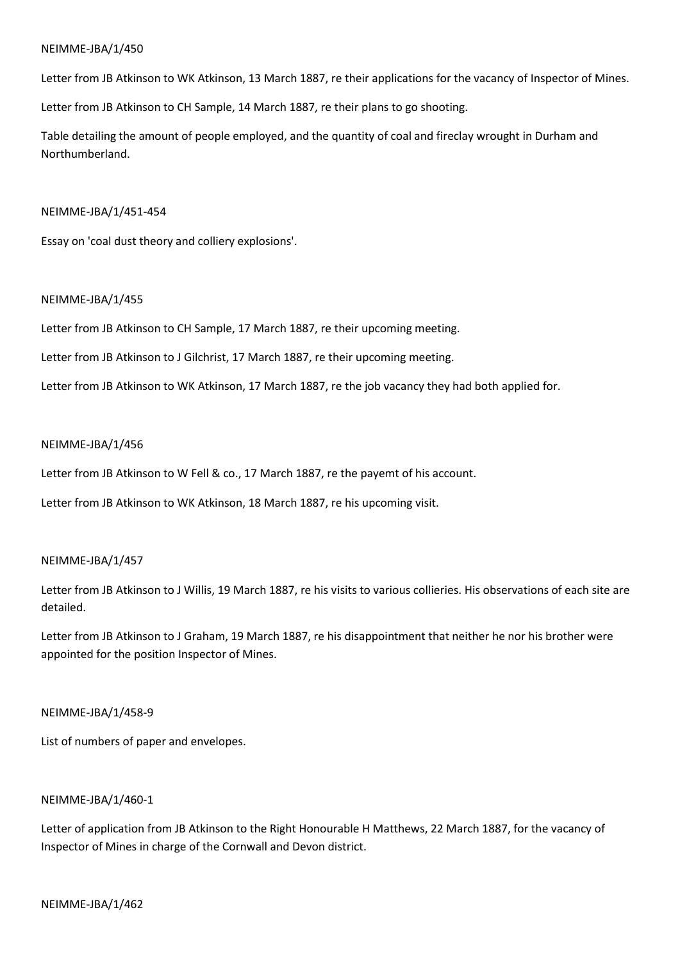Letter from JB Atkinson to WK Atkinson, 13 March 1887, re their applications for the vacancy of Inspector of Mines.

Letter from JB Atkinson to CH Sample, 14 March 1887, re their plans to go shooting.

Table detailing the amount of people employed, and the quantity of coal and fireclay wrought in Durham and Northumberland.

### NEIMME-JBA/1/451-454

Essay on 'coal dust theory and colliery explosions'.

## NEIMME-JBA/1/455

Letter from JB Atkinson to CH Sample, 17 March 1887, re their upcoming meeting.

Letter from JB Atkinson to J Gilchrist, 17 March 1887, re their upcoming meeting.

Letter from JB Atkinson to WK Atkinson, 17 March 1887, re the job vacancy they had both applied for.

### NEIMME-JBA/1/456

Letter from JB Atkinson to W Fell & co., 17 March 1887, re the payemt of his account.

Letter from JB Atkinson to WK Atkinson, 18 March 1887, re his upcoming visit.

### NEIMME-JBA/1/457

Letter from JB Atkinson to J Willis, 19 March 1887, re his visits to various collieries. His observations of each site are detailed.

Letter from JB Atkinson to J Graham, 19 March 1887, re his disappointment that neither he nor his brother were appointed for the position Inspector of Mines.

### NEIMME-JBA/1/458-9

List of numbers of paper and envelopes.

## NEIMME-JBA/1/460-1

Letter of application from JB Atkinson to the Right Honourable H Matthews, 22 March 1887, for the vacancy of Inspector of Mines in charge of the Cornwall and Devon district.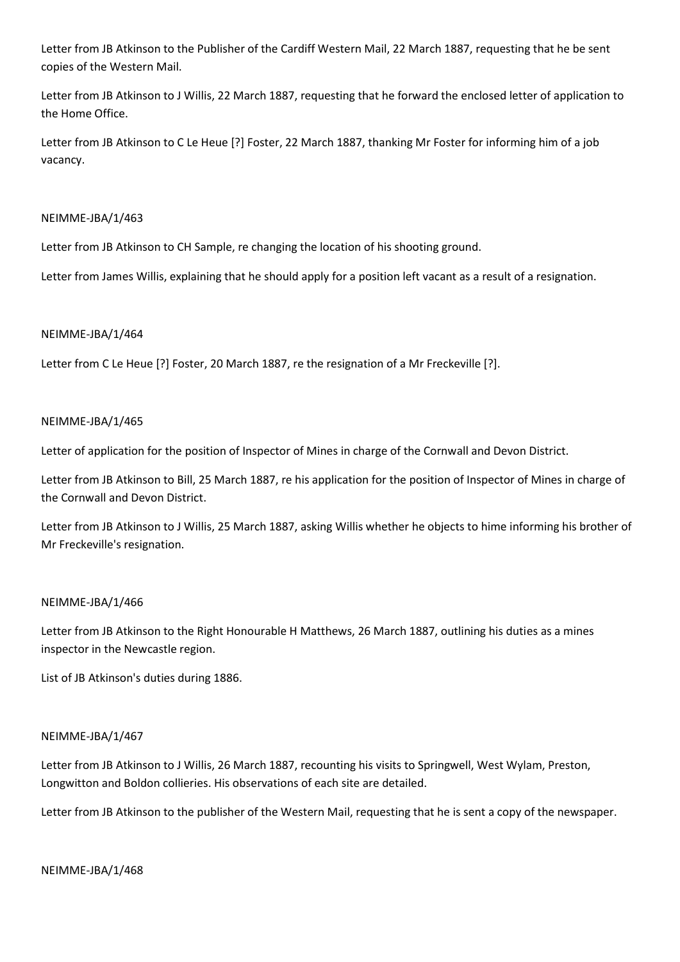Letter from JB Atkinson to the Publisher of the Cardiff Western Mail, 22 March 1887, requesting that he be sent copies of the Western Mail.

Letter from JB Atkinson to J Willis, 22 March 1887, requesting that he forward the enclosed letter of application to the Home Office.

Letter from JB Atkinson to C Le Heue [?] Foster, 22 March 1887, thanking Mr Foster for informing him of a job vacancy.

## NEIMME-JBA/1/463

Letter from JB Atkinson to CH Sample, re changing the location of his shooting ground.

Letter from James Willis, explaining that he should apply for a position left vacant as a result of a resignation.

## NEIMME-JBA/1/464

Letter from C Le Heue [?] Foster, 20 March 1887, re the resignation of a Mr Freckeville [?].

## NEIMME-JBA/1/465

Letter of application for the position of Inspector of Mines in charge of the Cornwall and Devon District.

Letter from JB Atkinson to Bill, 25 March 1887, re his application for the position of Inspector of Mines in charge of the Cornwall and Devon District.

Letter from JB Atkinson to J Willis, 25 March 1887, asking Willis whether he objects to hime informing his brother of Mr Freckeville's resignation.

## NEIMME-JBA/1/466

Letter from JB Atkinson to the Right Honourable H Matthews, 26 March 1887, outlining his duties as a mines inspector in the Newcastle region.

List of JB Atkinson's duties during 1886.

## NEIMME-JBA/1/467

Letter from JB Atkinson to J Willis, 26 March 1887, recounting his visits to Springwell, West Wylam, Preston, Longwitton and Boldon collieries. His observations of each site are detailed.

Letter from JB Atkinson to the publisher of the Western Mail, requesting that he is sent a copy of the newspaper.

NEIMME-JBA/1/468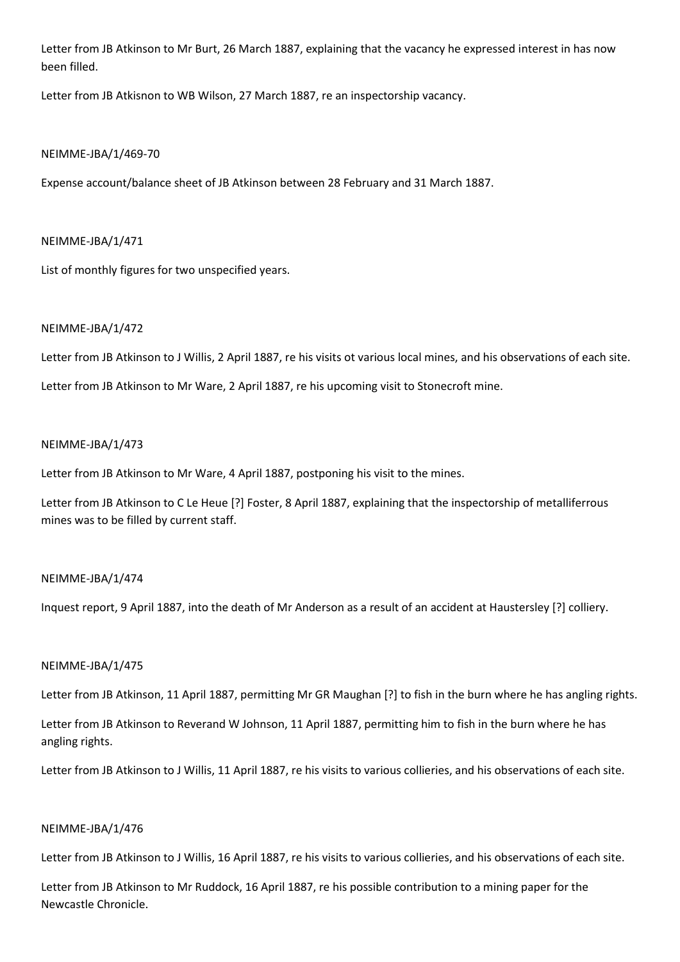Letter from JB Atkinson to Mr Burt, 26 March 1887, explaining that the vacancy he expressed interest in has now been filled.

Letter from JB Atkisnon to WB Wilson, 27 March 1887, re an inspectorship vacancy.

## NEIMME-JBA/1/469-70

Expense account/balance sheet of JB Atkinson between 28 February and 31 March 1887.

## NEIMME-JBA/1/471

List of monthly figures for two unspecified years.

## NEIMME-JBA/1/472

Letter from JB Atkinson to J Willis, 2 April 1887, re his visits ot various local mines, and his observations of each site.

Letter from JB Atkinson to Mr Ware, 2 April 1887, re his upcoming visit to Stonecroft mine.

## NEIMME-JBA/1/473

Letter from JB Atkinson to Mr Ware, 4 April 1887, postponing his visit to the mines.

Letter from JB Atkinson to C Le Heue [?] Foster, 8 April 1887, explaining that the inspectorship of metalliferrous mines was to be filled by current staff.

## NEIMME-JBA/1/474

Inquest report, 9 April 1887, into the death of Mr Anderson as a result of an accident at Haustersley [?] colliery.

## NEIMME-JBA/1/475

Letter from JB Atkinson, 11 April 1887, permitting Mr GR Maughan [?] to fish in the burn where he has angling rights.

Letter from JB Atkinson to Reverand W Johnson, 11 April 1887, permitting him to fish in the burn where he has angling rights.

Letter from JB Atkinson to J Willis, 11 April 1887, re his visits to various collieries, and his observations of each site.

## NEIMME-JBA/1/476

Letter from JB Atkinson to J Willis, 16 April 1887, re his visits to various collieries, and his observations of each site.

Letter from JB Atkinson to Mr Ruddock, 16 April 1887, re his possible contribution to a mining paper for the Newcastle Chronicle.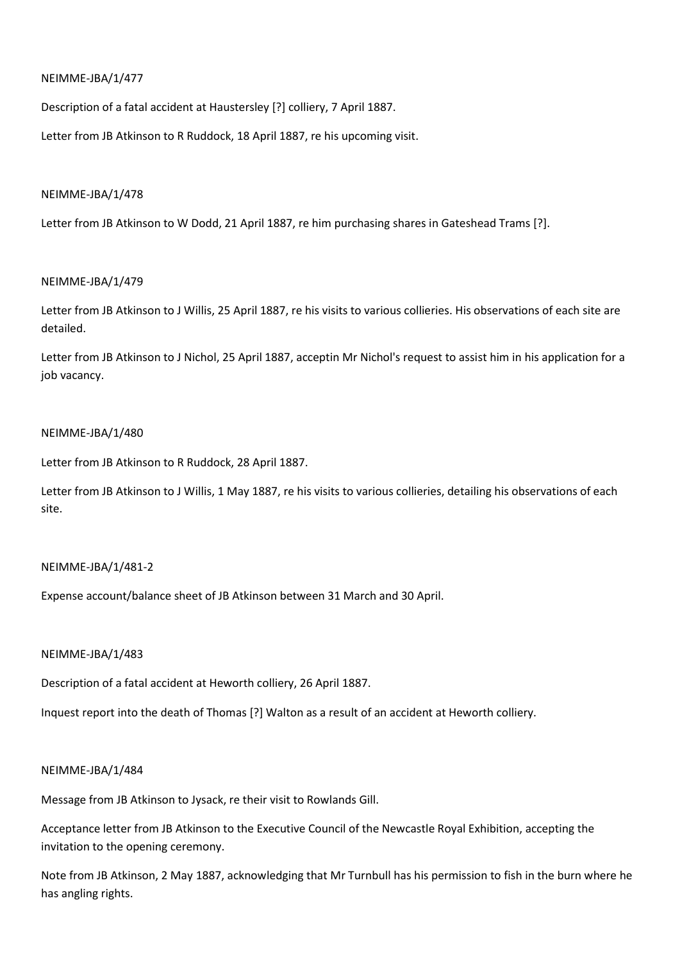Description of a fatal accident at Haustersley [?] colliery, 7 April 1887.

Letter from JB Atkinson to R Ruddock, 18 April 1887, re his upcoming visit.

### NEIMME-JBA/1/478

Letter from JB Atkinson to W Dodd, 21 April 1887, re him purchasing shares in Gateshead Trams [?].

### NEIMME-JBA/1/479

Letter from JB Atkinson to J Willis, 25 April 1887, re his visits to various collieries. His observations of each site are detailed.

Letter from JB Atkinson to J Nichol, 25 April 1887, acceptin Mr Nichol's request to assist him in his application for a job vacancy.

## NEIMME-JBA/1/480

Letter from JB Atkinson to R Ruddock, 28 April 1887.

Letter from JB Atkinson to J Willis, 1 May 1887, re his visits to various collieries, detailing his observations of each site.

### NEIMME-JBA/1/481-2

Expense account/balance sheet of JB Atkinson between 31 March and 30 April.

### NEIMME-JBA/1/483

Description of a fatal accident at Heworth colliery, 26 April 1887.

Inquest report into the death of Thomas [?] Walton as a result of an accident at Heworth colliery.

### NEIMME-JBA/1/484

Message from JB Atkinson to Jysack, re their visit to Rowlands Gill.

Acceptance letter from JB Atkinson to the Executive Council of the Newcastle Royal Exhibition, accepting the invitation to the opening ceremony.

Note from JB Atkinson, 2 May 1887, acknowledging that Mr Turnbull has his permission to fish in the burn where he has angling rights.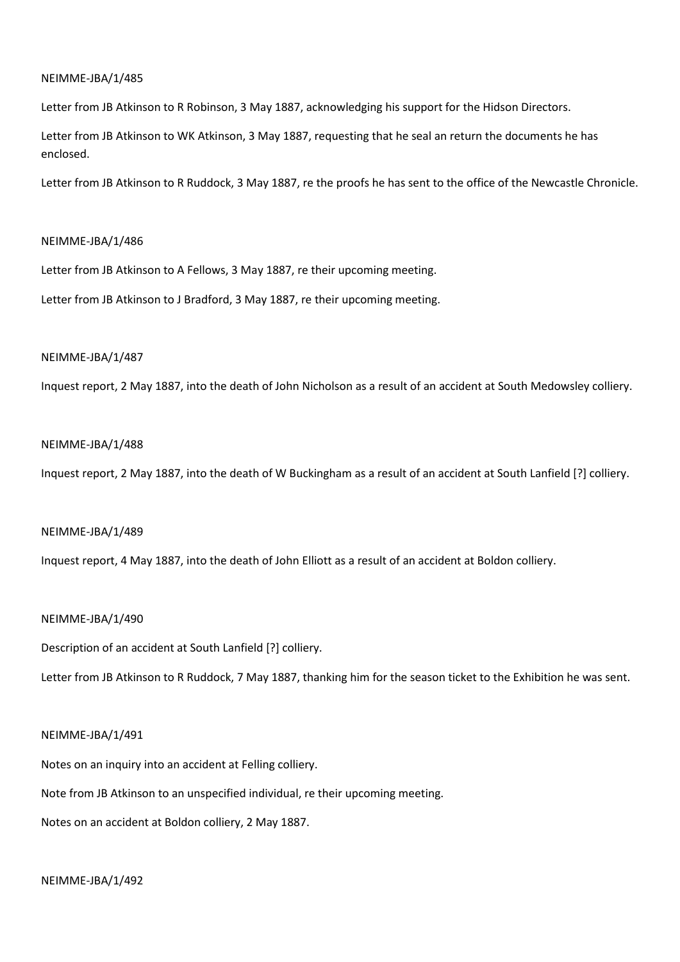Letter from JB Atkinson to R Robinson, 3 May 1887, acknowledging his support for the Hidson Directors.

Letter from JB Atkinson to WK Atkinson, 3 May 1887, requesting that he seal an return the documents he has enclosed.

Letter from JB Atkinson to R Ruddock, 3 May 1887, re the proofs he has sent to the office of the Newcastle Chronicle.

### NEIMME-JBA/1/486

Letter from JB Atkinson to A Fellows, 3 May 1887, re their upcoming meeting.

Letter from JB Atkinson to J Bradford, 3 May 1887, re their upcoming meeting.

#### NEIMME-JBA/1/487

Inquest report, 2 May 1887, into the death of John Nicholson as a result of an accident at South Medowsley colliery.

#### NEIMME-JBA/1/488

Inquest report, 2 May 1887, into the death of W Buckingham as a result of an accident at South Lanfield [?] colliery.

### NEIMME-JBA/1/489

Inquest report, 4 May 1887, into the death of John Elliott as a result of an accident at Boldon colliery.

#### NEIMME-JBA/1/490

Description of an accident at South Lanfield [?] colliery.

Letter from JB Atkinson to R Ruddock, 7 May 1887, thanking him for the season ticket to the Exhibition he was sent.

#### NEIMME-JBA/1/491

Notes on an inquiry into an accident at Felling colliery.

Note from JB Atkinson to an unspecified individual, re their upcoming meeting.

Notes on an accident at Boldon colliery, 2 May 1887.

NEIMME-JBA/1/492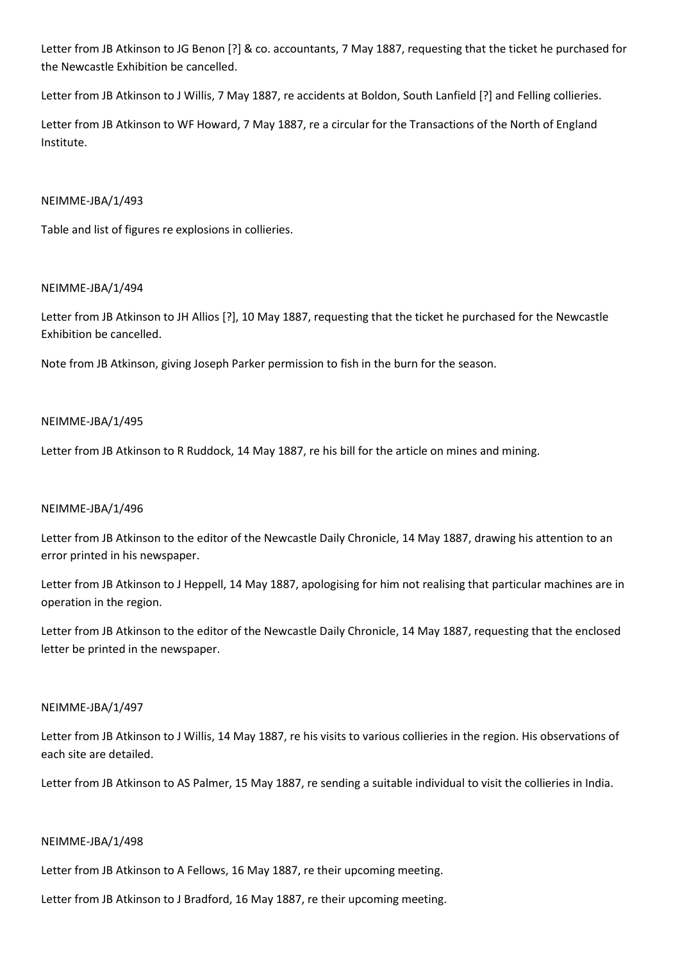Letter from JB Atkinson to JG Benon [?] & co. accountants, 7 May 1887, requesting that the ticket he purchased for the Newcastle Exhibition be cancelled.

Letter from JB Atkinson to J Willis, 7 May 1887, re accidents at Boldon, South Lanfield [?] and Felling collieries.

Letter from JB Atkinson to WF Howard, 7 May 1887, re a circular for the Transactions of the North of England Institute.

## NEIMME-JBA/1/493

Table and list of figures re explosions in collieries.

## NEIMME-JBA/1/494

Letter from JB Atkinson to JH Allios [?], 10 May 1887, requesting that the ticket he purchased for the Newcastle Exhibition be cancelled.

Note from JB Atkinson, giving Joseph Parker permission to fish in the burn for the season.

## NEIMME-JBA/1/495

Letter from JB Atkinson to R Ruddock, 14 May 1887, re his bill for the article on mines and mining.

## NEIMME-JBA/1/496

Letter from JB Atkinson to the editor of the Newcastle Daily Chronicle, 14 May 1887, drawing his attention to an error printed in his newspaper.

Letter from JB Atkinson to J Heppell, 14 May 1887, apologising for him not realising that particular machines are in operation in the region.

Letter from JB Atkinson to the editor of the Newcastle Daily Chronicle, 14 May 1887, requesting that the enclosed letter be printed in the newspaper.

## NEIMME-JBA/1/497

Letter from JB Atkinson to J Willis, 14 May 1887, re his visits to various collieries in the region. His observations of each site are detailed.

Letter from JB Atkinson to AS Palmer, 15 May 1887, re sending a suitable individual to visit the collieries in India.

## NEIMME-JBA/1/498

Letter from JB Atkinson to A Fellows, 16 May 1887, re their upcoming meeting.

Letter from JB Atkinson to J Bradford, 16 May 1887, re their upcoming meeting.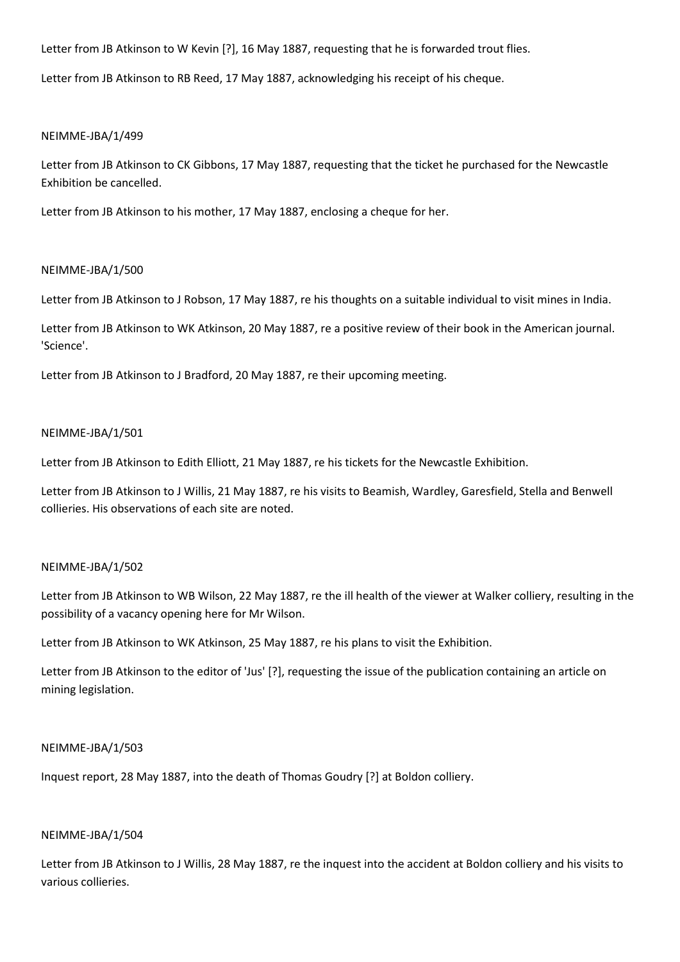Letter from JB Atkinson to W Kevin [?], 16 May 1887, requesting that he is forwarded trout flies.

Letter from JB Atkinson to RB Reed, 17 May 1887, acknowledging his receipt of his cheque.

## NEIMME-JBA/1/499

Letter from JB Atkinson to CK Gibbons, 17 May 1887, requesting that the ticket he purchased for the Newcastle Exhibition be cancelled.

Letter from JB Atkinson to his mother, 17 May 1887, enclosing a cheque for her.

## NEIMME-JBA/1/500

Letter from JB Atkinson to J Robson, 17 May 1887, re his thoughts on a suitable individual to visit mines in India.

Letter from JB Atkinson to WK Atkinson, 20 May 1887, re a positive review of their book in the American journal. 'Science'.

Letter from JB Atkinson to J Bradford, 20 May 1887, re their upcoming meeting.

## NEIMME-JBA/1/501

Letter from JB Atkinson to Edith Elliott, 21 May 1887, re his tickets for the Newcastle Exhibition.

Letter from JB Atkinson to J Willis, 21 May 1887, re his visits to Beamish, Wardley, Garesfield, Stella and Benwell collieries. His observations of each site are noted.

## NEIMME-JBA/1/502

Letter from JB Atkinson to WB Wilson, 22 May 1887, re the ill health of the viewer at Walker colliery, resulting in the possibility of a vacancy opening here for Mr Wilson.

Letter from JB Atkinson to WK Atkinson, 25 May 1887, re his plans to visit the Exhibition.

Letter from JB Atkinson to the editor of 'Jus' [?], requesting the issue of the publication containing an article on mining legislation.

## NEIMME-JBA/1/503

Inquest report, 28 May 1887, into the death of Thomas Goudry [?] at Boldon colliery.

### NEIMME-JBA/1/504

Letter from JB Atkinson to J Willis, 28 May 1887, re the inquest into the accident at Boldon colliery and his visits to various collieries.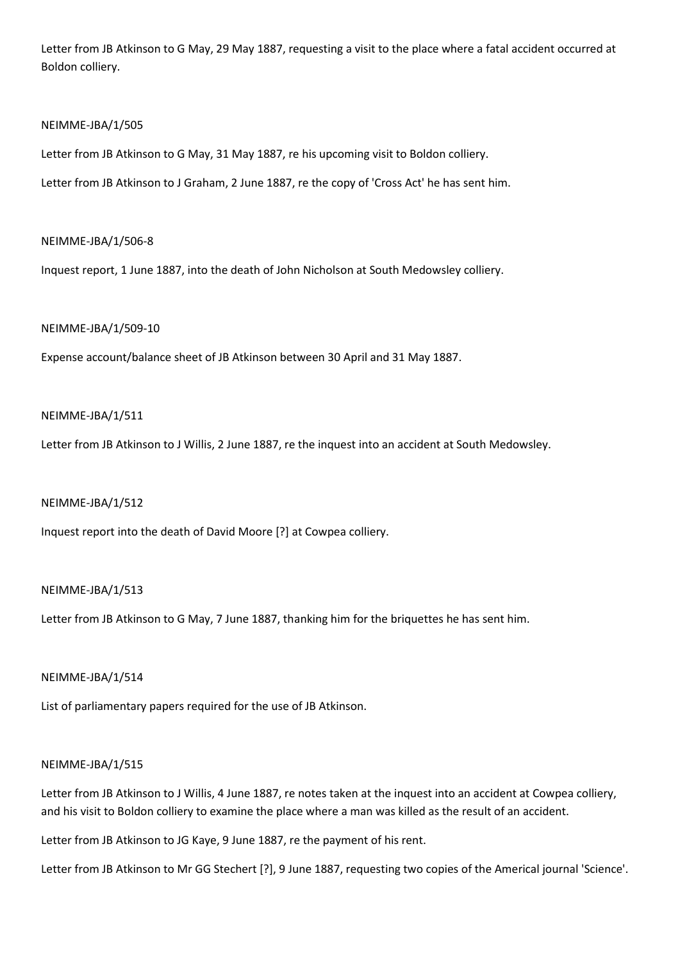Letter from JB Atkinson to G May, 29 May 1887, requesting a visit to the place where a fatal accident occurred at Boldon colliery.

### NEIMME-JBA/1/505

Letter from JB Atkinson to G May, 31 May 1887, re his upcoming visit to Boldon colliery.

Letter from JB Atkinson to J Graham, 2 June 1887, re the copy of 'Cross Act' he has sent him.

## NEIMME-JBA/1/506-8

Inquest report, 1 June 1887, into the death of John Nicholson at South Medowsley colliery.

## NEIMME-JBA/1/509-10

Expense account/balance sheet of JB Atkinson between 30 April and 31 May 1887.

## NEIMME-JBA/1/511

Letter from JB Atkinson to J Willis, 2 June 1887, re the inquest into an accident at South Medowsley.

### NEIMME-JBA/1/512

Inquest report into the death of David Moore [?] at Cowpea colliery.

### NEIMME-JBA/1/513

Letter from JB Atkinson to G May, 7 June 1887, thanking him for the briquettes he has sent him.

### NEIMME-JBA/1/514

List of parliamentary papers required for the use of JB Atkinson.

## NEIMME-JBA/1/515

Letter from JB Atkinson to J Willis, 4 June 1887, re notes taken at the inquest into an accident at Cowpea colliery, and his visit to Boldon colliery to examine the place where a man was killed as the result of an accident.

Letter from JB Atkinson to JG Kaye, 9 June 1887, re the payment of his rent.

Letter from JB Atkinson to Mr GG Stechert [?], 9 June 1887, requesting two copies of the Americal journal 'Science'.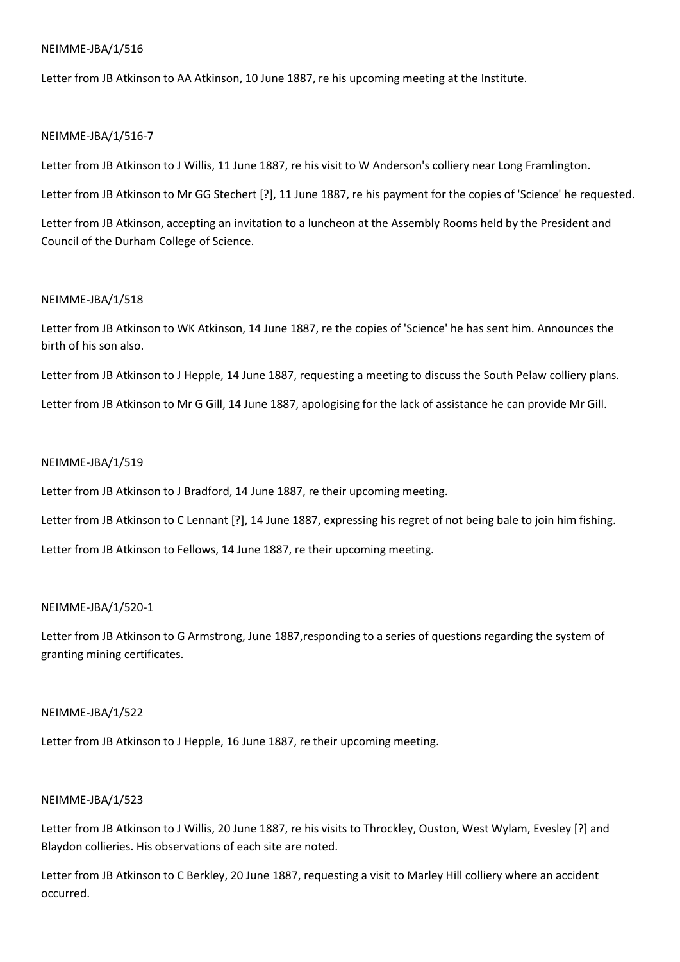Letter from JB Atkinson to AA Atkinson, 10 June 1887, re his upcoming meeting at the Institute.

## NEIMME-JBA/1/516-7

Letter from JB Atkinson to J Willis, 11 June 1887, re his visit to W Anderson's colliery near Long Framlington.

Letter from JB Atkinson to Mr GG Stechert [?], 11 June 1887, re his payment for the copies of 'Science' he requested.

Letter from JB Atkinson, accepting an invitation to a luncheon at the Assembly Rooms held by the President and Council of the Durham College of Science.

## NEIMME-JBA/1/518

Letter from JB Atkinson to WK Atkinson, 14 June 1887, re the copies of 'Science' he has sent him. Announces the birth of his son also.

Letter from JB Atkinson to J Hepple, 14 June 1887, requesting a meeting to discuss the South Pelaw colliery plans.

Letter from JB Atkinson to Mr G Gill, 14 June 1887, apologising for the lack of assistance he can provide Mr Gill.

## NEIMME-JBA/1/519

Letter from JB Atkinson to J Bradford, 14 June 1887, re their upcoming meeting.

Letter from JB Atkinson to C Lennant [?], 14 June 1887, expressing his regret of not being bale to join him fishing.

Letter from JB Atkinson to Fellows, 14 June 1887, re their upcoming meeting.

## NEIMME-JBA/1/520-1

Letter from JB Atkinson to G Armstrong, June 1887,responding to a series of questions regarding the system of granting mining certificates.

## NEIMME-JBA/1/522

Letter from JB Atkinson to J Hepple, 16 June 1887, re their upcoming meeting.

# NEIMME-JBA/1/523

Letter from JB Atkinson to J Willis, 20 June 1887, re his visits to Throckley, Ouston, West Wylam, Evesley [?] and Blaydon collieries. His observations of each site are noted.

Letter from JB Atkinson to C Berkley, 20 June 1887, requesting a visit to Marley Hill colliery where an accident occurred.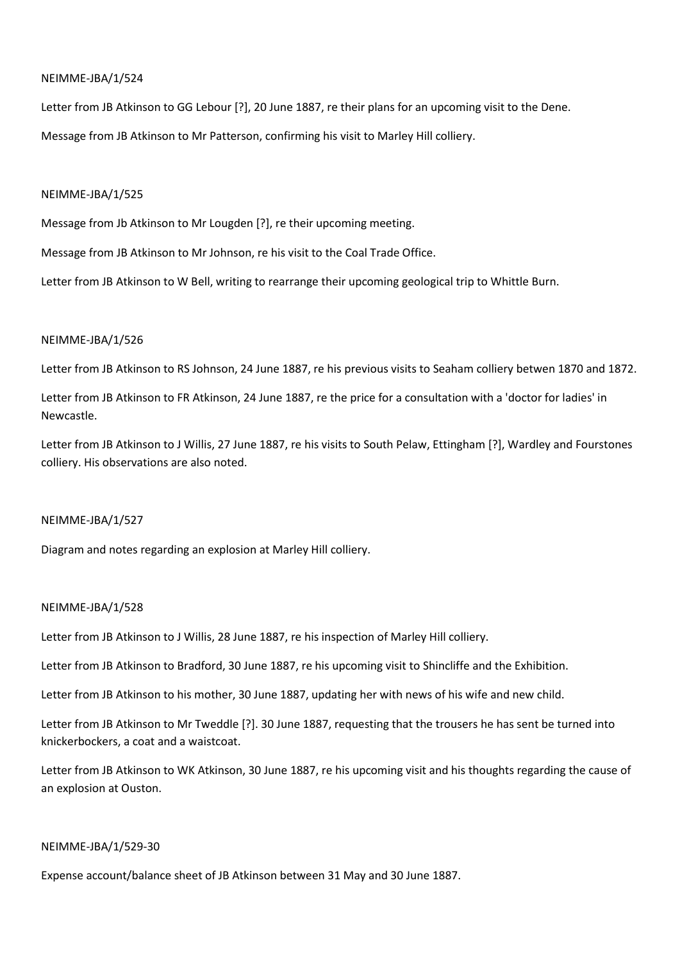Letter from JB Atkinson to GG Lebour [?], 20 June 1887, re their plans for an upcoming visit to the Dene. Message from JB Atkinson to Mr Patterson, confirming his visit to Marley Hill colliery.

### NEIMME-JBA/1/525

Message from Jb Atkinson to Mr Lougden [?], re their upcoming meeting.

Message from JB Atkinson to Mr Johnson, re his visit to the Coal Trade Office.

Letter from JB Atkinson to W Bell, writing to rearrange their upcoming geological trip to Whittle Burn.

## NEIMME-JBA/1/526

Letter from JB Atkinson to RS Johnson, 24 June 1887, re his previous visits to Seaham colliery betwen 1870 and 1872.

Letter from JB Atkinson to FR Atkinson, 24 June 1887, re the price for a consultation with a 'doctor for ladies' in Newcastle.

Letter from JB Atkinson to J Willis, 27 June 1887, re his visits to South Pelaw, Ettingham [?], Wardley and Fourstones colliery. His observations are also noted.

### NEIMME-JBA/1/527

Diagram and notes regarding an explosion at Marley Hill colliery.

## NEIMME-JBA/1/528

Letter from JB Atkinson to J Willis, 28 June 1887, re his inspection of Marley Hill colliery.

Letter from JB Atkinson to Bradford, 30 June 1887, re his upcoming visit to Shincliffe and the Exhibition.

Letter from JB Atkinson to his mother, 30 June 1887, updating her with news of his wife and new child.

Letter from JB Atkinson to Mr Tweddle [?]. 30 June 1887, requesting that the trousers he has sent be turned into knickerbockers, a coat and a waistcoat.

Letter from JB Atkinson to WK Atkinson, 30 June 1887, re his upcoming visit and his thoughts regarding the cause of an explosion at Ouston.

### NEIMME-JBA/1/529-30

Expense account/balance sheet of JB Atkinson between 31 May and 30 June 1887.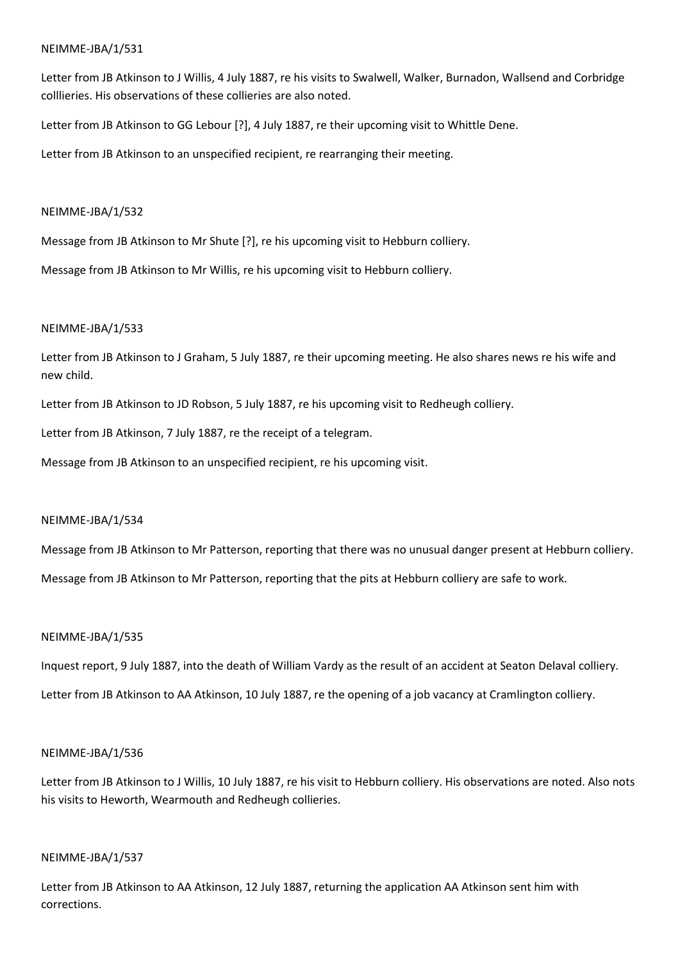Letter from JB Atkinson to J Willis, 4 July 1887, re his visits to Swalwell, Walker, Burnadon, Wallsend and Corbridge colllieries. His observations of these collieries are also noted.

Letter from JB Atkinson to GG Lebour [?], 4 July 1887, re their upcoming visit to Whittle Dene.

Letter from JB Atkinson to an unspecified recipient, re rearranging their meeting.

## NEIMME-JBA/1/532

Message from JB Atkinson to Mr Shute [?], re his upcoming visit to Hebburn colliery.

Message from JB Atkinson to Mr Willis, re his upcoming visit to Hebburn colliery.

## NEIMME-JBA/1/533

Letter from JB Atkinson to J Graham, 5 July 1887, re their upcoming meeting. He also shares news re his wife and new child.

Letter from JB Atkinson to JD Robson, 5 July 1887, re his upcoming visit to Redheugh colliery.

Letter from JB Atkinson, 7 July 1887, re the receipt of a telegram.

Message from JB Atkinson to an unspecified recipient, re his upcoming visit.

## NEIMME-JBA/1/534

Message from JB Atkinson to Mr Patterson, reporting that there was no unusual danger present at Hebburn colliery.

Message from JB Atkinson to Mr Patterson, reporting that the pits at Hebburn colliery are safe to work.

## NEIMME-JBA/1/535

Inquest report, 9 July 1887, into the death of William Vardy as the result of an accident at Seaton Delaval colliery.

Letter from JB Atkinson to AA Atkinson, 10 July 1887, re the opening of a job vacancy at Cramlington colliery.

## NEIMME-JBA/1/536

Letter from JB Atkinson to J Willis, 10 July 1887, re his visit to Hebburn colliery. His observations are noted. Also nots his visits to Heworth, Wearmouth and Redheugh collieries.

## NEIMME-JBA/1/537

Letter from JB Atkinson to AA Atkinson, 12 July 1887, returning the application AA Atkinson sent him with corrections.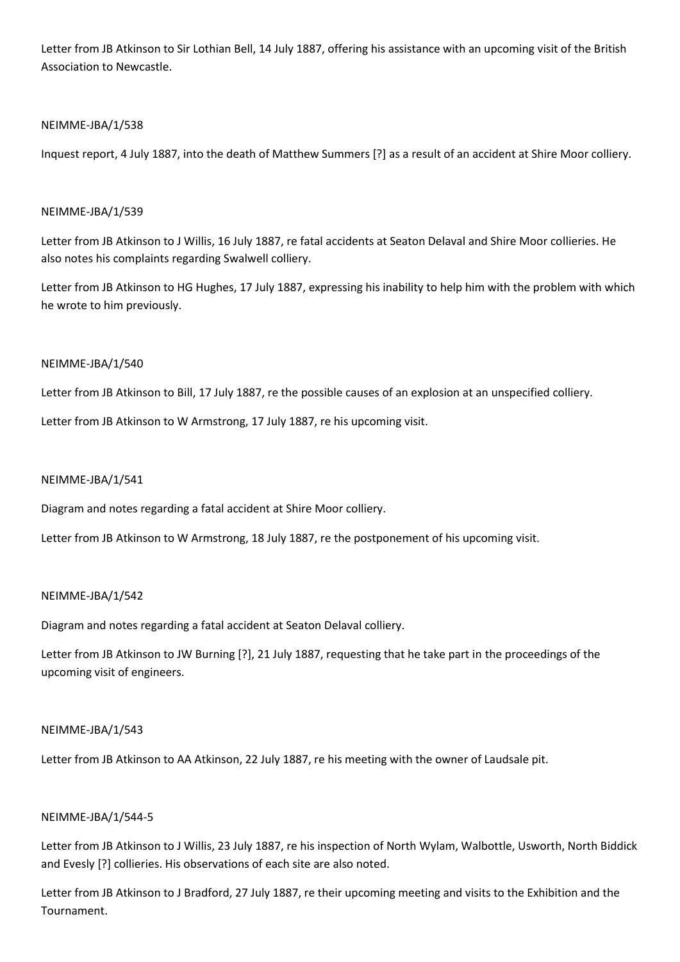Letter from JB Atkinson to Sir Lothian Bell, 14 July 1887, offering his assistance with an upcoming visit of the British Association to Newcastle.

## NEIMME-JBA/1/538

Inquest report, 4 July 1887, into the death of Matthew Summers [?] as a result of an accident at Shire Moor colliery.

## NEIMME-JBA/1/539

Letter from JB Atkinson to J Willis, 16 July 1887, re fatal accidents at Seaton Delaval and Shire Moor collieries. He also notes his complaints regarding Swalwell colliery.

Letter from JB Atkinson to HG Hughes, 17 July 1887, expressing his inability to help him with the problem with which he wrote to him previously.

## NEIMME-JBA/1/540

Letter from JB Atkinson to Bill, 17 July 1887, re the possible causes of an explosion at an unspecified colliery.

Letter from JB Atkinson to W Armstrong, 17 July 1887, re his upcoming visit.

## NEIMME-JBA/1/541

Diagram and notes regarding a fatal accident at Shire Moor colliery.

Letter from JB Atkinson to W Armstrong, 18 July 1887, re the postponement of his upcoming visit.

## NEIMME-JBA/1/542

Diagram and notes regarding a fatal accident at Seaton Delaval colliery.

Letter from JB Atkinson to JW Burning [?], 21 July 1887, requesting that he take part in the proceedings of the upcoming visit of engineers.

## NEIMME-JBA/1/543

Letter from JB Atkinson to AA Atkinson, 22 July 1887, re his meeting with the owner of Laudsale pit.

# NEIMME-JBA/1/544-5

Letter from JB Atkinson to J Willis, 23 July 1887, re his inspection of North Wylam, Walbottle, Usworth, North Biddick and Evesly [?] collieries. His observations of each site are also noted.

Letter from JB Atkinson to J Bradford, 27 July 1887, re their upcoming meeting and visits to the Exhibition and the Tournament.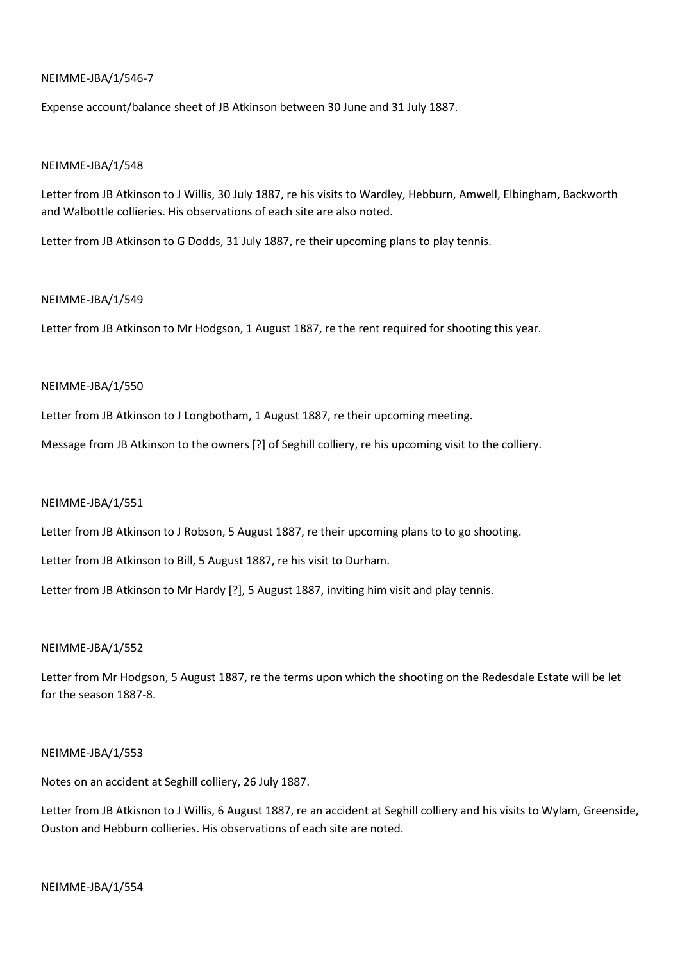## NEIMME-JBA/1/546-7

Expense account/balance sheet of JB Atkinson between 30 June and 31 July 1887.

### NEIMME-JBA/1/548

Letter from JB Atkinson to J Willis, 30 July 1887, re his visits to Wardley, Hebburn, Amwell, Elbingham, Backworth and Walbottle collieries. His observations of each site are also noted.

Letter from JB Atkinson to G Dodds, 31 July 1887, re their upcoming plans to play tennis.

### NEIMME-JBA/1/549

Letter from JB Atkinson to Mr Hodgson, 1 August 1887, re the rent required for shooting this year.

## NEIMME-JBA/1/550

Letter from JB Atkinson to J Longbotham, 1 August 1887, re their upcoming meeting.

Message from JB Atkinson to the owners [?] of Seghill colliery, re his upcoming visit to the colliery.

### NEIMME-JBA/1/551

Letter from JB Atkinson to J Robson, 5 August 1887, re their upcoming plans to to go shooting.

Letter from JB Atkinson to Bill, 5 August 1887, re his visit to Durham.

Letter from JB Atkinson to Mr Hardy [?], 5 August 1887, inviting him visit and play tennis.

### NEIMME-JBA/1/552

Letter from Mr Hodgson, 5 August 1887, re the terms upon which the shooting on the Redesdale Estate will be let for the season 1887-8.

### NEIMME-JBA/1/553

Notes on an accident at Seghill colliery, 26 July 1887.

Letter from JB Atkisnon to J Willis, 6 August 1887, re an accident at Seghill colliery and his visits to Wylam, Greenside, Ouston and Hebburn collieries. His observations of each site are noted.

### NEIMME-JBA/1/554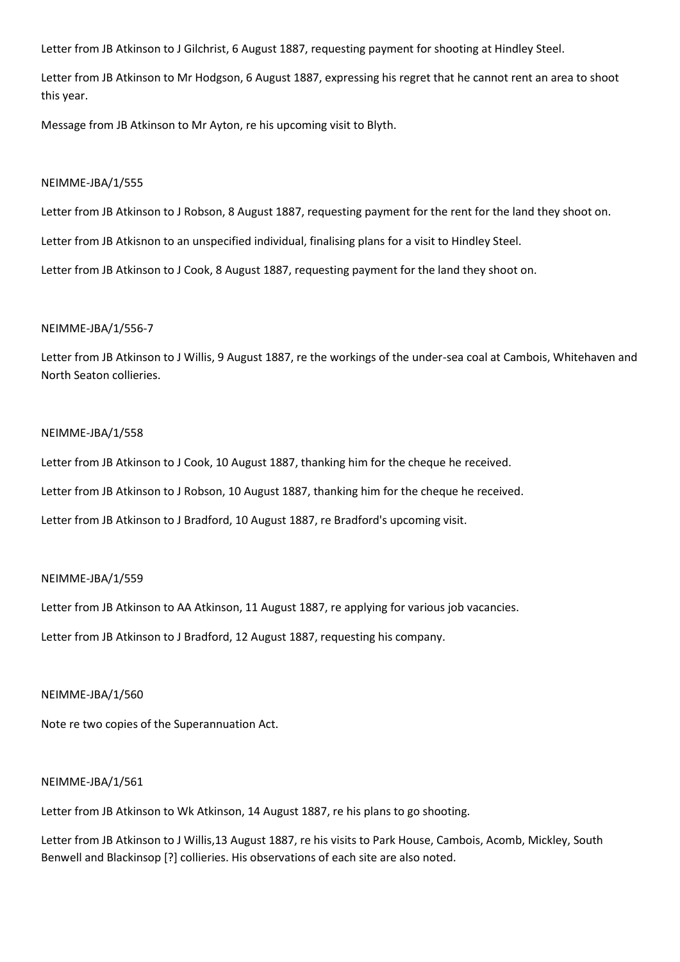Letter from JB Atkinson to J Gilchrist, 6 August 1887, requesting payment for shooting at Hindley Steel.

Letter from JB Atkinson to Mr Hodgson, 6 August 1887, expressing his regret that he cannot rent an area to shoot this year.

Message from JB Atkinson to Mr Ayton, re his upcoming visit to Blyth.

#### NEIMME-JBA/1/555

Letter from JB Atkinson to J Robson, 8 August 1887, requesting payment for the rent for the land they shoot on.

Letter from JB Atkisnon to an unspecified individual, finalising plans for a visit to Hindley Steel.

Letter from JB Atkinson to J Cook, 8 August 1887, requesting payment for the land they shoot on.

### NEIMME-JBA/1/556-7

Letter from JB Atkinson to J Willis, 9 August 1887, re the workings of the under-sea coal at Cambois, Whitehaven and North Seaton collieries.

## NEIMME-JBA/1/558

Letter from JB Atkinson to J Cook, 10 August 1887, thanking him for the cheque he received.

Letter from JB Atkinson to J Robson, 10 August 1887, thanking him for the cheque he received.

Letter from JB Atkinson to J Bradford, 10 August 1887, re Bradford's upcoming visit.

### NEIMME-JBA/1/559

Letter from JB Atkinson to AA Atkinson, 11 August 1887, re applying for various job vacancies.

Letter from JB Atkinson to J Bradford, 12 August 1887, requesting his company.

#### NEIMME-JBA/1/560

Note re two copies of the Superannuation Act.

#### NEIMME-JBA/1/561

Letter from JB Atkinson to Wk Atkinson, 14 August 1887, re his plans to go shooting.

Letter from JB Atkinson to J Willis,13 August 1887, re his visits to Park House, Cambois, Acomb, Mickley, South Benwell and Blackinsop [?] collieries. His observations of each site are also noted.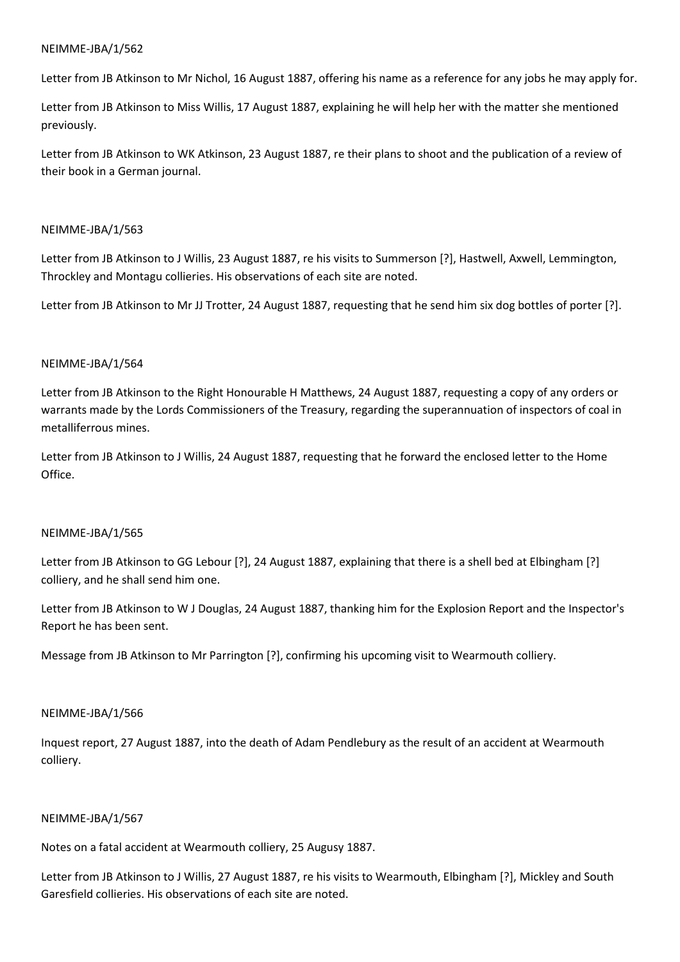Letter from JB Atkinson to Mr Nichol, 16 August 1887, offering his name as a reference for any jobs he may apply for.

Letter from JB Atkinson to Miss Willis, 17 August 1887, explaining he will help her with the matter she mentioned previously.

Letter from JB Atkinson to WK Atkinson, 23 August 1887, re their plans to shoot and the publication of a review of their book in a German journal.

## NEIMME-JBA/1/563

Letter from JB Atkinson to J Willis, 23 August 1887, re his visits to Summerson [?], Hastwell, Axwell, Lemmington, Throckley and Montagu collieries. His observations of each site are noted.

Letter from JB Atkinson to Mr JJ Trotter, 24 August 1887, requesting that he send him six dog bottles of porter [?].

## NEIMME-JBA/1/564

Letter from JB Atkinson to the Right Honourable H Matthews, 24 August 1887, requesting a copy of any orders or warrants made by the Lords Commissioners of the Treasury, regarding the superannuation of inspectors of coal in metalliferrous mines.

Letter from JB Atkinson to J Willis, 24 August 1887, requesting that he forward the enclosed letter to the Home Office.

## NEIMME-JBA/1/565

Letter from JB Atkinson to GG Lebour [?], 24 August 1887, explaining that there is a shell bed at Elbingham [?] colliery, and he shall send him one.

Letter from JB Atkinson to W J Douglas, 24 August 1887, thanking him for the Explosion Report and the Inspector's Report he has been sent.

Message from JB Atkinson to Mr Parrington [?], confirming his upcoming visit to Wearmouth colliery.

### NEIMME-JBA/1/566

Inquest report, 27 August 1887, into the death of Adam Pendlebury as the result of an accident at Wearmouth colliery.

## NEIMME-JBA/1/567

Notes on a fatal accident at Wearmouth colliery, 25 Augusy 1887.

Letter from JB Atkinson to J Willis, 27 August 1887, re his visits to Wearmouth, Elbingham [?], Mickley and South Garesfield collieries. His observations of each site are noted.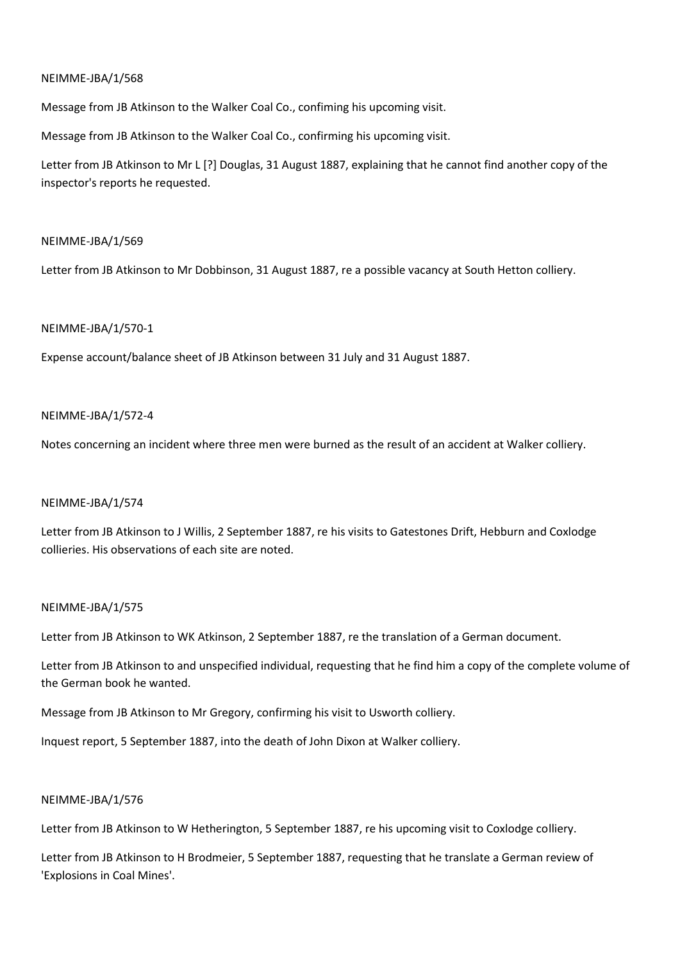Message from JB Atkinson to the Walker Coal Co., confiming his upcoming visit.

Message from JB Atkinson to the Walker Coal Co., confirming his upcoming visit.

Letter from JB Atkinson to Mr L [?] Douglas, 31 August 1887, explaining that he cannot find another copy of the inspector's reports he requested.

## NEIMME-JBA/1/569

Letter from JB Atkinson to Mr Dobbinson, 31 August 1887, re a possible vacancy at South Hetton colliery.

## NEIMME-JBA/1/570-1

Expense account/balance sheet of JB Atkinson between 31 July and 31 August 1887.

## NEIMME-JBA/1/572-4

Notes concerning an incident where three men were burned as the result of an accident at Walker colliery.

## NEIMME-JBA/1/574

Letter from JB Atkinson to J Willis, 2 September 1887, re his visits to Gatestones Drift, Hebburn and Coxlodge collieries. His observations of each site are noted.

### NEIMME-JBA/1/575

Letter from JB Atkinson to WK Atkinson, 2 September 1887, re the translation of a German document.

Letter from JB Atkinson to and unspecified individual, requesting that he find him a copy of the complete volume of the German book he wanted.

Message from JB Atkinson to Mr Gregory, confirming his visit to Usworth colliery.

Inquest report, 5 September 1887, into the death of John Dixon at Walker colliery.

### NEIMME-JBA/1/576

Letter from JB Atkinson to W Hetherington, 5 September 1887, re his upcoming visit to Coxlodge colliery.

Letter from JB Atkinson to H Brodmeier, 5 September 1887, requesting that he translate a German review of 'Explosions in Coal Mines'.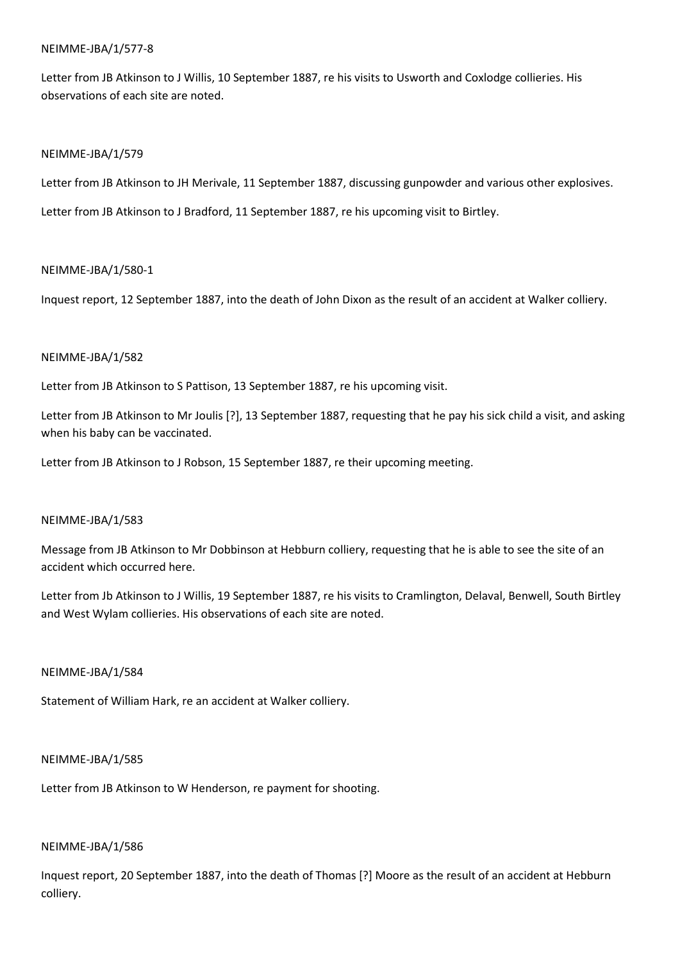## NEIMME-JBA/1/577-8

Letter from JB Atkinson to J Willis, 10 September 1887, re his visits to Usworth and Coxlodge collieries. His observations of each site are noted.

## NEIMME-JBA/1/579

Letter from JB Atkinson to JH Merivale, 11 September 1887, discussing gunpowder and various other explosives.

Letter from JB Atkinson to J Bradford, 11 September 1887, re his upcoming visit to Birtley.

## NEIMME-JBA/1/580-1

Inquest report, 12 September 1887, into the death of John Dixon as the result of an accident at Walker colliery.

## NEIMME-JBA/1/582

Letter from JB Atkinson to S Pattison, 13 September 1887, re his upcoming visit.

Letter from JB Atkinson to Mr Joulis [?], 13 September 1887, requesting that he pay his sick child a visit, and asking when his baby can be vaccinated.

Letter from JB Atkinson to J Robson, 15 September 1887, re their upcoming meeting.

### NEIMME-JBA/1/583

Message from JB Atkinson to Mr Dobbinson at Hebburn colliery, requesting that he is able to see the site of an accident which occurred here.

Letter from Jb Atkinson to J Willis, 19 September 1887, re his visits to Cramlington, Delaval, Benwell, South Birtley and West Wylam collieries. His observations of each site are noted.

## NEIMME-JBA/1/584

Statement of William Hark, re an accident at Walker colliery.

### NEIMME-JBA/1/585

Letter from JB Atkinson to W Henderson, re payment for shooting.

### NEIMME-JBA/1/586

Inquest report, 20 September 1887, into the death of Thomas [?] Moore as the result of an accident at Hebburn colliery.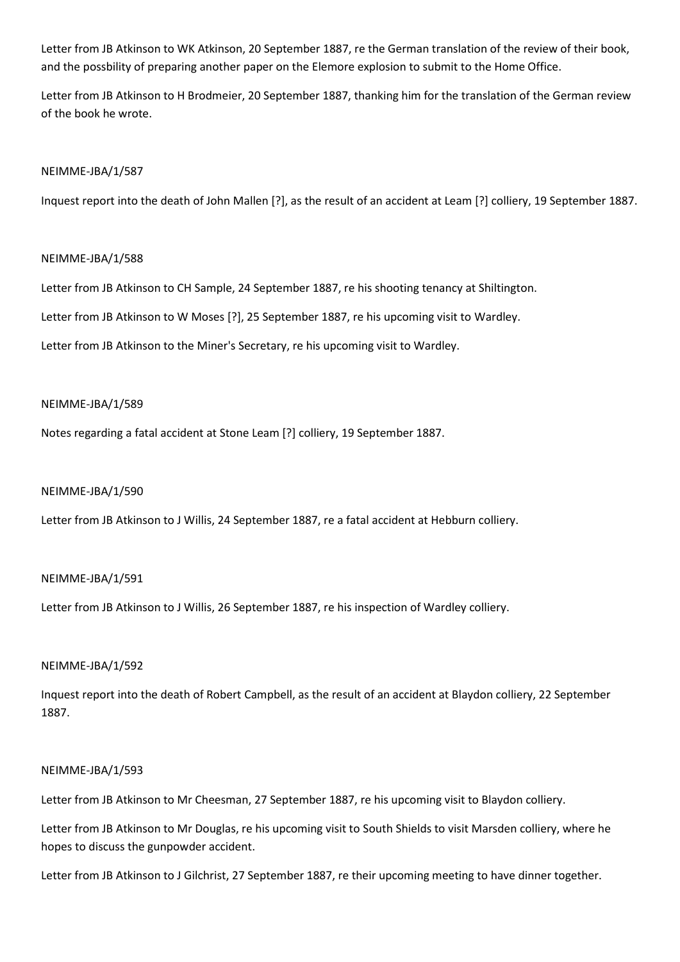Letter from JB Atkinson to WK Atkinson, 20 September 1887, re the German translation of the review of their book, and the possbility of preparing another paper on the Elemore explosion to submit to the Home Office.

Letter from JB Atkinson to H Brodmeier, 20 September 1887, thanking him for the translation of the German review of the book he wrote.

## NEIMME-JBA/1/587

Inquest report into the death of John Mallen [?], as the result of an accident at Leam [?] colliery, 19 September 1887.

## NEIMME-JBA/1/588

Letter from JB Atkinson to CH Sample, 24 September 1887, re his shooting tenancy at Shiltington.

Letter from JB Atkinson to W Moses [?], 25 September 1887, re his upcoming visit to Wardley.

Letter from JB Atkinson to the Miner's Secretary, re his upcoming visit to Wardley.

### NEIMME-JBA/1/589

Notes regarding a fatal accident at Stone Leam [?] colliery, 19 September 1887.

### NEIMME-JBA/1/590

Letter from JB Atkinson to J Willis, 24 September 1887, re a fatal accident at Hebburn colliery.

### NEIMME-JBA/1/591

Letter from JB Atkinson to J Willis, 26 September 1887, re his inspection of Wardley colliery.

### NEIMME-JBA/1/592

Inquest report into the death of Robert Campbell, as the result of an accident at Blaydon colliery, 22 September 1887.

### NEIMME-JBA/1/593

Letter from JB Atkinson to Mr Cheesman, 27 September 1887, re his upcoming visit to Blaydon colliery.

Letter from JB Atkinson to Mr Douglas, re his upcoming visit to South Shields to visit Marsden colliery, where he hopes to discuss the gunpowder accident.

Letter from JB Atkinson to J Gilchrist, 27 September 1887, re their upcoming meeting to have dinner together.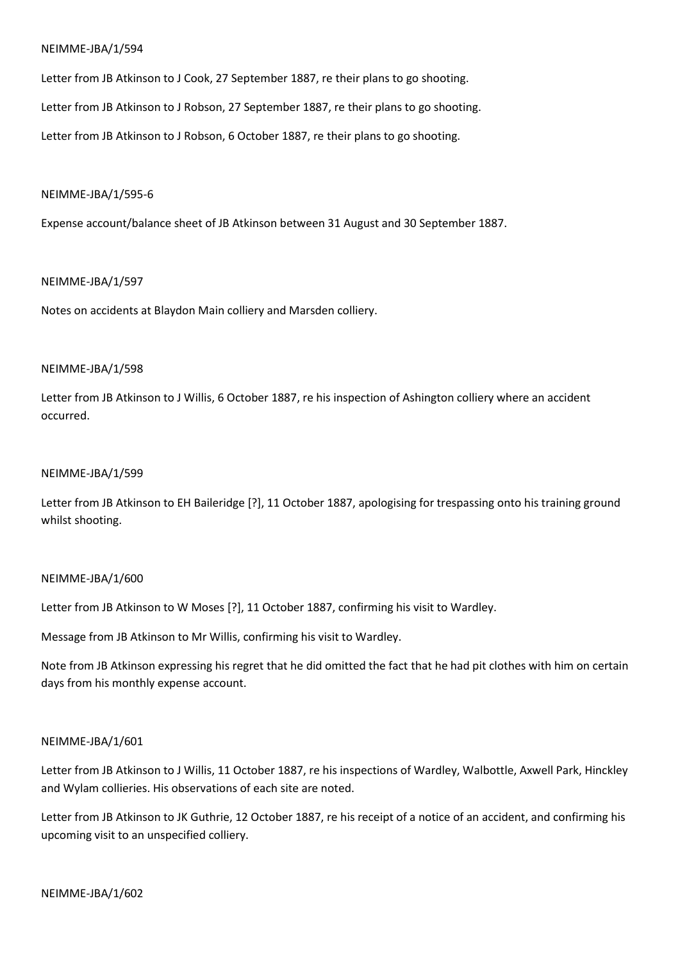Letter from JB Atkinson to J Cook, 27 September 1887, re their plans to go shooting.

Letter from JB Atkinson to J Robson, 27 September 1887, re their plans to go shooting.

Letter from JB Atkinson to J Robson, 6 October 1887, re their plans to go shooting.

### NEIMME-JBA/1/595-6

Expense account/balance sheet of JB Atkinson between 31 August and 30 September 1887.

## NEIMME-JBA/1/597

Notes on accidents at Blaydon Main colliery and Marsden colliery.

## NEIMME-JBA/1/598

Letter from JB Atkinson to J Willis, 6 October 1887, re his inspection of Ashington colliery where an accident occurred.

## NEIMME-JBA/1/599

Letter from JB Atkinson to EH Baileridge [?], 11 October 1887, apologising for trespassing onto his training ground whilst shooting.

## NEIMME-JBA/1/600

Letter from JB Atkinson to W Moses [?], 11 October 1887, confirming his visit to Wardley.

Message from JB Atkinson to Mr Willis, confirming his visit to Wardley.

Note from JB Atkinson expressing his regret that he did omitted the fact that he had pit clothes with him on certain days from his monthly expense account.

## NEIMME-JBA/1/601

Letter from JB Atkinson to J Willis, 11 October 1887, re his inspections of Wardley, Walbottle, Axwell Park, Hinckley and Wylam collieries. His observations of each site are noted.

Letter from JB Atkinson to JK Guthrie, 12 October 1887, re his receipt of a notice of an accident, and confirming his upcoming visit to an unspecified colliery.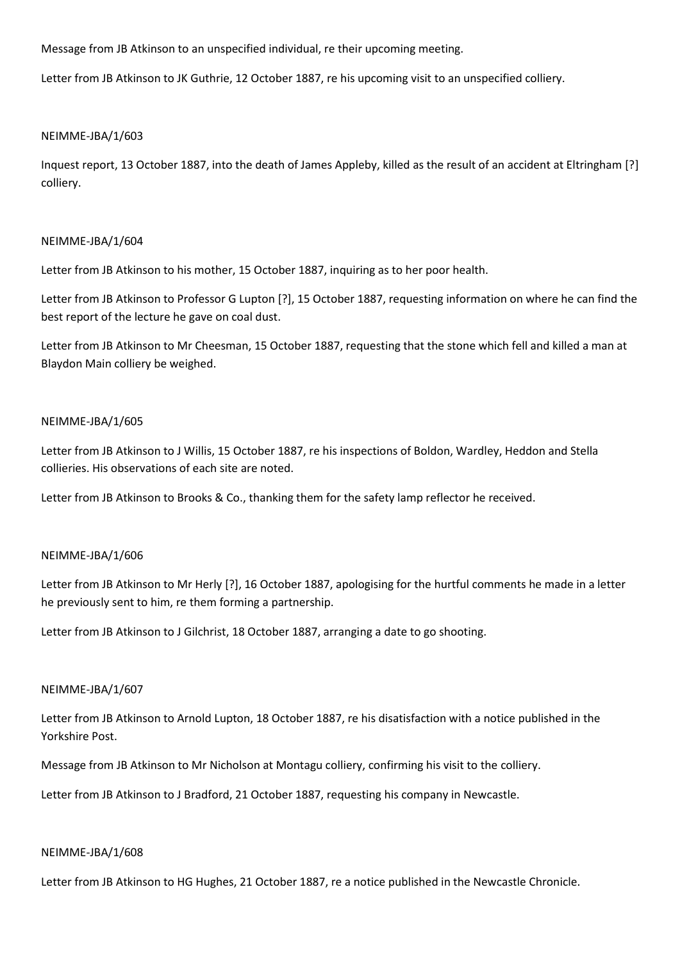Message from JB Atkinson to an unspecified individual, re their upcoming meeting.

Letter from JB Atkinson to JK Guthrie, 12 October 1887, re his upcoming visit to an unspecified colliery.

## NEIMME-JBA/1/603

Inquest report, 13 October 1887, into the death of James Appleby, killed as the result of an accident at Eltringham [?] colliery.

## NEIMME-JBA/1/604

Letter from JB Atkinson to his mother, 15 October 1887, inquiring as to her poor health.

Letter from JB Atkinson to Professor G Lupton [?], 15 October 1887, requesting information on where he can find the best report of the lecture he gave on coal dust.

Letter from JB Atkinson to Mr Cheesman, 15 October 1887, requesting that the stone which fell and killed a man at Blaydon Main colliery be weighed.

## NEIMME-JBA/1/605

Letter from JB Atkinson to J Willis, 15 October 1887, re his inspections of Boldon, Wardley, Heddon and Stella collieries. His observations of each site are noted.

Letter from JB Atkinson to Brooks & Co., thanking them for the safety lamp reflector he received.

## NEIMME-JBA/1/606

Letter from JB Atkinson to Mr Herly [?], 16 October 1887, apologising for the hurtful comments he made in a letter he previously sent to him, re them forming a partnership.

Letter from JB Atkinson to J Gilchrist, 18 October 1887, arranging a date to go shooting.

## NEIMME-JBA/1/607

Letter from JB Atkinson to Arnold Lupton, 18 October 1887, re his disatisfaction with a notice published in the Yorkshire Post.

Message from JB Atkinson to Mr Nicholson at Montagu colliery, confirming his visit to the colliery.

Letter from JB Atkinson to J Bradford, 21 October 1887, requesting his company in Newcastle.

## NEIMME-JBA/1/608

Letter from JB Atkinson to HG Hughes, 21 October 1887, re a notice published in the Newcastle Chronicle.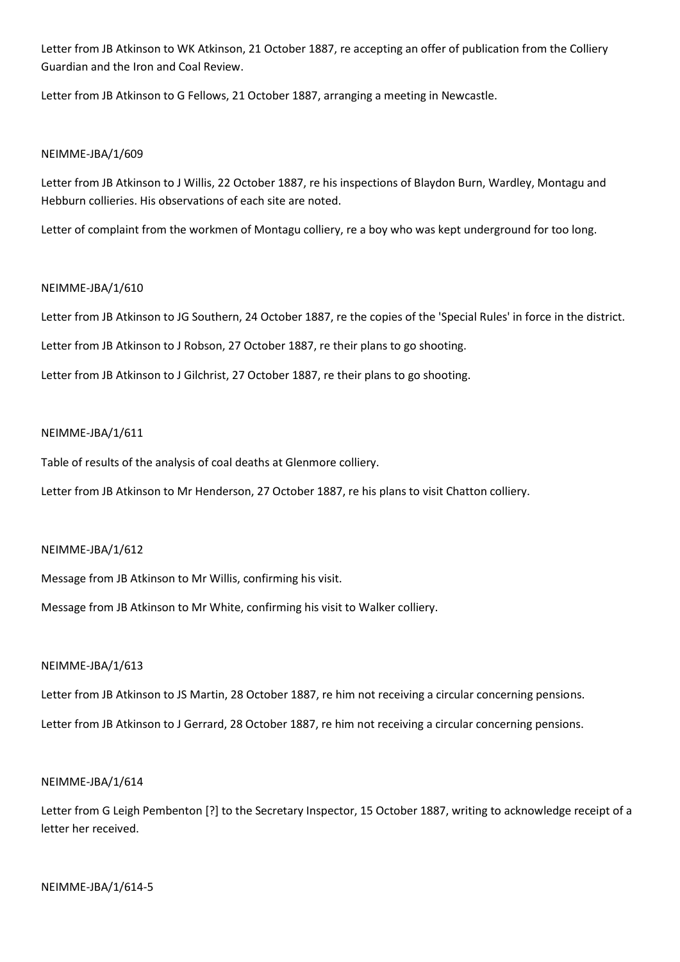Letter from JB Atkinson to WK Atkinson, 21 October 1887, re accepting an offer of publication from the Colliery Guardian and the Iron and Coal Review.

Letter from JB Atkinson to G Fellows, 21 October 1887, arranging a meeting in Newcastle.

## NEIMME-JBA/1/609

Letter from JB Atkinson to J Willis, 22 October 1887, re his inspections of Blaydon Burn, Wardley, Montagu and Hebburn collieries. His observations of each site are noted.

Letter of complaint from the workmen of Montagu colliery, re a boy who was kept underground for too long.

## NEIMME-JBA/1/610

Letter from JB Atkinson to JG Southern, 24 October 1887, re the copies of the 'Special Rules' in force in the district.

Letter from JB Atkinson to J Robson, 27 October 1887, re their plans to go shooting.

Letter from JB Atkinson to J Gilchrist, 27 October 1887, re their plans to go shooting.

## NEIMME-JBA/1/611

Table of results of the analysis of coal deaths at Glenmore colliery.

Letter from JB Atkinson to Mr Henderson, 27 October 1887, re his plans to visit Chatton colliery.

## NEIMME-JBA/1/612

Message from JB Atkinson to Mr Willis, confirming his visit.

Message from JB Atkinson to Mr White, confirming his visit to Walker colliery.

## NEIMME-JBA/1/613

Letter from JB Atkinson to JS Martin, 28 October 1887, re him not receiving a circular concerning pensions. Letter from JB Atkinson to J Gerrard, 28 October 1887, re him not receiving a circular concerning pensions.

## NEIMME-JBA/1/614

Letter from G Leigh Pembenton [?] to the Secretary Inspector, 15 October 1887, writing to acknowledge receipt of a letter her received.

### NEIMME-JBA/1/614-5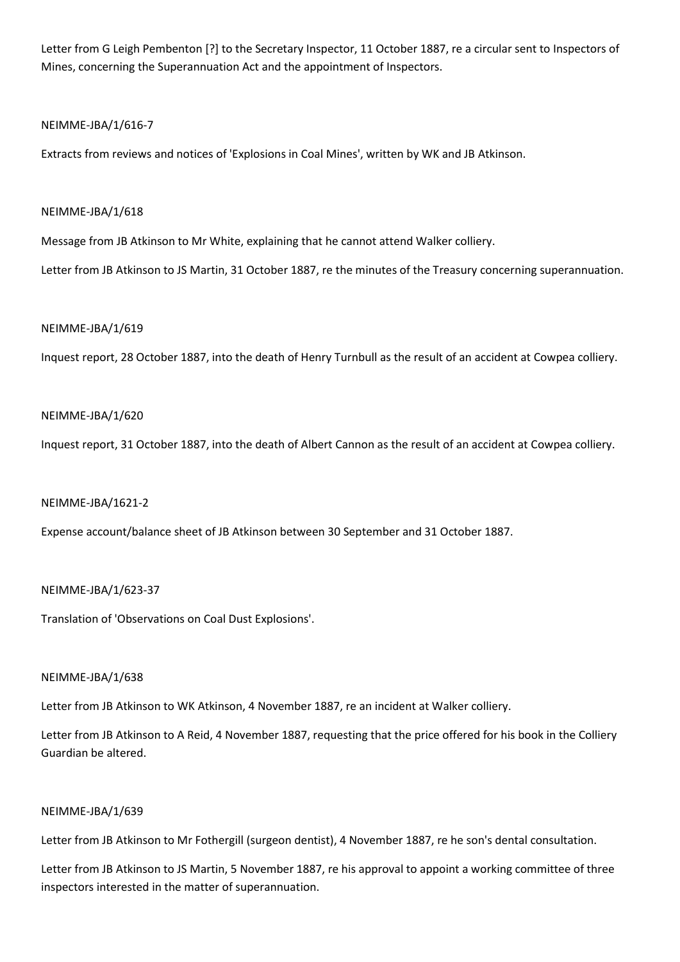Letter from G Leigh Pembenton [?] to the Secretary Inspector, 11 October 1887, re a circular sent to Inspectors of Mines, concerning the Superannuation Act and the appointment of Inspectors.

## NEIMME-JBA/1/616-7

Extracts from reviews and notices of 'Explosions in Coal Mines', written by WK and JB Atkinson.

## NEIMME-JBA/1/618

Message from JB Atkinson to Mr White, explaining that he cannot attend Walker colliery.

Letter from JB Atkinson to JS Martin, 31 October 1887, re the minutes of the Treasury concerning superannuation.

## NEIMME-JBA/1/619

Inquest report, 28 October 1887, into the death of Henry Turnbull as the result of an accident at Cowpea colliery.

## NEIMME-JBA/1/620

Inquest report, 31 October 1887, into the death of Albert Cannon as the result of an accident at Cowpea colliery.

### NEIMME-JBA/1621-2

Expense account/balance sheet of JB Atkinson between 30 September and 31 October 1887.

## NEIMME-JBA/1/623-37

Translation of 'Observations on Coal Dust Explosions'.

### NEIMME-JBA/1/638

Letter from JB Atkinson to WK Atkinson, 4 November 1887, re an incident at Walker colliery.

Letter from JB Atkinson to A Reid, 4 November 1887, requesting that the price offered for his book in the Colliery Guardian be altered.

### NEIMME-JBA/1/639

Letter from JB Atkinson to Mr Fothergill (surgeon dentist), 4 November 1887, re he son's dental consultation.

Letter from JB Atkinson to JS Martin, 5 November 1887, re his approval to appoint a working committee of three inspectors interested in the matter of superannuation.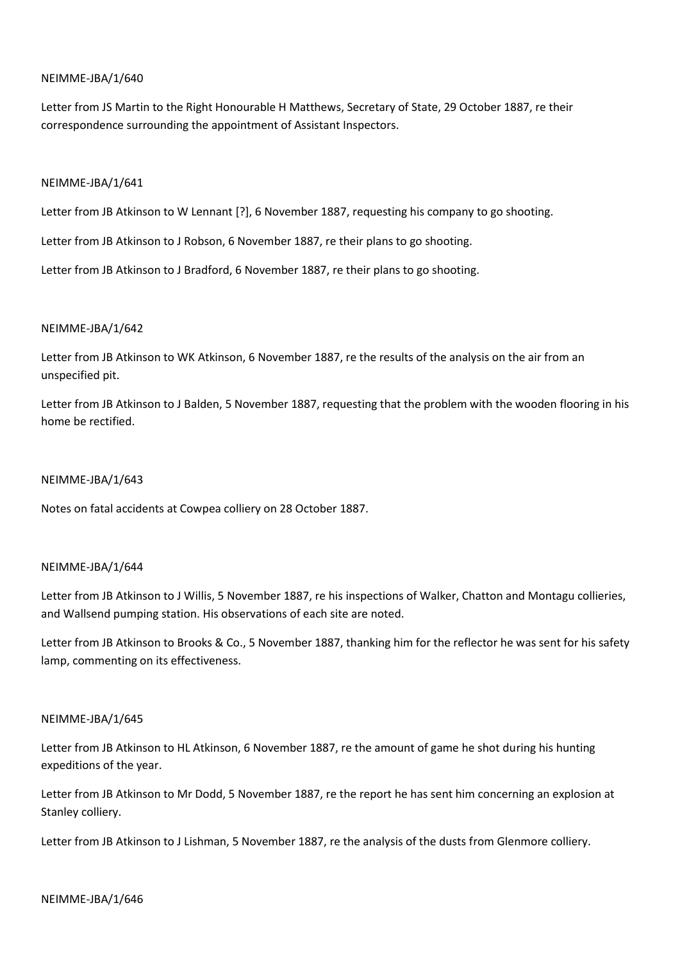Letter from JS Martin to the Right Honourable H Matthews, Secretary of State, 29 October 1887, re their correspondence surrounding the appointment of Assistant Inspectors.

### NEIMME-JBA/1/641

Letter from JB Atkinson to W Lennant [?], 6 November 1887, requesting his company to go shooting.

Letter from JB Atkinson to J Robson, 6 November 1887, re their plans to go shooting.

Letter from JB Atkinson to J Bradford, 6 November 1887, re their plans to go shooting.

## NEIMME-JBA/1/642

Letter from JB Atkinson to WK Atkinson, 6 November 1887, re the results of the analysis on the air from an unspecified pit.

Letter from JB Atkinson to J Balden, 5 November 1887, requesting that the problem with the wooden flooring in his home be rectified.

### NEIMME-JBA/1/643

Notes on fatal accidents at Cowpea colliery on 28 October 1887.

### NEIMME-JBA/1/644

Letter from JB Atkinson to J Willis, 5 November 1887, re his inspections of Walker, Chatton and Montagu collieries, and Wallsend pumping station. His observations of each site are noted.

Letter from JB Atkinson to Brooks & Co., 5 November 1887, thanking him for the reflector he was sent for his safety lamp, commenting on its effectiveness.

### NEIMME-JBA/1/645

Letter from JB Atkinson to HL Atkinson, 6 November 1887, re the amount of game he shot during his hunting expeditions of the year.

Letter from JB Atkinson to Mr Dodd, 5 November 1887, re the report he has sent him concerning an explosion at Stanley colliery.

Letter from JB Atkinson to J Lishman, 5 November 1887, re the analysis of the dusts from Glenmore colliery.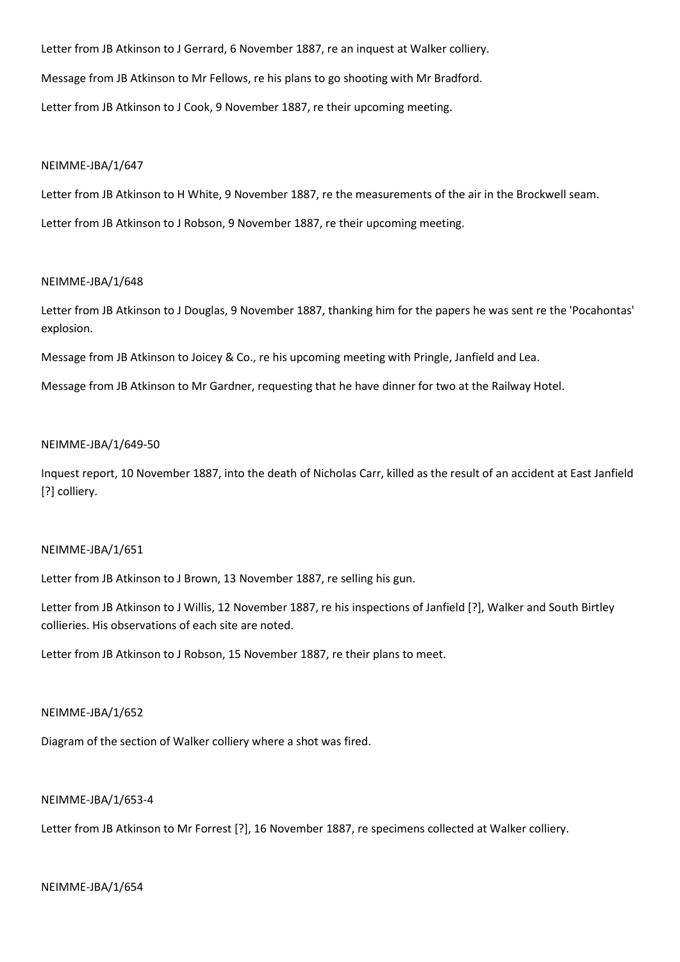Letter from JB Atkinson to J Gerrard, 6 November 1887, re an inquest at Walker colliery. Message from JB Atkinson to Mr Fellows, re his plans to go shooting with Mr Bradford. Letter from JB Atkinson to J Cook, 9 November 1887, re their upcoming meeting.

### NEIMME-JBA/1/647

Letter from JB Atkinson to H White, 9 November 1887, re the measurements of the air in the Brockwell seam.

Letter from JB Atkinson to J Robson, 9 November 1887, re their upcoming meeting.

### NEIMME-JBA/1/648

Letter from JB Atkinson to J Douglas, 9 November 1887, thanking him for the papers he was sent re the 'Pocahontas' explosion.

Message from JB Atkinson to Joicey & Co., re his upcoming meeting with Pringle, Janfield and Lea.

Message from JB Atkinson to Mr Gardner, requesting that he have dinner for two at the Railway Hotel.

### NEIMME-JBA/1/649-50

Inquest report, 10 November 1887, into the death of Nicholas Carr, killed as the result of an accident at East Janfield [?] colliery.

## NEIMME-JBA/1/651

Letter from JB Atkinson to J Brown, 13 November 1887, re selling his gun.

Letter from JB Atkinson to J Willis, 12 November 1887, re his inspections of Janfield [?], Walker and South Birtley collieries. His observations of each site are noted.

Letter from JB Atkinson to J Robson, 15 November 1887, re their plans to meet.

### NEIMME-JBA/1/652

Diagram of the section of Walker colliery where a shot was fired.

### NEIMME-JBA/1/653-4

Letter from JB Atkinson to Mr Forrest [?], 16 November 1887, re specimens collected at Walker colliery.

### NEIMME-JBA/1/654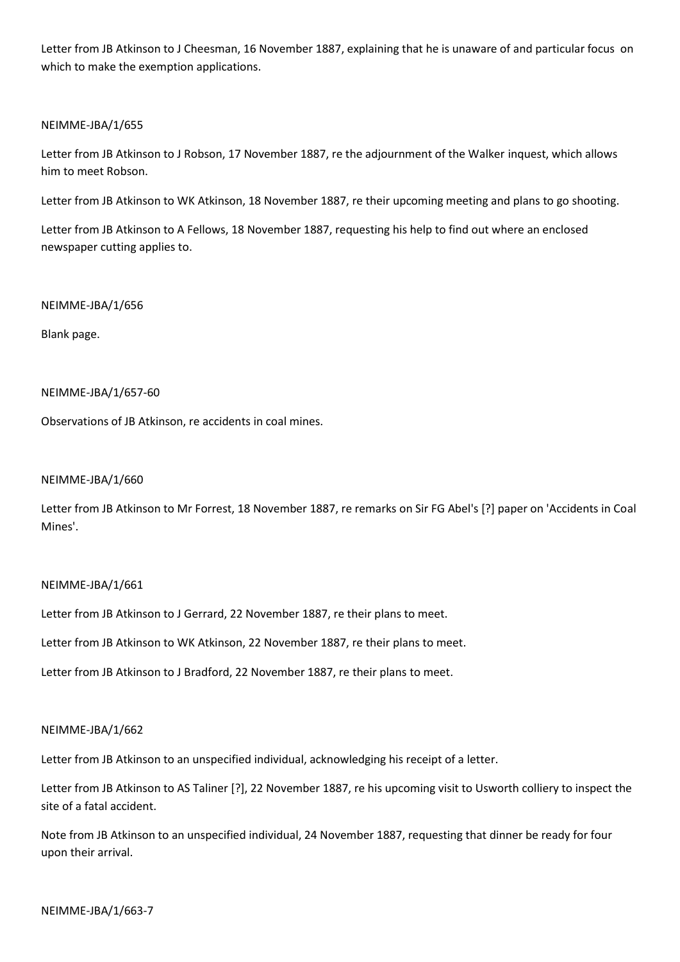Letter from JB Atkinson to J Cheesman, 16 November 1887, explaining that he is unaware of and particular focus on which to make the exemption applications.

## NEIMME-JBA/1/655

Letter from JB Atkinson to J Robson, 17 November 1887, re the adjournment of the Walker inquest, which allows him to meet Robson.

Letter from JB Atkinson to WK Atkinson, 18 November 1887, re their upcoming meeting and plans to go shooting.

Letter from JB Atkinson to A Fellows, 18 November 1887, requesting his help to find out where an enclosed newspaper cutting applies to.

## NEIMME-JBA/1/656

Blank page.

## NEIMME-JBA/1/657-60

Observations of JB Atkinson, re accidents in coal mines.

### NEIMME-JBA/1/660

Letter from JB Atkinson to Mr Forrest, 18 November 1887, re remarks on Sir FG Abel's [?] paper on 'Accidents in Coal Mines'.

## NEIMME-JBA/1/661

Letter from JB Atkinson to J Gerrard, 22 November 1887, re their plans to meet.

Letter from JB Atkinson to WK Atkinson, 22 November 1887, re their plans to meet.

Letter from JB Atkinson to J Bradford, 22 November 1887, re their plans to meet.

### NEIMME-JBA/1/662

Letter from JB Atkinson to an unspecified individual, acknowledging his receipt of a letter.

Letter from JB Atkinson to AS Taliner [?], 22 November 1887, re his upcoming visit to Usworth colliery to inspect the site of a fatal accident.

Note from JB Atkinson to an unspecified individual, 24 November 1887, requesting that dinner be ready for four upon their arrival.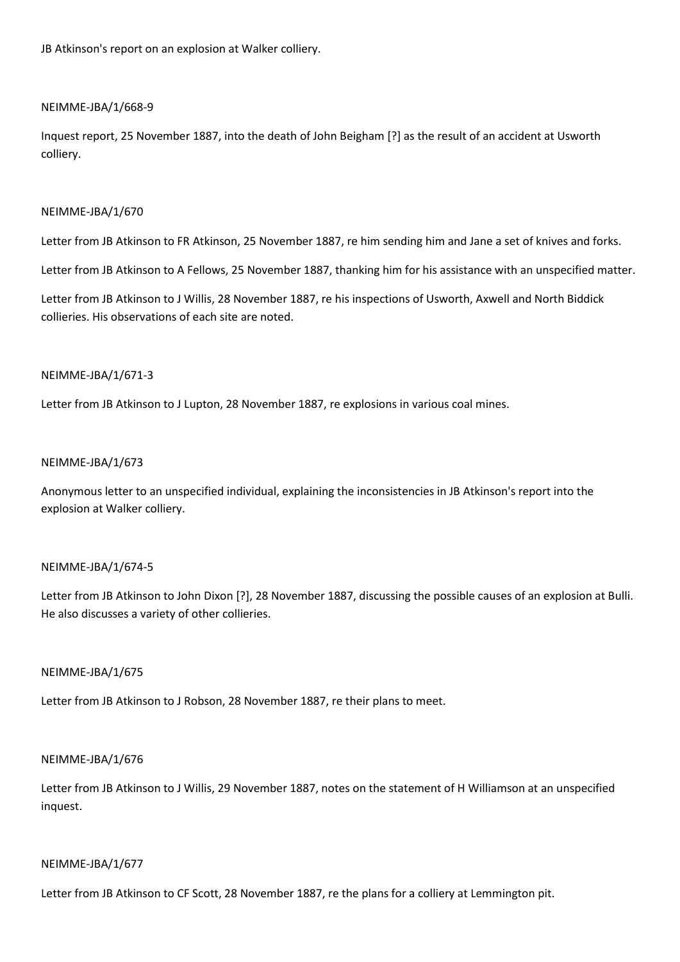JB Atkinson's report on an explosion at Walker colliery.

## NEIMME-JBA/1/668-9

Inquest report, 25 November 1887, into the death of John Beigham [?] as the result of an accident at Usworth colliery.

## NEIMME-JBA/1/670

Letter from JB Atkinson to FR Atkinson, 25 November 1887, re him sending him and Jane a set of knives and forks.

Letter from JB Atkinson to A Fellows, 25 November 1887, thanking him for his assistance with an unspecified matter.

Letter from JB Atkinson to J Willis, 28 November 1887, re his inspections of Usworth, Axwell and North Biddick collieries. His observations of each site are noted.

## NEIMME-JBA/1/671-3

Letter from JB Atkinson to J Lupton, 28 November 1887, re explosions in various coal mines.

## NEIMME-JBA/1/673

Anonymous letter to an unspecified individual, explaining the inconsistencies in JB Atkinson's report into the explosion at Walker colliery.

## NEIMME-JBA/1/674-5

Letter from JB Atkinson to John Dixon [?], 28 November 1887, discussing the possible causes of an explosion at Bulli. He also discusses a variety of other collieries.

### NEIMME-JBA/1/675

Letter from JB Atkinson to J Robson, 28 November 1887, re their plans to meet.

### NEIMME-JBA/1/676

Letter from JB Atkinson to J Willis, 29 November 1887, notes on the statement of H Williamson at an unspecified inquest.

### NEIMME-JBA/1/677

Letter from JB Atkinson to CF Scott, 28 November 1887, re the plans for a colliery at Lemmington pit.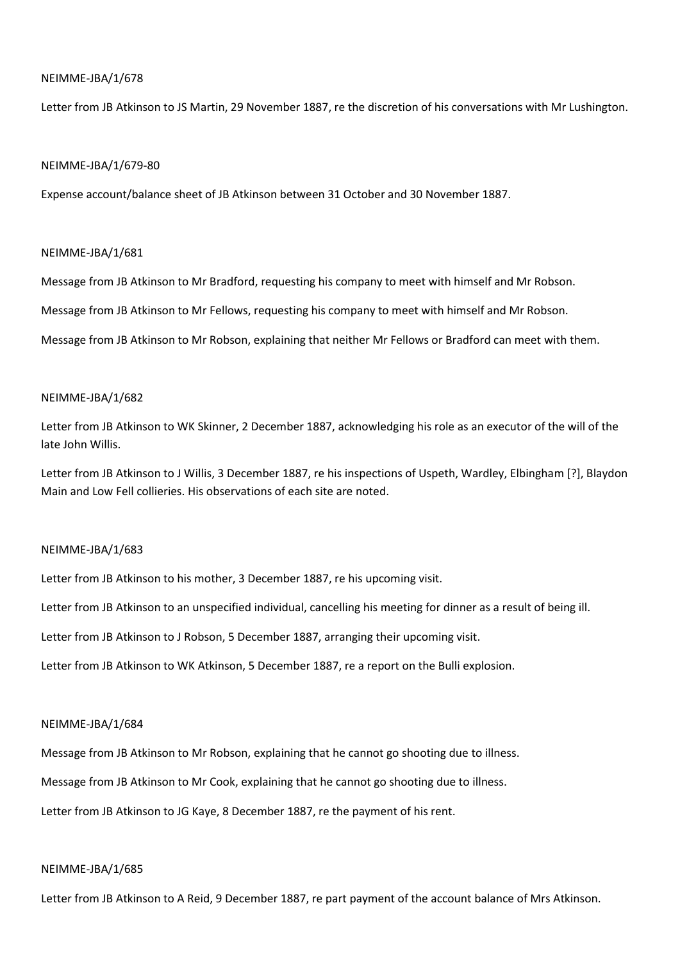Letter from JB Atkinson to JS Martin, 29 November 1887, re the discretion of his conversations with Mr Lushington.

#### NEIMME-JBA/1/679-80

Expense account/balance sheet of JB Atkinson between 31 October and 30 November 1887.

### NEIMME-JBA/1/681

Message from JB Atkinson to Mr Bradford, requesting his company to meet with himself and Mr Robson.

Message from JB Atkinson to Mr Fellows, requesting his company to meet with himself and Mr Robson.

Message from JB Atkinson to Mr Robson, explaining that neither Mr Fellows or Bradford can meet with them.

### NEIMME-JBA/1/682

Letter from JB Atkinson to WK Skinner, 2 December 1887, acknowledging his role as an executor of the will of the late John Willis.

Letter from JB Atkinson to J Willis, 3 December 1887, re his inspections of Uspeth, Wardley, Elbingham [?], Blaydon Main and Low Fell collieries. His observations of each site are noted.

### NEIMME-JBA/1/683

Letter from JB Atkinson to his mother, 3 December 1887, re his upcoming visit.

Letter from JB Atkinson to an unspecified individual, cancelling his meeting for dinner as a result of being ill.

Letter from JB Atkinson to J Robson, 5 December 1887, arranging their upcoming visit.

Letter from JB Atkinson to WK Atkinson, 5 December 1887, re a report on the Bulli explosion.

### NEIMME-JBA/1/684

Message from JB Atkinson to Mr Robson, explaining that he cannot go shooting due to illness.

Message from JB Atkinson to Mr Cook, explaining that he cannot go shooting due to illness.

Letter from JB Atkinson to JG Kaye, 8 December 1887, re the payment of his rent.

### NEIMME-JBA/1/685

Letter from JB Atkinson to A Reid, 9 December 1887, re part payment of the account balance of Mrs Atkinson.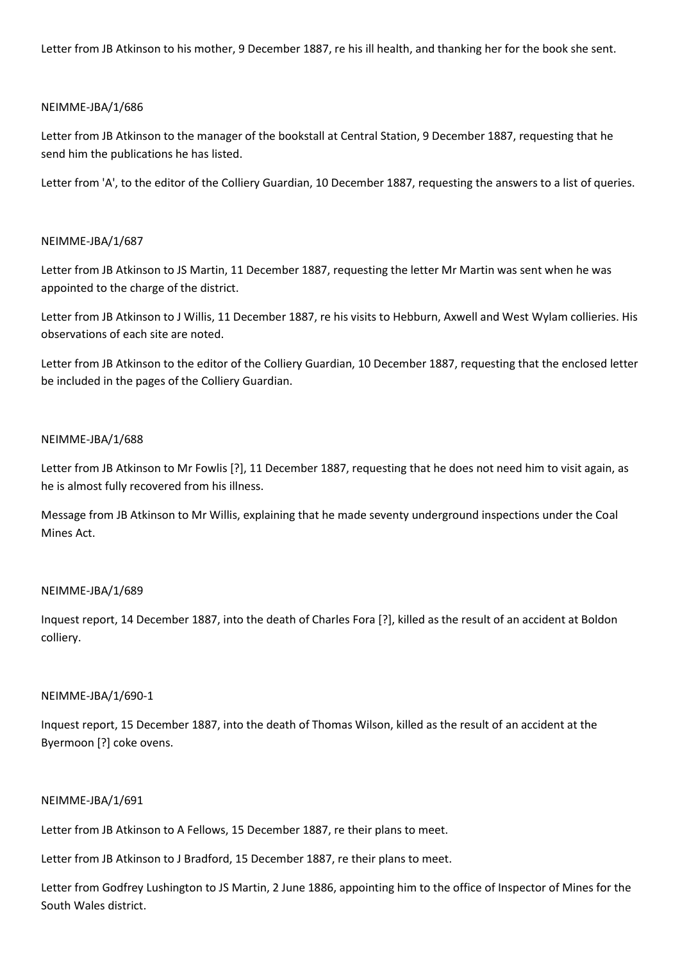Letter from JB Atkinson to his mother, 9 December 1887, re his ill health, and thanking her for the book she sent.

## NEIMME-JBA/1/686

Letter from JB Atkinson to the manager of the bookstall at Central Station, 9 December 1887, requesting that he send him the publications he has listed.

Letter from 'A', to the editor of the Colliery Guardian, 10 December 1887, requesting the answers to a list of queries.

## NEIMME-JBA/1/687

Letter from JB Atkinson to JS Martin, 11 December 1887, requesting the letter Mr Martin was sent when he was appointed to the charge of the district.

Letter from JB Atkinson to J Willis, 11 December 1887, re his visits to Hebburn, Axwell and West Wylam collieries. His observations of each site are noted.

Letter from JB Atkinson to the editor of the Colliery Guardian, 10 December 1887, requesting that the enclosed letter be included in the pages of the Colliery Guardian.

## NEIMME-JBA/1/688

Letter from JB Atkinson to Mr Fowlis [?], 11 December 1887, requesting that he does not need him to visit again, as he is almost fully recovered from his illness.

Message from JB Atkinson to Mr Willis, explaining that he made seventy underground inspections under the Coal Mines Act.

## NEIMME-JBA/1/689

Inquest report, 14 December 1887, into the death of Charles Fora [?], killed as the result of an accident at Boldon colliery.

### NEIMME-JBA/1/690-1

Inquest report, 15 December 1887, into the death of Thomas Wilson, killed as the result of an accident at the Byermoon [?] coke ovens.

### NEIMME-JBA/1/691

Letter from JB Atkinson to A Fellows, 15 December 1887, re their plans to meet.

Letter from JB Atkinson to J Bradford, 15 December 1887, re their plans to meet.

Letter from Godfrey Lushington to JS Martin, 2 June 1886, appointing him to the office of Inspector of Mines for the South Wales district.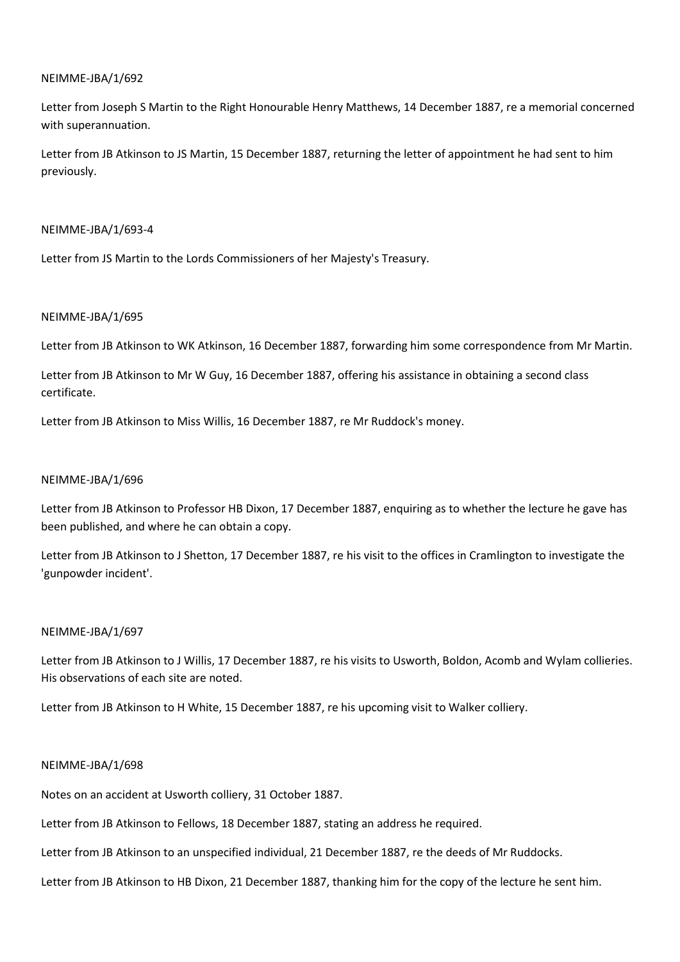Letter from Joseph S Martin to the Right Honourable Henry Matthews, 14 December 1887, re a memorial concerned with superannuation.

Letter from JB Atkinson to JS Martin, 15 December 1887, returning the letter of appointment he had sent to him previously.

## NEIMME-JBA/1/693-4

Letter from JS Martin to the Lords Commissioners of her Majesty's Treasury.

## NEIMME-JBA/1/695

Letter from JB Atkinson to WK Atkinson, 16 December 1887, forwarding him some correspondence from Mr Martin.

Letter from JB Atkinson to Mr W Guy, 16 December 1887, offering his assistance in obtaining a second class certificate.

Letter from JB Atkinson to Miss Willis, 16 December 1887, re Mr Ruddock's money.

## NEIMME-JBA/1/696

Letter from JB Atkinson to Professor HB Dixon, 17 December 1887, enquiring as to whether the lecture he gave has been published, and where he can obtain a copy.

Letter from JB Atkinson to J Shetton, 17 December 1887, re his visit to the offices in Cramlington to investigate the 'gunpowder incident'.

## NEIMME-JBA/1/697

Letter from JB Atkinson to J Willis, 17 December 1887, re his visits to Usworth, Boldon, Acomb and Wylam collieries. His observations of each site are noted.

Letter from JB Atkinson to H White, 15 December 1887, re his upcoming visit to Walker colliery.

### NEIMME-JBA/1/698

Notes on an accident at Usworth colliery, 31 October 1887.

Letter from JB Atkinson to Fellows, 18 December 1887, stating an address he required.

Letter from JB Atkinson to an unspecified individual, 21 December 1887, re the deeds of Mr Ruddocks.

Letter from JB Atkinson to HB Dixon, 21 December 1887, thanking him for the copy of the lecture he sent him.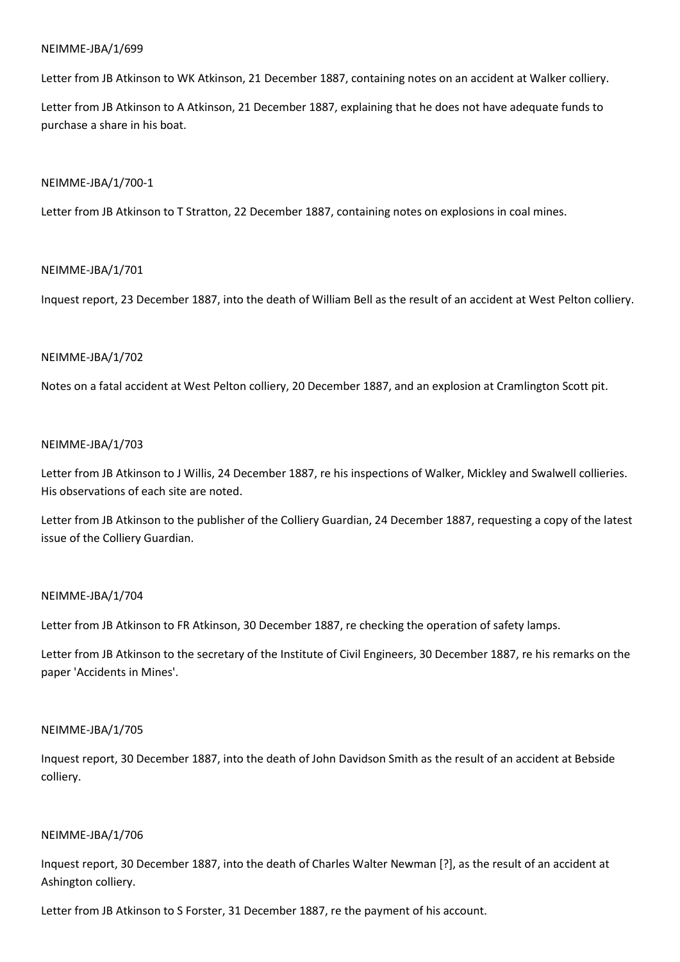Letter from JB Atkinson to WK Atkinson, 21 December 1887, containing notes on an accident at Walker colliery.

Letter from JB Atkinson to A Atkinson, 21 December 1887, explaining that he does not have adequate funds to purchase a share in his boat.

### NEIMME-JBA/1/700-1

Letter from JB Atkinson to T Stratton, 22 December 1887, containing notes on explosions in coal mines.

## NEIMME-JBA/1/701

Inquest report, 23 December 1887, into the death of William Bell as the result of an accident at West Pelton colliery.

## NEIMME-JBA/1/702

Notes on a fatal accident at West Pelton colliery, 20 December 1887, and an explosion at Cramlington Scott pit.

### NEIMME-JBA/1/703

Letter from JB Atkinson to J Willis, 24 December 1887, re his inspections of Walker, Mickley and Swalwell collieries. His observations of each site are noted.

Letter from JB Atkinson to the publisher of the Colliery Guardian, 24 December 1887, requesting a copy of the latest issue of the Colliery Guardian.

## NEIMME-JBA/1/704

Letter from JB Atkinson to FR Atkinson, 30 December 1887, re checking the operation of safety lamps.

Letter from JB Atkinson to the secretary of the Institute of Civil Engineers, 30 December 1887, re his remarks on the paper 'Accidents in Mines'.

### NEIMME-JBA/1/705

Inquest report, 30 December 1887, into the death of John Davidson Smith as the result of an accident at Bebside colliery.

### NEIMME-JBA/1/706

Inquest report, 30 December 1887, into the death of Charles Walter Newman [?], as the result of an accident at Ashington colliery.

Letter from JB Atkinson to S Forster, 31 December 1887, re the payment of his account.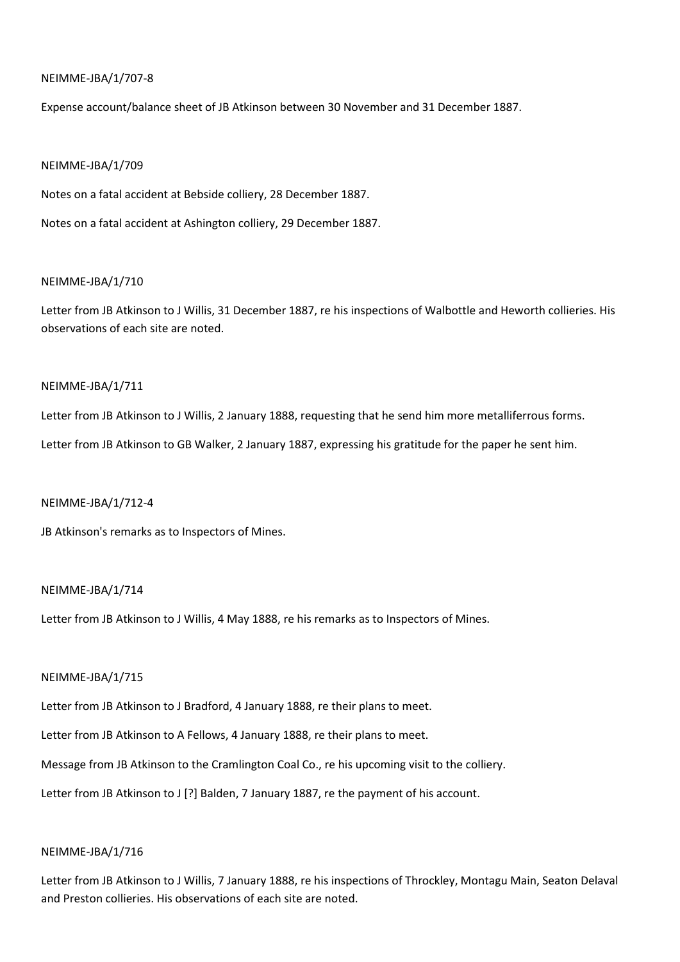## NEIMME-JBA/1/707-8

Expense account/balance sheet of JB Atkinson between 30 November and 31 December 1887.

#### NEIMME-JBA/1/709

Notes on a fatal accident at Bebside colliery, 28 December 1887.

Notes on a fatal accident at Ashington colliery, 29 December 1887.

### NEIMME-JBA/1/710

Letter from JB Atkinson to J Willis, 31 December 1887, re his inspections of Walbottle and Heworth collieries. His observations of each site are noted.

### NEIMME-JBA/1/711

Letter from JB Atkinson to J Willis, 2 January 1888, requesting that he send him more metalliferrous forms. Letter from JB Atkinson to GB Walker, 2 January 1887, expressing his gratitude for the paper he sent him.

### NEIMME-JBA/1/712-4

JB Atkinson's remarks as to Inspectors of Mines.

### NEIMME-JBA/1/714

Letter from JB Atkinson to J Willis, 4 May 1888, re his remarks as to Inspectors of Mines.

### NEIMME-JBA/1/715

Letter from JB Atkinson to J Bradford, 4 January 1888, re their plans to meet.

Letter from JB Atkinson to A Fellows, 4 January 1888, re their plans to meet.

Message from JB Atkinson to the Cramlington Coal Co., re his upcoming visit to the colliery.

Letter from JB Atkinson to J [?] Balden, 7 January 1887, re the payment of his account.

### NEIMME-JBA/1/716

Letter from JB Atkinson to J Willis, 7 January 1888, re his inspections of Throckley, Montagu Main, Seaton Delaval and Preston collieries. His observations of each site are noted.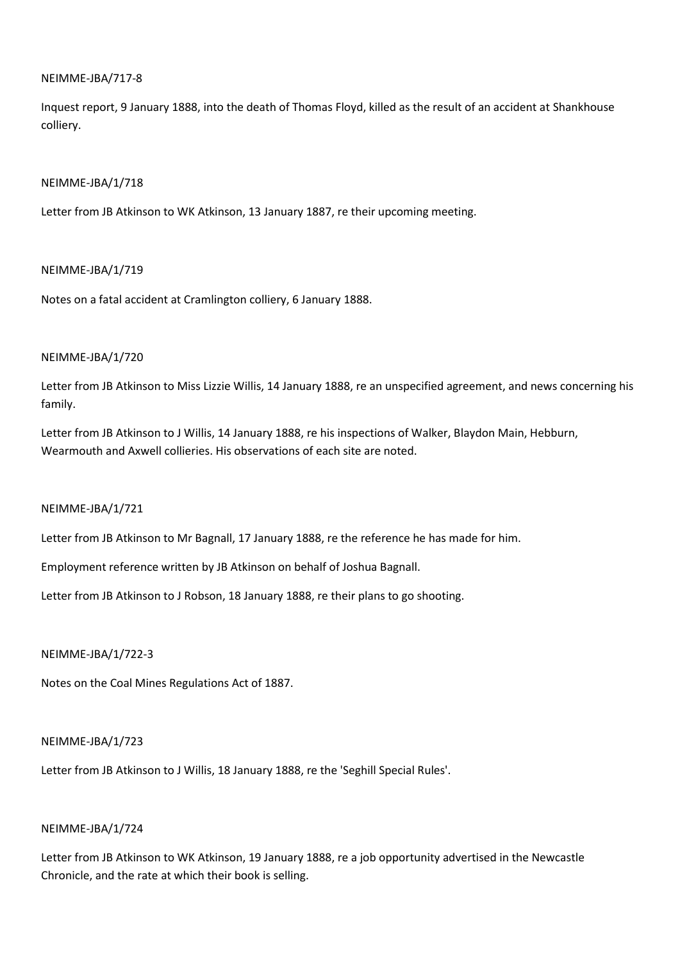## NEIMME-JBA/717-8

Inquest report, 9 January 1888, into the death of Thomas Floyd, killed as the result of an accident at Shankhouse colliery.

## NEIMME-JBA/1/718

Letter from JB Atkinson to WK Atkinson, 13 January 1887, re their upcoming meeting.

## NEIMME-JBA/1/719

Notes on a fatal accident at Cramlington colliery, 6 January 1888.

## NEIMME-JBA/1/720

Letter from JB Atkinson to Miss Lizzie Willis, 14 January 1888, re an unspecified agreement, and news concerning his family.

Letter from JB Atkinson to J Willis, 14 January 1888, re his inspections of Walker, Blaydon Main, Hebburn, Wearmouth and Axwell collieries. His observations of each site are noted.

## NEIMME-JBA/1/721

Letter from JB Atkinson to Mr Bagnall, 17 January 1888, re the reference he has made for him.

Employment reference written by JB Atkinson on behalf of Joshua Bagnall.

Letter from JB Atkinson to J Robson, 18 January 1888, re their plans to go shooting.

### NEIMME-JBA/1/722-3

Notes on the Coal Mines Regulations Act of 1887.

### NEIMME-JBA/1/723

Letter from JB Atkinson to J Willis, 18 January 1888, re the 'Seghill Special Rules'.

### NEIMME-JBA/1/724

Letter from JB Atkinson to WK Atkinson, 19 January 1888, re a job opportunity advertised in the Newcastle Chronicle, and the rate at which their book is selling.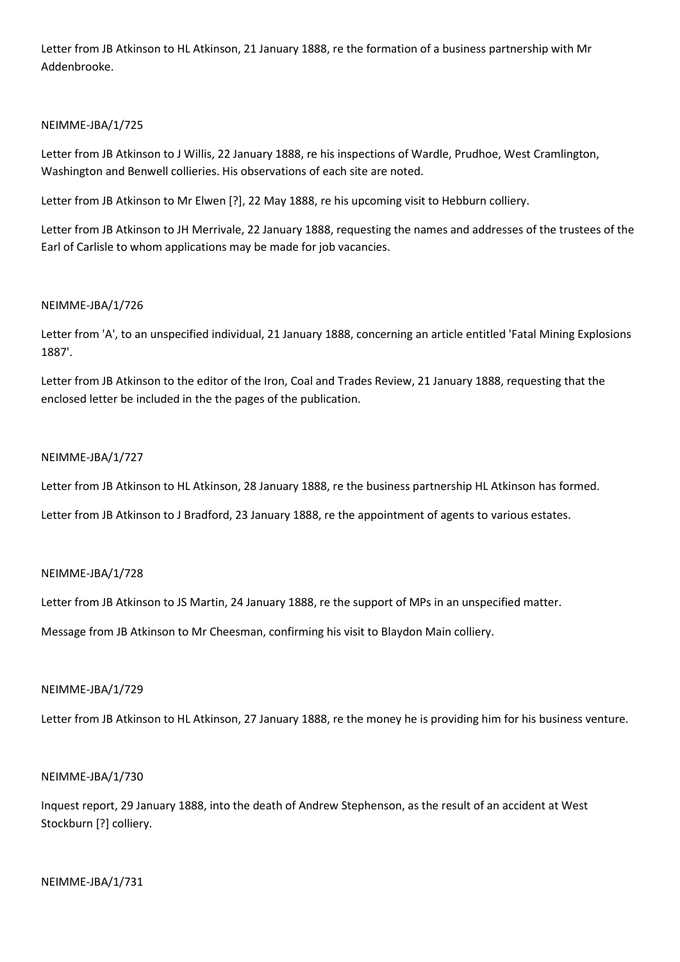Letter from JB Atkinson to HL Atkinson, 21 January 1888, re the formation of a business partnership with Mr Addenbrooke.

# NEIMME-JBA/1/725

Letter from JB Atkinson to J Willis, 22 January 1888, re his inspections of Wardle, Prudhoe, West Cramlington, Washington and Benwell collieries. His observations of each site are noted.

Letter from JB Atkinson to Mr Elwen [?], 22 May 1888, re his upcoming visit to Hebburn colliery.

Letter from JB Atkinson to JH Merrivale, 22 January 1888, requesting the names and addresses of the trustees of the Earl of Carlisle to whom applications may be made for job vacancies.

# NEIMME-JBA/1/726

Letter from 'A', to an unspecified individual, 21 January 1888, concerning an article entitled 'Fatal Mining Explosions 1887'.

Letter from JB Atkinson to the editor of the Iron, Coal and Trades Review, 21 January 1888, requesting that the enclosed letter be included in the the pages of the publication.

# NEIMME-JBA/1/727

Letter from JB Atkinson to HL Atkinson, 28 January 1888, re the business partnership HL Atkinson has formed.

Letter from JB Atkinson to J Bradford, 23 January 1888, re the appointment of agents to various estates.

## NEIMME-JBA/1/728

Letter from JB Atkinson to JS Martin, 24 January 1888, re the support of MPs in an unspecified matter.

Message from JB Atkinson to Mr Cheesman, confirming his visit to Blaydon Main colliery.

## NEIMME-JBA/1/729

Letter from JB Atkinson to HL Atkinson, 27 January 1888, re the money he is providing him for his business venture.

## NEIMME-JBA/1/730

Inquest report, 29 January 1888, into the death of Andrew Stephenson, as the result of an accident at West Stockburn [?] colliery.

## NEIMME-JBA/1/731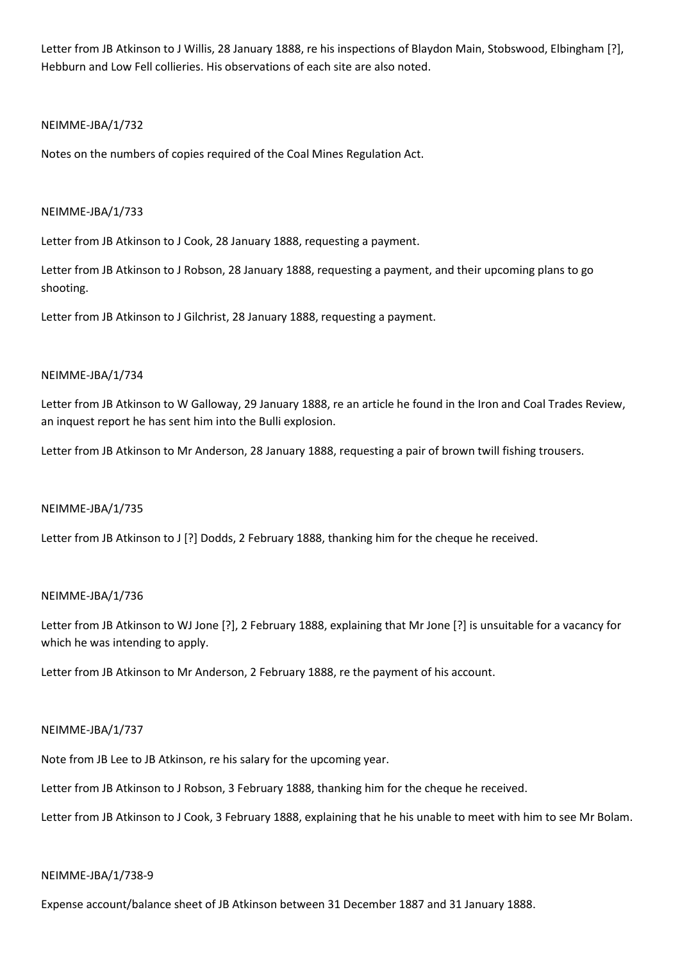Letter from JB Atkinson to J Willis, 28 January 1888, re his inspections of Blaydon Main, Stobswood, Elbingham [?], Hebburn and Low Fell collieries. His observations of each site are also noted.

# NEIMME-JBA/1/732

Notes on the numbers of copies required of the Coal Mines Regulation Act.

## NEIMME-JBA/1/733

Letter from JB Atkinson to J Cook, 28 January 1888, requesting a payment.

Letter from JB Atkinson to J Robson, 28 January 1888, requesting a payment, and their upcoming plans to go shooting.

Letter from JB Atkinson to J Gilchrist, 28 January 1888, requesting a payment.

# NEIMME-JBA/1/734

Letter from JB Atkinson to W Galloway, 29 January 1888, re an article he found in the Iron and Coal Trades Review, an inquest report he has sent him into the Bulli explosion.

Letter from JB Atkinson to Mr Anderson, 28 January 1888, requesting a pair of brown twill fishing trousers.

## NEIMME-JBA/1/735

Letter from JB Atkinson to J [?] Dodds, 2 February 1888, thanking him for the cheque he received.

## NEIMME-JBA/1/736

Letter from JB Atkinson to WJ Jone [?], 2 February 1888, explaining that Mr Jone [?] is unsuitable for a vacancy for which he was intending to apply.

Letter from JB Atkinson to Mr Anderson, 2 February 1888, re the payment of his account.

## NEIMME-JBA/1/737

Note from JB Lee to JB Atkinson, re his salary for the upcoming year.

Letter from JB Atkinson to J Robson, 3 February 1888, thanking him for the cheque he received.

Letter from JB Atkinson to J Cook, 3 February 1888, explaining that he his unable to meet with him to see Mr Bolam.

## NEIMME-JBA/1/738-9

Expense account/balance sheet of JB Atkinson between 31 December 1887 and 31 January 1888.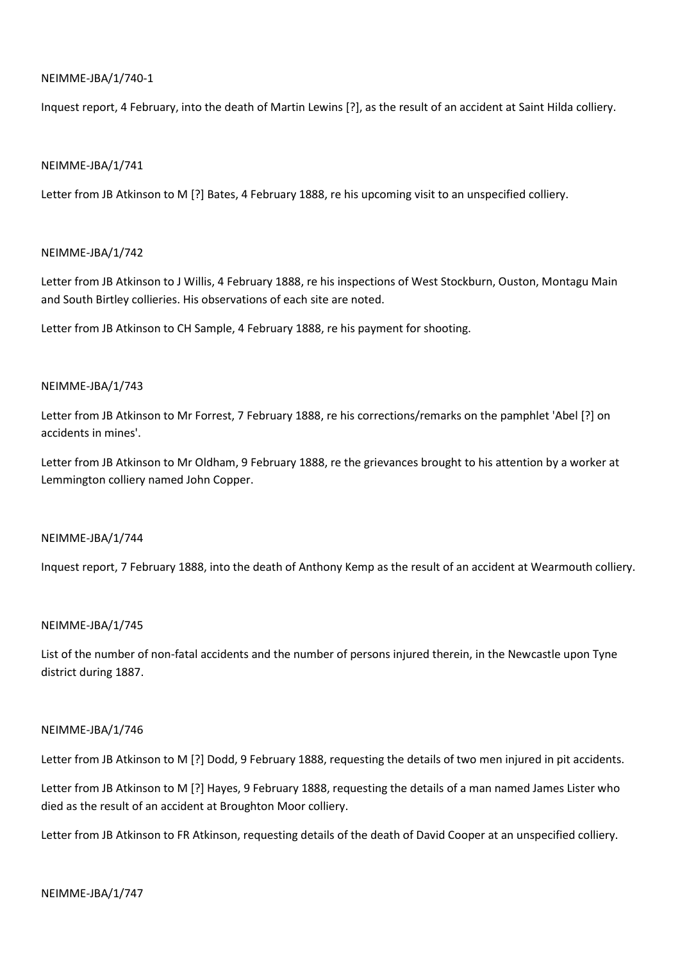## NEIMME-JBA/1/740-1

Inquest report, 4 February, into the death of Martin Lewins [?], as the result of an accident at Saint Hilda colliery.

## NEIMME-JBA/1/741

Letter from JB Atkinson to M [?] Bates, 4 February 1888, re his upcoming visit to an unspecified colliery.

## NEIMME-JBA/1/742

Letter from JB Atkinson to J Willis, 4 February 1888, re his inspections of West Stockburn, Ouston, Montagu Main and South Birtley collieries. His observations of each site are noted.

Letter from JB Atkinson to CH Sample, 4 February 1888, re his payment for shooting.

## NEIMME-JBA/1/743

Letter from JB Atkinson to Mr Forrest, 7 February 1888, re his corrections/remarks on the pamphlet 'Abel [?] on accidents in mines'.

Letter from JB Atkinson to Mr Oldham, 9 February 1888, re the grievances brought to his attention by a worker at Lemmington colliery named John Copper.

### NEIMME-JBA/1/744

Inquest report, 7 February 1888, into the death of Anthony Kemp as the result of an accident at Wearmouth colliery.

## NEIMME-JBA/1/745

List of the number of non-fatal accidents and the number of persons injured therein, in the Newcastle upon Tyne district during 1887.

### NEIMME-JBA/1/746

Letter from JB Atkinson to M [?] Dodd, 9 February 1888, requesting the details of two men injured in pit accidents.

Letter from JB Atkinson to M [?] Hayes, 9 February 1888, requesting the details of a man named James Lister who died as the result of an accident at Broughton Moor colliery.

Letter from JB Atkinson to FR Atkinson, requesting details of the death of David Cooper at an unspecified colliery.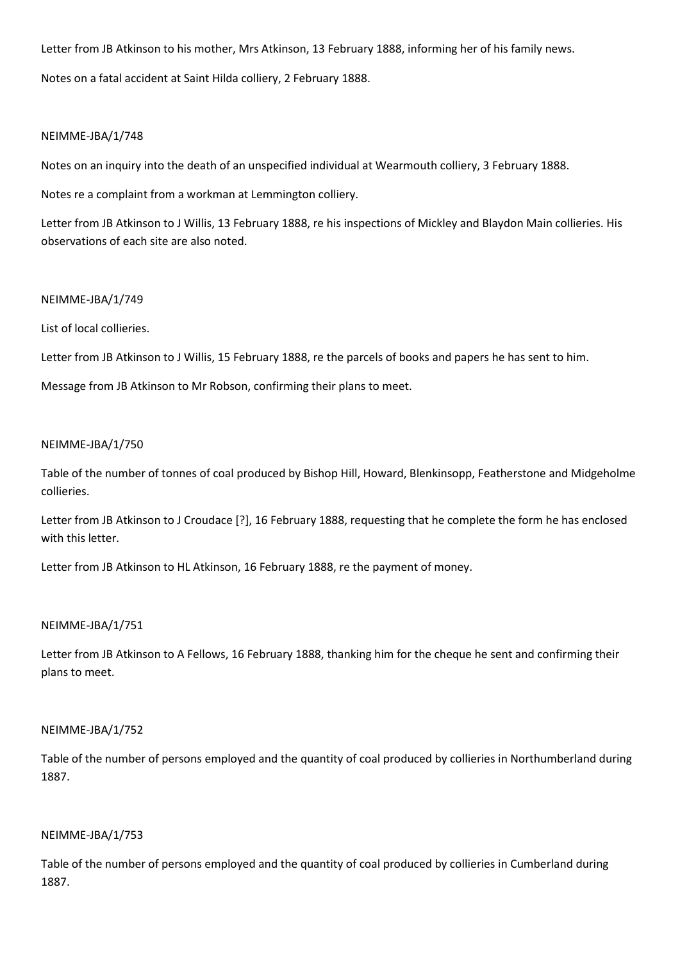Letter from JB Atkinson to his mother, Mrs Atkinson, 13 February 1888, informing her of his family news.

Notes on a fatal accident at Saint Hilda colliery, 2 February 1888.

## NEIMME-JBA/1/748

Notes on an inquiry into the death of an unspecified individual at Wearmouth colliery, 3 February 1888.

Notes re a complaint from a workman at Lemmington colliery.

Letter from JB Atkinson to J Willis, 13 February 1888, re his inspections of Mickley and Blaydon Main collieries. His observations of each site are also noted.

## NEIMME-JBA/1/749

List of local collieries.

Letter from JB Atkinson to J Willis, 15 February 1888, re the parcels of books and papers he has sent to him.

Message from JB Atkinson to Mr Robson, confirming their plans to meet.

## NEIMME-JBA/1/750

Table of the number of tonnes of coal produced by Bishop Hill, Howard, Blenkinsopp, Featherstone and Midgeholme collieries.

Letter from JB Atkinson to J Croudace [?], 16 February 1888, requesting that he complete the form he has enclosed with this letter.

Letter from JB Atkinson to HL Atkinson, 16 February 1888, re the payment of money.

## NEIMME-JBA/1/751

Letter from JB Atkinson to A Fellows, 16 February 1888, thanking him for the cheque he sent and confirming their plans to meet.

### NEIMME-JBA/1/752

Table of the number of persons employed and the quantity of coal produced by collieries in Northumberland during 1887.

## NEIMME-JBA/1/753

Table of the number of persons employed and the quantity of coal produced by collieries in Cumberland during 1887.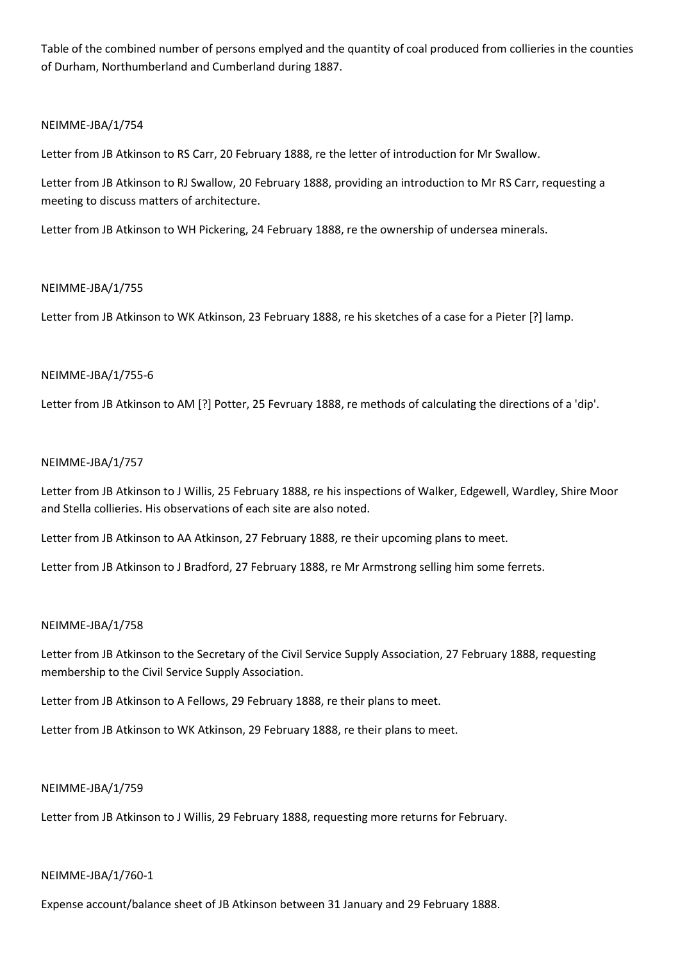Table of the combined number of persons emplyed and the quantity of coal produced from collieries in the counties of Durham, Northumberland and Cumberland during 1887.

## NEIMME-JBA/1/754

Letter from JB Atkinson to RS Carr, 20 February 1888, re the letter of introduction for Mr Swallow.

Letter from JB Atkinson to RJ Swallow, 20 February 1888, providing an introduction to Mr RS Carr, requesting a meeting to discuss matters of architecture.

Letter from JB Atkinson to WH Pickering, 24 February 1888, re the ownership of undersea minerals.

## NEIMME-JBA/1/755

Letter from JB Atkinson to WK Atkinson, 23 February 1888, re his sketches of a case for a Pieter [?] lamp.

## NEIMME-JBA/1/755-6

Letter from JB Atkinson to AM [?] Potter, 25 Fevruary 1888, re methods of calculating the directions of a 'dip'.

## NEIMME-JBA/1/757

Letter from JB Atkinson to J Willis, 25 February 1888, re his inspections of Walker, Edgewell, Wardley, Shire Moor and Stella collieries. His observations of each site are also noted.

Letter from JB Atkinson to AA Atkinson, 27 February 1888, re their upcoming plans to meet.

Letter from JB Atkinson to J Bradford, 27 February 1888, re Mr Armstrong selling him some ferrets.

# NEIMME-JBA/1/758

Letter from JB Atkinson to the Secretary of the Civil Service Supply Association, 27 February 1888, requesting membership to the Civil Service Supply Association.

Letter from JB Atkinson to A Fellows, 29 February 1888, re their plans to meet.

Letter from JB Atkinson to WK Atkinson, 29 February 1888, re their plans to meet.

### NEIMME-JBA/1/759

Letter from JB Atkinson to J Willis, 29 February 1888, requesting more returns for February.

### NEIMME-JBA/1/760-1

Expense account/balance sheet of JB Atkinson between 31 January and 29 February 1888.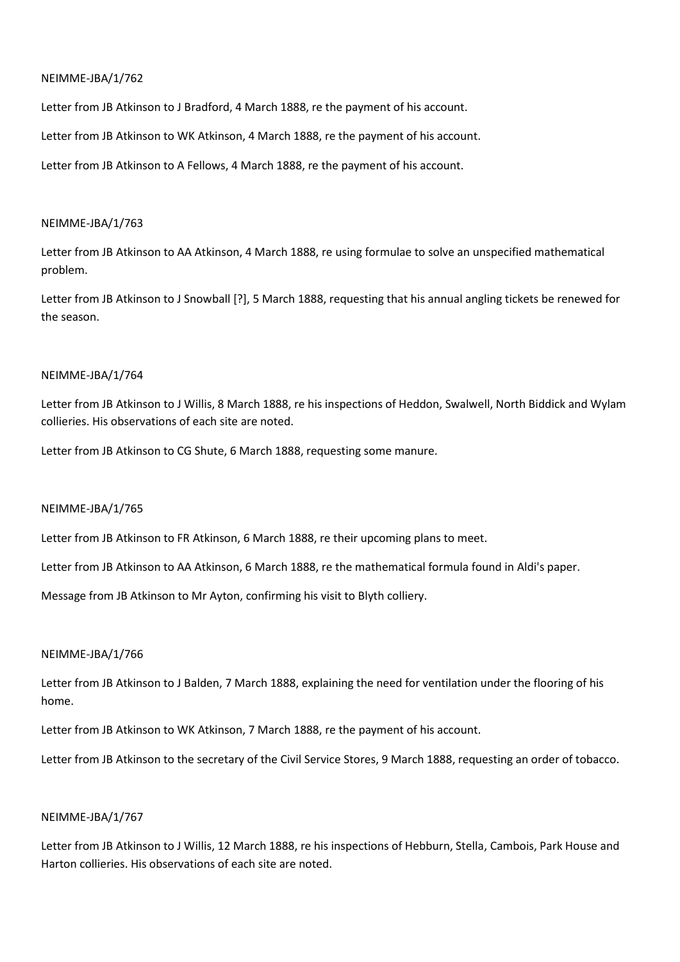Letter from JB Atkinson to J Bradford, 4 March 1888, re the payment of his account.

Letter from JB Atkinson to WK Atkinson, 4 March 1888, re the payment of his account.

Letter from JB Atkinson to A Fellows, 4 March 1888, re the payment of his account.

### NEIMME-JBA/1/763

Letter from JB Atkinson to AA Atkinson, 4 March 1888, re using formulae to solve an unspecified mathematical problem.

Letter from JB Atkinson to J Snowball [?], 5 March 1888, requesting that his annual angling tickets be renewed for the season.

### NEIMME-JBA/1/764

Letter from JB Atkinson to J Willis, 8 March 1888, re his inspections of Heddon, Swalwell, North Biddick and Wylam collieries. His observations of each site are noted.

Letter from JB Atkinson to CG Shute, 6 March 1888, requesting some manure.

### NEIMME-JBA/1/765

Letter from JB Atkinson to FR Atkinson, 6 March 1888, re their upcoming plans to meet.

Letter from JB Atkinson to AA Atkinson, 6 March 1888, re the mathematical formula found in Aldi's paper.

Message from JB Atkinson to Mr Ayton, confirming his visit to Blyth colliery.

### NEIMME-JBA/1/766

Letter from JB Atkinson to J Balden, 7 March 1888, explaining the need for ventilation under the flooring of his home.

Letter from JB Atkinson to WK Atkinson, 7 March 1888, re the payment of his account.

Letter from JB Atkinson to the secretary of the Civil Service Stores, 9 March 1888, requesting an order of tobacco.

## NEIMME-JBA/1/767

Letter from JB Atkinson to J Willis, 12 March 1888, re his inspections of Hebburn, Stella, Cambois, Park House and Harton collieries. His observations of each site are noted.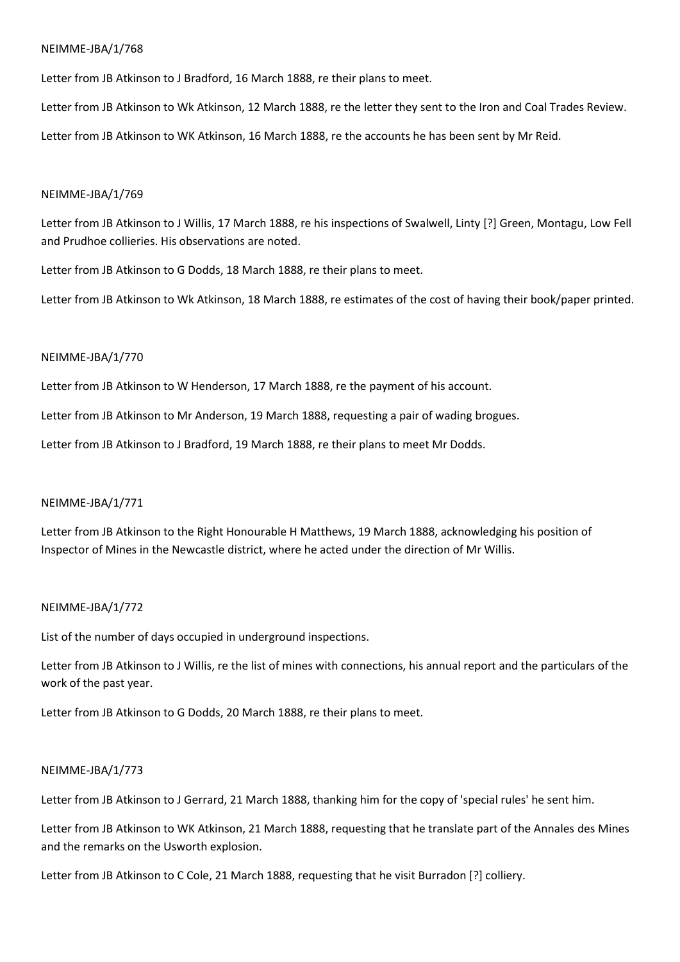Letter from JB Atkinson to J Bradford, 16 March 1888, re their plans to meet.

Letter from JB Atkinson to Wk Atkinson, 12 March 1888, re the letter they sent to the Iron and Coal Trades Review.

Letter from JB Atkinson to WK Atkinson, 16 March 1888, re the accounts he has been sent by Mr Reid.

### NEIMME-JBA/1/769

Letter from JB Atkinson to J Willis, 17 March 1888, re his inspections of Swalwell, Linty [?] Green, Montagu, Low Fell and Prudhoe collieries. His observations are noted.

Letter from JB Atkinson to G Dodds, 18 March 1888, re their plans to meet.

Letter from JB Atkinson to Wk Atkinson, 18 March 1888, re estimates of the cost of having their book/paper printed.

## NEIMME-JBA/1/770

Letter from JB Atkinson to W Henderson, 17 March 1888, re the payment of his account.

Letter from JB Atkinson to Mr Anderson, 19 March 1888, requesting a pair of wading brogues.

Letter from JB Atkinson to J Bradford, 19 March 1888, re their plans to meet Mr Dodds.

## NEIMME-JBA/1/771

Letter from JB Atkinson to the Right Honourable H Matthews, 19 March 1888, acknowledging his position of Inspector of Mines in the Newcastle district, where he acted under the direction of Mr Willis.

### NEIMME-JBA/1/772

List of the number of days occupied in underground inspections.

Letter from JB Atkinson to J Willis, re the list of mines with connections, his annual report and the particulars of the work of the past year.

Letter from JB Atkinson to G Dodds, 20 March 1888, re their plans to meet.

### NEIMME-JBA/1/773

Letter from JB Atkinson to J Gerrard, 21 March 1888, thanking him for the copy of 'special rules' he sent him.

Letter from JB Atkinson to WK Atkinson, 21 March 1888, requesting that he translate part of the Annales des Mines and the remarks on the Usworth explosion.

Letter from JB Atkinson to C Cole, 21 March 1888, requesting that he visit Burradon [?] colliery.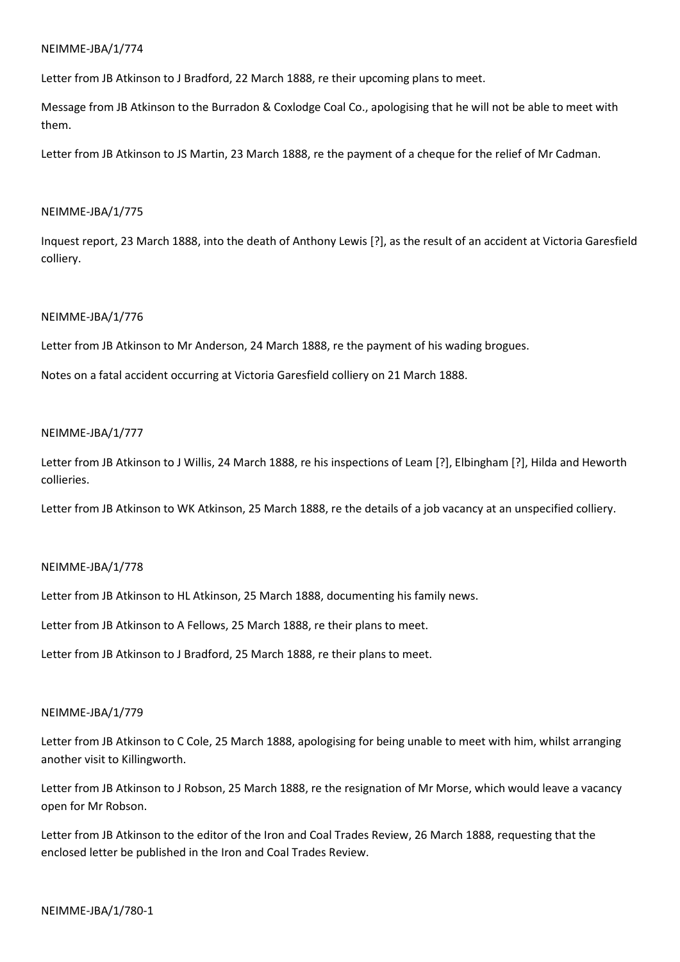Letter from JB Atkinson to J Bradford, 22 March 1888, re their upcoming plans to meet.

Message from JB Atkinson to the Burradon & Coxlodge Coal Co., apologising that he will not be able to meet with them.

Letter from JB Atkinson to JS Martin, 23 March 1888, re the payment of a cheque for the relief of Mr Cadman.

## NEIMME-JBA/1/775

Inquest report, 23 March 1888, into the death of Anthony Lewis [?], as the result of an accident at Victoria Garesfield colliery.

## NEIMME-JBA/1/776

Letter from JB Atkinson to Mr Anderson, 24 March 1888, re the payment of his wading brogues.

Notes on a fatal accident occurring at Victoria Garesfield colliery on 21 March 1888.

## NEIMME-JBA/1/777

Letter from JB Atkinson to J Willis, 24 March 1888, re his inspections of Leam [?], Elbingham [?], Hilda and Heworth collieries.

Letter from JB Atkinson to WK Atkinson, 25 March 1888, re the details of a job vacancy at an unspecified colliery.

### NEIMME-JBA/1/778

Letter from JB Atkinson to HL Atkinson, 25 March 1888, documenting his family news.

Letter from JB Atkinson to A Fellows, 25 March 1888, re their plans to meet.

Letter from JB Atkinson to J Bradford, 25 March 1888, re their plans to meet.

### NEIMME-JBA/1/779

Letter from JB Atkinson to C Cole, 25 March 1888, apologising for being unable to meet with him, whilst arranging another visit to Killingworth.

Letter from JB Atkinson to J Robson, 25 March 1888, re the resignation of Mr Morse, which would leave a vacancy open for Mr Robson.

Letter from JB Atkinson to the editor of the Iron and Coal Trades Review, 26 March 1888, requesting that the enclosed letter be published in the Iron and Coal Trades Review.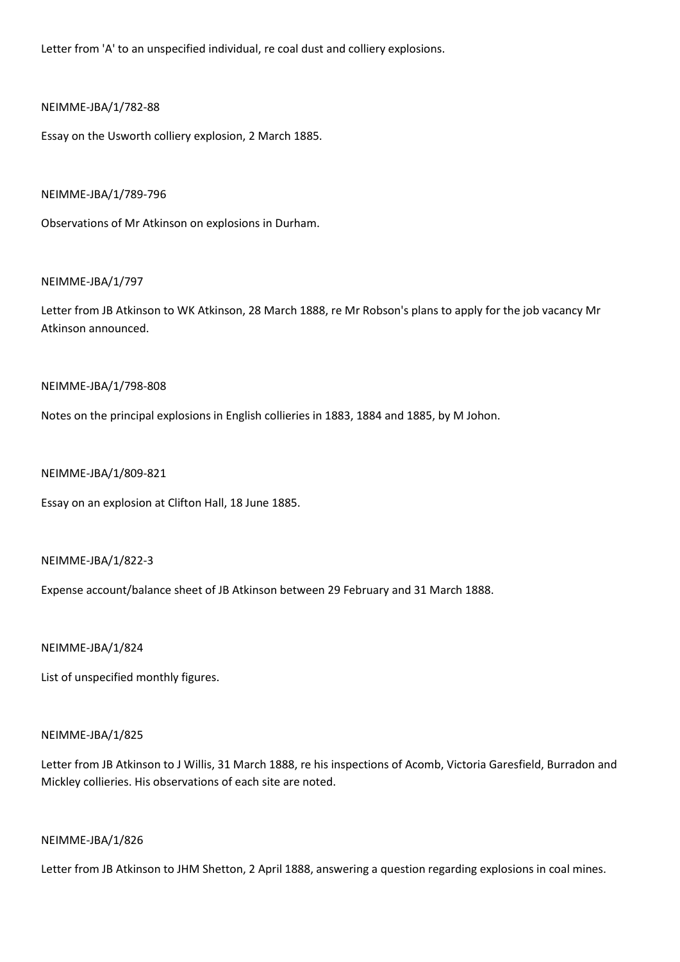Letter from 'A' to an unspecified individual, re coal dust and colliery explosions.

## NEIMME-JBA/1/782-88

Essay on the Usworth colliery explosion, 2 March 1885.

### NEIMME-JBA/1/789-796

Observations of Mr Atkinson on explosions in Durham.

## NEIMME-JBA/1/797

Letter from JB Atkinson to WK Atkinson, 28 March 1888, re Mr Robson's plans to apply for the job vacancy Mr Atkinson announced.

## NEIMME-JBA/1/798-808

Notes on the principal explosions in English collieries in 1883, 1884 and 1885, by M Johon.

# NEIMME-JBA/1/809-821

Essay on an explosion at Clifton Hall, 18 June 1885.

### NEIMME-JBA/1/822-3

Expense account/balance sheet of JB Atkinson between 29 February and 31 March 1888.

## NEIMME-JBA/1/824

List of unspecified monthly figures.

### NEIMME-JBA/1/825

Letter from JB Atkinson to J Willis, 31 March 1888, re his inspections of Acomb, Victoria Garesfield, Burradon and Mickley collieries. His observations of each site are noted.

### NEIMME-JBA/1/826

Letter from JB Atkinson to JHM Shetton, 2 April 1888, answering a question regarding explosions in coal mines.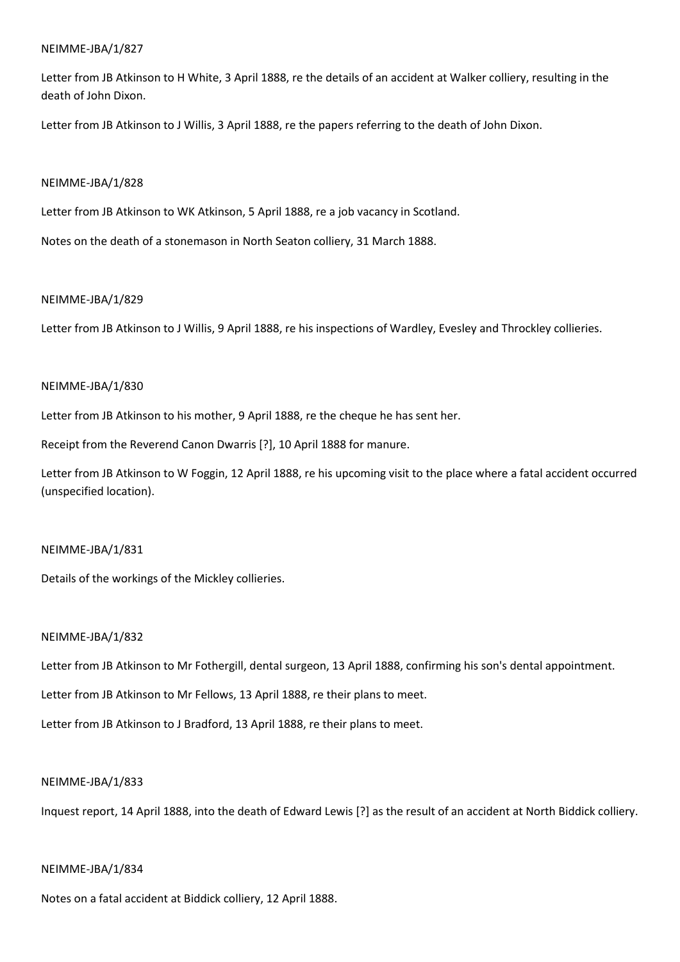Letter from JB Atkinson to H White, 3 April 1888, re the details of an accident at Walker colliery, resulting in the death of John Dixon.

Letter from JB Atkinson to J Willis, 3 April 1888, re the papers referring to the death of John Dixon.

## NEIMME-JBA/1/828

Letter from JB Atkinson to WK Atkinson, 5 April 1888, re a job vacancy in Scotland.

Notes on the death of a stonemason in North Seaton colliery, 31 March 1888.

## NEIMME-JBA/1/829

Letter from JB Atkinson to J Willis, 9 April 1888, re his inspections of Wardley, Evesley and Throckley collieries.

## NEIMME-JBA/1/830

Letter from JB Atkinson to his mother, 9 April 1888, re the cheque he has sent her.

Receipt from the Reverend Canon Dwarris [?], 10 April 1888 for manure.

Letter from JB Atkinson to W Foggin, 12 April 1888, re his upcoming visit to the place where a fatal accident occurred (unspecified location).

## NEIMME-JBA/1/831

Details of the workings of the Mickley collieries.

## NEIMME-JBA/1/832

Letter from JB Atkinson to Mr Fothergill, dental surgeon, 13 April 1888, confirming his son's dental appointment.

Letter from JB Atkinson to Mr Fellows, 13 April 1888, re their plans to meet.

Letter from JB Atkinson to J Bradford, 13 April 1888, re their plans to meet.

## NEIMME-JBA/1/833

Inquest report, 14 April 1888, into the death of Edward Lewis [?] as the result of an accident at North Biddick colliery.

## NEIMME-JBA/1/834

Notes on a fatal accident at Biddick colliery, 12 April 1888.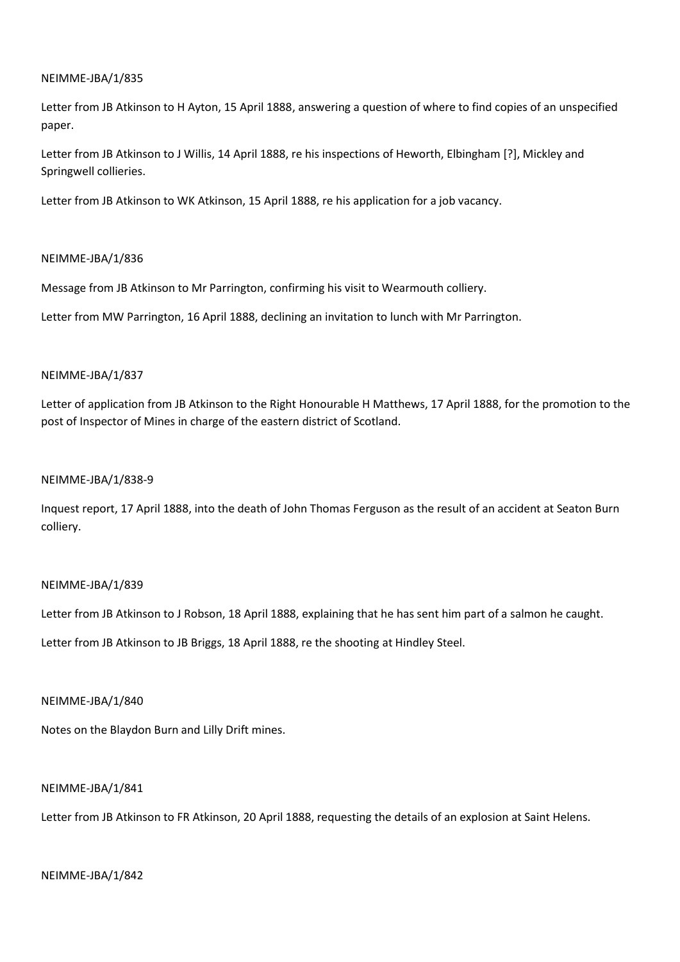Letter from JB Atkinson to H Ayton, 15 April 1888, answering a question of where to find copies of an unspecified paper.

Letter from JB Atkinson to J Willis, 14 April 1888, re his inspections of Heworth, Elbingham [?], Mickley and Springwell collieries.

Letter from JB Atkinson to WK Atkinson, 15 April 1888, re his application for a job vacancy.

## NEIMME-JBA/1/836

Message from JB Atkinson to Mr Parrington, confirming his visit to Wearmouth colliery.

Letter from MW Parrington, 16 April 1888, declining an invitation to lunch with Mr Parrington.

## NEIMME-JBA/1/837

Letter of application from JB Atkinson to the Right Honourable H Matthews, 17 April 1888, for the promotion to the post of Inspector of Mines in charge of the eastern district of Scotland.

### NEIMME-JBA/1/838-9

Inquest report, 17 April 1888, into the death of John Thomas Ferguson as the result of an accident at Seaton Burn colliery.

### NEIMME-JBA/1/839

Letter from JB Atkinson to J Robson, 18 April 1888, explaining that he has sent him part of a salmon he caught.

Letter from JB Atkinson to JB Briggs, 18 April 1888, re the shooting at Hindley Steel.

### NEIMME-JBA/1/840

Notes on the Blaydon Burn and Lilly Drift mines.

### NEIMME-JBA/1/841

Letter from JB Atkinson to FR Atkinson, 20 April 1888, requesting the details of an explosion at Saint Helens.

### NEIMME-JBA/1/842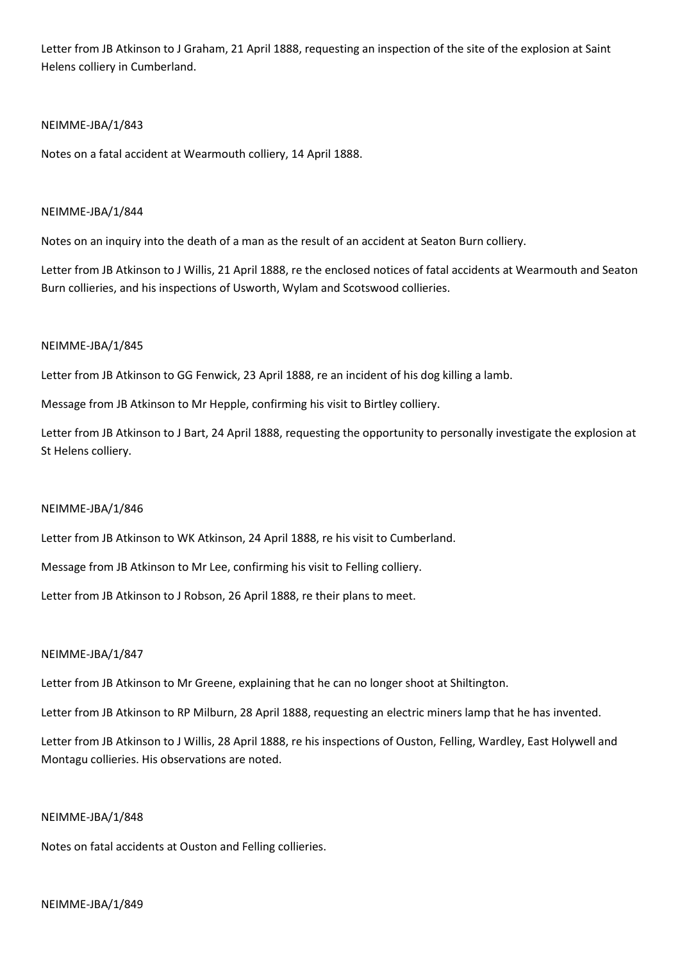Letter from JB Atkinson to J Graham, 21 April 1888, requesting an inspection of the site of the explosion at Saint Helens colliery in Cumberland.

## NEIMME-JBA/1/843

Notes on a fatal accident at Wearmouth colliery, 14 April 1888.

## NEIMME-JBA/1/844

Notes on an inquiry into the death of a man as the result of an accident at Seaton Burn colliery.

Letter from JB Atkinson to J Willis, 21 April 1888, re the enclosed notices of fatal accidents at Wearmouth and Seaton Burn collieries, and his inspections of Usworth, Wylam and Scotswood collieries.

## NEIMME-JBA/1/845

Letter from JB Atkinson to GG Fenwick, 23 April 1888, re an incident of his dog killing a lamb.

Message from JB Atkinson to Mr Hepple, confirming his visit to Birtley colliery.

Letter from JB Atkinson to J Bart, 24 April 1888, requesting the opportunity to personally investigate the explosion at St Helens colliery.

### NEIMME-JBA/1/846

Letter from JB Atkinson to WK Atkinson, 24 April 1888, re his visit to Cumberland.

Message from JB Atkinson to Mr Lee, confirming his visit to Felling colliery.

Letter from JB Atkinson to J Robson, 26 April 1888, re their plans to meet.

### NEIMME-JBA/1/847

Letter from JB Atkinson to Mr Greene, explaining that he can no longer shoot at Shiltington.

Letter from JB Atkinson to RP Milburn, 28 April 1888, requesting an electric miners lamp that he has invented.

Letter from JB Atkinson to J Willis, 28 April 1888, re his inspections of Ouston, Felling, Wardley, East Holywell and Montagu collieries. His observations are noted.

## NEIMME-JBA/1/848

Notes on fatal accidents at Ouston and Felling collieries.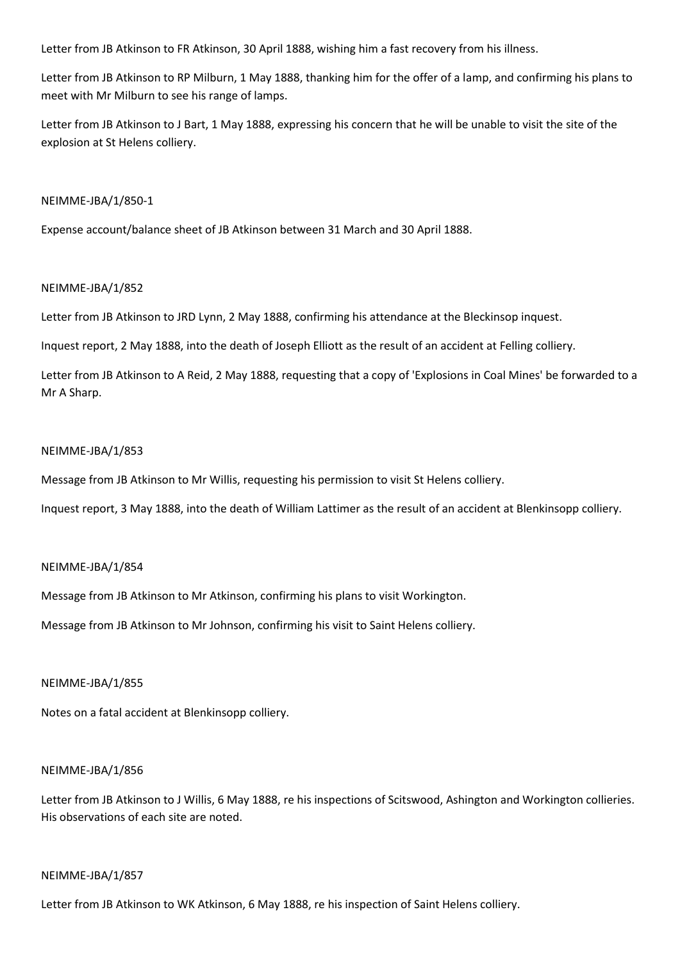Letter from JB Atkinson to FR Atkinson, 30 April 1888, wishing him a fast recovery from his illness.

Letter from JB Atkinson to RP Milburn, 1 May 1888, thanking him for the offer of a lamp, and confirming his plans to meet with Mr Milburn to see his range of lamps.

Letter from JB Atkinson to J Bart, 1 May 1888, expressing his concern that he will be unable to visit the site of the explosion at St Helens colliery.

### NEIMME-JBA/1/850-1

Expense account/balance sheet of JB Atkinson between 31 March and 30 April 1888.

## NEIMME-JBA/1/852

Letter from JB Atkinson to JRD Lynn, 2 May 1888, confirming his attendance at the Bleckinsop inquest.

Inquest report, 2 May 1888, into the death of Joseph Elliott as the result of an accident at Felling colliery.

Letter from JB Atkinson to A Reid, 2 May 1888, requesting that a copy of 'Explosions in Coal Mines' be forwarded to a Mr A Sharp.

## NEIMME-JBA/1/853

Message from JB Atkinson to Mr Willis, requesting his permission to visit St Helens colliery.

Inquest report, 3 May 1888, into the death of William Lattimer as the result of an accident at Blenkinsopp colliery.

### NEIMME-JBA/1/854

Message from JB Atkinson to Mr Atkinson, confirming his plans to visit Workington.

Message from JB Atkinson to Mr Johnson, confirming his visit to Saint Helens colliery.

### NEIMME-JBA/1/855

Notes on a fatal accident at Blenkinsopp colliery.

### NEIMME-JBA/1/856

Letter from JB Atkinson to J Willis, 6 May 1888, re his inspections of Scitswood, Ashington and Workington collieries. His observations of each site are noted.

### NEIMME-JBA/1/857

Letter from JB Atkinson to WK Atkinson, 6 May 1888, re his inspection of Saint Helens colliery.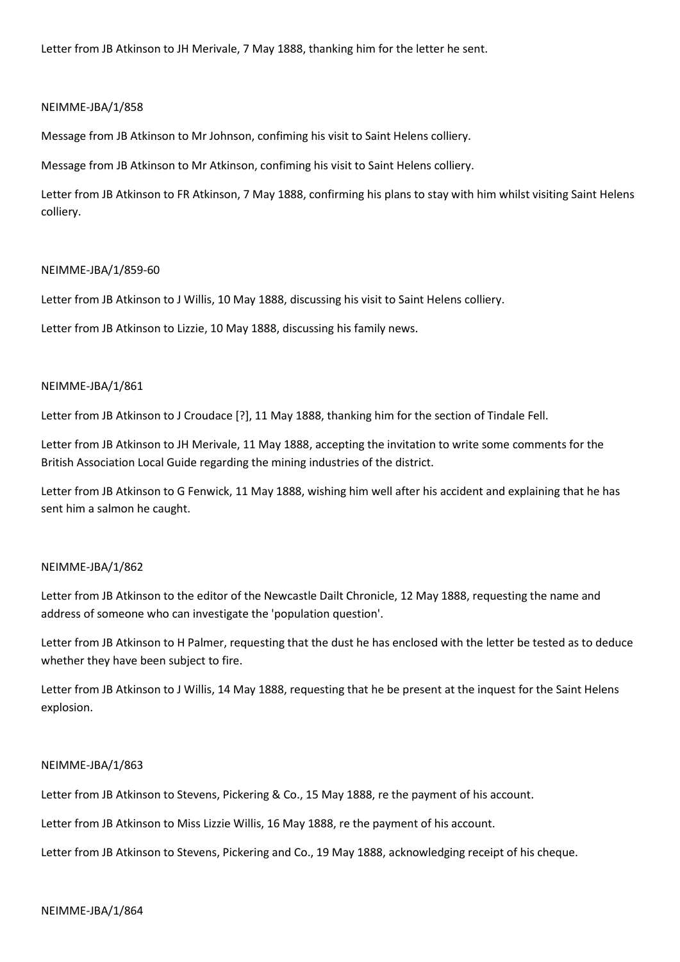Letter from JB Atkinson to JH Merivale, 7 May 1888, thanking him for the letter he sent.

### NEIMME-JBA/1/858

Message from JB Atkinson to Mr Johnson, confiming his visit to Saint Helens colliery.

Message from JB Atkinson to Mr Atkinson, confiming his visit to Saint Helens colliery.

Letter from JB Atkinson to FR Atkinson, 7 May 1888, confirming his plans to stay with him whilst visiting Saint Helens colliery.

### NEIMME-JBA/1/859-60

Letter from JB Atkinson to J Willis, 10 May 1888, discussing his visit to Saint Helens colliery.

Letter from JB Atkinson to Lizzie, 10 May 1888, discussing his family news.

### NEIMME-JBA/1/861

Letter from JB Atkinson to J Croudace [?], 11 May 1888, thanking him for the section of Tindale Fell.

Letter from JB Atkinson to JH Merivale, 11 May 1888, accepting the invitation to write some comments for the British Association Local Guide regarding the mining industries of the district.

Letter from JB Atkinson to G Fenwick, 11 May 1888, wishing him well after his accident and explaining that he has sent him a salmon he caught.

### NEIMME-JBA/1/862

Letter from JB Atkinson to the editor of the Newcastle Dailt Chronicle, 12 May 1888, requesting the name and address of someone who can investigate the 'population question'.

Letter from JB Atkinson to H Palmer, requesting that the dust he has enclosed with the letter be tested as to deduce whether they have been subject to fire.

Letter from JB Atkinson to J Willis, 14 May 1888, requesting that he be present at the inquest for the Saint Helens explosion.

#### NEIMME-JBA/1/863

Letter from JB Atkinson to Stevens, Pickering & Co., 15 May 1888, re the payment of his account.

Letter from JB Atkinson to Miss Lizzie Willis, 16 May 1888, re the payment of his account.

Letter from JB Atkinson to Stevens, Pickering and Co., 19 May 1888, acknowledging receipt of his cheque.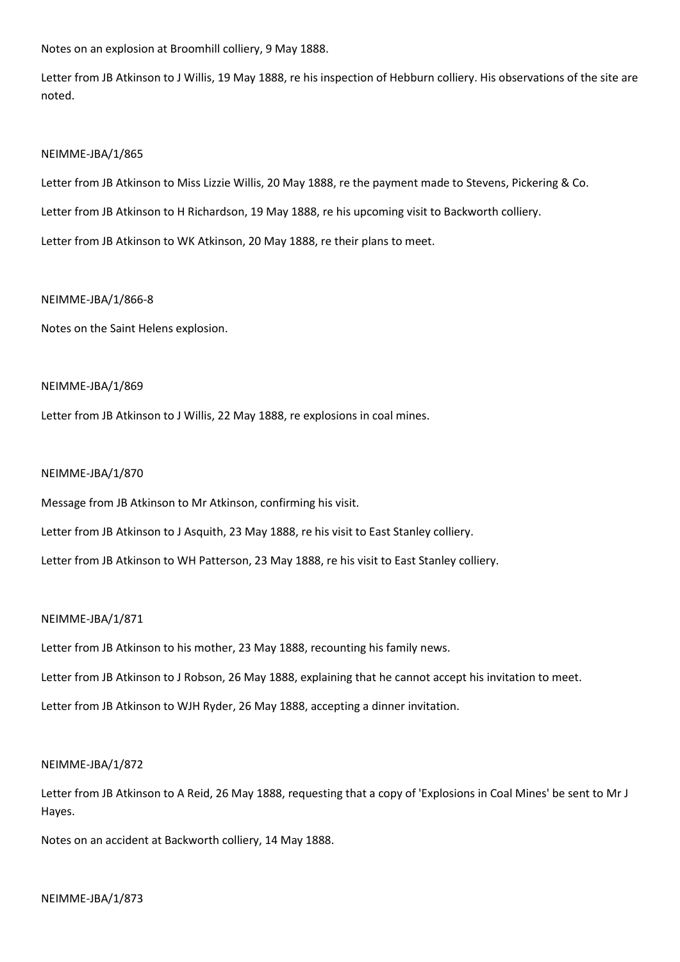Notes on an explosion at Broomhill colliery, 9 May 1888.

Letter from JB Atkinson to J Willis, 19 May 1888, re his inspection of Hebburn colliery. His observations of the site are noted.

### NEIMME-JBA/1/865

Letter from JB Atkinson to Miss Lizzie Willis, 20 May 1888, re the payment made to Stevens, Pickering & Co. Letter from JB Atkinson to H Richardson, 19 May 1888, re his upcoming visit to Backworth colliery. Letter from JB Atkinson to WK Atkinson, 20 May 1888, re their plans to meet.

## NEIMME-JBA/1/866-8

Notes on the Saint Helens explosion.

## NEIMME-JBA/1/869

Letter from JB Atkinson to J Willis, 22 May 1888, re explosions in coal mines.

## NEIMME-JBA/1/870

Message from JB Atkinson to Mr Atkinson, confirming his visit.

Letter from JB Atkinson to J Asquith, 23 May 1888, re his visit to East Stanley colliery.

Letter from JB Atkinson to WH Patterson, 23 May 1888, re his visit to East Stanley colliery.

### NEIMME-JBA/1/871

Letter from JB Atkinson to his mother, 23 May 1888, recounting his family news.

Letter from JB Atkinson to J Robson, 26 May 1888, explaining that he cannot accept his invitation to meet.

Letter from JB Atkinson to WJH Ryder, 26 May 1888, accepting a dinner invitation.

## NEIMME-JBA/1/872

Letter from JB Atkinson to A Reid, 26 May 1888, requesting that a copy of 'Explosions in Coal Mines' be sent to Mr J Hayes.

Notes on an accident at Backworth colliery, 14 May 1888.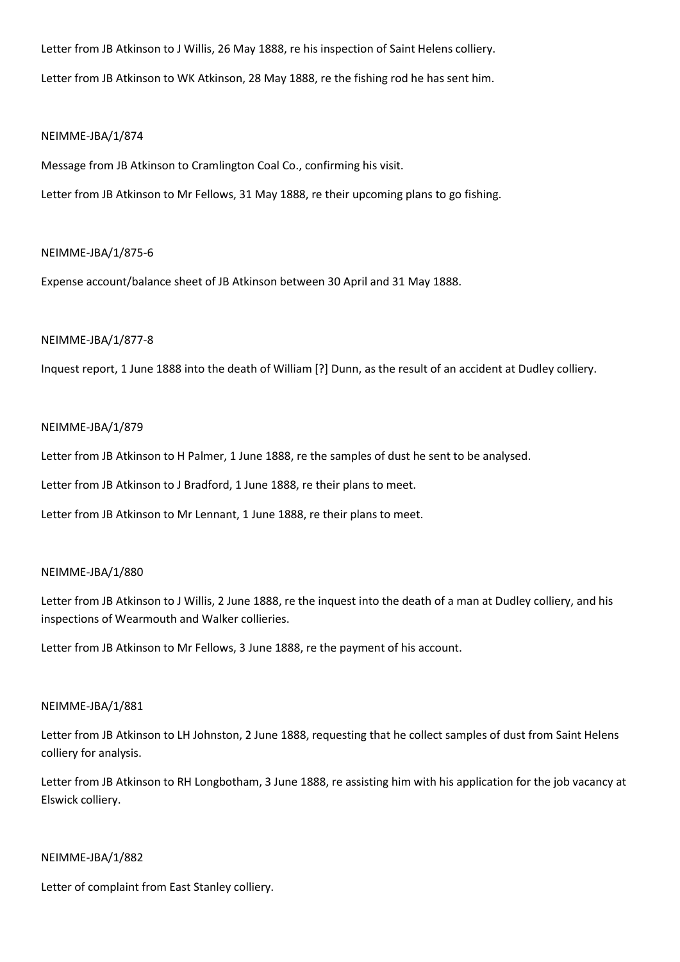Letter from JB Atkinson to J Willis, 26 May 1888, re his inspection of Saint Helens colliery. Letter from JB Atkinson to WK Atkinson, 28 May 1888, re the fishing rod he has sent him.

## NEIMME-JBA/1/874

Message from JB Atkinson to Cramlington Coal Co., confirming his visit.

Letter from JB Atkinson to Mr Fellows, 31 May 1888, re their upcoming plans to go fishing.

## NEIMME-JBA/1/875-6

Expense account/balance sheet of JB Atkinson between 30 April and 31 May 1888.

## NEIMME-JBA/1/877-8

Inquest report, 1 June 1888 into the death of William [?] Dunn, as the result of an accident at Dudley colliery.

## NEIMME-JBA/1/879

Letter from JB Atkinson to H Palmer, 1 June 1888, re the samples of dust he sent to be analysed.

Letter from JB Atkinson to J Bradford, 1 June 1888, re their plans to meet.

Letter from JB Atkinson to Mr Lennant, 1 June 1888, re their plans to meet.

## NEIMME-JBA/1/880

Letter from JB Atkinson to J Willis, 2 June 1888, re the inquest into the death of a man at Dudley colliery, and his inspections of Wearmouth and Walker collieries.

Letter from JB Atkinson to Mr Fellows, 3 June 1888, re the payment of his account.

### NEIMME-JBA/1/881

Letter from JB Atkinson to LH Johnston, 2 June 1888, requesting that he collect samples of dust from Saint Helens colliery for analysis.

Letter from JB Atkinson to RH Longbotham, 3 June 1888, re assisting him with his application for the job vacancy at Elswick colliery.

### NEIMME-JBA/1/882

Letter of complaint from East Stanley colliery.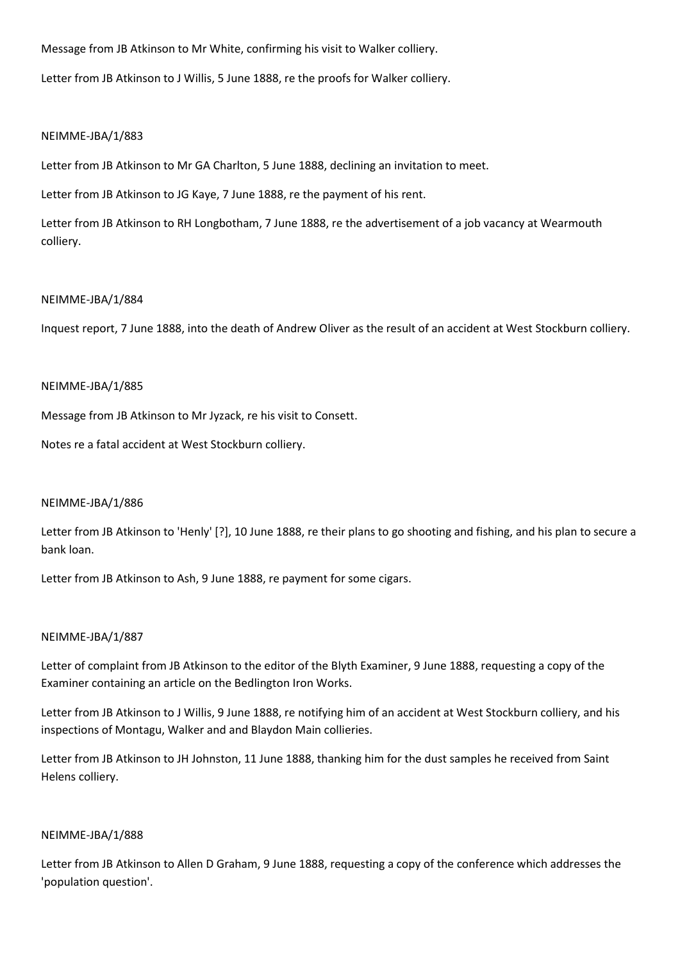Message from JB Atkinson to Mr White, confirming his visit to Walker colliery.

Letter from JB Atkinson to J Willis, 5 June 1888, re the proofs for Walker colliery.

## NEIMME-JBA/1/883

Letter from JB Atkinson to Mr GA Charlton, 5 June 1888, declining an invitation to meet.

Letter from JB Atkinson to JG Kaye, 7 June 1888, re the payment of his rent.

Letter from JB Atkinson to RH Longbotham, 7 June 1888, re the advertisement of a job vacancy at Wearmouth colliery.

## NEIMME-JBA/1/884

Inquest report, 7 June 1888, into the death of Andrew Oliver as the result of an accident at West Stockburn colliery.

## NEIMME-JBA/1/885

Message from JB Atkinson to Mr Jyzack, re his visit to Consett.

Notes re a fatal accident at West Stockburn colliery.

## NEIMME-JBA/1/886

Letter from JB Atkinson to 'Henly' [?], 10 June 1888, re their plans to go shooting and fishing, and his plan to secure a bank loan.

Letter from JB Atkinson to Ash, 9 June 1888, re payment for some cigars.

## NEIMME-JBA/1/887

Letter of complaint from JB Atkinson to the editor of the Blyth Examiner, 9 June 1888, requesting a copy of the Examiner containing an article on the Bedlington Iron Works.

Letter from JB Atkinson to J Willis, 9 June 1888, re notifying him of an accident at West Stockburn colliery, and his inspections of Montagu, Walker and and Blaydon Main collieries.

Letter from JB Atkinson to JH Johnston, 11 June 1888, thanking him for the dust samples he received from Saint Helens colliery.

### NEIMME-JBA/1/888

Letter from JB Atkinson to Allen D Graham, 9 June 1888, requesting a copy of the conference which addresses the 'population question'.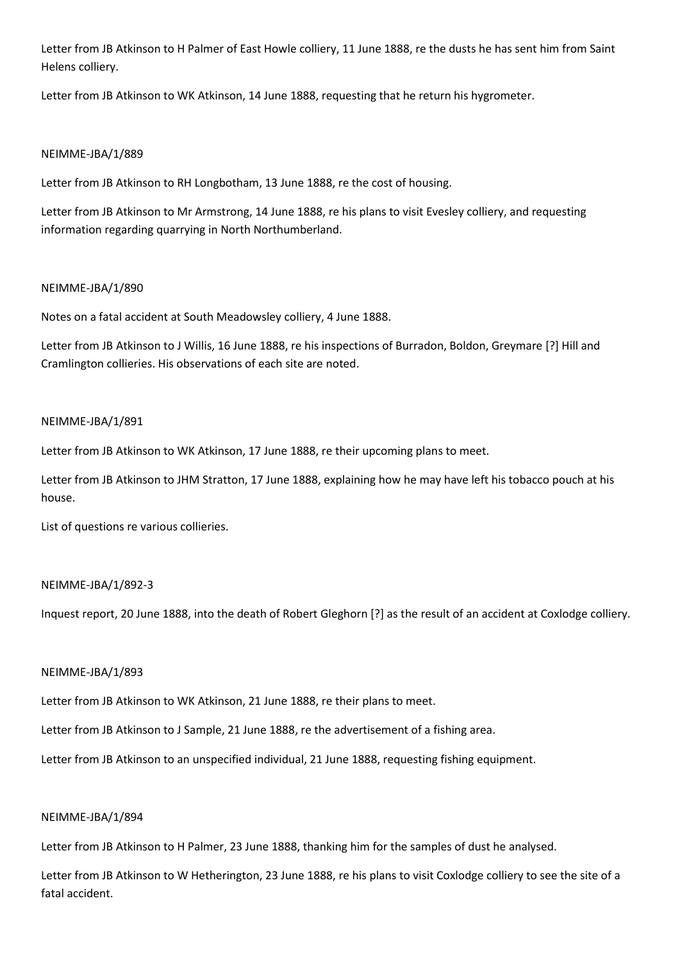Letter from JB Atkinson to H Palmer of East Howle colliery, 11 June 1888, re the dusts he has sent him from Saint Helens colliery.

Letter from JB Atkinson to WK Atkinson, 14 June 1888, requesting that he return his hygrometer.

## NEIMME-JBA/1/889

Letter from JB Atkinson to RH Longbotham, 13 June 1888, re the cost of housing.

Letter from JB Atkinson to Mr Armstrong, 14 June 1888, re his plans to visit Evesley colliery, and requesting information regarding quarrying in North Northumberland.

## NEIMME-JBA/1/890

Notes on a fatal accident at South Meadowsley colliery, 4 June 1888.

Letter from JB Atkinson to J Willis, 16 June 1888, re his inspections of Burradon, Boldon, Greymare [?] Hill and Cramlington collieries. His observations of each site are noted.

## NEIMME-JBA/1/891

Letter from JB Atkinson to WK Atkinson, 17 June 1888, re their upcoming plans to meet.

Letter from JB Atkinson to JHM Stratton, 17 June 1888, explaining how he may have left his tobacco pouch at his house.

List of questions re various collieries.

## NEIMME-JBA/1/892-3

Inquest report, 20 June 1888, into the death of Robert Gleghorn [?] as the result of an accident at Coxlodge colliery.

## NEIMME-JBA/1/893

Letter from JB Atkinson to WK Atkinson, 21 June 1888, re their plans to meet.

Letter from JB Atkinson to J Sample, 21 June 1888, re the advertisement of a fishing area.

Letter from JB Atkinson to an unspecified individual, 21 June 1888, requesting fishing equipment.

## NEIMME-JBA/1/894

Letter from JB Atkinson to H Palmer, 23 June 1888, thanking him for the samples of dust he analysed.

Letter from JB Atkinson to W Hetherington, 23 June 1888, re his plans to visit Coxlodge colliery to see the site of a fatal accident.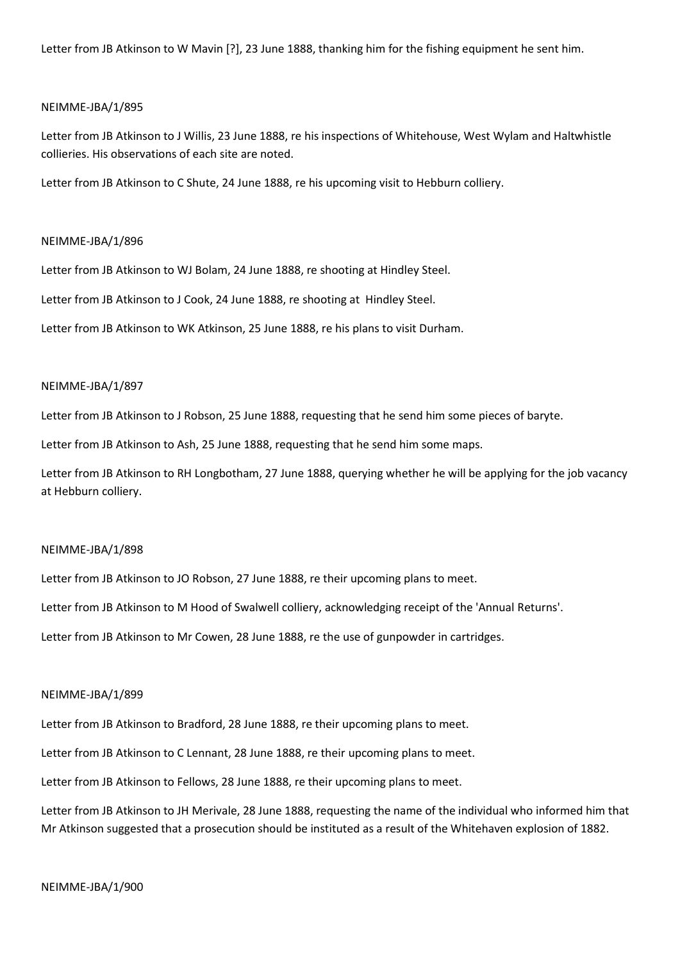Letter from JB Atkinson to W Mavin [?], 23 June 1888, thanking him for the fishing equipment he sent him.

#### NEIMME-JBA/1/895

Letter from JB Atkinson to J Willis, 23 June 1888, re his inspections of Whitehouse, West Wylam and Haltwhistle collieries. His observations of each site are noted.

Letter from JB Atkinson to C Shute, 24 June 1888, re his upcoming visit to Hebburn colliery.

#### NEIMME-JBA/1/896

Letter from JB Atkinson to WJ Bolam, 24 June 1888, re shooting at Hindley Steel.

Letter from JB Atkinson to J Cook, 24 June 1888, re shooting at Hindley Steel.

Letter from JB Atkinson to WK Atkinson, 25 June 1888, re his plans to visit Durham.

#### NEIMME-JBA/1/897

Letter from JB Atkinson to J Robson, 25 June 1888, requesting that he send him some pieces of baryte.

Letter from JB Atkinson to Ash, 25 June 1888, requesting that he send him some maps.

Letter from JB Atkinson to RH Longbotham, 27 June 1888, querying whether he will be applying for the job vacancy at Hebburn colliery.

### NEIMME-JBA/1/898

Letter from JB Atkinson to JO Robson, 27 June 1888, re their upcoming plans to meet.

Letter from JB Atkinson to M Hood of Swalwell colliery, acknowledging receipt of the 'Annual Returns'.

Letter from JB Atkinson to Mr Cowen, 28 June 1888, re the use of gunpowder in cartridges.

#### NEIMME-JBA/1/899

Letter from JB Atkinson to Bradford, 28 June 1888, re their upcoming plans to meet.

Letter from JB Atkinson to C Lennant, 28 June 1888, re their upcoming plans to meet.

Letter from JB Atkinson to Fellows, 28 June 1888, re their upcoming plans to meet.

Letter from JB Atkinson to JH Merivale, 28 June 1888, requesting the name of the individual who informed him that Mr Atkinson suggested that a prosecution should be instituted as a result of the Whitehaven explosion of 1882.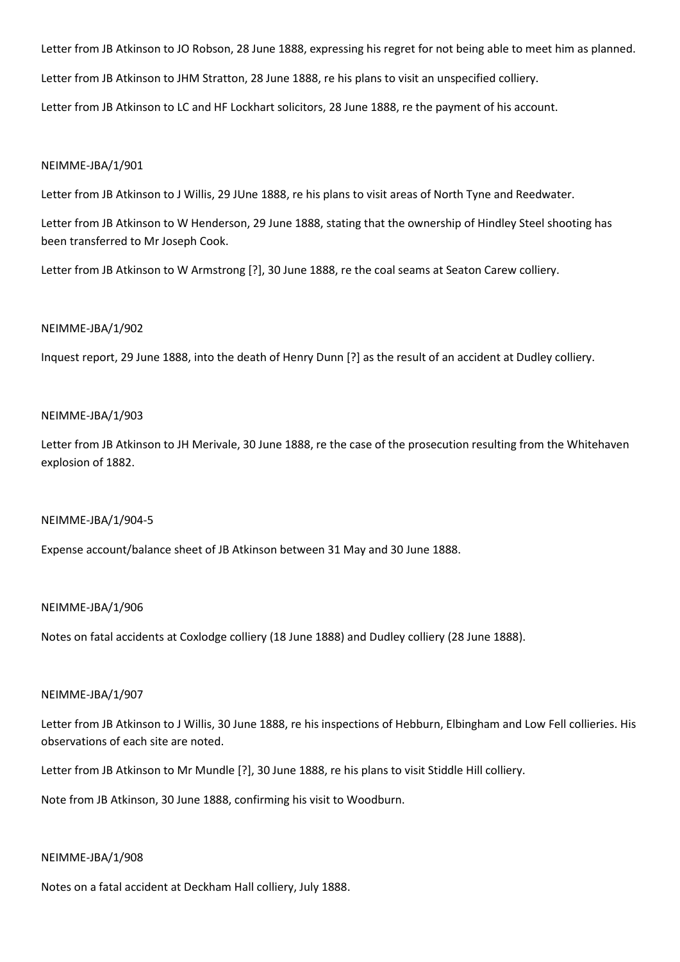Letter from JB Atkinson to JO Robson, 28 June 1888, expressing his regret for not being able to meet him as planned. Letter from JB Atkinson to JHM Stratton, 28 June 1888, re his plans to visit an unspecified colliery. Letter from JB Atkinson to LC and HF Lockhart solicitors, 28 June 1888, re the payment of his account.

### NEIMME-JBA/1/901

Letter from JB Atkinson to J Willis, 29 JUne 1888, re his plans to visit areas of North Tyne and Reedwater.

Letter from JB Atkinson to W Henderson, 29 June 1888, stating that the ownership of Hindley Steel shooting has been transferred to Mr Joseph Cook.

Letter from JB Atkinson to W Armstrong [?], 30 June 1888, re the coal seams at Seaton Carew colliery.

## NEIMME-JBA/1/902

Inquest report, 29 June 1888, into the death of Henry Dunn [?] as the result of an accident at Dudley colliery.

## NEIMME-JBA/1/903

Letter from JB Atkinson to JH Merivale, 30 June 1888, re the case of the prosecution resulting from the Whitehaven explosion of 1882.

# NEIMME-JBA/1/904-5

Expense account/balance sheet of JB Atkinson between 31 May and 30 June 1888.

### NEIMME-JBA/1/906

Notes on fatal accidents at Coxlodge colliery (18 June 1888) and Dudley colliery (28 June 1888).

### NEIMME-JBA/1/907

Letter from JB Atkinson to J Willis, 30 June 1888, re his inspections of Hebburn, Elbingham and Low Fell collieries. His observations of each site are noted.

Letter from JB Atkinson to Mr Mundle [?], 30 June 1888, re his plans to visit Stiddle Hill colliery.

Note from JB Atkinson, 30 June 1888, confirming his visit to Woodburn.

### NEIMME-JBA/1/908

Notes on a fatal accident at Deckham Hall colliery, July 1888.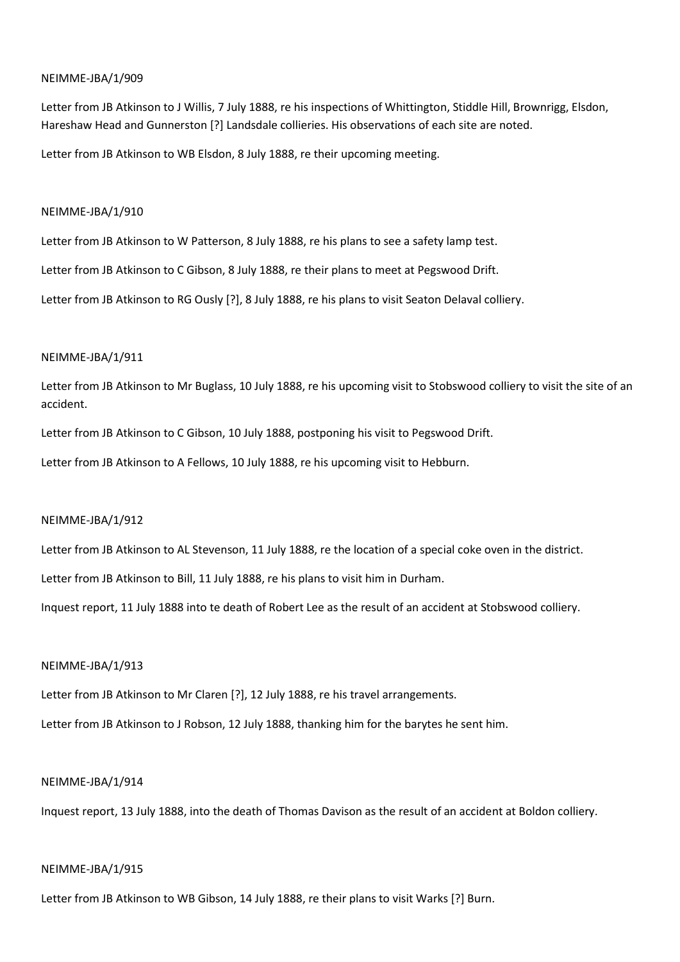Letter from JB Atkinson to J Willis, 7 July 1888, re his inspections of Whittington, Stiddle Hill, Brownrigg, Elsdon, Hareshaw Head and Gunnerston [?] Landsdale collieries. His observations of each site are noted.

Letter from JB Atkinson to WB Elsdon, 8 July 1888, re their upcoming meeting.

## NEIMME-JBA/1/910

Letter from JB Atkinson to W Patterson, 8 July 1888, re his plans to see a safety lamp test.

Letter from JB Atkinson to C Gibson, 8 July 1888, re their plans to meet at Pegswood Drift.

Letter from JB Atkinson to RG Ously [?], 8 July 1888, re his plans to visit Seaton Delaval colliery.

## NEIMME-JBA/1/911

Letter from JB Atkinson to Mr Buglass, 10 July 1888, re his upcoming visit to Stobswood colliery to visit the site of an accident.

Letter from JB Atkinson to C Gibson, 10 July 1888, postponing his visit to Pegswood Drift.

Letter from JB Atkinson to A Fellows, 10 July 1888, re his upcoming visit to Hebburn.

## NEIMME-JBA/1/912

Letter from JB Atkinson to AL Stevenson, 11 July 1888, re the location of a special coke oven in the district.

Letter from JB Atkinson to Bill, 11 July 1888, re his plans to visit him in Durham.

Inquest report, 11 July 1888 into te death of Robert Lee as the result of an accident at Stobswood colliery.

### NEIMME-JBA/1/913

Letter from JB Atkinson to Mr Claren [?], 12 July 1888, re his travel arrangements.

Letter from JB Atkinson to J Robson, 12 July 1888, thanking him for the barytes he sent him.

### NEIMME-JBA/1/914

Inquest report, 13 July 1888, into the death of Thomas Davison as the result of an accident at Boldon colliery.

### NEIMME-JBA/1/915

Letter from JB Atkinson to WB Gibson, 14 July 1888, re their plans to visit Warks [?] Burn.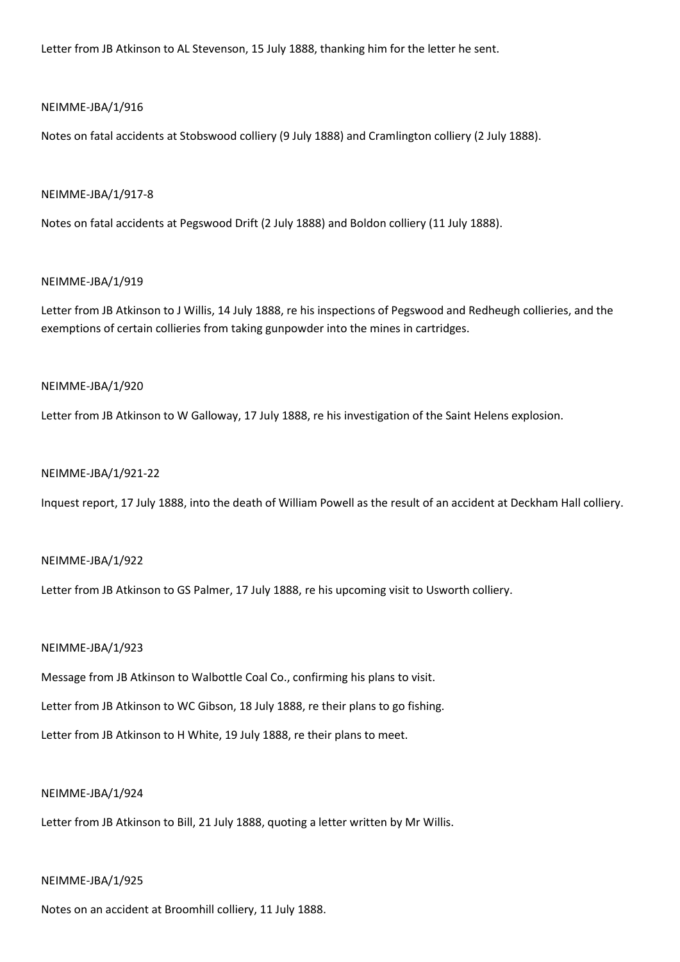Letter from JB Atkinson to AL Stevenson, 15 July 1888, thanking him for the letter he sent.

### NEIMME-JBA/1/916

Notes on fatal accidents at Stobswood colliery (9 July 1888) and Cramlington colliery (2 July 1888).

#### NEIMME-JBA/1/917-8

Notes on fatal accidents at Pegswood Drift (2 July 1888) and Boldon colliery (11 July 1888).

### NEIMME-JBA/1/919

Letter from JB Atkinson to J Willis, 14 July 1888, re his inspections of Pegswood and Redheugh collieries, and the exemptions of certain collieries from taking gunpowder into the mines in cartridges.

### NEIMME-JBA/1/920

Letter from JB Atkinson to W Galloway, 17 July 1888, re his investigation of the Saint Helens explosion.

#### NEIMME-JBA/1/921-22

Inquest report, 17 July 1888, into the death of William Powell as the result of an accident at Deckham Hall colliery.

#### NEIMME-JBA/1/922

Letter from JB Atkinson to GS Palmer, 17 July 1888, re his upcoming visit to Usworth colliery.

### NEIMME-JBA/1/923

Message from JB Atkinson to Walbottle Coal Co., confirming his plans to visit.

Letter from JB Atkinson to WC Gibson, 18 July 1888, re their plans to go fishing.

Letter from JB Atkinson to H White, 19 July 1888, re their plans to meet.

### NEIMME-JBA/1/924

Letter from JB Atkinson to Bill, 21 July 1888, quoting a letter written by Mr Willis.

### NEIMME-JBA/1/925

Notes on an accident at Broomhill colliery, 11 July 1888.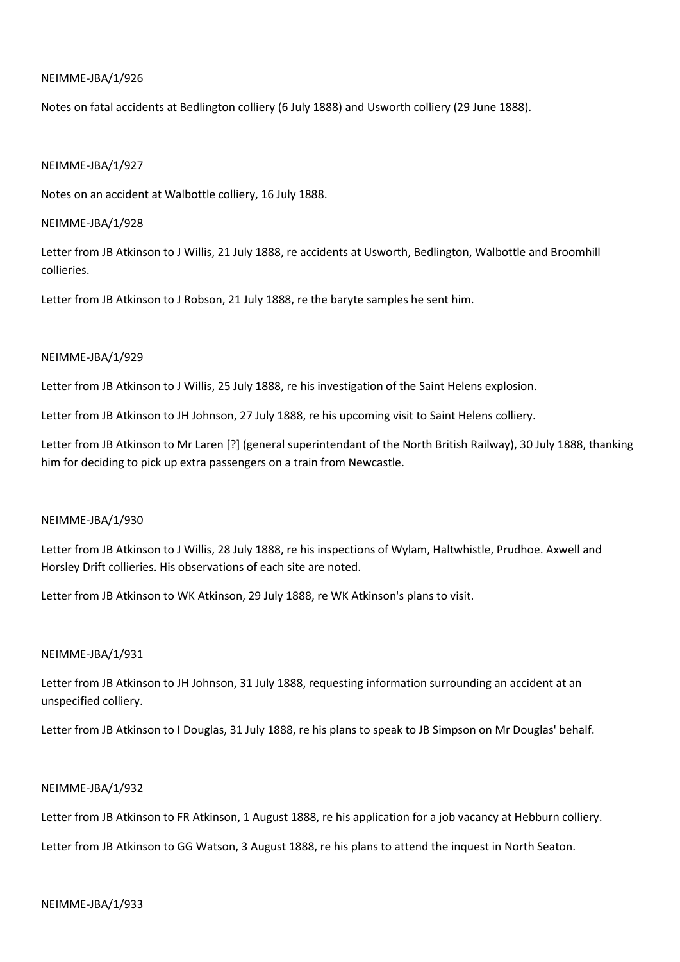Notes on fatal accidents at Bedlington colliery (6 July 1888) and Usworth colliery (29 June 1888).

### NEIMME-JBA/1/927

Notes on an accident at Walbottle colliery, 16 July 1888.

### NEIMME-JBA/1/928

Letter from JB Atkinson to J Willis, 21 July 1888, re accidents at Usworth, Bedlington, Walbottle and Broomhill collieries.

Letter from JB Atkinson to J Robson, 21 July 1888, re the baryte samples he sent him.

## NEIMME-JBA/1/929

Letter from JB Atkinson to J Willis, 25 July 1888, re his investigation of the Saint Helens explosion.

Letter from JB Atkinson to JH Johnson, 27 July 1888, re his upcoming visit to Saint Helens colliery.

Letter from JB Atkinson to Mr Laren [?] (general superintendant of the North British Railway), 30 July 1888, thanking him for deciding to pick up extra passengers on a train from Newcastle.

### NEIMME-JBA/1/930

Letter from JB Atkinson to J Willis, 28 July 1888, re his inspections of Wylam, Haltwhistle, Prudhoe. Axwell and Horsley Drift collieries. His observations of each site are noted.

Letter from JB Atkinson to WK Atkinson, 29 July 1888, re WK Atkinson's plans to visit.

### NEIMME-JBA/1/931

Letter from JB Atkinson to JH Johnson, 31 July 1888, requesting information surrounding an accident at an unspecified colliery.

Letter from JB Atkinson to I Douglas, 31 July 1888, re his plans to speak to JB Simpson on Mr Douglas' behalf.

### NEIMME-JBA/1/932

Letter from JB Atkinson to FR Atkinson, 1 August 1888, re his application for a job vacancy at Hebburn colliery.

Letter from JB Atkinson to GG Watson, 3 August 1888, re his plans to attend the inquest in North Seaton.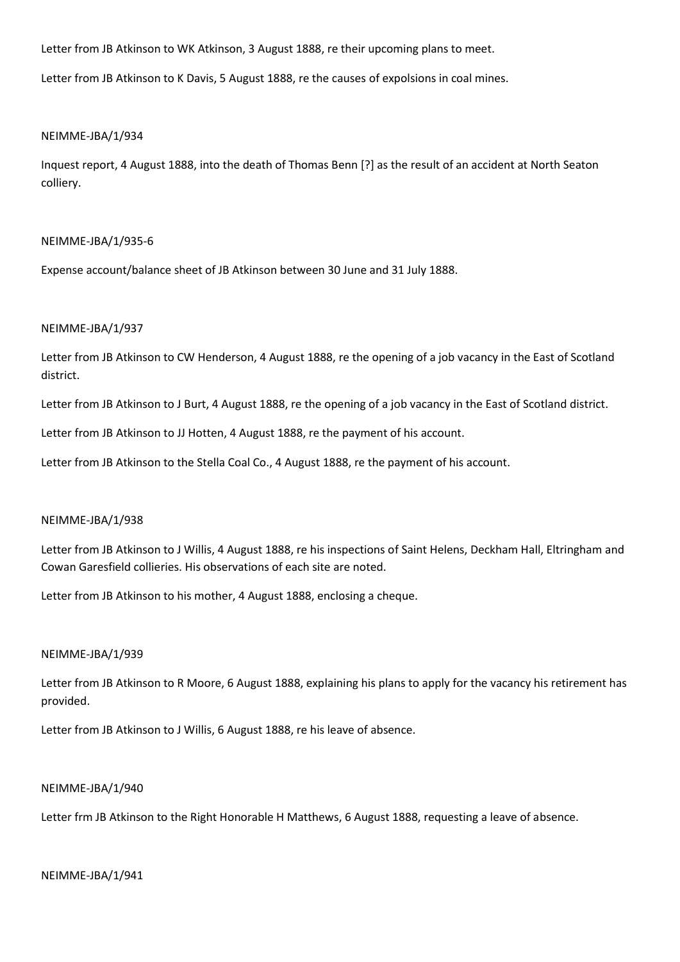Letter from JB Atkinson to WK Atkinson, 3 August 1888, re their upcoming plans to meet.

Letter from JB Atkinson to K Davis, 5 August 1888, re the causes of expolsions in coal mines.

### NEIMME-JBA/1/934

Inquest report, 4 August 1888, into the death of Thomas Benn [?] as the result of an accident at North Seaton colliery.

## NEIMME-JBA/1/935-6

Expense account/balance sheet of JB Atkinson between 30 June and 31 July 1888.

## NEIMME-JBA/1/937

Letter from JB Atkinson to CW Henderson, 4 August 1888, re the opening of a job vacancy in the East of Scotland district.

Letter from JB Atkinson to J Burt, 4 August 1888, re the opening of a job vacancy in the East of Scotland district.

Letter from JB Atkinson to JJ Hotten, 4 August 1888, re the payment of his account.

Letter from JB Atkinson to the Stella Coal Co., 4 August 1888, re the payment of his account.

### NEIMME-JBA/1/938

Letter from JB Atkinson to J Willis, 4 August 1888, re his inspections of Saint Helens, Deckham Hall, Eltringham and Cowan Garesfield collieries. His observations of each site are noted.

Letter from JB Atkinson to his mother, 4 August 1888, enclosing a cheque.

## NEIMME-JBA/1/939

Letter from JB Atkinson to R Moore, 6 August 1888, explaining his plans to apply for the vacancy his retirement has provided.

Letter from JB Atkinson to J Willis, 6 August 1888, re his leave of absence.

### NEIMME-JBA/1/940

Letter frm JB Atkinson to the Right Honorable H Matthews, 6 August 1888, requesting a leave of absence.

### NEIMME-JBA/1/941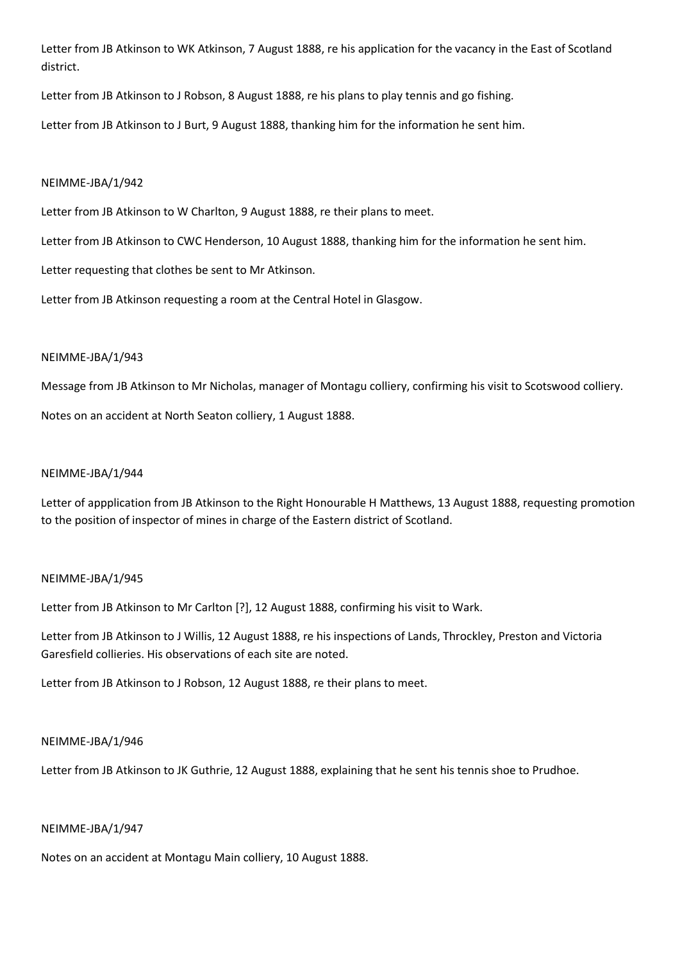Letter from JB Atkinson to WK Atkinson, 7 August 1888, re his application for the vacancy in the East of Scotland district.

Letter from JB Atkinson to J Robson, 8 August 1888, re his plans to play tennis and go fishing.

Letter from JB Atkinson to J Burt, 9 August 1888, thanking him for the information he sent him.

## NEIMME-JBA/1/942

Letter from JB Atkinson to W Charlton, 9 August 1888, re their plans to meet.

Letter from JB Atkinson to CWC Henderson, 10 August 1888, thanking him for the information he sent him.

Letter requesting that clothes be sent to Mr Atkinson.

Letter from JB Atkinson requesting a room at the Central Hotel in Glasgow.

# NEIMME-JBA/1/943

Message from JB Atkinson to Mr Nicholas, manager of Montagu colliery, confirming his visit to Scotswood colliery.

Notes on an accident at North Seaton colliery, 1 August 1888.

### NEIMME-JBA/1/944

Letter of appplication from JB Atkinson to the Right Honourable H Matthews, 13 August 1888, requesting promotion to the position of inspector of mines in charge of the Eastern district of Scotland.

### NEIMME-JBA/1/945

Letter from JB Atkinson to Mr Carlton [?], 12 August 1888, confirming his visit to Wark.

Letter from JB Atkinson to J Willis, 12 August 1888, re his inspections of Lands, Throckley, Preston and Victoria Garesfield collieries. His observations of each site are noted.

Letter from JB Atkinson to J Robson, 12 August 1888, re their plans to meet.

### NEIMME-JBA/1/946

Letter from JB Atkinson to JK Guthrie, 12 August 1888, explaining that he sent his tennis shoe to Prudhoe.

### NEIMME-JBA/1/947

Notes on an accident at Montagu Main colliery, 10 August 1888.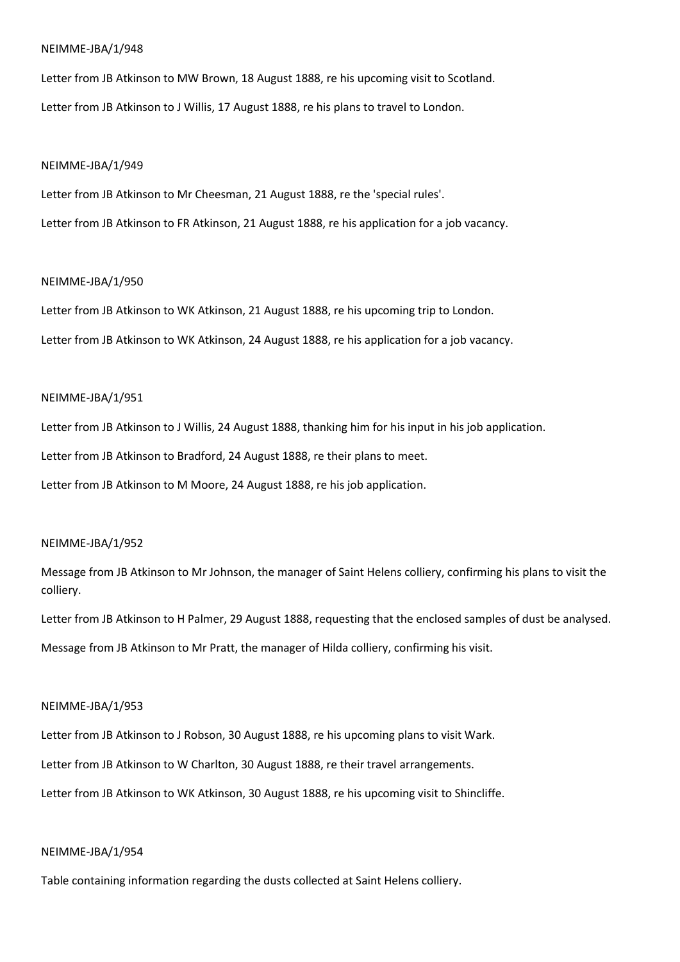Letter from JB Atkinson to MW Brown, 18 August 1888, re his upcoming visit to Scotland. Letter from JB Atkinson to J Willis, 17 August 1888, re his plans to travel to London.

#### NEIMME-JBA/1/949

Letter from JB Atkinson to Mr Cheesman, 21 August 1888, re the 'special rules'. Letter from JB Atkinson to FR Atkinson, 21 August 1888, re his application for a job vacancy.

### NEIMME-JBA/1/950

Letter from JB Atkinson to WK Atkinson, 21 August 1888, re his upcoming trip to London. Letter from JB Atkinson to WK Atkinson, 24 August 1888, re his application for a job vacancy.

### NEIMME-JBA/1/951

Letter from JB Atkinson to J Willis, 24 August 1888, thanking him for his input in his job application.

Letter from JB Atkinson to Bradford, 24 August 1888, re their plans to meet.

Letter from JB Atkinson to M Moore, 24 August 1888, re his job application.

# NEIMME-JBA/1/952

Message from JB Atkinson to Mr Johnson, the manager of Saint Helens colliery, confirming his plans to visit the colliery.

Letter from JB Atkinson to H Palmer, 29 August 1888, requesting that the enclosed samples of dust be analysed. Message from JB Atkinson to Mr Pratt, the manager of Hilda colliery, confirming his visit.

### NEIMME-JBA/1/953

Letter from JB Atkinson to J Robson, 30 August 1888, re his upcoming plans to visit Wark. Letter from JB Atkinson to W Charlton, 30 August 1888, re their travel arrangements. Letter from JB Atkinson to WK Atkinson, 30 August 1888, re his upcoming visit to Shincliffe.

### NEIMME-JBA/1/954

Table containing information regarding the dusts collected at Saint Helens colliery.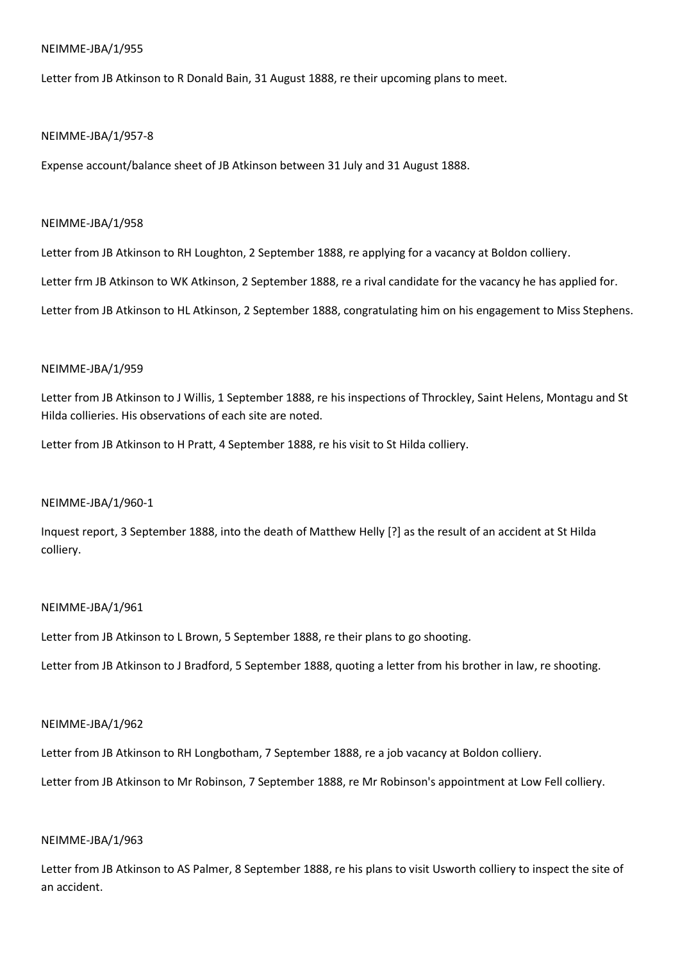Letter from JB Atkinson to R Donald Bain, 31 August 1888, re their upcoming plans to meet.

## NEIMME-JBA/1/957-8

Expense account/balance sheet of JB Atkinson between 31 July and 31 August 1888.

## NEIMME-JBA/1/958

Letter from JB Atkinson to RH Loughton, 2 September 1888, re applying for a vacancy at Boldon colliery.

Letter frm JB Atkinson to WK Atkinson, 2 September 1888, re a rival candidate for the vacancy he has applied for.

Letter from JB Atkinson to HL Atkinson, 2 September 1888, congratulating him on his engagement to Miss Stephens.

# NEIMME-JBA/1/959

Letter from JB Atkinson to J Willis, 1 September 1888, re his inspections of Throckley, Saint Helens, Montagu and St Hilda collieries. His observations of each site are noted.

Letter from JB Atkinson to H Pratt, 4 September 1888, re his visit to St Hilda colliery.

# NEIMME-JBA/1/960-1

Inquest report, 3 September 1888, into the death of Matthew Helly [?] as the result of an accident at St Hilda colliery.

# NEIMME-JBA/1/961

Letter from JB Atkinson to L Brown, 5 September 1888, re their plans to go shooting.

Letter from JB Atkinson to J Bradford, 5 September 1888, quoting a letter from his brother in law, re shooting.

## NEIMME-JBA/1/962

Letter from JB Atkinson to RH Longbotham, 7 September 1888, re a job vacancy at Boldon colliery.

Letter from JB Atkinson to Mr Robinson, 7 September 1888, re Mr Robinson's appointment at Low Fell colliery.

# NEIMME-JBA/1/963

Letter from JB Atkinson to AS Palmer, 8 September 1888, re his plans to visit Usworth colliery to inspect the site of an accident.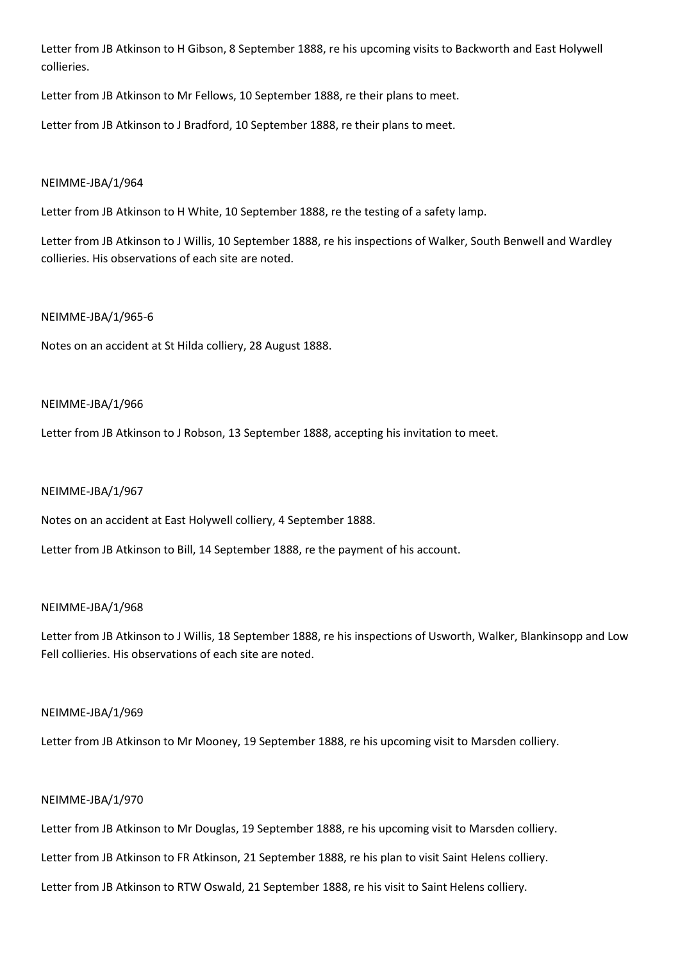Letter from JB Atkinson to H Gibson, 8 September 1888, re his upcoming visits to Backworth and East Holywell collieries.

Letter from JB Atkinson to Mr Fellows, 10 September 1888, re their plans to meet.

Letter from JB Atkinson to J Bradford, 10 September 1888, re their plans to meet.

# NEIMME-JBA/1/964

Letter from JB Atkinson to H White, 10 September 1888, re the testing of a safety lamp.

Letter from JB Atkinson to J Willis, 10 September 1888, re his inspections of Walker, South Benwell and Wardley collieries. His observations of each site are noted.

## NEIMME-JBA/1/965-6

Notes on an accident at St Hilda colliery, 28 August 1888.

## NEIMME-JBA/1/966

Letter from JB Atkinson to J Robson, 13 September 1888, accepting his invitation to meet.

## NEIMME-JBA/1/967

Notes on an accident at East Holywell colliery, 4 September 1888.

Letter from JB Atkinson to Bill, 14 September 1888, re the payment of his account.

## NEIMME-JBA/1/968

Letter from JB Atkinson to J Willis, 18 September 1888, re his inspections of Usworth, Walker, Blankinsopp and Low Fell collieries. His observations of each site are noted.

## NEIMME-JBA/1/969

Letter from JB Atkinson to Mr Mooney, 19 September 1888, re his upcoming visit to Marsden colliery.

# NEIMME-JBA/1/970

Letter from JB Atkinson to Mr Douglas, 19 September 1888, re his upcoming visit to Marsden colliery.

Letter from JB Atkinson to FR Atkinson, 21 September 1888, re his plan to visit Saint Helens colliery.

Letter from JB Atkinson to RTW Oswald, 21 September 1888, re his visit to Saint Helens colliery.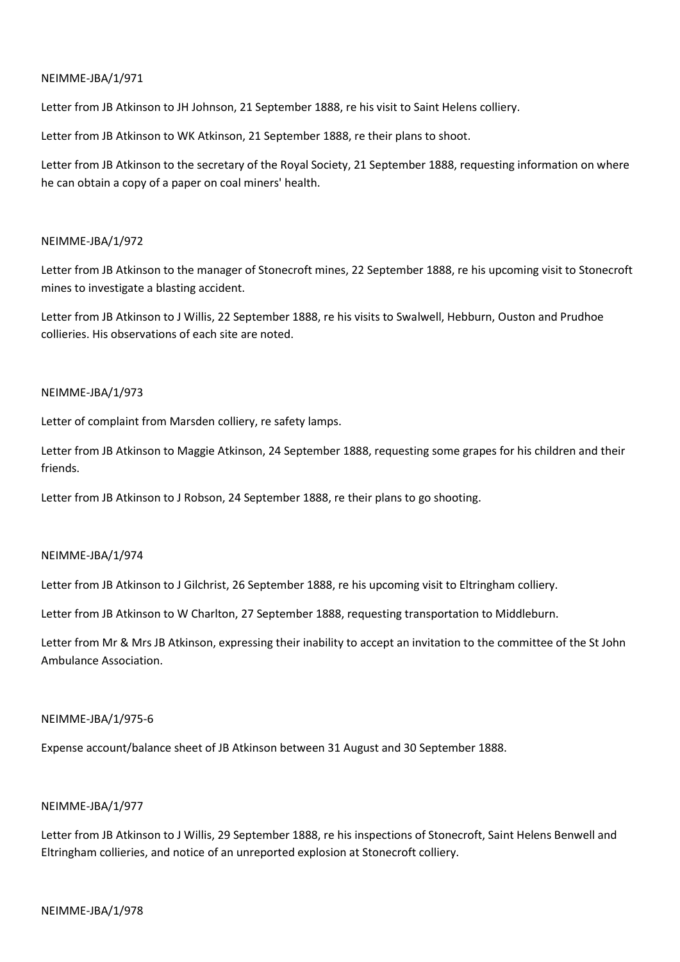Letter from JB Atkinson to JH Johnson, 21 September 1888, re his visit to Saint Helens colliery.

Letter from JB Atkinson to WK Atkinson, 21 September 1888, re their plans to shoot.

Letter from JB Atkinson to the secretary of the Royal Society, 21 September 1888, requesting information on where he can obtain a copy of a paper on coal miners' health.

## NEIMME-JBA/1/972

Letter from JB Atkinson to the manager of Stonecroft mines, 22 September 1888, re his upcoming visit to Stonecroft mines to investigate a blasting accident.

Letter from JB Atkinson to J Willis, 22 September 1888, re his visits to Swalwell, Hebburn, Ouston and Prudhoe collieries. His observations of each site are noted.

## NEIMME-JBA/1/973

Letter of complaint from Marsden colliery, re safety lamps.

Letter from JB Atkinson to Maggie Atkinson, 24 September 1888, requesting some grapes for his children and their friends.

Letter from JB Atkinson to J Robson, 24 September 1888, re their plans to go shooting.

## NEIMME-JBA/1/974

Letter from JB Atkinson to J Gilchrist, 26 September 1888, re his upcoming visit to Eltringham colliery.

Letter from JB Atkinson to W Charlton, 27 September 1888, requesting transportation to Middleburn.

Letter from Mr & Mrs JB Atkinson, expressing their inability to accept an invitation to the committee of the St John Ambulance Association.

## NEIMME-JBA/1/975-6

Expense account/balance sheet of JB Atkinson between 31 August and 30 September 1888.

# NEIMME-JBA/1/977

Letter from JB Atkinson to J Willis, 29 September 1888, re his inspections of Stonecroft, Saint Helens Benwell and Eltringham collieries, and notice of an unreported explosion at Stonecroft colliery.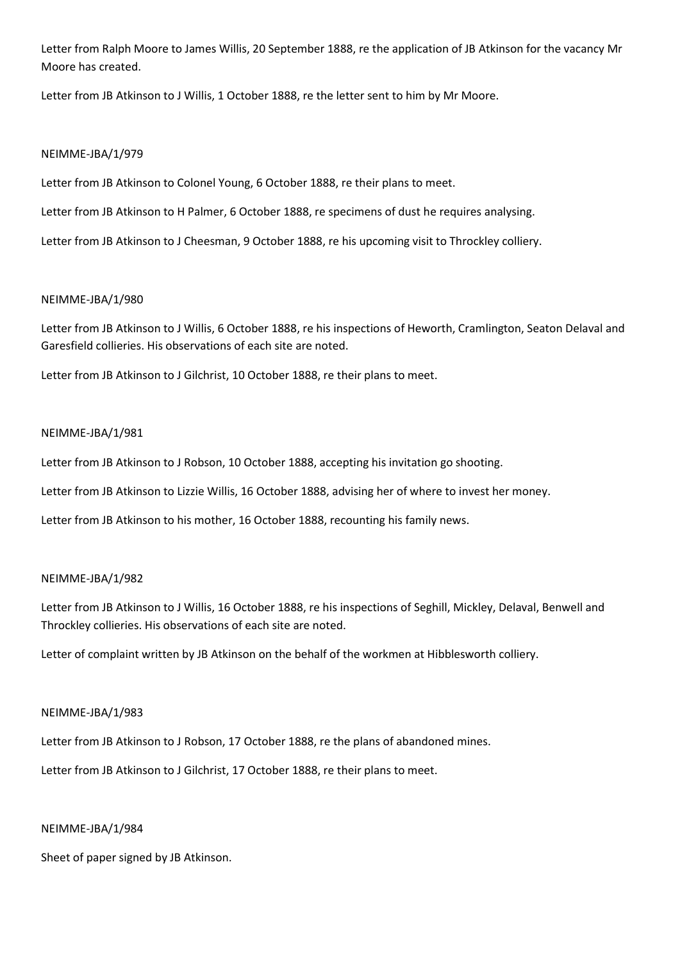Letter from Ralph Moore to James Willis, 20 September 1888, re the application of JB Atkinson for the vacancy Mr Moore has created.

Letter from JB Atkinson to J Willis, 1 October 1888, re the letter sent to him by Mr Moore.

## NEIMME-JBA/1/979

Letter from JB Atkinson to Colonel Young, 6 October 1888, re their plans to meet.

Letter from JB Atkinson to H Palmer, 6 October 1888, re specimens of dust he requires analysing.

Letter from JB Atkinson to J Cheesman, 9 October 1888, re his upcoming visit to Throckley colliery.

## NEIMME-JBA/1/980

Letter from JB Atkinson to J Willis, 6 October 1888, re his inspections of Heworth, Cramlington, Seaton Delaval and Garesfield collieries. His observations of each site are noted.

Letter from JB Atkinson to J Gilchrist, 10 October 1888, re their plans to meet.

## NEIMME-JBA/1/981

Letter from JB Atkinson to J Robson, 10 October 1888, accepting his invitation go shooting.

Letter from JB Atkinson to Lizzie Willis, 16 October 1888, advising her of where to invest her money.

Letter from JB Atkinson to his mother, 16 October 1888, recounting his family news.

## NEIMME-JBA/1/982

Letter from JB Atkinson to J Willis, 16 October 1888, re his inspections of Seghill, Mickley, Delaval, Benwell and Throckley collieries. His observations of each site are noted.

Letter of complaint written by JB Atkinson on the behalf of the workmen at Hibblesworth colliery.

## NEIMME-JBA/1/983

Letter from JB Atkinson to J Robson, 17 October 1888, re the plans of abandoned mines.

Letter from JB Atkinson to J Gilchrist, 17 October 1888, re their plans to meet.

## NEIMME-JBA/1/984

Sheet of paper signed by JB Atkinson.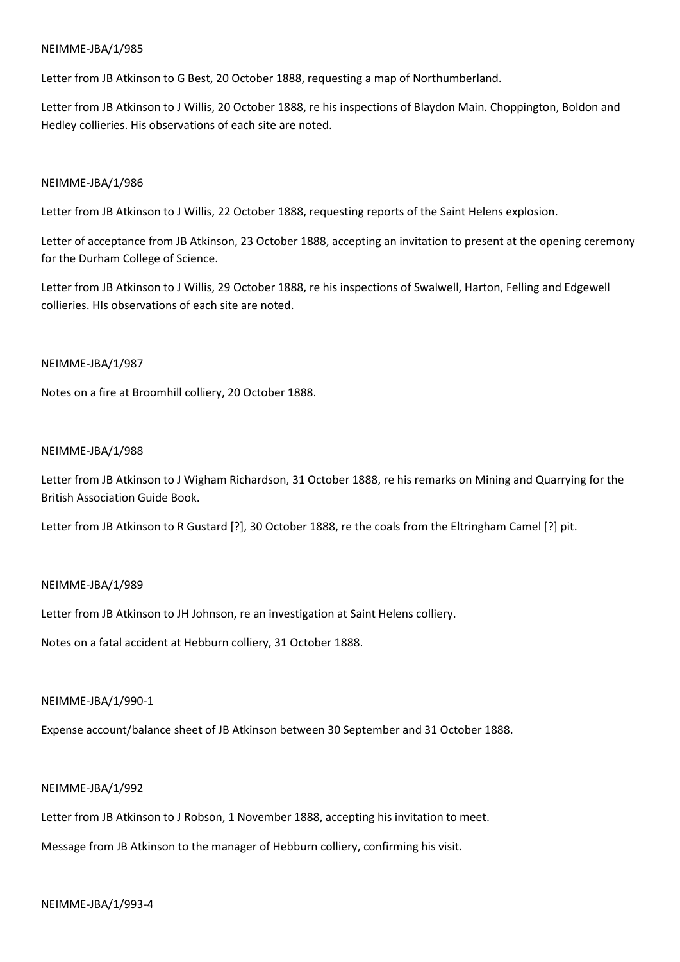Letter from JB Atkinson to G Best, 20 October 1888, requesting a map of Northumberland.

Letter from JB Atkinson to J Willis, 20 October 1888, re his inspections of Blaydon Main. Choppington, Boldon and Hedley collieries. His observations of each site are noted.

## NEIMME-JBA/1/986

Letter from JB Atkinson to J Willis, 22 October 1888, requesting reports of the Saint Helens explosion.

Letter of acceptance from JB Atkinson, 23 October 1888, accepting an invitation to present at the opening ceremony for the Durham College of Science.

Letter from JB Atkinson to J Willis, 29 October 1888, re his inspections of Swalwell, Harton, Felling and Edgewell collieries. HIs observations of each site are noted.

## NEIMME-JBA/1/987

Notes on a fire at Broomhill colliery, 20 October 1888.

## NEIMME-JBA/1/988

Letter from JB Atkinson to J Wigham Richardson, 31 October 1888, re his remarks on Mining and Quarrying for the British Association Guide Book.

Letter from JB Atkinson to R Gustard [?], 30 October 1888, re the coals from the Eltringham Camel [?] pit.

## NEIMME-JBA/1/989

Letter from JB Atkinson to JH Johnson, re an investigation at Saint Helens colliery.

Notes on a fatal accident at Hebburn colliery, 31 October 1888.

## NEIMME-JBA/1/990-1

Expense account/balance sheet of JB Atkinson between 30 September and 31 October 1888.

## NEIMME-JBA/1/992

Letter from JB Atkinson to J Robson, 1 November 1888, accepting his invitation to meet.

Message from JB Atkinson to the manager of Hebburn colliery, confirming his visit.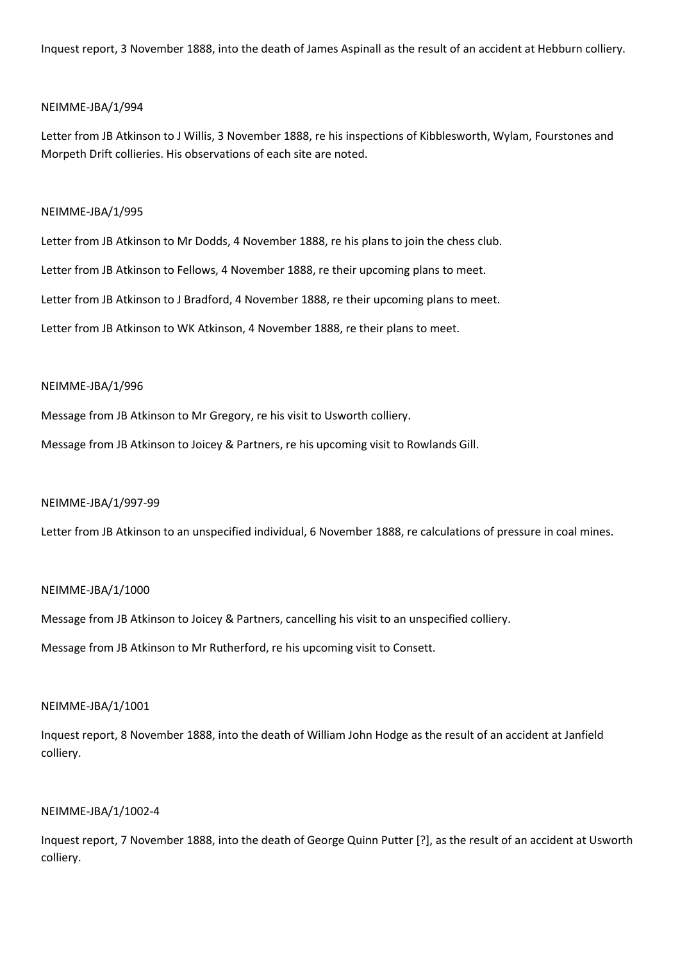Inquest report, 3 November 1888, into the death of James Aspinall as the result of an accident at Hebburn colliery.

## NEIMME-JBA/1/994

Letter from JB Atkinson to J Willis, 3 November 1888, re his inspections of Kibblesworth, Wylam, Fourstones and Morpeth Drift collieries. His observations of each site are noted.

#### NEIMME-JBA/1/995

Letter from JB Atkinson to Mr Dodds, 4 November 1888, re his plans to join the chess club.

Letter from JB Atkinson to Fellows, 4 November 1888, re their upcoming plans to meet.

Letter from JB Atkinson to J Bradford, 4 November 1888, re their upcoming plans to meet.

Letter from JB Atkinson to WK Atkinson, 4 November 1888, re their plans to meet.

## NEIMME-JBA/1/996

Message from JB Atkinson to Mr Gregory, re his visit to Usworth colliery.

Message from JB Atkinson to Joicey & Partners, re his upcoming visit to Rowlands Gill.

## NEIMME-JBA/1/997-99

Letter from JB Atkinson to an unspecified individual, 6 November 1888, re calculations of pressure in coal mines.

## NEIMME-JBA/1/1000

Message from JB Atkinson to Joicey & Partners, cancelling his visit to an unspecified colliery.

Message from JB Atkinson to Mr Rutherford, re his upcoming visit to Consett.

#### NEIMME-JBA/1/1001

Inquest report, 8 November 1888, into the death of William John Hodge as the result of an accident at Janfield colliery.

# NEIMME-JBA/1/1002-4

Inquest report, 7 November 1888, into the death of George Quinn Putter [?], as the result of an accident at Usworth colliery.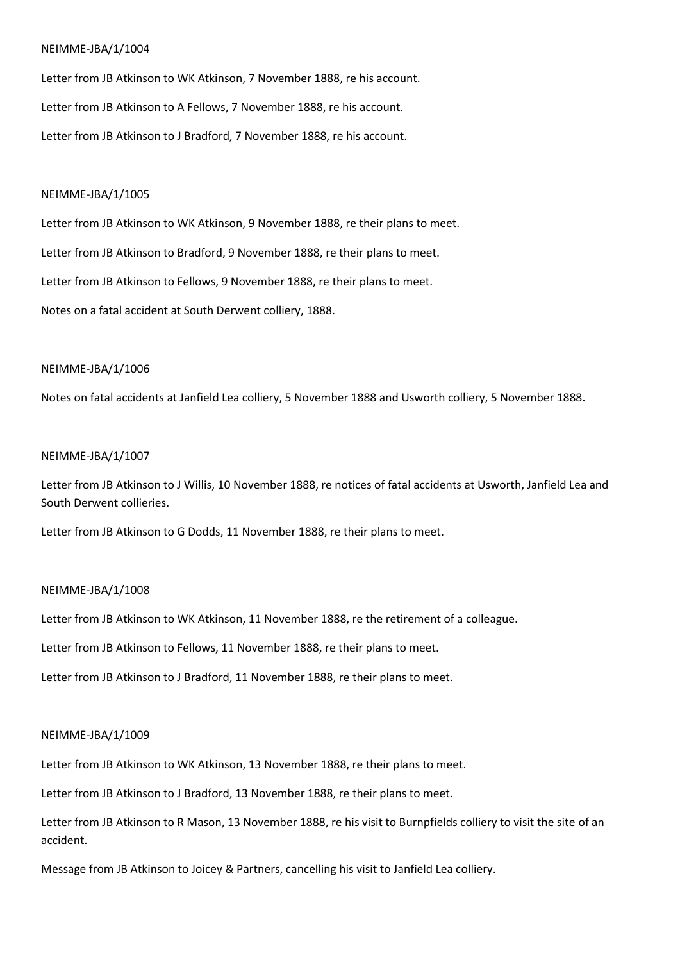Letter from JB Atkinson to WK Atkinson, 7 November 1888, re his account. Letter from JB Atkinson to A Fellows, 7 November 1888, re his account. Letter from JB Atkinson to J Bradford, 7 November 1888, re his account.

#### NEIMME-JBA/1/1005

Letter from JB Atkinson to WK Atkinson, 9 November 1888, re their plans to meet. Letter from JB Atkinson to Bradford, 9 November 1888, re their plans to meet. Letter from JB Atkinson to Fellows, 9 November 1888, re their plans to meet. Notes on a fatal accident at South Derwent colliery, 1888.

#### NEIMME-JBA/1/1006

Notes on fatal accidents at Janfield Lea colliery, 5 November 1888 and Usworth colliery, 5 November 1888.

#### NEIMME-JBA/1/1007

Letter from JB Atkinson to J Willis, 10 November 1888, re notices of fatal accidents at Usworth, Janfield Lea and South Derwent collieries.

Letter from JB Atkinson to G Dodds, 11 November 1888, re their plans to meet.

#### NEIMME-JBA/1/1008

Letter from JB Atkinson to WK Atkinson, 11 November 1888, re the retirement of a colleague.

Letter from JB Atkinson to Fellows, 11 November 1888, re their plans to meet.

Letter from JB Atkinson to J Bradford, 11 November 1888, re their plans to meet.

#### NEIMME-JBA/1/1009

Letter from JB Atkinson to WK Atkinson, 13 November 1888, re their plans to meet.

Letter from JB Atkinson to J Bradford, 13 November 1888, re their plans to meet.

Letter from JB Atkinson to R Mason, 13 November 1888, re his visit to Burnpfields colliery to visit the site of an accident.

Message from JB Atkinson to Joicey & Partners, cancelling his visit to Janfield Lea colliery.